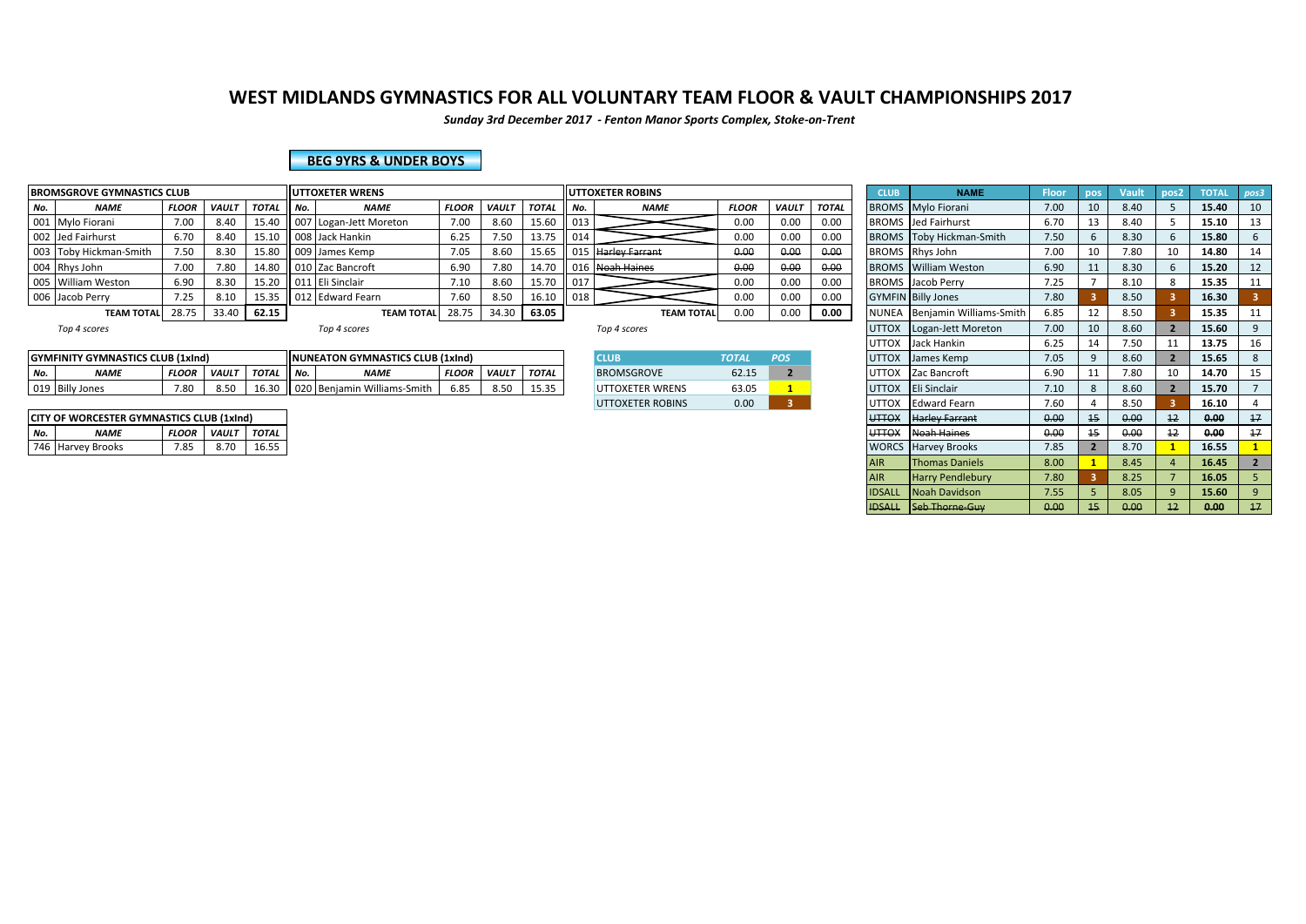*Sunday 3rd December 2017 - Fenton Manor Sports Complex, Stoke-on-Trent*

#### **BEG 9YRS & UNDER BOYS**

|     | <b>BROMSGROVE GYMNASTICS CLUB</b> |              |              |              |        | <b>UTTOXETER WRENS</b> |              |       |              |                 | <b>I</b> UTTOXETER ROBINS |              |              |              | <b>CLUB</b>  | <b>NAME</b>                     | Floor | <b>Vault</b> | pos <sub>2</sub> | <b>TOTAL</b> |    |
|-----|-----------------------------------|--------------|--------------|--------------|--------|------------------------|--------------|-------|--------------|-----------------|---------------------------|--------------|--------------|--------------|--------------|---------------------------------|-------|--------------|------------------|--------------|----|
| No. | <b>NAME</b>                       | <b>FLOOR</b> | <b>VAULT</b> | <b>TOTAL</b> | II No. | <b>NAME</b>            | <b>FLOOR</b> | VAULT | <b>TOTAL</b> | l No.           | <b>NAME</b>               | <b>FLOOR</b> | <b>VAULT</b> | <b>TOTAL</b> |              | <b>BROMS</b> Mylo Fiorani       | 7.00  | 8.40         |                  | 15.40        | 10 |
|     | 001 Mylo Fiorani                  | 7.00         | 8.40         | 15.40        |        | 007 Logan-Jett Moreton | 7.00         | 8.60  | 15.60        | $\parallel$ 013 |                           | 0.00         | 0.00         | 0.00         |              | <b>BROMS</b> Jed Fairhurst      | 6.70  | 8.40         |                  | 15.10        |    |
|     | 002 Jed Fairhurst                 | 6.70         | 8.40         | 15.10        |        | 008 Jack Hankin        | 6.25         |       | 13.75        | 014             |                           | 0.00         | 0.00         | 0.00         |              | <b>BROMS</b> Toby Hickman-Smith | 7.50  | 8.30         |                  | 15.80        |    |
|     | 003 Toby Hickman-Smith            | 7.50         | 8.30         | 15.80        |        | ll 009 James Kemp ا    | 7.05         | 8.60  | 15.65        |                 | 015 Harley Farrant        | 0.00         | 0.00         | 0.00         |              | BROMS Rhys John                 | 7.00  | 7.80         | 10               | 14.80        | 14 |
|     | 004 Rhys John                     | 7.00         | 7.80         | 14.80        |        | 010 Zac Bancroft       | 6.90         | /.80  | 14.70        |                 | 016 Noah Haines           | 0.00         | 0.00         | 0.00         |              | <b>BROMS</b> William Weston     | 6.90  | 8.30         |                  | 15.20        | 12 |
|     | 005 William Weston                | 6.90         | 8.30         | 15.20        |        | 011 Eli Sinclair       | 7.10         | 8.60  | 15.70        | $\parallel$ 017 |                           | 0.00         | 0.00         | 0.00         |              | <b>BROMS</b> Jacob Perry        | 7.25  | 8.10         |                  | 15.35        |    |
|     | 006 Jacob Perry                   | 7.25         | 8.10         | 15.35        |        | 012 Edward Fearn       | 7.60         | 8.50  | 16.10        | 018             |                           | 0.00         | 0.00         | 0.00         |              | <b>GYMFIN</b> Billy Jones       | 7.80  | 8.50         |                  | 16.30        |    |
|     | <b>TEAM TOTAL</b>                 |              | 33.40        | 62.15        |        | <b>TEAM TOTAL</b>      | 28.75        |       | 34.30 63.05  |                 | <b>TEAM TOTAL</b>         | 0.00         | 0.00         | 0.00         | <b>NUNEA</b> | Benjamin Williams-Smith         | 6.85  | 8.50         |                  | 15.35        |    |
|     |                                   |              |              |              |        |                        |              |       |              |                 |                           |              |              |              |              |                                 |       |              |                  |              |    |

|                  | Y GYMNASTICS CLUB (1xInd)<br><b>GYMFINITY</b> |              |              |                            |                   | <b>INUNEATON GYMNASTICS CLUB (1xInd)</b> |              |              |                    | CLUE              | <b>TOTAI</b>   | $\sim$ | <b>UTTOX</b>           | James Kemp           | 7.05                |                | 8.bl |                     | 15.65 |  |
|------------------|-----------------------------------------------|--------------|--------------|----------------------------|-------------------|------------------------------------------|--------------|--------------|--------------------|-------------------|----------------|--------|------------------------|----------------------|---------------------|----------------|------|---------------------|-------|--|
| No.              | <b>NAME</b>                                   | <b>FLOOR</b> | <b>VAULT</b> | <b>TOTA</b><br><b>UIAL</b> | II No.            | <b>NAMI</b>                              | <b>FLOOR</b> | <b>VAUL7</b> | <b>TOTAL</b>       | <b>BROMSGROVE</b> | 22.45<br>02.I. |        | .177<br>.              | : Bancroft<br>- 1720 | 0.00<br><b>0.90</b> | $\overline{a}$ | .80  | $\sim$<br><b>LU</b> | 14.70 |  |
| 0.40<br>.<br>◡⊥◡ | $\bigcap$ Billy,<br>: Ione<br>- טווכ          | 7.80         | ົບ. ບ.       |                            | $\sim$<br>020 Ber | in Williams-Smit.                        | c or<br>6.85 | O E<br>ο.υ   | $- - - -$<br>15.35 | UTTOXETER WRENS   | 63.05          |        | 1.1777<br><b>UTTOX</b> | <b>IEli Sinclai</b>  | 7.10                |                | 8.60 |                     | 15.70 |  |

|     | <b>CITY OF WORCESTER GYMNASTICS CLUB (1xInd)</b> |              |                    |       |
|-----|--------------------------------------------------|--------------|--------------------|-------|
| No. | <b>NAME</b>                                      | <b>FLOOR</b> | <b>VAULT TOTAL</b> |       |
|     | 746 Harvey Brooks                                | 7.85         | 8.70               | 16.55 |

| <b>CLUB</b>             | <b>TOTAL</b> | <b>POS</b> |
|-------------------------|--------------|------------|
| <b>BROMSGROVE</b>       | 62.15        |            |
| <b>UTTOXETER WRENS</b>  | 63.05        |            |
| <b>UTTOXETER ROBINS</b> | n nn         |            |

|     | <b>BROMSGROVE GYMNASTICS CLUB</b>         |              |              |              |     | <b>UTTOXETER WRENS</b>                  |              |              |              |     | <b>UTTOXETER ROBINS</b> |              |                |              | <b>CLUB</b>   | <b>NAME</b>                     | <b>Floor</b> | pos | Vault | pos <sub>2</sub> | <b>TOTAL</b> | pos3 |
|-----|-------------------------------------------|--------------|--------------|--------------|-----|-----------------------------------------|--------------|--------------|--------------|-----|-------------------------|--------------|----------------|--------------|---------------|---------------------------------|--------------|-----|-------|------------------|--------------|------|
| No. | <b>NAME</b>                               | <b>FLOOR</b> | <b>VAULT</b> | <b>TOTAL</b> | No. | <b>NAME</b>                             | <b>FLOOR</b> | <b>VAULT</b> | <b>TOTAL</b> | No. | <b>NAME</b>             | <b>FLOOR</b> | <b>VAULT</b>   | <b>TOTAL</b> |               | <b>BROMS</b> Mylo Fiorani       | 7.00         | 10  | 8.40  |                  | 15.40        | 10   |
|     | 001 Mylo Fiorani                          | 7.00         | 8.40         | 15.40        |     | 007 Logan-Jett Moreton                  | 7.00         | 8.60         | 15.60        | 013 |                         | 0.00         | 0.00           | 0.00         |               | <b>BROMS</b> Jed Fairhurst      | 6.70         | 13  | 8.40  |                  | 15.10        | 13   |
|     | 002 Jed Fairhurst                         | 6.70         | 8.40         | 15.10        |     | 008 Jack Hankin                         | 6.25         | 7.50         | 13.75        | 014 |                         | 0.00         | 0.00           | 0.00         |               | <b>BROMS</b> Toby Hickman-Smith | 7.50         |     | 8.30  |                  | 15.80        |      |
|     | 003 Toby Hickman-Smith                    | 7.50         | 8.30         | 15.80        |     | 009 James Kemp                          | 7.05         | 8.60         | 15.65        |     | 015 Harley Farrant      | 0.00         | 0.00           | 0.00         |               | BROMS Rhys John                 | 7.00         | 10  | 7.80  | 10               | 14.80        | 14   |
|     | 004 Rhys John                             | 7.00         | 7.80         | 14.80        |     | 010 Zac Bancroft                        | 6.90         | 7.80         | 14.70        |     | 016 Noah Haines         | 0.00         | 0.00           | 0.00         |               | <b>BROMS</b> William Weston     | 6.90         | 11  | 8.30  |                  | 15.20        | 12   |
|     | 005 William Weston                        | 6.90         | 8.30         | 15.20        |     | 011 Eli Sinclair                        | 7.10         | 8.60         | 15.70        | 017 |                         | 0.00         | 0.00           | 0.00         |               | <b>BROMS</b> Jacob Perry        | 7.25         |     | 8.10  |                  | 15.35        | 11   |
|     | 006 Jacob Perry                           | 7.25         | 8.10         | 15.35        |     | 012 Edward Fearn                        | 7.60         | 8.50         | 16.10        | 018 |                         | 0.00         | 0.00           | 0.00         |               | <b>GYMFIN</b> Billy Jones       | 7.80         |     | 8.50  |                  | 16.30        |      |
|     | <b>TEAM TOTAL</b>                         | 28.75        | 33.40 62.15  |              |     | <b>TEAM TOTAL</b>                       | 28.75        |              | 34.30 63.05  |     | <b>TEAM TOTAL</b>       | 0.00         | 0.00           | 0.00         |               | NUNEA Benjamin Williams-Smith   | 6.85         | 12  | 8.50  |                  | 15.35        |      |
|     | Top 4 scores                              |              |              |              |     | Top 4 scores                            |              |              |              |     | Top 4 scores            |              |                |              |               | UTTOX   Logan-Jett Moreton      | 7.00         | 10  | 8.60  |                  | 15.60        |      |
|     |                                           |              |              |              |     |                                         |              |              |              |     |                         |              |                |              |               | UTTOX Jack Hankin               | 6.25         | 14  | 7.50  |                  | 13.75        |      |
|     | GYMFINITY GYMNASTICS CLUB (1xInd)         |              |              |              |     | <b>NUNEATON GYMNASTICS CLUB (1xInd)</b> |              |              |              |     | <b>CLUB</b>             | <b>TOTAL</b> | POS            |              |               | UTTOX James Kemp                | 7.05         |     | 8.60  |                  | 15.65        |      |
| No. | <b>NAME</b>                               | <b>FLOOR</b> | <b>VAULT</b> | <b>TOTAL</b> | No. | <b>NAME</b>                             | <b>FLOOR</b> | <b>VAULT</b> | <b>TOTAL</b> |     | <b>BROMSGROVE</b>       | 62.15        | $\overline{2}$ |              |               | UTTOX Zac Bancroft              | 6.90         | 11  | 7.80  | 10               | 14.70        | 15   |
|     | 019 Billy Jones                           | 7.80         | 8.50         | 16.30        |     | 020 Benjamin Williams-Smith             | 6.85         | 8.50         | 15.35        |     | UTTOXETER WRENS         | 63.05        |                |              | <b>UTTOX</b>  | Eli Sinclair                    | 7.10         |     | 8.60  |                  | 15.70        |      |
|     |                                           |              |              |              |     |                                         |              |              |              |     | <b>UTTOXETER ROBINS</b> | 0.00         | 3 <sup>2</sup> |              |               | UTTOX Edward Fearn              | 7.60         |     | 8.50  |                  | 16.10        |      |
|     | CITY OF WORCESTER GYMNASTICS CLUB (1xInd) |              |              |              |     |                                         |              |              |              |     |                         |              |                |              | <b>UTTOX</b>  | Harley Farrant                  | 0.00         | 15  | 0.00  | 12               | 0.00         | 17   |
| No. | <b>NAME</b>                               | <b>FLOOR</b> | <b>VAULT</b> | <b>TOTAL</b> |     |                                         |              |              |              |     |                         |              |                |              | <b>UTTOX</b>  | Noah Haines                     | 0.00         | 15  | 0.00  | 12               | 0.00         | 17   |
|     | 746 Harvey Brooks                         | 7.85         | 8.70         | 16.55        |     |                                         |              |              |              |     |                         |              |                |              |               | <b>WORCS</b> Harvey Brooks      | 7.85         |     | 8.70  |                  | 16.55        |      |
|     |                                           |              |              |              |     |                                         |              |              |              |     |                         |              |                |              | <b>AIR</b>    | <b>Thomas Daniels</b>           | 8.00         |     | 8.45  |                  | 16.45        |      |
|     |                                           |              |              |              |     |                                         |              |              |              |     |                         |              |                |              | <b>AIR</b>    | <b>Harry Pendlebury</b>         | 7.80         |     | 8.25  |                  | 16.05        |      |
|     |                                           |              |              |              |     |                                         |              |              |              |     |                         |              |                |              | <b>IDSALL</b> | <b>Noah Davidson</b>            | 7.55         |     | 8.05  |                  | 15.60        |      |
|     |                                           |              |              |              |     |                                         |              |              |              |     |                         |              |                |              | <b>IDSALL</b> | Seb Thorne Guy                  | 0.00         | 15  | 0.00  | 12               | 0.00         | 17   |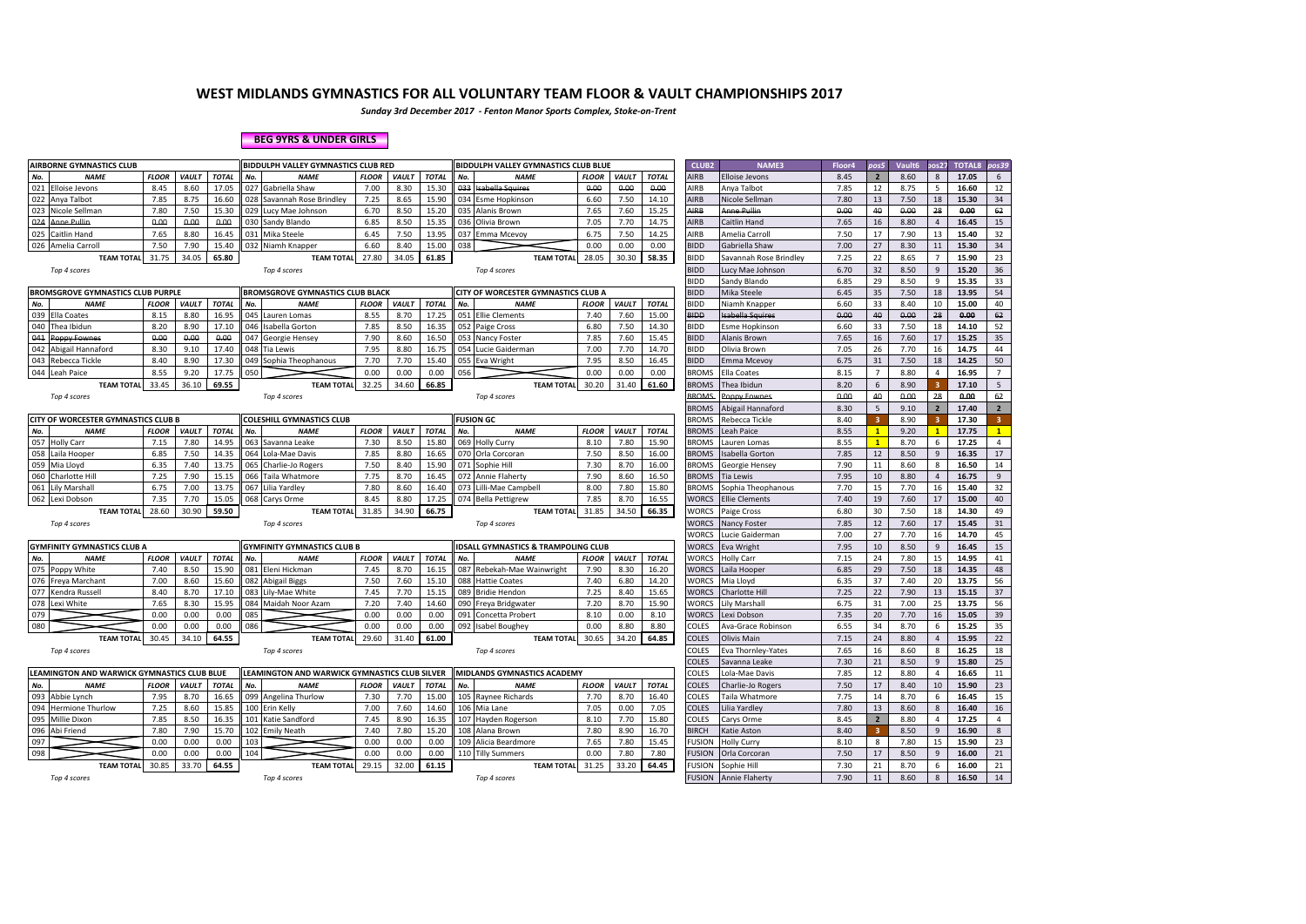*Sunday 3rd December 2017 - Fenton Manor Sports Complex, Stoke-on-Trent*

#### **BEG 9YRS & UNDER GIRLS**

|     | <b>AIRBORNE GYMNASTICS CLUB</b>             |              |              |              | BIDDULPH VALLEY GYMNASTICS CLUB RED           |              |              |              | <b>BIDDULPH VALLEY GYMNASTICS CLUB BLUE</b>   |              |              |              | CLUB <sub>2</sub> | <b>NAME3</b>           | Floor4 | pos5                    | Vault6 | cos 2 <sup>2</sup> | <b>TOTAL8</b> | pos39          |
|-----|---------------------------------------------|--------------|--------------|--------------|-----------------------------------------------|--------------|--------------|--------------|-----------------------------------------------|--------------|--------------|--------------|-------------------|------------------------|--------|-------------------------|--------|--------------------|---------------|----------------|
| No. | <b>NAME</b>                                 | <b>FLOOR</b> | <b>VAULT</b> | <b>TOTAL</b> | No.<br><b>NAME</b>                            | <b>FLOOR</b> | VAULT        | <b>TOTAL</b> | <b>NAME</b><br>No.                            | <b>FLOOR</b> | <b>VAULT</b> | <b>TOTAL</b> | AIRB              | <b>Elloise Jevons</b>  | 8.45   | $\overline{2}$          | 8.60   | 8                  | 17.05         | 6              |
|     | 021 Elloise Jevons                          | 8.45         | 8.60         | 17.05        | 027<br>Gabriella Shaw                         | 7.00         | 8.30         | 15.30        | 033<br><b>Isabella</b> Squires                | 0.00         | 0.00         | 0.00         | AIRB              | Anya Talbot            | 7.85   | 12                      | 8.75   | 5                  | 16.60         | 12             |
|     | 022 Anya Talbot                             | 7.85         | 8.75         | 16.60        | 028 Savannah Rose Brindlev                    | 7.25         | 8.65         | 15.90        | 034 Esme Hopkinson                            | 6.60         | 7.50         | 14.10        | <b>AIRB</b>       | Nicole Sellman         | 7.80   | 13                      | 7.50   | 18                 | 15.30         | 34             |
|     | 023 Nicole Sellman                          | 7.80         | 7.50         | 15.30        | 029 Lucy Mae Johnson                          | 6.70         | 8.50         | 15.20        | 035<br>Alanis Brown                           | 7.65         | 7.60         | 15.25        | AIRB              | Anne Pullin            | 0.00   | 40                      | 0.00   | 28                 | 0.00          | 62             |
| 024 | <b>Anne Pullin</b>                          | 0.00         | 0.00         | 0.00         | 030 Sandy Blando                              | 6.85         | 8.50         | 15.35        | 036 Olivia Brown                              | 7.05         | 7.70         | 14.75        | AIRB              | Caitlin Hand           | 7.65   | 16                      | 8.80   | $\overline{4}$     | 16.45         | 15             |
|     | 025 Caitlin Hand                            | 7.65         | 8.80         | 16.45        | 031 Mika Steele                               | 6.45         | 7.50         | 13.95        | 037 Emma Mcevoy                               | 6.75         | 7.50         | 14.25        | AIRB              | Amelia Carroll         | 7.50   | 17                      | 7.90   | 13                 | 15.40         | 32             |
|     | 026 Amelia Carroll                          | 7.50         | 7.90         | 15.40        | 032 Niamh Knapper                             | 6.60         | 8.40         | 15.00        | 038                                           | 0.00         | 0.00         | 0.00         | <b>BIDD</b>       | Gabriella Shaw         | 7.00   | 27                      | 8.30   | 11                 | 15.30         | 34             |
|     | <b>TEAM TOTAL</b>                           | 31.75        | 34.05        | 65.80        | <b>TEAM TOTAL</b>                             | 27.80        | 34.05        | 61.85        | <b>TEAM TOTAL</b>                             | 28.05        | 30.30        | 58.35        | <b>BIDD</b>       | Savannah Rose Brindley | 7.25   | 22                      | 8.65   |                    | 15.90         | 23             |
|     | Top 4 scores                                |              |              |              | Top 4 scores                                  |              |              |              | Top 4 scores                                  |              |              |              | <b>BIDD</b>       | Lucy Mae Johnson       | 6.70   | 32                      | 8.50   | 9                  | 15.20         | 36             |
|     |                                             |              |              |              |                                               |              |              |              |                                               |              |              |              | <b>BIDD</b>       | Sandy Blando           | 6.85   | 29                      | 8.50   | 9                  | 15.35         | 33             |
|     | <b>BROMSGROVE GYMNASTICS CLUB PURPLE</b>    |              |              |              | <b>BROMSGROVE GYMNASTICS CLUB BLACK</b>       |              |              |              | CITY OF WORCESTER GYMNASTICS CLUB A           |              |              |              | <b>BIDD</b>       | Mika Steele            | 6.45   | 35                      | 7.50   | 18                 | 13.95         | 54             |
| No. | <b>NAME</b>                                 | <b>FLOOR</b> | VAULT        | <b>TOTAL</b> | No.<br><b>NAME</b>                            | <b>FLOOR</b> | <b>VAULT</b> | <b>TOTAL</b> | <b>NAME</b><br>No.                            | <b>FLOOR</b> | VAULT        | <b>TOTAL</b> | <b>BIDD</b>       | Niamh Knapper          | 6.60   | 33                      | 8.40   | 10                 | 15.00         | 40             |
|     | 039 Ella Coates                             | 8.15         | 8.80         | 16.95        | 045 Lauren Lomas                              | 8.55         | 8.70         | 17.25        | 051 Ellie Clements                            | 7.40         | 7.60         | 15.00        | <b>BIDD</b>       | Isabella Squires       | 0.00   | 40                      | 0.00   | 28                 | 0.00          | 62             |
|     | 040 Thea Ibidun                             | 8.20         | 8.90         | 17.10        | 046<br>Isabella Gorton                        | 7.85         | 8.50         | 16.35        | 052 Paige Cross                               | 6.80         | 7.50         | 14.30        | <b>BIDD</b>       | <b>Esme Hopkinsor</b>  | 6.60   | 33                      | 7.50   | 18                 | 14.10         | 52             |
|     | 041 Poppy Fownes                            | 0.00         | 0.00         | 0.00         | 047<br>Georgie Hensey                         | 7.90         | 8.60         | 16.50        | 053 Nancy Foster                              | 7.85         | 7.60         | 15.45        | <b>BIDD</b>       | Alanis Brown           | 7.65   | 16                      | 7.60   | 17                 | 15.25         | 35             |
|     | 042 Abigail Hannaford                       | 8.30         | 9.10         | 17.40        | 048 Tia Lewis                                 | 7.95         | 8.80         | 16.75        | 054 Lucie Gaiderman                           | 7.00         | 7.70         | 14.70        | <b>BIDD</b>       | Olivia Brown           | 7.05   | 26                      | 7.70   | 16                 | 14.75         | 44             |
|     | 043 Rebecca Tickle                          | 8.40         | 8.90         | 17.30        | 049<br>Sophia Theophanous                     | 7.70         | 7.70         | 15.40        | 055 Eva Wright                                | 7.95         | 8.50         | 16.45        | <b>BIDD</b>       | Emma Mcevoy            | 6.75   | 31                      | 7.50   | 18                 | 14.25         | 50             |
|     | 044 Leah Paice                              | 8.55         | 9.20         | 17.75        | 050                                           | 0.00         | 0.00         | 0.00         | 056                                           | 0.00         | 0.00         | 0.00         | <b>BROMS</b>      | Ella Coates            | 8.15   | $\overline{7}$          | 8.80   | 4                  | 16.95         | $\overline{7}$ |
|     | <b>TEAM TOTAL</b>                           | 33.45        | 36.10        | 69.55        | <b>TEAM TOTAL</b>                             | 32.25        | 34.60        | 66.85        | <b>TEAM TOTA</b>                              | 30.20        | 31.40        | 61.60        | <b>BROMS</b>      | Thea Ibidun            | 8.20   | 6                       | 8.90   |                    | 17.10         | 5              |
|     | Top 4 scores                                |              |              |              | Top 4 scores                                  |              |              |              | Top 4 scores                                  |              |              |              | <b>BROMS</b>      | Poppy Fownes           | 0.00   | 40                      | 0.00   | 28                 | 0.00          | 62             |
|     |                                             |              |              |              |                                               |              |              |              |                                               |              |              |              | <b>BROMS</b>      | Abigail Hannaford      | 8.30   | 5                       | 9.10   | $\overline{2}$     | 17.40         | $\overline{2}$ |
|     | <b>CITY OF WORCESTER GYMNASTICS CLUB B</b>  |              |              |              | <b>COLESHILL GYMNASTICS CLUB</b>              |              |              |              | <b>FUSION GC</b>                              |              |              |              | <b>BROMS</b>      | Rebecca Tickle         | 8.40   | $\overline{\mathbf{3}}$ | 8.90   |                    | 17.30         | $\overline{3}$ |
| No. | <b>NAME</b>                                 | <b>FLOOR</b> | VAULT        | <b>TOTAL</b> | No.<br><b>NAME</b>                            | <b>FLOOR</b> | <b>VAULT</b> | <b>TOTAL</b> | <b>NAME</b><br>No.                            | <b>FLOOR</b> | <b>VAULT</b> | <b>TOTAL</b> | <b>BROMS</b>      | Leah Paice             | 8.55   | $\mathbf{1}$            | 9.20   | $\overline{1}$     | 17.75         | $\mathbf{1}$   |
|     | 057 Holly Carr                              | 7.15         | 7.80         | 14.95        | 063 Savanna Leake                             | 7.30         | 8.50         | 15.80        | 069 Holly Curry                               | 8.10         | 7.80         | 15.90        | <b>BROMS</b>      | Lauren Lomas           | 8.55   | $\mathbf{1}$            | 8.70   | 6                  | 17.25         | $\overline{4}$ |
|     | 058 Laila Hooper                            | 6.85         | 7.50         | 14.35        | 064<br>Lola-Mae Davis                         | 7.85         | 8.80         | 16.65        | 070 Orla Corcoran                             | 7.50         | 8.50         | 16.00        | <b>BROMS</b>      | <b>Isabella Gorton</b> | 7.85   | 12                      | 8.50   | 9                  | 16.35         | 17             |
|     | 059 Mia Lloyd                               | 6.35         | 7.40         | 13.75        | 065 Charlie-Jo Rogers                         | 7.50         | 8.40         | 15.90        | 071 Sophie Hill                               | 7.30         | 8.70         | 16.00        | <b>BROMS</b>      | Georgie Hensey         | 7.90   | 11                      | 8.60   | 8                  | 16.50         | 14             |
| 060 | Charlotte Hill                              | 7.25         | 7.90         | 15.15        | 066 Taila Whatmore                            | 7.75         | 8.70         | 16.45        | 072 Annie Flaherty                            | 7.90         | 8.60         | 16.50        | <b>BROMS</b>      | <b>Tia Lewis</b>       | 7.95   | 10                      | 8.80   |                    | 16.75         | 9              |
|     | 061 Lily Marshall                           | 6.75         | 7.00         | 13.75        | 067 Lilia Yardley                             | 7.80         | 8.60         | 16.40        | 073 Lilli-Mae Campbell                        | 8.00         | 7.80         | 15.80        | <b>BROMS</b>      | Sophia Theophanous     | 7.70   | 15                      | 7.70   | 16                 | 15.40         | 32             |
|     | 062 Lexi Dobson                             | 7.35         | 7.70         | 15.05        | 068 Carys Orme                                | 8.45         | 8.80         | 17.25        | 074 Bella Pettigrew                           | 7.85         | 8.70         | 16.55        | <b>WORCS</b>      | <b>Ellie Clements</b>  | 7.40   | 19                      | 7.60   | 17                 | 15.00         | 40             |
|     | <b>TEAM TOTAL</b>                           | 28.60        | 30.90        | 59.50        | <b>TEAM TOTAL</b>                             | 31.85        | 34.90        | 66.75        | <b>TEAM TOTAL</b>                             | 31.85        | 34.50        | 66.35        | <b>NORCS</b>      | Paige Cross            | 6.80   | 30                      | 7.50   | 18                 | 14.30         | 49             |
|     | Top 4 scores                                |              |              |              | Top 4 scores                                  |              |              |              | Top 4 scores                                  |              |              |              | <b>NORCS</b>      | Nancy Foster           | 7.85   | 12                      | 7.60   | 17                 | 15.45         | 31             |
|     |                                             |              |              |              |                                               |              |              |              |                                               |              |              |              | <b>WORCS</b>      | Lucie Gaiderman        | 7.00   | 27                      | 7.70   | 16                 | 14.70         | 45             |
|     | <b>GYMFINITY GYMNASTICS CLUB A</b>          |              |              |              | <b>GYMFINITY GYMNASTICS CLUB B</b>            |              |              |              | <b>DSALL GYMNASTICS &amp; TRAMPOLING CLUB</b> |              |              |              | <b>NORCS</b>      | Eva Wright             | 7.95   | 10                      | 8.50   | 9                  | 16.45         | 15             |
| No. | <b>NAME</b>                                 | <b>FLOOR</b> | VAULT        | <b>TOTAL</b> | No.<br><b>NAME</b>                            | <b>FLOOR</b> | <b>VAULT</b> | <b>TOTAL</b> | <b>NAME</b><br>No.                            | <b>FLOOR</b> | VAULT        | <b>TOTAL</b> | <b>NORCS</b>      | <b>Holly Carr</b>      | 7.15   | 24                      | 7.80   | 15                 | 14.95         | 41             |
|     | 075 Poppy White                             | 7.40         | 8.50         | 15.90        | 081 Eleni Hickman                             | 7.45         | 8.70         | 16.15        | 087 Rebekah-Mae Wainwright                    | 7.90         | 8.30         | 16.20        | <b>WORCS</b>      | aila Hooper            | 6.85   | 29                      | 7.50   | 18                 | 14.35         | 48             |
|     | 076 Freya Marchant                          | 7.00         | 8.60         | 15.60        | 082 Abigail Biggs                             | 7.50         | 7.60         | 15.10        | 088<br><b>Hattie Coates</b>                   | 7.40         | 6.80         | 14.20        | <b>NORCS</b>      | Mia Llovd              | 6.35   | 37                      | 7.40   | 20                 | 13.75         | 56             |
| 077 | Kendra Russell                              | 8.40         | 8.70         | 17.10        | 083 Lily-Mae White                            | 7.45         | 7.70         | 15.15        | 089 Bridie Hendon                             | 7.25         | 8.40         | 15.65        | <b>WORCS</b>      | Charlotte Hill         | 7.25   | 22                      | 7.90   | 13                 | 15.15         | 37             |
|     | 078 Lexi White                              | 7.65         | 8.30         | 15.95        | 084 Maidah Noor Azam                          | 7.20         | 7.40         | 14.60        | 090 Freya Bridgwater                          | 7.20         | 8.70         | 15.90        | <b>WORCS</b>      | Lily Marshall          | 6.75   | 31                      | 7.00   | 25                 | 13.75         | 56             |
| 079 |                                             | 0.00         | 0.00         | 0.00         | 085                                           | 0.00         | 0.00         | 0.00         | 091<br>Concetta Probert                       | 8.10         | 0.00         | 8.10         | <b>WORCS</b>      | Lexi Dobson            | 7.35   | 20                      | 7.70   | 16                 | 15.05         | 39             |
| 080 |                                             | 0.00         | 0.00         | 0.00         | 086                                           | 0.00         | 0.00         | 0.00         | 092 Isabel Boughey                            | 0.00         | 8.80         | 8.80         | COLES             | Ava-Grace Robinson     | 6.55   | 34                      | 8.70   | 6                  | 15.25         | 35             |
|     | <b>TEAM TOTAL</b>                           | 30.45        | 34.10        | 64.55        | <b>TEAM TOTAL</b>                             | 29.60        | 31.40        | 61.00        | <b>TEAM TOTAL</b>                             | 30.65        | 34.20        | 64.85        | COLES             | Olivis Main            | 7.15   | 24                      | 8.80   | $\overline{a}$     | 15.95         | 22             |
|     | Top 4 scores                                |              |              |              | Top 4 scores                                  |              |              |              | Top 4 scores                                  |              |              |              | COLES             | Eva Thornley-Yates     | 7.65   | 16                      | 8.60   | 8                  | 16.25         | 18             |
|     |                                             |              |              |              |                                               |              |              |              |                                               |              |              |              | COLES             | Savanna Leake          | 7.30   | 21                      | 8.50   | $\mathbf{q}$       | 15.80         | 25             |
|     | LEAMINGTON AND WARWICK GYMNASTICS CLUB BLUE |              |              |              | LEAMINGTON AND WARWICK GYMNASTICS CLUB SILVER |              |              |              | MIDLANDS GYMNASTICS ACADEMY                   |              |              |              | COLES             | Lola-Mae Davis         | 7.85   | 12                      | 8.80   | $\overline{a}$     | 16.65         | $11\,$         |
| No. | <b>NAME</b>                                 | <b>FLOOR</b> | VAULT        | <b>TOTAL</b> | No.<br><b>NAME</b>                            | <b>FLOOR</b> | <b>VAULT</b> | <b>TOTAL</b> | <b>NAME</b><br>No.                            | <b>FLOOR</b> | VAULT        | <b>TOTAL</b> | COLES             | Charlie-Jo Rogers      | 7.50   | 17                      | 8.40   | 10                 | 15.90         | 23             |
| 093 | Abbie Lynch                                 | 7.95         | 8.70         | 16.65        | 099 Angelina Thurlow                          | 7.30         | 7.70         | 15.00        | 105<br>Raynee Richards                        | 7.70         | 8.70         | 16.40        | COLES             | Taila Whatmore         | 7.75   | 14                      | 8.70   | 6                  | 16.45         | 15             |
| 094 | <b>Hermione Thurlow</b>                     | 7.25         | 8.60         | 15.85        | 100 Erin Kelly                                | 7.00         | 7.60         | 14.60        | 106 Mia Lane                                  | 7.05         | 0.00         | 7.05         | COLES             | Lilia Yardley          | 7.80   | 13                      | 8.60   | 8                  | 16.40         | 16             |
| 095 | Millie Dixon                                | 7.85         | 8.50         | 16.35        | 101 Katie Sandford                            | 7.45         | 8.90         | 16.35        | 107 Hayden Rogerson                           | 8.10         | 7.70         | 15.80        | COLES             | Carvs Orme             | 8.45   | $\overline{2}$          | 8.80   | $\overline{a}$     | 17.25         | $\overline{4}$ |
| 096 | Abi Friend                                  | 7.80         | 7.90         | 15.70        | 102 <sub>1</sub><br><b>Emily Neath</b>        | 7.40         | 7.80         | 15.20        | 108 Alana Brown                               | 7.80         | 8.90         | 16.70        | <b>BIRCH</b>      | Katie Aston            | 8.40   | 3                       | 8.50   | 9                  | 16.90         | 8              |
| 097 |                                             | 0.00         | 0.00         | 0.00         | 103                                           | 0.00         | 0.00         | 0.00         | 109 Alicia Beardmore                          | 7.65         | 7.80         | 15.45        | <b>FUSION</b>     | <b>Holly Curry</b>     | 8.10   | 8                       | 7.80   | 15                 | 15.90         | 23             |
| 098 |                                             | 0.00         | 0.00         | 0.00         | 104                                           | 0.00         | 0.00         | 0.00         | 110 Tilly Summers                             | 0.00         | 7.80         | 7.80         | <b>FUSION</b>     | Orla Corcoran          | 7.50   | 17                      | 8.50   | q                  | 16.00         | 21             |
|     | <b>TEAM TOTAL</b>                           | 30.85        | 33.70        | 64.55        | <b>TEAM TOTAL</b>                             | 29.15        | 32.00        | 61.15        | <b>TEAM TOTAL</b>                             | 31.25        | 33.20        | 64.45        | <b>FUSION</b>     | Sophie Hill            | 7.30   | 21                      | 8.70   | 6                  | 16.00         | 21             |
|     | Top 4 scores                                |              |              |              | Top 4 scores                                  |              |              |              | Top 4 scores                                  |              |              |              | <b>FUSION</b>     | <b>Annie Flaherty</b>  | 7.90   | 11                      | 8.60   | 8                  | 16.50         | 14             |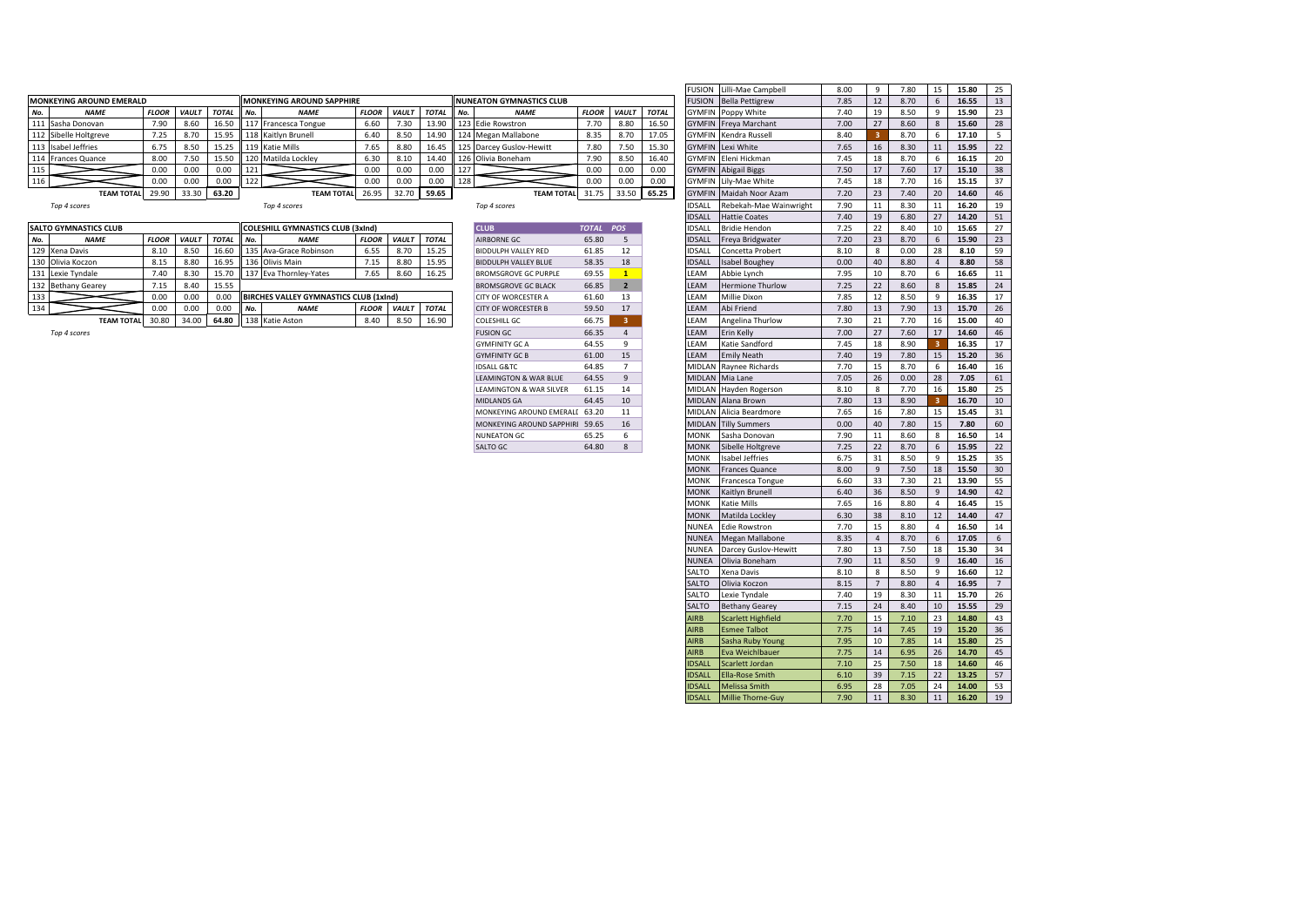|     |                                 |              |              |              |     |                                          |              |              |              |        |                                 |              |              |              |               | <b>COLLECTED</b> COLLECTED     | ---- |    | $\cdot$ . $\circ$ | $-$ |       |     |
|-----|---------------------------------|--------------|--------------|--------------|-----|------------------------------------------|--------------|--------------|--------------|--------|---------------------------------|--------------|--------------|--------------|---------------|--------------------------------|------|----|-------------------|-----|-------|-----|
|     | <b>MONKEYING AROUND EMERALD</b> |              |              |              |     | <b>MONKEYING AROUND SAPPHIRE</b>         |              |              |              |        | <b>NUNEATON GYMNASTICS CLUB</b> |              |              |              |               | <b>FUSION</b> Bella Pettigrew  | 7.85 | 12 | 8.70              |     | 16.55 | 13  |
| No. | <b>NAME</b>                     | <b>FLOOR</b> | <b>VAULT</b> | <b>TOTAL</b> | No. | <b>NAME</b>                              | <b>FLOOR</b> | <b>VAUL1</b> | <b>TOTAL</b> | II No. | <b>NAME</b>                     | <b>FLOOR</b> | <b>VAULT</b> | <b>TOTAL</b> |               | <b>GYMFIN</b> Poppy White      | 7.40 | 19 | 8.50              |     | 15.90 | 23  |
|     | 111 Sasha Donovan               | 7.90         | 8.60         | 16.50        |     | 117 Francesca Tongue                     | 6.60         | 7.30         | 13.90        |        | 123 Edie Rowstron               | 7.70         | 8.80         | 16.50        |               | <b>GYMFIN</b> Freya Marchant   | 7.00 | 27 | 8.60              |     | 15.60 | 28  |
|     | 112 Sibelle Holtgreve           | 7.25         | 8.70         | 15.95        |     | 118 Kaitlyn Brunell                      | 6.40         | 8.50         | 14.90        |        | 124 Megan Mallabone             | 8.35         | 8.70         | 17.05        |               | <b>GYMFIN</b> Kendra Russell   | 8.40 |    | 8.70              |     | 17.10 |     |
|     | 113 Isabel Jeffries             | 6.75         | 8.50         | 15.25        |     | 119 Katie Mills                          | 7.65         | 8.80         | 16.45        |        | 125 Darcey Guslov-Hewitt        | 7.80         | 7.50         | 15.30        |               | <b>GYMFIN</b> Lexi White       | 7.65 | 16 | 8.30              | 11  | 15.95 | -22 |
|     | 114 Frances Quance              | 8.00         | 7.50         | 15.50        |     | 120 Matilda Lockley                      | 6.30         | 8.10         | 14.40        |        | 126 Olivia Boneham              | 7.90         | 8.50         | 16.40        |               | GYMFIN Eleni Hickman           | 7.45 | 18 | 8.70              |     | 16.15 | 2C  |
|     |                                 | 0.00         | 0.00         | 0.00         | 121 |                                          | 0.00         | 0.00         | 0.00         | 127    |                                 | 0.00         | 0.00         | 0.00         |               | <b>GYMFIN</b> Abigail Biggs    | 7.50 | 17 | 7.60              | 17  | 15.10 | 38  |
| 116 |                                 | 0.00         | 0.00         | 0.00         | 122 |                                          | 0.00         | 0.00         | 0.00         | 128    |                                 | 0.00         | 0.00         | 0.00         |               | GYMFIN Lily-Mae White          | 7.45 | 18 | 7.70              | 16  | 15.15 | -37 |
|     | <b>TEAM TOTAL</b>               | 29.90        | 33.30        | 63.20        |     | <b>TEAM TOTAL</b>                        | 26.95        |              | 32.70 59.65  |        | <b>TEAM TOTAL</b>               | 31.75        | 33.50        | 65.25        |               | <b>GYMFIN</b> Maidah Noor Azam | 7.20 | 23 | 7.40              |     | 14.60 | 46  |
|     | Top 4 scores                    |              |              |              |     | Top 4 scores                             |              |              |              |        | Top 4 scores                    |              |              |              | IDSALL        | Rebekah-Mae Wainwright         | 7.90 | 11 | 8.30              | 11  | 16.20 |     |
|     |                                 |              |              |              |     |                                          |              |              |              |        |                                 |              |              |              | <b>IDSALL</b> | <b>Hattie Coates</b>           | 7.40 | 19 | 6.80              | 27  | 14.20 | 51  |
|     | <b>SALTO GYMNASTICS CLUB</b>    |              |              |              |     | <b>COLESHILL GYMNASTICS CLUB (3xInd)</b> |              |              |              |        | <b>CLUB</b>                     | <b>TOTAL</b> | <b>POS</b>   |              | <b>IDSALL</b> | <b>Bridie Hendon</b>           | 7.25 | 22 | 8.40              | 10  | 15.65 | 27  |
| No. | <b>NAME</b>                     | <b>FLOOR</b> | <b>VAULT</b> | <b>TOTAL</b> | No. | <b>NAME</b>                              | <b>FLOOR</b> | <b>VAULT</b> | <b>TOTAL</b> |        | <b>AIRBORNE GC</b>              | 65.80        |              |              | <b>IDSALL</b> | Freya Bridgwater               | 7.20 | 23 | 8.70              |     | 15.90 | 23  |
|     | 129 Xena Davis                  | 8.10         | 8.50         | 16.60        |     | 135 Ava-Grace Robinson                   | 6.55         | 8.70         | 15.25        |        | <b>BIDDULPH VALLEY RED</b>      | 61.85        | 12           |              | <b>IDSALL</b> | Concetta Probert               | 8.10 | 8  | 0.00              | 28  | 8.10  | 59  |
|     | 130 Olivia Koczon               | 8.15         | 8.80         | 16.95        |     | 136 Olivis Main                          | 7.15         | 8.80         | 15.95        |        | <b>BIDDULPH VALLEY BLUE</b>     | 58.35        | 18           |              | <b>IDSALL</b> | <b>Isabel Boughey</b>          | 0.00 | 40 | 8.80              |     | 8.80  | 58  |
|     | 131 Lexie Tyndale               | 7.40         | 8.30         | 15.70        |     | 137 Eva Thornley-Yates                   | 7.65         | 8.60         | 16.25        |        | <b>BROMSGROVE GC PURPLE</b>     | 69.55        |              |              | LEAM          | Abbie Lynch                    | 7.95 | 10 | 8.70              |     | 16.65 |     |
|     | 132 Bethany Gearey              | 7.15         | 8.40         | 15.55        |     |                                          |              |              |              |        | <b>BROMSGROVE GC BLACK</b>      | 66.85        |              |              | LEAM          | <b>Hermione Thurlow</b>        | 7.25 | 22 | 8.60              |     | 15.85 | 24  |
| 133 |                                 | 0.00         | 0.00         | 0.00         |     | BIRCHES VALLEY GYMNASTICS CLUB (1xInd)   |              |              |              |        | <b>CITY OF WORCESTER A</b>      | 61.60        | 13           |              | LEAM          | Millie Dixon                   | 7.85 | 12 | 8.50              |     | 16.35 |     |
|     |                                 | 0.00         | 0.00         | 0.00         | No. | <b>NAME</b>                              | <b>FLOOR</b> | <b>VAUL1</b> | <b>TOTAL</b> |        | <b>CITY OF WORCESTER B</b>      | 59.50        | 17           |              | LEAM          | Abi Friend                     | 7.80 | 13 | 7.90              | 13  | 15.70 | 26  |
|     | <b>TEAM TOTAL</b>               | 30.80        | 34.00        |              |     | 64.80 138 Katie Aston                    | 8.40         | 8.50         | 16.90        |        | <b>COLESHILL GC</b>             | 66.75        |              |              | LEAM          | Angelina Thurlow               | 7.30 | 21 | 7.70              | 16  | 15.00 | 40  |

|                              |              |              |              |                                               |              |              |              |     |                                 |              |                 |              | FUSION        | Lilli-Mae Campbell        | 8.00 | 9                       | 7.80 | 15                      | 15.80 | 25               |
|------------------------------|--------------|--------------|--------------|-----------------------------------------------|--------------|--------------|--------------|-----|---------------------------------|--------------|-----------------|--------------|---------------|---------------------------|------|-------------------------|------|-------------------------|-------|------------------|
| <b>(EYING AROUND EMERALD</b> |              |              |              | <b>MONKEYING AROUND SAPPHIRE</b>              |              |              |              |     | <b>NUNEATON GYMNASTICS CLUB</b> |              |                 |              | FUSION        | <b>Bella Pettigrew</b>    | 7.85 | 12                      | 8.70 | 6                       | 16.55 | 13               |
| <b>NAME</b>                  | <b>FLOOR</b> | <b>VAULT</b> | <b>TOTAL</b> | No.<br><b>NAME</b>                            | <b>FLOOR</b> | VAULT        | <b>TOTAL</b> | No. | <b>NAME</b>                     | <b>FLOOR</b> | VAULT           | <b>TOTAL</b> | GYMFIN        | Poppy White               | 7.40 | 19                      | 8.50 | 9                       | 15.90 | 23               |
| Sasha Donovan                | 7.90         | 8.60         | 16.50        | 117 Francesca Tongue                          | 6.60         | 7.30         | 13.90        |     | 123 Edie Rowstron               | 7.70         | 8.80            | 16.50        | <b>GYMFIN</b> | Freya Marchant            | 7.00 | 27                      | 8.60 | 8                       | 15.60 | 28               |
| Sibelle Holtgreve            | 7.25         | 8.70         | 15.95        | 118 Kaitlyn Brunell                           | 6.40         | 8.50         | 14.90        |     | 124 Megan Mallabone             | 8.35         | 8.70            | 17.05        | <b>GYMFIN</b> | Kendra Russell            | 8.40 | $\overline{\mathbf{3}}$ | 8.70 | 6                       | 17.10 | 5                |
| Isabel Jeffries              | 6.75         | 8.50         | 15.25        | 119 Katie Mills                               | 7.65         | 8.80         | 16.45        |     | 125 Darcey Guslov-Hewitt        | 7.80         | 7.50            | 15.30        | GYMFIN        | Lexi White                | 7.65 | 16                      | 8.30 | 11                      | 15.95 | 22               |
| Frances Quance               | 8.00         | 7.50         | 15.50        | 120 Matilda Lockley                           | 6.30         | 8.10         | 14.40        |     | 126 Olivia Boneham              | 7.90         | 8.50            | 16.40        | <b>GYMFIN</b> | Eleni Hickman             | 7.45 | 18                      | 8.70 | 6                       | 16.15 | 20               |
|                              | 0.00         | 0.00         | 0.00         | 121                                           | 0.00         | 0.00         | 0.00         | 127 |                                 | 0.00         | 0.00            | 0.00         | <b>GYMFIN</b> | Abigail Biggs             | 7.50 | 17                      | 7.60 | 17                      | 15.10 | 38               |
|                              | 0.00         | 0.00         | 0.00         | 122                                           | 0.00         | 0.00         | 0.00         | 128 |                                 | 0.00         | 0.00            | 0.00         | <b>GYMFIN</b> | Lily-Mae White            | 7.45 | 18                      | 7.70 | 16                      | 15.15 | 37               |
| <b>TEAM TOTAL</b>            | 29.90        | 33.30        | 63.20        | <b>TEAM TOTAL</b>                             | 26.95        | 32.70        | 59.65        |     | <b>TEAM TOTAL</b>               | 31.75        | 33.50           | 65.25        | <b>GYMFIN</b> | Maidah Noor Azam          | 7.20 | 23                      | 7.40 | 20                      | 14.60 | 46               |
| Top 4 scores                 |              |              |              | Top 4 scores                                  |              |              |              |     | Top 4 scores                    |              |                 |              | <b>IDSALL</b> | Rebekah-Mae Wainwright    | 7.90 | 11                      | 8.30 | 11                      | 16.20 | 19               |
|                              |              |              |              |                                               |              |              |              |     |                                 |              |                 |              | <b>IDSALL</b> | Hattie Coates             | 7.40 | 19                      | 6.80 | 27                      | 14.20 | 51               |
| GYMNASTICS CLUB              |              |              |              | <b>COLESHILL GYMNASTICS CLUB (3xInd)</b>      |              |              |              |     | <b>CLUB</b>                     | <b>TOTAL</b> | <b>POS</b>      |              | <b>IDSALL</b> | Bridie Hendon             | 7.25 | 22                      | 8.40 | 10                      | 15.65 | 27               |
| <b>NAME</b>                  | <b>FLOOR</b> | <b>VAULT</b> | <b>TOTAL</b> | No.<br><b>NAME</b>                            | <b>FLOOR</b> | VAULT        | <b>TOTAL</b> |     | AIRBORNE GC                     | 65.80        | 5 <sup>5</sup>  |              | <b>IDSALL</b> | Freya Bridgwater          | 7.20 | 23                      | 8.70 | 6                       | 15.90 | 23               |
| Xena Davis                   | 8.10         | 8.50         | 16.60        | 135 Ava-Grace Robinson                        | 6.55         | 8.70         | 15.25        |     | BIDDULPH VALLEY RED             | 61.85        | 12              |              | <b>IDSALL</b> | Concetta Probert          | 8.10 | 8                       | 0.00 | 28                      | 8.10  | 59               |
| Olivia Koczon                | 8.15         | 8.80         | 16.95        | 136 Olivis Main                               | 7.15         | 8.80         | 15.95        |     | <b>BIDDULPH VALLEY BLUE</b>     | 58.35        | 18              |              | <b>IDSALL</b> | <b>Isabel Boughey</b>     | 0.00 | 40                      | 8.80 | $\overline{4}$          | 8.80  | 58               |
| Lexie Tyndale                | 7.40         | 8.30         | 15.70        | 137 Eva Thornley-Yates                        | 7.65         | 8.60         | 16.25        |     | <b>BROMSGROVE GC PURPLE</b>     | 69.55        | $\mathbf{1}$    |              | LEAM          | Abbie Lynch               | 7.95 | 10                      | 8.70 | 6                       | 16.65 | 11               |
| <b>Bethany Gearey</b>        | 7.15         | 8.40         | 15.55        |                                               |              |              |              |     | <b>BROMSGROVE GC BLACK</b>      | 66.85        | $\overline{2}$  |              | LEAM          | Hermione Thurlow          | 7.25 | 22                      | 8.60 | 8                       | 15.85 | 24               |
|                              | 0.00         | 0.00         | 0.00         | <b>BIRCHES VALLEY GYMNASTICS CLUB (1xInd)</b> |              |              |              |     | CITY OF WORCESTER A             | 61.60        | 13              |              | LEAM          | Millie Dixon              | 7.85 | 12                      | 8.50 | 9                       | 16.35 | 17               |
|                              | 0.00         | 0.00         | 0.00         | No.<br><b>NAME</b>                            | <b>FLOOR</b> | <b>VAULT</b> | <b>TOTAL</b> |     | CITY OF WORCESTER B             | 59.50        | 17              |              | LEAM          | Abi Friend                | 7.80 | 13                      | 7.90 | 13                      | 15.70 | 26               |
| <b>TEAM TOTAL</b>            | 30.80        | 34.00        | 64.80        | 138 Katie Aston                               | 8.40         | 8.50         | 16.90        |     | COLESHILL GC                    | 66.75        | 3 <sup>7</sup>  |              | LEAM          | Angelina Thurlow          | 7.30 | 21                      | 7.70 | 16                      | 15.00 | 40               |
| Top 4 scores                 |              |              |              |                                               |              |              |              |     | <b>FUSION GC</b>                | 66.35        | 4               |              | LEAM          | Erin Kelly                | 7.00 | 27                      | 7.60 | 17                      | 14.60 | 46               |
|                              |              |              |              |                                               |              |              |              |     | <b>GYMFINITY GC A</b>           | 64.55        | 9               |              | LEAM          | Katie Sandford            | 7.45 | 18                      | 8.90 | $\overline{\mathbf{3}}$ | 16.35 | 17               |
|                              |              |              |              |                                               |              |              |              |     | <b>GYMFINITY GC B</b>           | 61.00        | 15              |              | LEAM          | <b>Emily Neath</b>        | 7.40 | 19                      | 7.80 | 15                      | 15.20 | 36               |
|                              |              |              |              |                                               |              |              |              |     | <b>IDSALL G&amp;TC</b>          | 64.85        | $7\overline{ }$ |              | MIDLAN        | Raynee Richards           | 7.70 | 15                      | 8.70 | 6                       | 16.40 | 16               |
|                              |              |              |              |                                               |              |              |              |     | LEAMINGTON & WAR BLUE           | 64.55        | 9               |              | <b>MIDLAN</b> | Mia Lane                  | 7.05 | 26                      | 0.00 | 28                      | 7.05  | 61               |
|                              |              |              |              |                                               |              |              |              |     | LEAMINGTON & WAR SILVER         | 61.15        | 14              |              | MIDLAN        | Hayden Rogerson           | 8.10 | 8                       | 7.70 | 16                      | 15.80 | 25               |
|                              |              |              |              |                                               |              |              |              |     | MIDLANDS GA                     | 64.45        | 10              |              | MIDLAN        | Alana Brown               | 7.80 | 13                      | 8.90 | $\overline{\mathbf{3}}$ | 16.70 | 10 <sup>10</sup> |
|                              |              |              |              |                                               |              |              |              |     | MONKEYING AROUND EMERALE 63.20  |              | 11              |              | MIDLAN        | Alicia Beardmore          | 7.65 | 16                      | 7.80 | 15                      | 15.45 | 31               |
|                              |              |              |              |                                               |              |              |              |     | MONKEYING AROUND SAPPHIRE 59.65 |              | 16              |              | <b>MIDLAN</b> | <b>Tilly Summers</b>      | 0.00 | 40                      | 7.80 | 15                      | 7.80  | 60               |
|                              |              |              |              |                                               |              |              |              |     | <b>NUNEATON GC</b>              | 65.25        | 6               |              | <b>MONK</b>   | Sasha Donovan             | 7.90 | 11                      | 8.60 | 8                       | 16.50 | 14               |
|                              |              |              |              |                                               |              |              |              |     | SALTO GC                        | 64.80        | 8               |              | <b>MONK</b>   | Sibelle Holtgreve         | 7.25 | 22                      | 8.70 | 6                       | 15.95 | 22               |
|                              |              |              |              |                                               |              |              |              |     |                                 |              |                 |              | MONK          | Isabel Jeffries           | 6.75 | 31                      | 8.50 | 9                       | 15.25 | 35               |
|                              |              |              |              |                                               |              |              |              |     |                                 |              |                 |              | <b>MONK</b>   | Frances Quance            | 8.00 | 9                       | 7.50 | 18                      | 15.50 | 30               |
|                              |              |              |              |                                               |              |              |              |     |                                 |              |                 |              | <b>MONK</b>   | Francesca Tongue          | 6.60 | 33                      | 7.30 | 21                      | 13.90 | 55               |
|                              |              |              |              |                                               |              |              |              |     |                                 |              |                 |              | <b>MONK</b>   | Kaitlyn Brunell           | 6.40 | 36                      | 8.50 | 9                       | 14.90 | 42               |
|                              |              |              |              |                                               |              |              |              |     |                                 |              |                 |              | <b>MONK</b>   | Katie Mills               | 7.65 | 16                      | 8.80 | $\overline{4}$          | 16.45 | 15               |
|                              |              |              |              |                                               |              |              |              |     |                                 |              |                 |              | <b>MONK</b>   | Matilda Lockley           | 6.30 | 38                      | 8.10 | 12                      | 14.40 | 47               |
|                              |              |              |              |                                               |              |              |              |     |                                 |              |                 |              | <b>NUNEA</b>  | Edie Rowstron             | 7.70 | 15                      | 8.80 | $\overline{4}$          | 16.50 | 14               |
|                              |              |              |              |                                               |              |              |              |     |                                 |              |                 |              | NUNEA         | Megan Mallabone           | 8.35 | $\overline{4}$          | 8.70 | 6                       | 17.05 | 6                |
|                              |              |              |              |                                               |              |              |              |     |                                 |              |                 |              | NUNEA         | Darcey Guslov-Hewitt      | 7.80 | 13                      | 7.50 | 18                      | 15.30 | 34               |
|                              |              |              |              |                                               |              |              |              |     |                                 |              |                 |              | <b>NUNEA</b>  | Olivia Boneham            | 7.90 | 11                      | 8.50 | $9$                     | 16.40 | 16               |
|                              |              |              |              |                                               |              |              |              |     |                                 |              |                 |              | SALTO         | Xena Davis                | 8.10 | 8                       | 8.50 | 9                       | 16.60 | 12               |
|                              |              |              |              |                                               |              |              |              |     |                                 |              |                 |              | SALTO         | Olivia Koczon             | 8.15 | $7\overline{ }$         | 8.80 | $\overline{4}$          | 16.95 | $7\overline{ }$  |
|                              |              |              |              |                                               |              |              |              |     |                                 |              |                 |              | SALTO         | Lexie Tyndale             | 7.40 | 19                      | 8.30 | 11                      | 15.70 | 26               |
|                              |              |              |              |                                               |              |              |              |     |                                 |              |                 |              | SALTO         | <b>Bethany Gearey</b>     | 7.15 | 24                      | 8.40 | 10                      | 15.55 | 29               |
|                              |              |              |              |                                               |              |              |              |     |                                 |              |                 |              | <b>AIRB</b>   | <b>Scarlett Highfield</b> | 7.70 | 15                      | 7.10 | 23                      | 14.80 | 43               |
|                              |              |              |              |                                               |              |              |              |     |                                 |              |                 |              | <b>AIRB</b>   | <b>Esmee Talbot</b>       | 7.75 | 14                      | 7.45 | 19                      | 15.20 | 36               |
|                              |              |              |              |                                               |              |              |              |     |                                 |              |                 |              | <b>AIRB</b>   | Sasha Ruby Young          | 7.95 | 10                      | 7.85 | 14                      | 15.80 | 25               |
|                              |              |              |              |                                               |              |              |              |     |                                 |              |                 |              | <b>AIRB</b>   | Eva Weichlbauer           | 7.75 | 14                      | 6.95 | 26                      | 14.70 | 45               |
|                              |              |              |              |                                               |              |              |              |     |                                 |              |                 |              | <b>IDSALL</b> | Scarlett Jordan           | 7.10 | 25                      | 7.50 | 18                      | 14.60 | 46               |
|                              |              |              |              |                                               |              |              |              |     |                                 |              |                 |              | <b>IDSALL</b> | <b>Ella-Rose Smith</b>    | 6.10 | 39                      | 7.15 | 22                      | 13.25 | 57               |
|                              |              |              |              |                                               |              |              |              |     |                                 |              |                 |              | IDSALL        | Melissa Smith             | 6.95 | 28                      | 7.05 | 24                      | 14.00 | 53               |
|                              |              |              |              |                                               |              |              |              |     |                                 |              |                 |              | <b>IDSALL</b> | Millie Thorne-Guy         | 7.90 | 11                      | 8.30 | 11                      | 16.20 | 19               |
|                              |              |              |              |                                               |              |              |              |     |                                 |              |                 |              |               |                           |      |                         |      |                         |       |                  |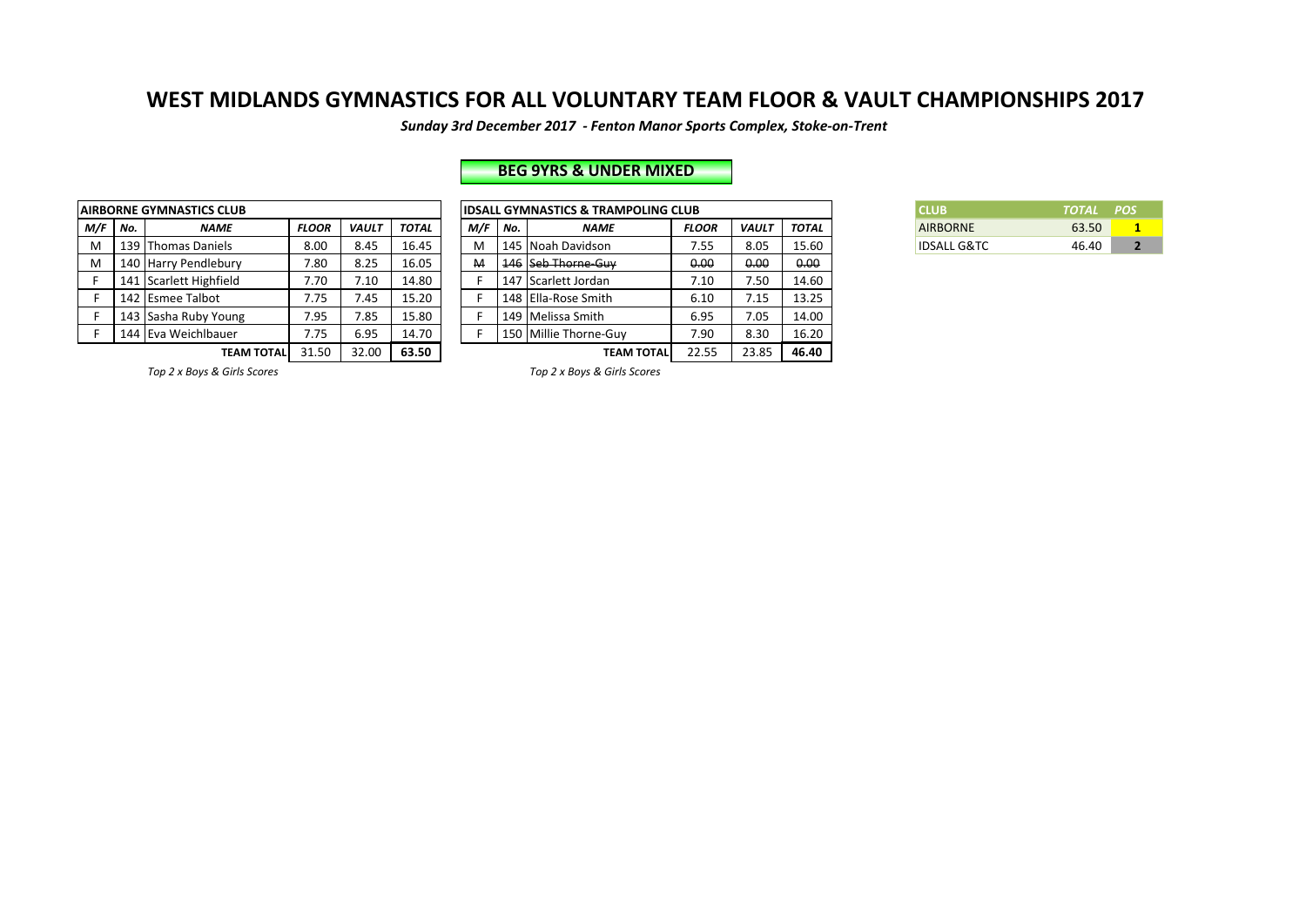Sunday 3rd December 2017 - Fenton Manor Sports Complex, Stoke-on-Trent

## **BEG 9YRS & UNDER MIXED**

|     |     | <b>AIRBORNE GYMNASTICS CLUB</b> |              |              |              |     |     | <b>IDSALL GYMNASTICS &amp; TRAMPOLING CLUB</b> |          |
|-----|-----|---------------------------------|--------------|--------------|--------------|-----|-----|------------------------------------------------|----------|
| M/F | No. | <b>NAME</b>                     | <b>FLOOR</b> | <b>VAULT</b> | <b>TOTAL</b> | M/F | No. | <b>NAME</b>                                    | FLO      |
| м   |     | 139 Thomas Daniels              | 8.00         | 8.45         | 16.45        | M   |     | 145 Noah Davidson                              | 7.1      |
| M   |     | 140 Harry Pendlebury            | 7.80         | 8.25         | 16.05        | M   |     | 146 Seb Thorne-Guy                             | $\theta$ |
|     |     | 141 Scarlett Highfield          | 7.70         | 7.10         | 14.80        |     |     | 147 Scarlett Jordan                            | 7.3      |
| F   |     | 142 Esmee Talbot                | 7.75         | 7.45         | 15.20        |     |     | 148 Ella-Rose Smith                            | 6.       |
| F   |     | 143 Sasha Ruby Young            | 7.95         | 7.85         | 15.80        |     |     | 149 Melissa Smith                              | 6.5      |
|     |     | 144 Eva Weichlbauer             | 7.75         | 6.95         | 14.70        |     |     | 150 Millie Thorne-Guy                          | 7.9      |
|     |     | <b>TEAM TOTAL</b>               | 31.50        | 32.00        | 63.50        |     |     | TEAM TOTALI                                    | 22       |

|         | <b>\IRBORNE GYMNASTICS CLUB</b> |              |              |              |     |     | <b>IDSALL GYMNASTICS &amp; TRAMPOLING CLUB</b> |              |              |       | <b>CLUB</b>            | <b>TOTAL</b> | <b>POS</b> |
|---------|---------------------------------|--------------|--------------|--------------|-----|-----|------------------------------------------------|--------------|--------------|-------|------------------------|--------------|------------|
| M/F No. | <b>NAME</b>                     | <b>FLOOR</b> | <b>VAULT</b> | <b>TOTAL</b> | M/F | No. | <b>NAME</b>                                    | <b>FLOOR</b> | <b>VAULT</b> | TOTAL | <b>AIRBORNE</b>        | 63.50        |            |
| M       | 139   Thomas Daniels            | 8.00         | 8.45         | 16.45        |     |     | 145 Noah Davidson                              | 7.55         | 8.05         | 15.60 | <b>IDSALL G&amp;TC</b> | 46.40        |            |
| M       | 140 Harry Pendlebury            | 7.80         | 8.25         | 16.05        | M   |     | 146 Seb Thorne-Guy                             | 0.00         | 0.00         | 0.00  |                        |              |            |
|         | 141 Scarlett Highfield          | 7.70         | 7.10         | 14.80        |     |     | 147 Scarlett Jordan                            | 7.10         | 7.50         | 14.60 |                        |              |            |
|         | 142 Esmee Talbot                | 7.75         | 7.45         | 15.20        |     |     | 148 Ella-Rose Smith                            | 6.10         | 7.15         | 13.25 |                        |              |            |
|         | 143 Sasha Ruby Young            | 7.95         | 7.85         | 15.80        |     |     | 149   Melissa Smith                            | 6.95         | 7.05         | 14.00 |                        |              |            |
|         | 144 Eva Weichlbauer             | 7.75         | 6.95         | 14.70        |     |     | 150 Millie Thorne-Guv                          | 7.90         | 8.30         | 16.20 |                        |              |            |
|         | TEAM TOTALI                     | 31.50        | 32.00        | 63.50        |     |     | <b>TEAM TOTALI</b>                             | 22.55        | 23.85        | 46.40 |                        |              |            |

| CLUB                   | TOTAL POS |  |
|------------------------|-----------|--|
| <b>AIRBORNE</b>        | 63.50     |  |
| <b>IDSALL G&amp;TC</b> | 46.40     |  |

*Top 2 x Boys & Girls Scores Top 2 x Boys & Girls Scores*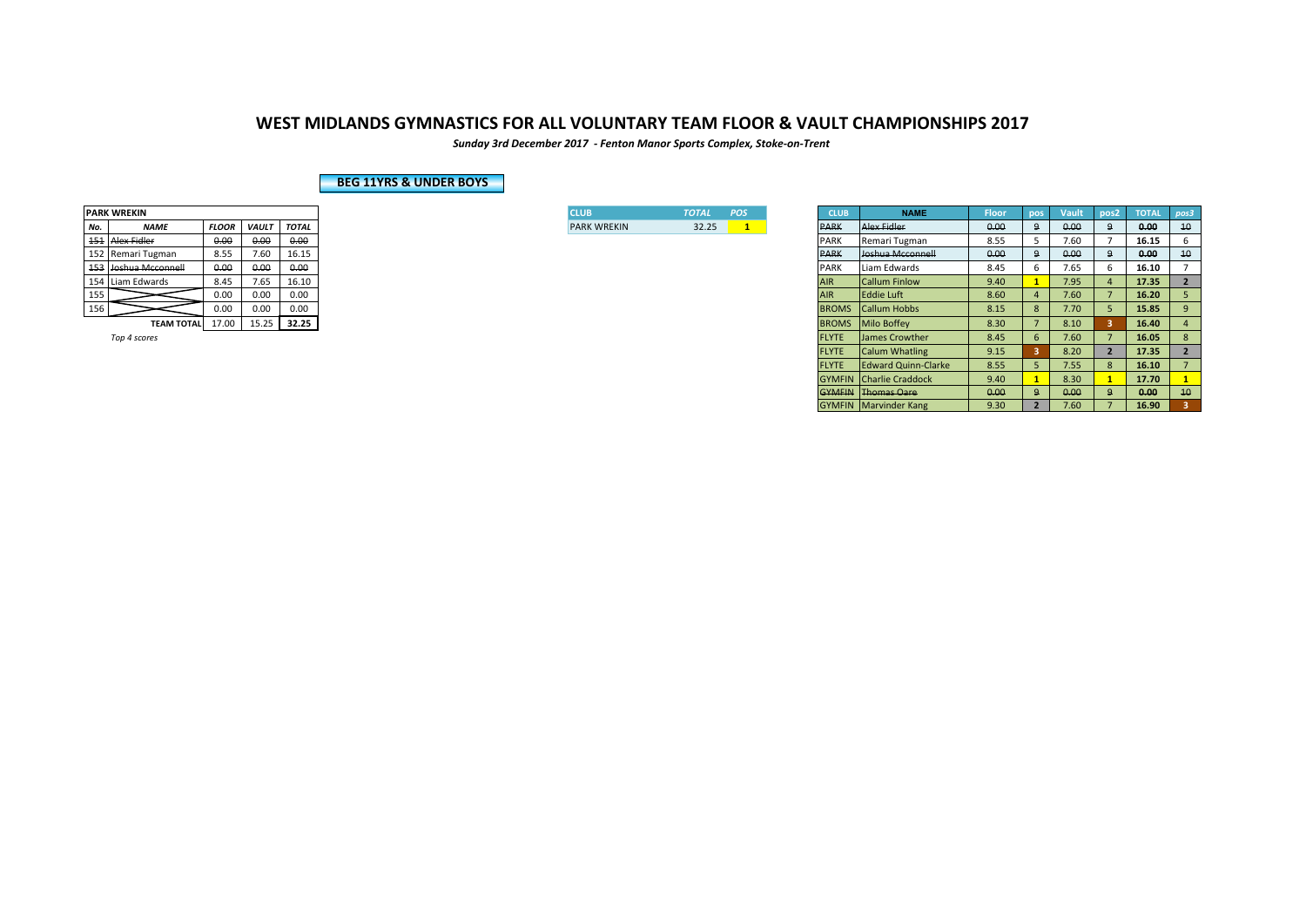*Sunday 3rd December 2017 - Fenton Manor Sports Complex, Stoke-on-Trent*

### **BEG 11YRS & UNDER BOYS**

|     | <b>PARK WREKIN</b> |              |       |              |
|-----|--------------------|--------------|-------|--------------|
| No. | <b>NAME</b>        | <b>FLOOR</b> | VAULT | <b>TOTAL</b> |
| 454 | Alex Fidler        | 0.00         | 0.00  | 0.00         |
| 152 | Remari Tugman      | 8.55         | 7.60  | 16.15        |
| 453 | Joshua Mcconnell   | 0.00         | 0.00  | 0.00         |
| 154 | Liam Edwards       | 8.45         | 7.65  | 16.10        |
| 155 |                    | 0.00         | 0.00  | 0.00         |
| 156 |                    | 0.00         | 0.00  | 0.00         |
|     | <b>TEAM TOTAL</b>  | 17.00        | 15.25 | 32.25        |
|     |                    |              |       |              |

| <b>I</b> CLUB      | <b>TOTAL</b> | <b>POS</b> |
|--------------------|--------------|------------|
| <b>PARK WREKIN</b> | 32.25        |            |

|     | PARK WREKIN          |                                              |              |              |  |
|-----|----------------------|----------------------------------------------|--------------|--------------|--|
| No. | <b>NAME</b>          | <b>FLOOR</b>                                 | <b>VAULT</b> | <b>TOTAL</b> |  |
|     | 151 Alex Fidler      | 0.00                                         | 0.00         | 0.00         |  |
|     | 152 Remari Tugman    | 8.55                                         | 7.60         | 16.15        |  |
|     | 153 Joshua Mcconnell | 0.00                                         | 0.00         | 0.00         |  |
|     | 154 Liam Edwards     | 8.45                                         | 7.65         | 16.10        |  |
| 155 |                      | 0.00<br>0.00<br>0.00<br>0.00<br>0.00<br>0.00 |              |              |  |
| 156 |                      |                                              |              |              |  |
|     | <b>TEAM TOTAL</b>    | 17.00                                        | 15.25        | 32.25        |  |
|     | Top 4 scores         |                                              |              |              |  |
|     |                      |                                              |              |              |  |
|     |                      |                                              |              |              |  |
|     |                      |                                              |              |              |  |
|     |                      |                                              |              |              |  |
|     |                      |                                              |              |              |  |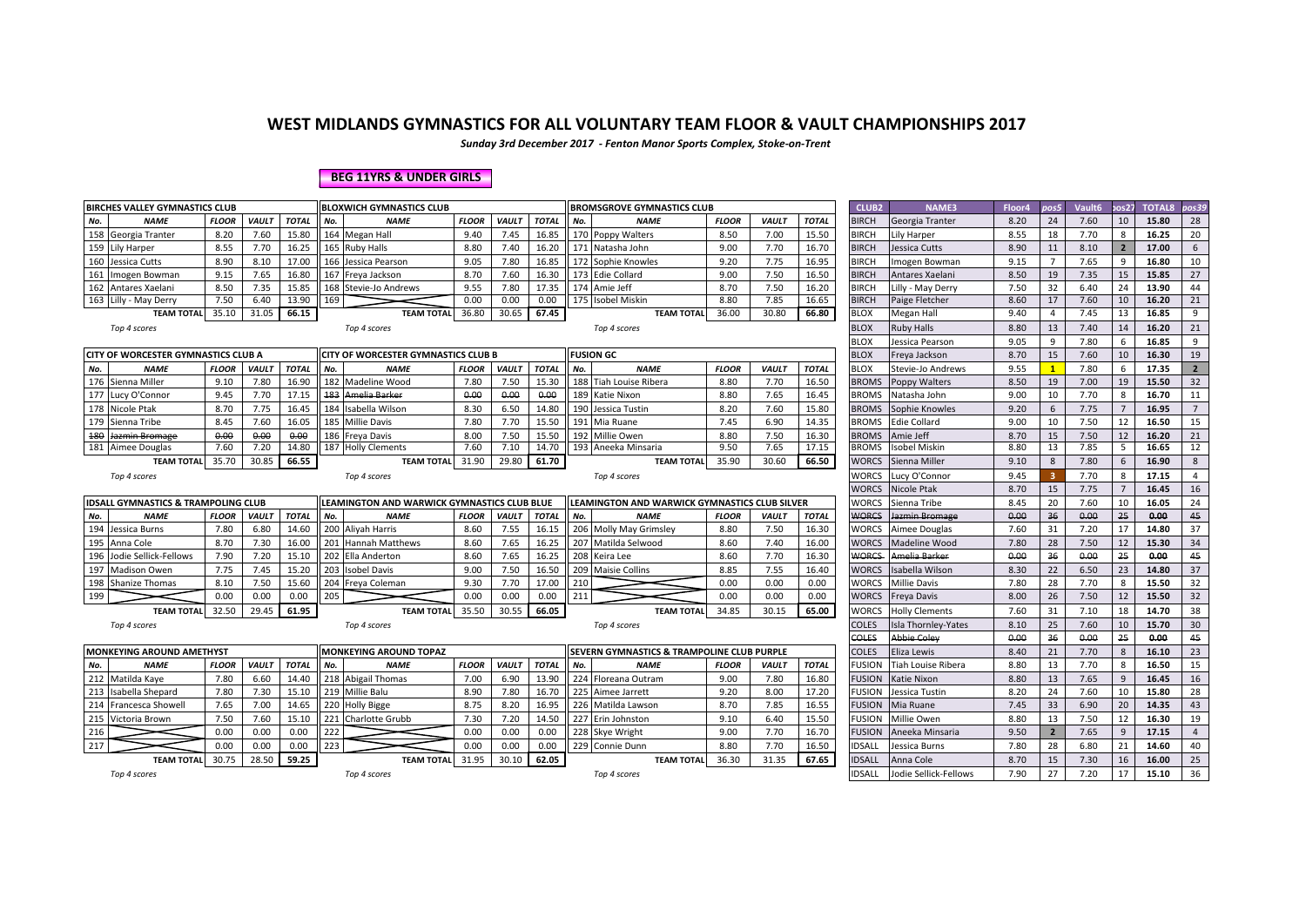*Sunday 3rd December 2017 - Fenton Manor Sports Complex, Stoke-on-Trent*

#### **BEG 11YRS & UNDER GIRLS**

|     | <b>BIRCHES VALLEY GYMNASTICS CLUB</b>                                                                             |                                                                                                                      |              |              | <b>BLOXWICH GYMNASTICS CLUB</b>             |                                              |                    |              |              |                                              | <b>BROMSGROVE GYMNASTICS CLUB</b>             |              |               |              | <b>CLUB2</b>  | <b>NAME3</b>          | Floor4 | pos5            | Vault6 | pos27          | <b>TOTAL8</b> | pos39          |
|-----|-------------------------------------------------------------------------------------------------------------------|----------------------------------------------------------------------------------------------------------------------|--------------|--------------|---------------------------------------------|----------------------------------------------|--------------------|--------------|--------------|----------------------------------------------|-----------------------------------------------|--------------|---------------|--------------|---------------|-----------------------|--------|-----------------|--------|----------------|---------------|----------------|
| No. | <b>NAME</b>                                                                                                       | <b>FLOOR</b><br><b>VAULT</b><br><b>TOTAL</b><br><b>NAME</b><br><b>FLOOR</b><br><b>VAULT</b><br>No.<br>164 Megan Hall |              |              |                                             |                                              |                    |              | <b>TOTAL</b> | No.                                          | <b>NAME</b>                                   | <b>FLOOR</b> | <b>VAULT</b>  | <b>TOTAL</b> | <b>BIRCH</b>  | Georgia Tranter       | 8.20   | 24              | 7.60   | 10             | 15.80         | 28             |
|     | 158 Georgia Tranter                                                                                               | 8.20                                                                                                                 | 7.60         | 15.80        |                                             |                                              | 9.40               | 7.45         | 16.85        |                                              | 170 Poppy Walters                             | 8.50         | 7.00          | 15.50        | <b>BIRCH</b>  | Lily Harper           | 8.55   | 18              | 7.70   | 8              | 16.25         | 20             |
|     | 159 Lily Harper                                                                                                   | 8.55                                                                                                                 | 7.70         | 16.25        |                                             | 165 Ruby Halls                               | 8.80               | 7.40         | 16.20        |                                              | 171 Natasha John                              | 9.00         | 7.70          | 16.70        | <b>BIRCH</b>  | Jessica Cutts         | 8.90   | 11              | 8.10   |                | 17.00         | 6              |
| 160 | Jessica Cutts                                                                                                     | 8.90                                                                                                                 | 8.10         | 17.00        |                                             | 166 Jessica Pearson                          | 9.05               | 7.80         | 16.85        |                                              | 172 Sophie Knowles                            | 9.20         | 7.75          | 16.95        | <b>BIRCH</b>  | mogen Bowman          | 9.15   | $7\overline{ }$ | 7.65   | q              | 16.80         | 10             |
| 161 | Imogen Bowman                                                                                                     | 9.15                                                                                                                 | 7.65         | 16.80        |                                             | 167 Freva Jackson                            | 8.70               | 7.60         | 16.30        |                                              | 173 Edie Collard                              | 9.00         | 7.50          | 16.50        | <b>BIRCH</b>  | Antares Xaelani       | 8.50   | 19              | 7.35   | 15             | 15.85         | 27             |
|     | 162 Antares Xaelani                                                                                               | 8.50                                                                                                                 | 7.35         | 15.85        |                                             | 168 Stevie-Jo Andrews                        | 9.55               | 7.80         | 17.35        |                                              | 174 Amie Jeff                                 | 8.70         | 7.50          | 16.20        | <b>BIRCH</b>  | Lilly - May Derry     | 7.50   | 32              | 6.40   | 24             | 13.90         | 44             |
|     | 163 Lilly - May Derry                                                                                             | 7.50                                                                                                                 | 6.40         | 13.90        | 169                                         |                                              | 0.00               | 0.00         | 0.00         |                                              | 175 Isobel Miskin                             | 8.80         | 7.85          | 16.65        | <b>BIRCH</b>  | Paige Fletcher        | 8.60   | 17              | 7.60   | 10             | 16.20         | 21             |
|     | <b>TEAM TOTAL</b>                                                                                                 | 35.10                                                                                                                | 31.05        | 66.15        |                                             | <b>TEAM TOTAL</b>                            | 36.80              | 30.65        | 67.45        |                                              | <b>TEAM TOTAL</b>                             | 36.00        | 30.80         | 66.80        | <b>BLOX</b>   | Megan Hall            | 9.40   | 4               | 7.45   | 13             | 16.85         | 9              |
|     | Top 4 scores                                                                                                      |                                                                                                                      |              |              |                                             | Top 4 scores                                 |                    |              |              |                                              | Top 4 scores                                  |              |               |              | <b>BLOX</b>   | <b>Ruby Halls</b>     | 8.80   | 13              | 7.40   | 14             | 16.20         | 21             |
|     |                                                                                                                   |                                                                                                                      |              |              |                                             |                                              |                    |              |              |                                              |                                               |              |               |              | BLOX          | Jessica Pearson       | 9.05   | 9               | 7.80   | 6              | 16.85         | 9              |
|     | CITY OF WORCESTER GYMNASTICS CLUB A                                                                               |                                                                                                                      |              |              |                                             | CITY OF WORCESTER GYMNASTICS CLUB B          |                    |              |              |                                              | <b>FUSION GC</b>                              |              |               |              | <b>BLOX</b>   | Freya Jackson         | 8.70   | 15              | 7.60   | 10             | 16.30         | 19             |
| No. | <b>NAME</b>                                                                                                       | <b>FLOOR</b>                                                                                                         | <b>VAULT</b> | <b>TOTAL</b> | No.                                         | <b>NAME</b>                                  | <b>FLOOR</b>       | <b>VAULT</b> | <b>TOTAL</b> | No.                                          | <b>NAME</b>                                   | <b>FLOOR</b> | <b>VAULT</b>  | <b>TOTAL</b> | <b>BLOX</b>   | Stevie-Jo Andrews     | 9.55   | $\mathbf{1}$    | 7.80   | 6              | 17.35         | $2^{\circ}$    |
|     | 176 Sienna Miller                                                                                                 | 9.10                                                                                                                 | 7.80         | 16.90        |                                             | 182 Madeline Wood                            | 7.80               | 7.50         | 15.30        |                                              | 188 Tiah Louise Ribera                        | 8.80         | 7.70          | 16.50        | <b>BROMS</b>  | Poppy Walters         | 8.50   | 19              | 7.00   | 19             | 15.50         | 32             |
|     | 177 Lucy O'Connor                                                                                                 | 9.45                                                                                                                 | 7.70         | 17.15        |                                             | 183 Amelia Barker                            | 0.00               | 0.00         | 0.00         | 189                                          | <b>Katie Nixon</b>                            | 8.80         | 7.65          | 16.45        | <b>BROMS</b>  | Natasha John          | 9.00   | 10              | 7.70   | 8              | 16.70         | 11             |
|     | 178 Nicole Ptak                                                                                                   | 8.70                                                                                                                 | 7.75         | 16.45        |                                             | 184 Isabella Wilson                          | 8.30               | 6.50         | 14.80        |                                              | 190 Jessica Tustin                            | 8.20         | 7.60          | 15.80        | <b>BROMS</b>  | Sophie Knowles        | 9.20   | 6               | 7.75   |                | 16.95         | $\overline{7}$ |
| 179 | Sienna Tribe                                                                                                      | 8.45                                                                                                                 | 7.60         | 16.05        |                                             | 185 Millie Davis                             | 7.80               | 7.70         | 15.50        | 191                                          | Mia Ruane                                     | 7.45         | 6.90          | 14.35        | <b>BROMS</b>  | <b>Edie Collard</b>   | 9.00   | 10              | 7.50   | 12             | 16.50         | 15             |
| 180 | Jazmin Bromage                                                                                                    | 0.00                                                                                                                 | 0.00         | 0.00         |                                             | 186 Freva Davis                              | 8.00               | 7.50         | 15.50        | 192                                          | Millie Owen                                   | 8.80         | 7.50          | 16.30        | <b>BROMS</b>  | Amie Jeff             | 8.70   | 15              | 7.50   | 12             | 16.20         | 21             |
|     | 181 Aimee Douglas                                                                                                 | 7.60                                                                                                                 | 7.20         | 14.80        |                                             | 187 Holly Clements                           | 7.60               | 7.10         | 14.70        |                                              | 193 Aneeka Minsaria                           | 9.50         | 7.65          | 17.15        | <b>BROMS</b>  | Isobel Miskin         | 8.80   | 13              | 7.85   | -5             | 16.65         | 12             |
|     | <b>TEAM TOTAL</b>                                                                                                 | 35.70                                                                                                                | 30.85        | 66.55        |                                             | <b>TEAM TOTAL</b>                            | 31.90              | 29.80        | 61.70        |                                              | <b>TEAM TOTAL</b>                             | 35.90        | 30.60         | 66.50        | <b>WORCS</b>  | Sienna Miller         | 9.10   | 8               | 7.80   | -6             | 16.90         | 8              |
|     | Top 4 scores                                                                                                      |                                                                                                                      |              |              |                                             | Top 4 scores                                 |                    |              |              |                                              | Top 4 scores                                  |              |               |              | WORCS         | Lucy O'Connor         | 9.45   | -3              | 7.70   | 8              | 17.15         | $\overline{4}$ |
|     |                                                                                                                   |                                                                                                                      |              |              |                                             |                                              |                    |              |              |                                              |                                               |              |               |              |               | <b>Nicole Ptak</b>    | 8.70   | 15              | 7.75   | $\overline{7}$ | 16.45         | 16             |
|     | <b>IDSALL GYMNASTICS &amp; TRAMPOLING CLUB</b>                                                                    |                                                                                                                      |              |              | LEAMINGTON AND WARWICK GYMNASTICS CLUB BLUE |                                              |                    |              |              |                                              | LEAMINGTON AND WARWICK GYMNASTICS CLUB SILVER |              |               |              |               | Sienna Tribe          | 8.45   | 20              | 7.60   | 10             | 16.05         | 24             |
| No. | <b>NAME</b>                                                                                                       | <b>FLOOR</b>                                                                                                         | <b>VAULT</b> | <b>TOTAL</b> | No.                                         | <b>NAME</b>                                  | <b>FLOOR</b>       | VAULT        | <b>TOTAL</b> | No.                                          | <b>NAME</b>                                   | <b>FLOOR</b> | <b>VAULT</b>  | <b>TOTAL</b> | WORCS         | Jazmin Bromage        | 0.00   | 36              | 0.00   | 25             | 0.00          | 45             |
|     | 194 Jessica Burns                                                                                                 | 7.80                                                                                                                 | 6.80         | 14.60        |                                             | 200 Aliyah Harris                            | 8.60               | 7.55         | 16.15        |                                              | 206 Molly May Grimsley                        | 8.80         | 7.50          | 16.30        | WORCS         | Aimee Douglas         | 7.60   | 31              | 7.20   | 17             | 14.80         | 37             |
| 195 | Anna Cole                                                                                                         | 8.70                                                                                                                 | 7.30         | 16.00        |                                             | 201 Hannah Matthews                          | 8.60               | 7.65         | 16.25        |                                              | 207 Matilda Selwood                           | 8.60         | 7.40          | 16.00        | WORCS         | Madeline Wood         | 7.80   | 28              | 7.50   | 12             | 15.30         | 34             |
| 196 | Jodie Sellick-Fellows                                                                                             | 7.90                                                                                                                 | 7.20         | 15.10        |                                             | 202 Ella Anderton                            | 8.60               | 7.65         | 16.25        | 208                                          | Keira Lee                                     | 8.60         | 7.70          | 16.30        | <b>WORCS</b>  | Amelia Barker         | 0.00   | 36              | 0,00   | 25             | 0.00          | 45             |
| 197 | <b>Madison Owen</b>                                                                                               | 7.75                                                                                                                 | 7.45         | 15.20        |                                             | 203 Isobel Davis                             | 9.00               | 7.50         | 16.50        | 209                                          | <b>Maisie Collins</b>                         | 8.85         | 7.55          | 16.40        | <b>WORCS</b>  | Isabella Wilson       | 8.30   | 22              | 6.50   | 23             | 14.80         | 37             |
|     | 198 Shanize Thomas                                                                                                | 8.10                                                                                                                 | 7.50         | 15.60        |                                             | 204 Freya Coleman                            | 9.30               | 7.70         | 17.00        | 210                                          |                                               | 0.00         | 0.00          | 0.00         | <b>WORCS</b>  | <b>Millie Davis</b>   | 7.80   | 28              | 7.70   | 8              | 15.50         | 32             |
| 199 |                                                                                                                   | 0.00                                                                                                                 | 0.00         | 0.00         | 205                                         |                                              | 0.00               | 0.00         | 0.00         | 211                                          |                                               | 0.00         | 0.00          | 0.00         | <b>WORCS</b>  | Freya Davis           | 8.00   | 26              | 7.50   | 12             | 15.50         | 32             |
|     | <b>TEAM TOTAL</b>                                                                                                 | 32.50                                                                                                                | 29.45        | 61.95        |                                             | <b>TEAM TOTAL</b>                            | 35.50              | 30.55        | 66.05        |                                              | <b>TEAM TOTAL</b>                             | 34.85        | 30.15         | 65.00        | WORCS         | <b>Holly Clements</b> | 7.60   | 31              | 7.10   | 18             | 14.70         | 38             |
|     | Top 4 scores                                                                                                      |                                                                                                                      |              |              |                                             | Top 4 scores                                 |                    |              |              |                                              | Top 4 scores                                  |              |               |              | COLES         | Isla Thornley-Yates   | 8.10   | 25              | 7.60   | 10             | 15.70         | 30             |
|     |                                                                                                                   |                                                                                                                      |              |              |                                             |                                              |                    |              |              |                                              |                                               |              |               |              | COLES         | Abbie Colev           | 0.00   | 36              | 0.00   | 25             | 0.00          | 45             |
|     | <b>MONKEYING AROUND AMETHYST</b>                                                                                  |                                                                                                                      |              |              |                                             | <b>MONKEYING AROUND TOPAZ</b>                |                    |              |              |                                              | SEVERN GYMNASTICS & TRAMPOLINE CLUB PURPLE    |              |               |              | <b>COLES</b>  | Eliza Lewis           | 8.40   | 21              | 7.70   | 8              | 16.10         | 23             |
| No. | <b>NAME</b><br><b>FLOOR</b><br><b>VAULT</b><br><b>TOTAL</b><br><b>NAME</b><br><b>FLOOR</b><br><b>VAULT</b><br>No. |                                                                                                                      |              |              |                                             |                                              |                    |              | <b>TOTAI</b> | No.                                          | <b>NAME</b>                                   | <b>FLOOR</b> | <b>VAULT</b>  | <b>TOTAL</b> | <b>FUSION</b> | Tiah Louise Ribera    | 8.80   | 13              | 7.70   | 8              | 16.50         | 15             |
|     | 212 Matilda Kaye                                                                                                  | 7.80                                                                                                                 | 6.60         | 14.40        |                                             | 218 Abigail Thomas                           | 7.00               | 6.90         | 13.90        |                                              | 224 Floreana Outram                           | 9.00         | 7.80          | 16.80        | FUSION        | Katie Nixon           | 8.80   | 13              | 7.65   | $\mathbf{q}$   | 16.45         | 16             |
| 213 | Isabella Shepard<br>7.80<br>7.30<br>15.10                                                                         |                                                                                                                      |              |              |                                             | 219 Millie Balu                              | 8.90               | 7.80         | 16.70        |                                              | 225 Aimee Jarrett                             | 9.20         | 8.00          | 17.20        | <b>FUSION</b> | Jessica Tustin        | 8.20   | 24              | 7.60   | 10             | 15.80         | 28             |
| 214 | 220 Holly Bigge<br>8.20<br>Francesca Showel<br>7.65<br>7.00<br>14.65<br>8.75                                      |                                                                                                                      |              |              | 16.95                                       |                                              | 226 Matilda Lawson | 8.70         | 7.85         | 16.55                                        | FUSION                                        | Mia Ruane    | 7.45          | 33           | 6.90          | 20                    | 14.35  | 43              |        |                |               |                |
|     | 215 Victoria Brown                                                                                                | 7.50                                                                                                                 | 7.60         | 15.10        |                                             | 221 Charlotte Grubb                          | 7.30               | 7.20         | 14.50        |                                              | 227 Erin Johnston                             | 9.10         | 6.40          | 15.50        | <b>FUSION</b> | Millie Owen           | 8.80   | 13              | 7.50   | 12             | 16.30         | 19             |
| 216 |                                                                                                                   | 0.00                                                                                                                 | 0.00         | 0.00         | 222                                         |                                              | 0.00               | 0.00         | 0.00         |                                              | 228 Skye Wright                               | 9.00         | 7.70          | 16.70        | <b>FUSION</b> | Aneeka Minsaria       | 9.50   | $\overline{2}$  | 7.65   | $\mathbf{q}$   | 17.15         | $\overline{4}$ |
| 217 |                                                                                                                   | 0.00                                                                                                                 | 0.00         | 0.00         | 223                                         |                                              | 0.00               | 0.00         | 0.00         |                                              | 229 Connie Dunn                               | 8.80         | 7.70          | 16.50        | <b>IDSALL</b> | Jessica Burns         | 7.80   | 28              | 6.80   | 21             | 14.60         | 40             |
|     | 30.75<br>28.50<br>59.25<br><b>TEAM TOTAL</b>                                                                      |                                                                                                                      |              |              |                                             | 31.95<br>30.10<br>62.05<br><b>TEAM TOTAL</b> |                    |              |              | 36.30<br>31.35<br>67.65<br><b>TEAM TOTAL</b> |                                               |              | <b>IDSALL</b> | Anna Cole    | 8.70          | 15                    | 7.30   | 16              | 16.00  | 25             |               |                |
|     | Top 4 scores                                                                                                      |                                                                                                                      |              |              |                                             | Top 4 scores                                 |                    |              |              |                                              | Top 4 scores                                  |              |               |              | IDSALL        | Jodie Sellick-Fellows | 7.90   | 27              | 7.20   | 17             | 15.10         | 36             |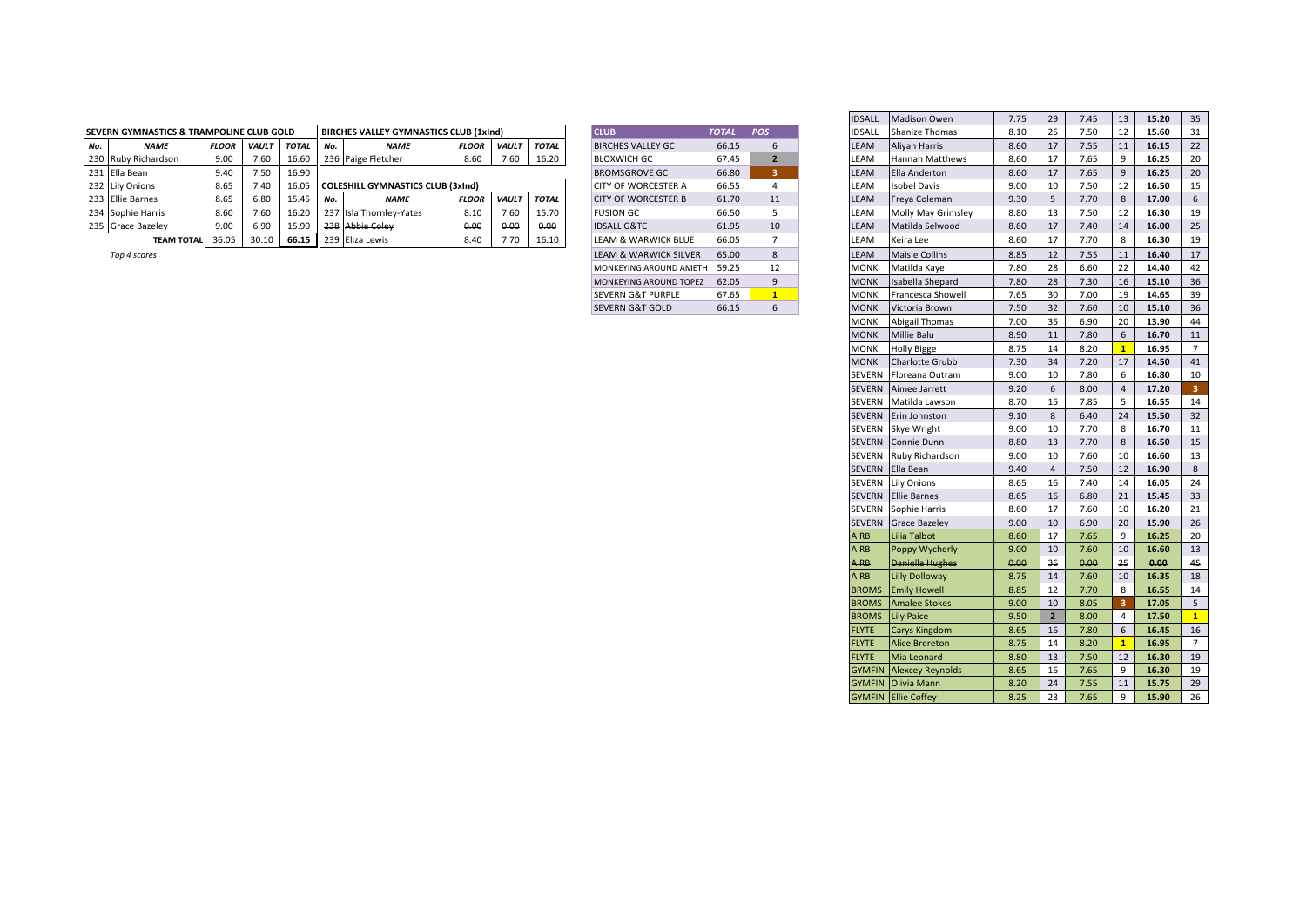|     | <b>ISEVERN GYMNASTICS &amp; TRAMPOLINE CLUB GOLD</b> |              |       |              |        | <b>IBIRCHES VALLEY GYMNASTICS CLUB (1xInd)</b> |              |              |              | <b>CLUB</b>                | <b>TOTAI</b> | POS | <b>IDSAL</b> | Shanize Thomas            | 8.10 | 7.50 | 15.60 |  |
|-----|------------------------------------------------------|--------------|-------|--------------|--------|------------------------------------------------|--------------|--------------|--------------|----------------------------|--------------|-----|--------------|---------------------------|------|------|-------|--|
| No. | <b>NAME</b>                                          | <b>FLOOR</b> | VAULT | <b>TOTAL</b> | II No. | <b>NAME</b>                                    | <b>FLOOR</b> | <b>VAULT</b> | <b>TOTAL</b> | <b>BIRCHES VALLEY GC</b>   | 66.15        |     | LEAM         | Alivah Harris             | 8.60 | 7.55 | 16.15 |  |
|     | 230 Ruby Richardson                                  | 9.00         | 7.60  | 16.60        |        | 236 Paige Fletcher                             | 8.60         | 7.60         | 16.20        | <b>BLOXWICH GC</b>         | 67.45        |     | EAM.         | <b>Hannah Matthews</b>    | 8.60 | 7.65 | 16.25 |  |
|     | 231 Ella Bean                                        | 9.40         | 7.50  | 16.90        |        |                                                |              |              |              | <b>BROMSGROVE GC</b>       | 66.80        |     | EAM.         | Ella Anderton             | 8.60 | 7.65 | 16.25 |  |
|     | 232 Lily Onions                                      | 8.65         | 7.40  | 16.05        |        | <b>COLESHILL GYMNASTICS CLUB (3xInd)</b>       |              |              |              | <b>CITY OF WORCESTER A</b> | 66.55        |     | EAM.         | <b>Isobel Davis</b>       | 9.00 | 7.50 | 16.50 |  |
|     | 233 Ellie Barnes                                     | 8.65         | 6.80  | 15.45        | II No. | <b>NAMI</b>                                    | <b>FLOOR</b> | <b>VAULT</b> | TOTAL        | <b>CITY OF WORCESTER B</b> | 61.70        | 11  | LEAM         | Freva Coleman             | 9.3C | 7.70 | 17.00 |  |
|     | 234 Sophie Harris                                    | 8.60         | 7.60  | 16.20        |        | 237 Isla Thornley-Yates                        |              | 7.6C         | 15.70        | <b>FUSION GC</b>           | 66.50        |     | LEAM         | <b>Molly May Grimsley</b> | 8.80 | 7.50 | 16.30 |  |
|     | 235 Grace Bazeley                                    | 9.00         | 6.90  | 15.90        |        | Il 238 Abbie Coley                             | 0.00         | 0.00         | 0.00         | <b>IDSALL G&amp;TC</b>     | 61.95        | 10  | EAM          | Matilda Selwood           | 8.60 | 7.40 | 16.00 |  |
|     | <b>TEAM TOTAL</b>                                    | 36.05        |       |              |        | 66.15 239 Eliza Lewis                          | 8.40         |              | 16.10        | LEAM & WARWICK BLUE        | 66.05        |     | LEAM         | Keira Lee                 | 8.60 | 7.70 | 16.30 |  |

| <b>CLUB</b>                      | <b>TOTAL</b> | POS                      |
|----------------------------------|--------------|--------------------------|
| <b>BIRCHES VALLEY GC</b>         | 66.15        | 6                        |
| BLOXWICH GC                      | 67.45        | $\overline{\phantom{a}}$ |
| BROMSGROVE GC                    | 66.80        | 3                        |
| <b>CITY OF WORCESTER A</b>       | 66.55        | 4                        |
| CITY OF WORCESTER B              | 61.70        | 11                       |
| <b>FUSION GC</b>                 | 66.50        | 5                        |
| <b>IDSALL G&amp;TC</b>           | 61.95        | 10                       |
| <b>LEAM &amp; WARWICK BLUE</b>   | 66.05        | 7                        |
| <b>LEAM &amp; WARWICK SILVER</b> | 65.00        | 8                        |
| MONKEYING AROUND AMETH           | 59.25        | 12                       |
| MONKEYING AROUND TOPEZ           | 62.05        | 9                        |
| <b>SEVERN G&amp;T PURPLE</b>     | 67.65        | 1                        |
| SEVERN G&T GOLD                  | 66.15        | 6                        |

|                                      |              |              |              |     |                                               |              |              |              |                              |              |                 | <b>IDSALL</b> | <b>Madison Owen</b>            | 7.75 | 29             | 7.45 | 13           | 15.20 |
|--------------------------------------|--------------|--------------|--------------|-----|-----------------------------------------------|--------------|--------------|--------------|------------------------------|--------------|-----------------|---------------|--------------------------------|------|----------------|------|--------------|-------|
| IN GYMNASTICS & TRAMPOLINE CLUB GOLD |              |              |              |     | <b>BIRCHES VALLEY GYMNASTICS CLUB (1xInd)</b> |              |              |              | <b>CLUB</b>                  | <b>TOTAL</b> | <b>POS</b>      | IDSALL        | <b>Shanize Thomas</b>          | 8.10 | 25             | 7.50 | 12           | 15.60 |
| <b>NAME</b>                          | <b>FLOOR</b> | <b>VAULT</b> | <b>TOTAL</b> | No. | <b>NAME</b>                                   | <b>FLOOR</b> | <b>VAULT</b> | <b>TOTAL</b> | <b>BIRCHES VALLEY GC</b>     | 66.15        | 6               | LEAM          | Aliyah Harris                  | 8.60 | 17             | 7.55 | 11           | 16.15 |
| Ruby Richardson                      | 9.00         | 7.60         | 16.60        |     | 236 Paige Fletcher                            | 8.60         | 7.60         | 16.20        | <b>BLOXWICH GC</b>           | 67.45        | $\overline{2}$  | LEAM          | Hannah Matthews                | 8.60 | 17             | 7.65 | 9            | 16.25 |
| Ella Bean                            | 9.40         | 7.50         | 16.90        |     |                                               |              |              |              | <b>BROMSGROVE GC</b>         | 66.80        | 3 <sup>2</sup>  | LEAM          | Ella Anderton                  | 8.60 | 17             | 7.65 | 9            | 16.25 |
| Lily Onions                          | 8.65         | 7.40         | 16.05        |     | COLESHILL GYMNASTICS CLUB (3xInd)             |              |              |              | <b>CITY OF WORCESTER A</b>   | 66.55        | $\overline{4}$  | LEAM          | Isobel Davis                   | 9.00 | 10             | 7.50 | 12           | 16.50 |
| <b>Ellie Barnes</b>                  | 8.65         | 6.80         | 15.45        | No. | <b>NAME</b>                                   | <b>FLOOR</b> | <b>VAULT</b> | <b>TOTAL</b> | <b>CITY OF WORCESTER B</b>   | 61.70        | 11              | LEAM          | Freya Coleman                  | 9.30 | 5              | 7.70 | 8            | 17.00 |
| Sophie Harris                        | 8.60         | 7.60         | 16.20        |     | 237 Isla Thornley-Yates                       | 8.10         | 7.60         | 15.70        | <b>FUSION GC</b>             | 66.50        | 5               | LEAM          | Molly May Grimsley             | 8.80 | 13             | 7.50 | 12           | 16.30 |
| Grace Bazeley                        | 9.00         | 6.90         | 15.90        |     | 238 Abbie Coley                               | 0.00         | 0.00         | 0.00         | <b>IDSALL G&amp;TC</b>       | 61.95        | 10              | LEAM          | Matilda Selwood                | 8.60 | 17             | 7.40 | 14           | 16.00 |
| <b>TEAM TOTAL</b>                    | 36.05        | 30.10        | 66.15        |     | 239 Eliza Lewis                               | 8.40         | 7.70         | 16.10        | LEAM & WARWICK BLUE          | 66.05        | $7\overline{ }$ | LEAM          | Keira Lee                      | 8.60 | 17             | 7.70 | 8            | 16.30 |
| Top 4 scores                         |              |              |              |     |                                               |              |              |              | LEAM & WARWICK SILVER        | 65.00        | 8               | LEAM          | <b>Maisie Collins</b>          | 8.85 | 12             | 7.55 | 11           | 16.40 |
|                                      |              |              |              |     |                                               |              |              |              | MONKEYING AROUND AMETH 59.25 |              | 12              | <b>MONK</b>   | Matilda Kaye                   | 7.80 | 28             | 6.60 | 22           | 14.40 |
|                                      |              |              |              |     |                                               |              |              |              | MONKEYING AROUND TOPEZ 62.05 |              | 9               | <b>MONK</b>   | Isabella Shepard               | 7.80 | 28             | 7.30 | 16           | 15.10 |
|                                      |              |              |              |     |                                               |              |              |              | <b>SEVERN G&amp;T PURPLE</b> | 67.65        | $\mathbf{1}$    | <b>MONK</b>   | Francesca Showell              | 7.65 | 30             | 7.00 | 19           | 14.65 |
|                                      |              |              |              |     |                                               |              |              |              | <b>SEVERN G&amp;T GOLD</b>   | 66.15        | 6               | <b>MONK</b>   | Victoria Brown                 | 7.50 | 32             | 7.60 | 10           | 15.10 |
|                                      |              |              |              |     |                                               |              |              |              |                              |              |                 | <b>MONK</b>   | Abigail Thomas                 | 7.00 | 35             | 6.90 | 20           | 13.90 |
|                                      |              |              |              |     |                                               |              |              |              |                              |              |                 | <b>MONK</b>   | <b>Millie Balu</b>             | 8.90 | 11             | 7.80 | 6            | 16.70 |
|                                      |              |              |              |     |                                               |              |              |              |                              |              |                 | <b>MONK</b>   | <b>Holly Bigge</b>             | 8.75 | 14             | 8.20 | $\mathbf{1}$ | 16.95 |
|                                      |              |              |              |     |                                               |              |              |              |                              |              |                 | <b>MONK</b>   | Charlotte Grubb                | 7.30 | 34             | 7.20 | 17           | 14.50 |
|                                      |              |              |              |     |                                               |              |              |              |                              |              |                 |               | SEVERN Floreana Outram         | 9.00 | 10             | 7.80 | 6            | 16.80 |
|                                      |              |              |              |     |                                               |              |              |              |                              |              |                 |               | SEVERN Aimee Jarrett           | 9.20 | 6              | 8.00 | 4            | 17.20 |
|                                      |              |              |              |     |                                               |              |              |              |                              |              |                 |               | SEVERN Matilda Lawson          | 8.70 | 15             | 7.85 | 5            | 16.55 |
|                                      |              |              |              |     |                                               |              |              |              |                              |              |                 |               | SEVERN Erin Johnston           | 9.10 | 8              | 6.40 | 24           | 15.50 |
|                                      |              |              |              |     |                                               |              |              |              |                              |              |                 |               | SEVERN Skye Wright             | 9.00 | 10             | 7.70 | 8            | 16.70 |
|                                      |              |              |              |     |                                               |              |              |              |                              |              |                 |               | SEVERN Connie Dunn             | 8.80 | 13             | 7.70 | 8            | 16.50 |
|                                      |              |              |              |     |                                               |              |              |              |                              |              |                 |               | SEVERN Ruby Richardson         | 9.00 | 10             | 7.60 | 10           | 16.60 |
|                                      |              |              |              |     |                                               |              |              |              |                              |              |                 |               | SEVERN Ella Bean               | 9.40 | $\overline{4}$ | 7.50 | 12           | 16.90 |
|                                      |              |              |              |     |                                               |              |              |              |                              |              |                 |               | <b>SEVERN</b> Lily Onions      | 8.65 | 16             | 7.40 | 14           | 16.05 |
|                                      |              |              |              |     |                                               |              |              |              |                              |              |                 |               | <b>SEVERN</b> Ellie Barnes     | 8.65 | 16             | 6.80 | 21           | 15.45 |
|                                      |              |              |              |     |                                               |              |              |              |                              |              |                 |               | <b>SEVERN</b> Sophie Harris    | 8.60 | 17             | 7.60 | 10           | 16.20 |
|                                      |              |              |              |     |                                               |              |              |              |                              |              |                 |               | <b>SEVERN</b> Grace Bazeley    | 9.00 | 10             | 6.90 | 20           | 15.90 |
|                                      |              |              |              |     |                                               |              |              |              |                              |              |                 | <b>AIRB</b>   | Lilia Talbot                   | 8.60 | 17             | 7.65 | 9            | 16.25 |
|                                      |              |              |              |     |                                               |              |              |              |                              |              |                 | <b>AIRB</b>   | Poppy Wycherly                 | 9.00 | 10             | 7.60 | 10           | 16.60 |
|                                      |              |              |              |     |                                               |              |              |              |                              |              |                 | <b>AIRB</b>   | <b>Daniella Hughes</b>         | 0.00 | 36             | 0.00 | 25           | 0.00  |
|                                      |              |              |              |     |                                               |              |              |              |                              |              |                 | <b>AIRB</b>   | <b>Lilly Dolloway</b>          | 8.75 | 14             | 7.60 | 10           | 16.35 |
|                                      |              |              |              |     |                                               |              |              |              |                              |              |                 | <b>BROMS</b>  | <b>Emily Howell</b>            | 8.85 | 12             | 7.70 | 8            | 16.55 |
|                                      |              |              |              |     |                                               |              |              |              |                              |              |                 | <b>BROMS</b>  | <b>Amalee Stokes</b>           | 9.00 | 10             | 8.05 |              | 17.05 |
|                                      |              |              |              |     |                                               |              |              |              |                              |              |                 | <b>BROMS</b>  | <b>Lily Paice</b>              | 9.50 | $\overline{2}$ | 8.00 | 4            | 17.50 |
|                                      |              |              |              |     |                                               |              |              |              |                              |              |                 | <b>FLYTE</b>  | <b>Carys Kingdom</b>           | 8.65 | 16             | 7.80 | 6            | 16.45 |
|                                      |              |              |              |     |                                               |              |              |              |                              |              |                 | <b>FLYTE</b>  | <b>Alice Brereton</b>          | 8.75 | 14             | 8.20 |              | 16.95 |
|                                      |              |              |              |     |                                               |              |              |              |                              |              |                 | <b>FLYTE</b>  | Mia Leonard                    | 8.80 | 13             | 7.50 | 12           | 16.30 |
|                                      |              |              |              |     |                                               |              |              |              |                              |              |                 |               | <b>GYMFIN</b> Alexcey Reynolds | 8.65 | 16             | 7.65 | 9            | 16.30 |
|                                      |              |              |              |     |                                               |              |              |              |                              |              |                 |               | <b>GYMFIN Olivia Mann</b>      | 8.20 | 24             | 7.55 | 11           | 15.75 |
|                                      |              |              |              |     |                                               |              |              |              |                              |              |                 |               | <b>GYMFIN</b> Ellie Coffey     | 8.25 | 23             | 7.65 | 9            | 15.90 |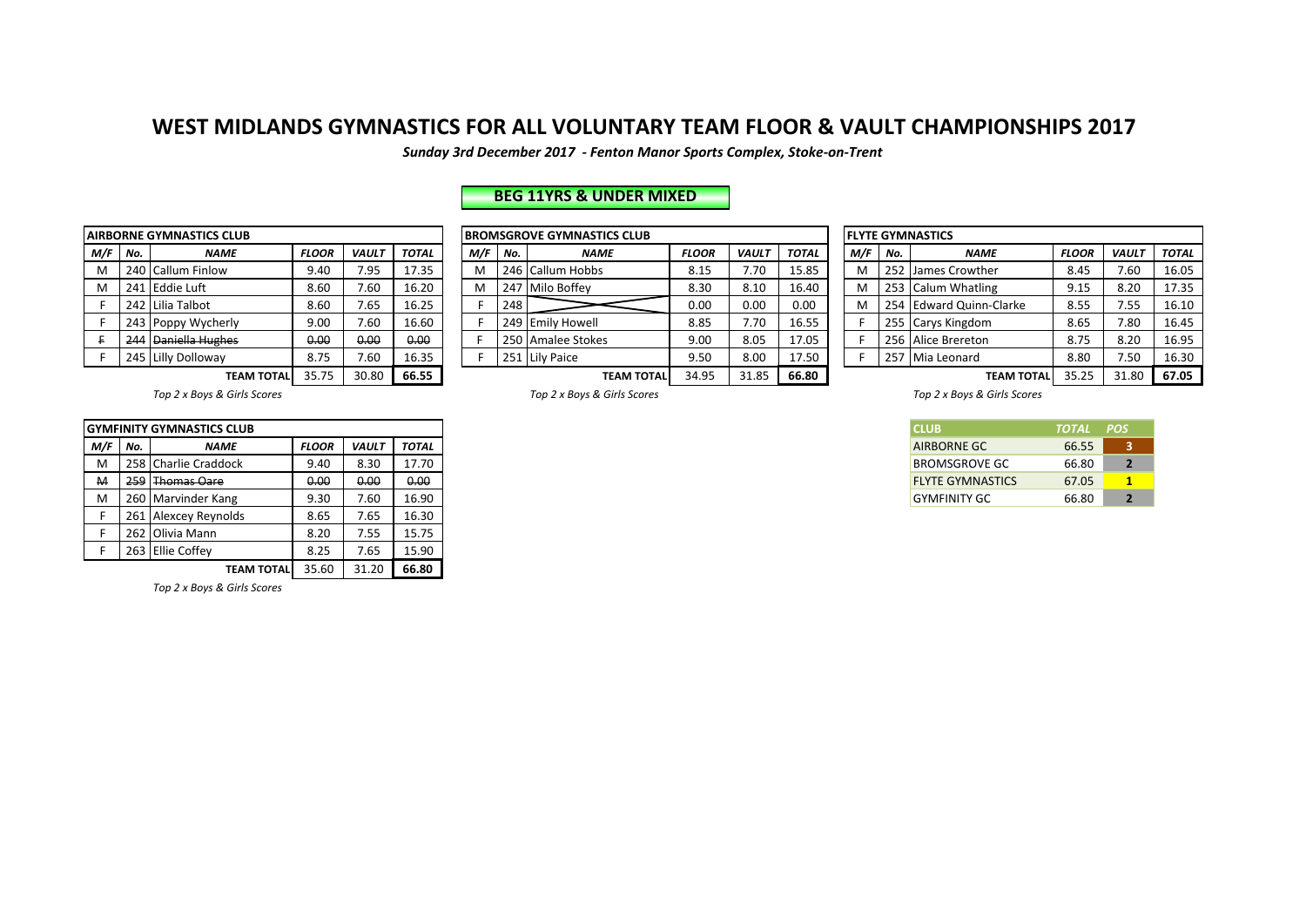*Sunday 3rd December 2017 - Fenton Manor Sports Complex, Stoke-on-Trent*

## **BEG 11YRS & UNDER MIXED**

|     |     | <b>AIRBORNE GYMNASTICS CLUB</b> |              |              |              |
|-----|-----|---------------------------------|--------------|--------------|--------------|
| M/F | No. | <b>NAME</b>                     | <b>FLOOR</b> | <b>VAULT</b> | <b>TOTAL</b> |
| M   | 240 | <b>Callum Finlow</b>            | 9.40         | 7.95         | 17.35        |
| M   | 241 | <b>Eddie Luft</b>               | 8.60         | 7.60         | 16.20        |
| F   |     | 242 Lilia Talbot                | 8.60         | 7.65         | 16.25        |
| F   | 243 | Poppy Wycherly                  | 9.00         | 7.60         | 16.60        |
| F.  | 244 | Daniella Hughes                 | 0.00         | 0.00         | 0.00         |
| F   |     | 245 Lilly Dolloway              | 8.75         | 7.60         | 16.35        |
|     |     | ----------                      | 25.75        | 20.00        | cc ==        |

|           | NRBORNE GYMNASTICS CLUB                       |                   |              |              |              |                                              |                   | <b>IBROMSGROVE GYMNASTICS CLUB</b> |              |              |              | <b>IFLYTE GYMNASTICS</b> |     |                    |                         |              |              |              |
|-----------|-----------------------------------------------|-------------------|--------------|--------------|--------------|----------------------------------------------|-------------------|------------------------------------|--------------|--------------|--------------|--------------------------|-----|--------------------|-------------------------|--------------|--------------|--------------|
| M/F   No. |                                               | <b>NAME</b>       | <b>FLOOR</b> | <b>VAULT</b> | <b>TOTAL</b> | M/F                                          | No.               | <b>NAME</b>                        | <b>FLOOR</b> | <b>VAULT</b> | <b>TOTAL</b> |                          | M/F | No.                | <b>NAME</b>             | <b>FLOOR</b> | <b>VAULT</b> | <b>TOTAL</b> |
| М         |                                               | 240 Callum Finlow | 9.40         | 7.95         | 17.35        | м                                            |                   | 246 Callum Hobbs                   | 8.15         | 7.70         | 15.85        |                          | M   |                    | 252 James Crowther      | 8.45         | 7.60         | 16.05        |
| м         | 8.60<br>7.60<br>l lEddie Luft<br>241          |                   |              |              | 16.20        | м                                            |                   | 247 Milo Boffey                    | 8.30         | 8.10         | 16.40        |                          | M   |                    | 253 Calum Whatling      | 9.15         | 8.20         | 17.35        |
|           | 8.60<br>7.65<br>242 Lilia Talbot              |                   |              |              | 16.25        |                                              | 248               |                                    | 0.00         | 0.00         | 0.00         |                          | N   |                    | 254 Edward Quinn-Clarke | 8.55         | 7.55         | 16.10        |
|           | 9.00<br>7.60<br>243 Poppy Wycherly            |                   |              | 16.60        |              |                                              | 249 Emily Howell  | 8.85                               | 7.70         | 16.55        |              |                          |     | 255 Carys Kingdom  | 8.65                    | 7.80         | 16.45        |              |
|           | <b>Daniella Hughes</b><br>0.00<br>0.00<br>244 |                   |              | 0.00         |              |                                              | 250 Amalee Stokes | 9.00                               | 8.05         | 17.05        |              |                          |     | 256 Alice Brereton | 8.75                    | 8.20         | 16.95        |              |
|           | 7.60<br>8.75<br>245 Lilly Dolloway            |                   |              |              | 16.35        |                                              |                   | 251 Lily Paice                     | 9.50         | 8.00         | 17.50        |                          |     |                    | 257 Mia Leonard         | 8.80         | 7.50         | 16.30        |
|           | 30.80<br>66.55<br><b>TEAM TOTAL</b>           |                   |              |              |              | 34.95<br>31.85<br>66.80<br><b>TEAM TOTAL</b> |                   |                                    |              |              |              |                          |     |                    | <b>TEAM TOTAL</b>       | 35.25        | 31.80        | 67.05        |

|     | <b>FLYTE GYMNASTICS</b> |                            |              |              |              |  |  |  |  |  |  |  |  |  |  |
|-----|-------------------------|----------------------------|--------------|--------------|--------------|--|--|--|--|--|--|--|--|--|--|
| M/F | No.                     | <b>NAME</b>                | <b>FLOOR</b> | <b>VAULT</b> | <b>TOTAL</b> |  |  |  |  |  |  |  |  |  |  |
| м   | 252                     | James Crowther             | 8.45         | 7.60         | 16.05        |  |  |  |  |  |  |  |  |  |  |
| м   | 253                     | <b>Calum Whatling</b>      | 9.15         | 8.20         | 17.35        |  |  |  |  |  |  |  |  |  |  |
| м   | 254                     | <b>Edward Quinn-Clarke</b> | 8.55         | 7.55         | 16.10        |  |  |  |  |  |  |  |  |  |  |
| F.  | 255                     | Carys Kingdom              | 8.65         | 7.80         | 16.45        |  |  |  |  |  |  |  |  |  |  |
| F   | 256                     | Alice Brereton             | 8.75         | 8.20         | 16.95        |  |  |  |  |  |  |  |  |  |  |
| F   | 257                     | Mia Leonard                | 8.80         | 7.50         | 16.30        |  |  |  |  |  |  |  |  |  |  |
|     |                         | <b>TEAMA TOTAL</b>         | <b>DE DE</b> | 21.00        | C7 OF        |  |  |  |  |  |  |  |  |  |  |

|     |                                  | IGYMFINITY GYMNASTICS CLUB |              |              |       |
|-----|----------------------------------|----------------------------|--------------|--------------|-------|
| M/F | No.                              | <b>NAME</b>                | <b>FLOOR</b> | <b>VAULT</b> | TOTAL |
| M   |                                  | 258 Charlie Craddock       | 9.40         | 8.30         | 17.70 |
| M   | 259                              | <b>Thomas Oare</b>         | 0.00         | 0.00         | 0.00  |
| M   |                                  | 260 Marvinder Kang         | 9.30         | 7.60         | 16.90 |
|     | 261 Alexcey Reynolds             |                            | 8.65         | 7.65         | 16.30 |
|     |                                  | 262 Olivia Mann            | 8.20         | 7.55         | 15.75 |
|     | 263 Ellie Coffey<br>8.25<br>7.65 |                            |              |              | 15.90 |
|     |                                  | <b>TEAM TOTAL</b>          | 35.60        | 31.20        | 66.80 |

*Top 2 x Boys & Girls Scores*

Top 2 x Boys & Girls Scores *Top 2* x Boys & Girls Scores *Top 2* x Boys & Girls Scores *Top 2* x Boys & Girls Scores

| <b>ICLUB</b>            | TOTAL POS |                          |
|-------------------------|-----------|--------------------------|
| <b>AIRBORNE GC</b>      | 66.55     | ٩                        |
| <b>BROMSGROVE GC</b>    | 66.80     | $\overline{\phantom{a}}$ |
| <b>FLYTE GYMNASTICS</b> | 67.05     | 1                        |
| <b>GYMEINITY GC</b>     | 66.80     | $\overline{\mathbf{z}}$  |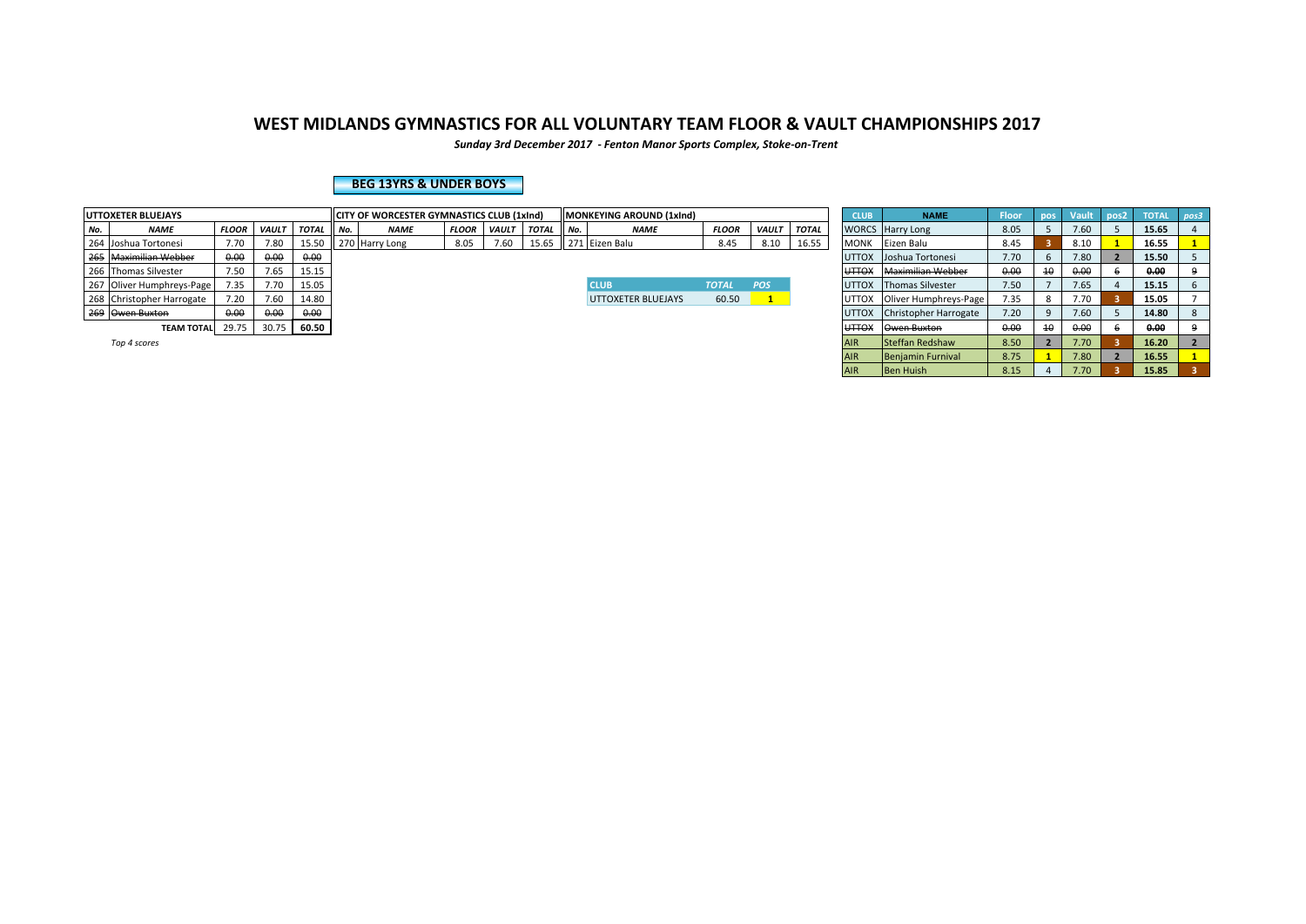*Sunday 3rd December 2017 - Fenton Manor Sports Complex, Stoke-on-Trent*

### **BEG 13YRS & UNDER BOYS**

|                                              | UTTOXETER BLUEJAYS                            |              |               |              |     | CITY OF WORCESTER GYMNASTICS CLUB (1xlnd) |              |              |              | llMONKEYING AROUND (1xInd) |                    |              |                        |              | <b>CLUB</b>              | <b>NAME</b>                 | <b>Floor</b> | $\blacksquare$ pos | Vault pos2 | <b>TOTAL</b> | poss |
|----------------------------------------------|-----------------------------------------------|--------------|---------------|--------------|-----|-------------------------------------------|--------------|--------------|--------------|----------------------------|--------------------|--------------|------------------------|--------------|--------------------------|-----------------------------|--------------|--------------------|------------|--------------|------|
| No.                                          | <b>NAME</b>                                   | <b>FLOOR</b> | <b>VAULT</b>  | <b>TOTAL</b> | No. | <b>NAME</b>                               | <b>FLOOR</b> | <b>VAULT</b> | <b>TOTAL</b> | I No.                      | <b>NAME</b>        | <b>FLOOR</b> | <b>VAULT</b>           | <b>TOTAL</b> |                          | <b>WORCS</b> Harry Long     | 8.05         |                    | 7.60       | 15.65        |      |
|                                              | 264 Joshua Tortonesi                          | 7.70         | 7.80          | 15.50        |     | 270 Harry Long                            | 8.05         | 7.60         | 15.65        |                            | 271 Eizen Balu     | 8.45         | 8.10                   | 16.55        | <b>MONK</b>              | Eizen Balu                  | 8.45         |                    | 8.10       | 16.55        |      |
|                                              | 265 Maximilian Webber<br>0.00<br>0.00<br>0.00 |              |               |              |     |                                           |              |              |              |                            |                    |              | UTTOX Joshua Tortonesi | 7.70         |                          | 7.80                        | 15.50        |                    |            |              |      |
|                                              | 266 Thomas Silvester                          | 7.50         | 7.65<br>15.15 |              |     |                                           |              |              |              |                            |                    |              |                        | <b>UTTOX</b> | <b>Maximilian Webber</b> | 0.00                        | 10           | 0.00               | 0.00       |              |      |
|                                              | 267 Oliver Humphreys-Page                     | 7.35         | 7.70          | 15.05        |     |                                           |              |              |              |                            | <b>CLUB</b>        | <b>TOTAL</b> | POS                    |              | <b>UTTOX</b>             | <b>Thomas Silvester</b>     | 7.50         |                    | 7.65       | 15.15        |      |
|                                              | 268 Christopher Harrogate                     | 7.20         | 7.60          | 14.80        |     |                                           |              |              |              |                            | UTTOXETER BLUEJAYS | 60.50        |                        |              |                          | UTTOX Oliver Humphreys-Page | 7.35         |                    | 7.70       | 15.05        |      |
|                                              | 269 Owen Buxton                               | 0.00         | 0.00          | 0.00         |     |                                           |              |              |              |                            |                    |              |                        |              | <b>UTTOX</b>             | Christopher Harrogate       | 7.20         |                    | 7.60       | 14.80        | 8    |
| 29.75<br>30.75<br>60.50<br><b>TEAM TOTAL</b> |                                               |              |               |              |     |                                           |              |              |              |                            |                    |              | <b>UTTOX</b>           | Owen Buxton  | 0.00                     | 10                          | 0.00         | 0.00               |            |              |      |
|                                              |                                               |              |               |              |     |                                           |              |              |              |                            |                    |              |                        |              |                          |                             |              |                    |            |              |      |

| <b>XETER BLUEJAYS</b> |              |              |              |     | <b>ICITY OF WORCESTER GYMNASTICS CLUB (1xind)</b> |              |              |              |       | MONKEYING AROUND (1xlnd) |              |              |              | <b>CLUB</b>   | <b>NAME</b>                  | Floor | pos | <b>Vault</b> | $\sqrt{pos2}$ | <b>TOTAL</b> | pos3 |
|-----------------------|--------------|--------------|--------------|-----|---------------------------------------------------|--------------|--------------|--------------|-------|--------------------------|--------------|--------------|--------------|---------------|------------------------------|-------|-----|--------------|---------------|--------------|------|
| <b>NAME</b>           | <b>FLOOR</b> | <b>VAULT</b> | <b>TOTAL</b> | No. | <b>NAME</b>                                       | <b>FLOOR</b> | <b>VAULT</b> | <b>TOTAL</b> | I No. | <b>NAME</b>              | <b>FLOOR</b> | <b>VAULT</b> | <b>TOTAL</b> |               | <b>WORCS</b> Harry Long      | 8.05  |     | 7.60         |               | 15.65        |      |
| Joshua Tortonesi      | 7.70         | 7.80         | 15.50        |     | 270 Harry Long                                    | 8.05         | 7.60         |              |       | 15.65 271 Eizen Balu     | 8.45         | 8.10         | 16.55        | <b>MONK</b>   | Eizen Balu                   | 8.45  |     | 8.10         |               | 16.55        |      |
| Maximilian Webber     | 0.00         | 0.00         | 0.00         |     |                                                   |              |              |              |       |                          |              |              |              | <b>UTTOX</b>  | Joshua Tortonesi             | 7.70  |     | 7.80         |               | 15.50        |      |
| Thomas Silvester      | 7.50         | 7.65         | 15.15        |     |                                                   |              |              |              |       |                          |              |              |              | <b>UTTOX</b>  | Maximilian Webber            | 0.00  |     | 0.00         |               | 0.00         |      |
| Oliver Humphreys-Page | 7.35         | 7.70         | 15.05        |     |                                                   |              |              |              |       | <b>CLUB</b>              | <b>TOTAL</b> | POS          |              | <b>UTTOX</b>  | <b>Thomas Silvester</b>      | 7.50  |     | 7.65         |               | 15.15        | 6    |
| Christopher Harrogate | 7.20         | 7.60         | 14.80        |     |                                                   |              |              |              |       | UTTOXETER BLUEJAYS       | 60.50        |              |              | <b>UTTOX</b>  | Oliver Humphreys-Page        | 7.35  |     | 7.70         |               | 15.05        |      |
| Owen Buxton           | 0.00         | 0.00         | 0.00         |     |                                                   |              |              |              |       |                          |              |              |              | <b>UTTOX</b>  | <b>Christopher Harrogate</b> | 7.20  |     | 7.60         |               | 14.80        | 8    |
| <b>TEAM TOTAL</b>     | 29.75        | 30.75        | 60.50        |     |                                                   |              |              |              |       |                          |              |              |              | <b>LITTOV</b> | Owen Buxton                  | 0.00  | 10  | 0.00         |               | 0.00         |      |
| Top 4 scores          |              |              |              |     |                                                   |              |              |              |       |                          |              |              |              | AIR           | Steffan Redshaw              | 8.50  |     | 7.70         |               | 16.20        |      |
|                       |              |              |              |     |                                                   |              |              |              |       |                          |              |              |              | <b>AIR</b>    | Benjamin Furnival            | 8.75  |     | 7.80         |               | 16.55        |      |
|                       |              |              |              |     |                                                   |              |              |              |       |                          |              |              |              | <b>AIR</b>    | Ben Huish                    | 8.15  |     | 7.70         |               | 15.85        |      |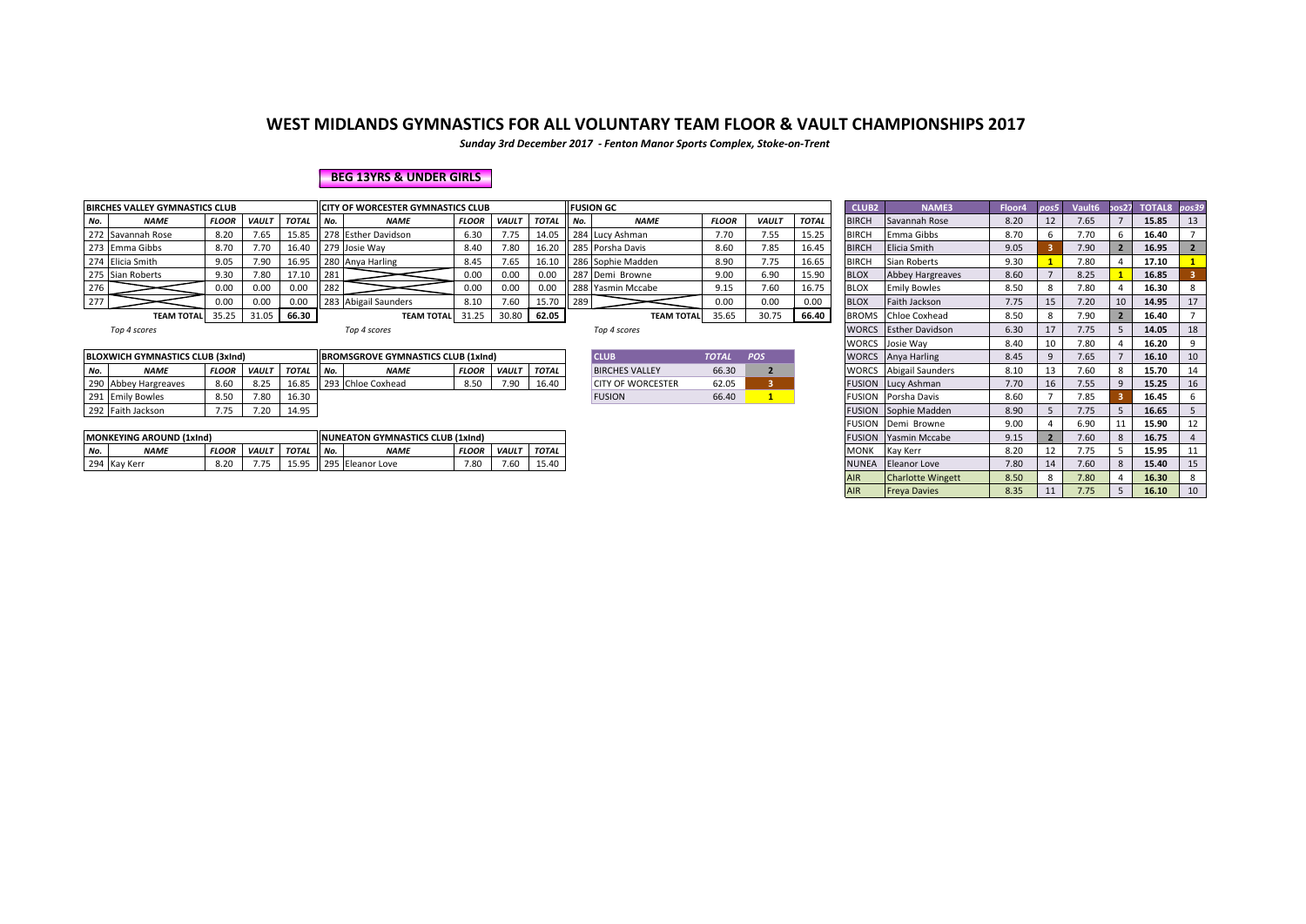*Sunday 3rd December 2017 - Fenton Manor Sports Complex, Stoke-on-Trent*

### **BEG 13YRS & UNDER GIRLS**

|     | <b>BIRCHES VALLEY GYMNASTICS CLUB</b> |              |              |              |        | <b>ICITY OF WORCESTER GYMNASTICS CLUB</b> |              |             |              |     | <b>FUSION GC</b>  |              |              |              | <b>CLUB2</b> | NAME3               | Floor4 | pos5 | Vault <sub>6</sub> |    | pos27 TOTAL8 pos39 |  |
|-----|---------------------------------------|--------------|--------------|--------------|--------|-------------------------------------------|--------------|-------------|--------------|-----|-------------------|--------------|--------------|--------------|--------------|---------------------|--------|------|--------------------|----|--------------------|--|
| No. | <b>NAME</b>                           | <b>FLOOR</b> | <b>VAULT</b> | <b>TOTAL</b> | II No. | <b>NAME</b>                               | <b>FLOOR</b> | <b>VAUL</b> | <b>TOTAL</b> | No. | <b>NAME</b>       | <b>FLOOR</b> | <b>VAULT</b> | <b>TOTAL</b> | <b>BIRCH</b> | Savannah Rose       | 8.20   |      | 7.65               |    | 15.85              |  |
|     | 272 Savannah Rose                     | 8.20         |              | 15.85        |        | 278 Esther Davidson                       | 6.30         | 7.75        | 14.05        |     | 284 Lucy Ashman   |              | '.55         | 15.25        | <b>BIRCH</b> | Emma Gibbs          | 8.70   |      |                    |    | 16.40              |  |
|     | 273 Emma Gibbs                        | 8.70         | 7.70         | 16.40        |        | 279 Josie Way                             | 8.40         | 7.80        | 16.20        |     | 285 Porsha Davis  | 8.60         | 7.85         | 16.45        | <b>BIRCH</b> | Elicia Smith        | 9.05   |      | .90                |    | 16.95              |  |
|     | 274 Elicia Smith                      | 9.05         | 7.90         | 16.95        |        | 280 Anya Harling                          | 8.45         | 7.65        | 16.10        |     | 286 Sophie Madden | 8.90         | 7.75         | 16.65        | <b>BIRCH</b> | Sian Roberts        | 9.30   |      | .80                |    | 17.10              |  |
|     | 275 Sian Roberts                      | 9.30         | 7.80         | 17.10        | 281    |                                           | 0.00         | 0.00        | 0.00         |     | 287 Demi Browne   | 9.00         | 6.90         | 15.90        | <b>BLOX</b>  | Abbey Hargreaves    | 8.60   |      | 8.25               |    | 16.85              |  |
| 276 |                                       | 0.00         | 0.00         | 0.00         | 282    |                                           | 0.00         | 0.00        | 0.00         |     | 288 Yasmin Mccabe | 9.15         | 7.60         |              | <b>BLOX</b>  | <b>Emily Bowles</b> | 8.50   |      | .80                |    | 16.30              |  |
| 277 |                                       |              | 0.00         | 0.00         |        | 283 Abigail Saunders                      | 8.10         | 7.60        | 15.70        | 289 |                   |              | 0.00         | 0.00         | <b>BLOX</b>  | Faith Jackson       | 7.75   |      | .20                | 10 | 14.95              |  |
|     | <b>TEAM TOTAL</b>                     | 35.25        | 31.05        | 66.30        |        | <b>TEAM TOTALI</b>                        | 31.25        | 30.80       | 62.05        |     | <b>TEAM TOTAL</b> | 35.65        | 30.75        | 66.40        |              | BROMS Chloe Coxhead | 8.50   |      | 7.90               |    | 16.40              |  |

|     | <b>BLOXWICH GYMNASTICS CLUB (3xInd)</b> |              |              |       |     | <b>BROMSGROVE GYMNASTICS CLUB (1xInd)</b> |              |              |              | <b>CLUE</b>              | <b>TOTAL</b> | <b>POS</b> |               | <b>WORCS</b> Anya Harling   | 8.45 |    | 7.65 | 16.10 | 10  |
|-----|-----------------------------------------|--------------|--------------|-------|-----|-------------------------------------------|--------------|--------------|--------------|--------------------------|--------------|------------|---------------|-----------------------------|------|----|------|-------|-----|
| No. | <b>NAME</b>                             | <b>FLOOR</b> | <b>VAULT</b> | TOTAL | No. | <b>NAME</b>                               | <b>FLOOR</b> | <b>VAULT</b> | <b>TOTAL</b> | <b>BIRCHES VALLEY</b>    | 66.30        |            | <b>WORCS</b>  | S Abigail Saunders          | 8.10 |    | 7.60 | 15.70 | -14 |
|     | 290 Abbey Hargreaves                    | 8.60         | 8.25         | 16.85 |     | 293 Chloe Coxhead                         | 8.50         | 7 oc<br>, J  | 16.40        | <b>CITY OF WORCESTER</b> | 62.05        |            |               | <b>FUSION</b> Lucy Ashman   | 7.70 | 16 | 7.55 | 15.25 | 16  |
|     | 291 Emily Bowles                        | 8.50         | 7.80         | 16.30 |     |                                           |              |              |              | <b>FUSION</b>            | 66.40        |            | <b>FUSION</b> | Porsha Davis                | 8.60 |    | 7.85 | 16.45 |     |
|     | 292 Faith Jackson                       | 7.77<br>7.75 |              | 14.95 |     |                                           |              |              |              |                          |              |            |               | <b>FUSION</b> Sophie Madden | 8.90 |    | - -- | 16.65 |     |
|     |                                         |              |              |       |     |                                           |              |              |              |                          |              |            |               |                             |      |    |      |       |     |

|                                                                                                                       | <b>MONKEYING AROUND (1xlnd)</b> |              |  |                      |  | <b>INUNEATON GYMNASTICS CLUB (1xInd)</b> |              |      |       |
|-----------------------------------------------------------------------------------------------------------------------|---------------------------------|--------------|--|----------------------|--|------------------------------------------|--------------|------|-------|
| <b>FLOOR</b><br><b>NAM</b><br><b>FLOOR</b><br><b>MARAL</b><br>No.<br>I No.<br><b>VAULT</b><br>TOTAL<br><b>I VAULT</b> |                                 |              |  |                      |  |                                          | <b>TOTAL</b> |      |       |
|                                                                                                                       | 294 Kay Kerr                    | 0.20<br>8.ZU |  | 15.05<br><b>LJ.J</b> |  | 295 Eleanor Love                         | 7.80         | 7.60 | 15.40 |

| <b>CLUB</b>              | <b>TOTAL</b> | <b>POS</b> |
|--------------------------|--------------|------------|
| <b>BIRCHES VALLEY</b>    | 66.30        |            |
| <b>CITY OF WORCESTER</b> | 62.05        |            |
| <b>FUSION</b>            | 66.40        |            |

| <b>IES VALLEY GYMNASTICS CLUB</b>                                                                                                 |              |              |              |        | <b>CITY OF WORCESTER GYMNASTICS CLUB</b>  |              |              |              |     | <b>FUSION GC</b>         |              |              |              | CLUB <sub>2</sub> | <b>NAME3</b>                | Floor4 | $\cos 5$     | Vault6 | 30s27 | TOTAL8 pos39 |             |
|-----------------------------------------------------------------------------------------------------------------------------------|--------------|--------------|--------------|--------|-------------------------------------------|--------------|--------------|--------------|-----|--------------------------|--------------|--------------|--------------|-------------------|-----------------------------|--------|--------------|--------|-------|--------------|-------------|
| <b>NAME</b>                                                                                                                       | <b>FLOOR</b> | <b>VAULT</b> | <b>TOTAL</b> | No.    | <b>NAME</b>                               | <b>FLOOR</b> | <b>VAULT</b> | <b>TOTAL</b> | No. | <b>NAME</b>              | <b>FLOOR</b> | <b>VAULT</b> | <b>TOTAL</b> | <b>BIRCH</b>      | Savannah Rose               | 8.20   | 12           | 7.65   |       | 15.85        | 13          |
| Savannah Rose                                                                                                                     | 8.20         | 7.65         | 15.85        |        | 278 Esther Davidson                       | 6.30         | 7.75         | 14.05        |     | 284 Lucy Ashman          | 7.70         | 7.55         | 15.25        | <b>BIRCH</b>      | Emma Gibbs                  | 8.70   |              | 7.70   | -6    | 16.40        |             |
| Emma Gibbs                                                                                                                        | 8.70         | 7.70         |              |        | 16.40 279 Josie Way                       | 8.40         | 7.80         | 16.20        |     | 285 Porsha Davis         | 8.60         | 7.85         | 16.45        | <b>BIRCH</b>      | Elicia Smith                | 9.05   |              | 7.90   |       | 16.95        | $2^{\circ}$ |
| Elicia Smith                                                                                                                      | 9.05         | 7.90         |              |        | 16.95 280 Anya Harling                    | 8.45         | 7.65         | 16.10        |     | 286 Sophie Madden        | 8.90         | 7.75         | 16.65        | <b>BIRCH</b>      | Sian Roberts                | 9.30   |              | 7.80   |       | 17.10        |             |
| Sian Roberts                                                                                                                      | 9.30         | 7.80         | 17.10        | 281    |                                           | 0.00         | 0.00         | 0.00         |     | 287 Demi Browne          | 9.00         | 6.90         | 15.90        | <b>BLOX</b>       | Abbey Hargreaves            | 8.60   |              | 8.25   |       | 16.85        |             |
|                                                                                                                                   | 0.00         | 0.00         | 0.00         | 282    |                                           | 0.00         | 0.00         | 0.00         |     | 288 Yasmin Mccabe        | 9.15         | 7.60         | 16.75        | <b>BLOX</b>       | <b>Emily Bowles</b>         | 8.50   |              | 7.80   |       | 16.30        |             |
|                                                                                                                                   | 0.00         | 0.00         | 0.00         |        | 283 Abigail Saunders                      | 8.10         | 7.60         | 15.70        | 289 |                          | 0.00         | 0.00         | 0.00         | <b>BLOX</b>       | Faith Jackson               | 7.75   | 15           | 7.20   | 10    | 14.95        | 17          |
| <b>TEAM TOTAL</b>                                                                                                                 | 35.25        | 31.05        | 66.30        |        | <b>TEAM TOTAL</b>                         | 31.25        |              | 30.80 62.05  |     | <b>TEAM TOTAL</b>        | 35.65        | 30.75        | 66.40        | <b>BROMS</b>      | <b>Chloe Coxhead</b>        | 8.50   |              | 7.90   |       | 16.40        |             |
| Top 4 scores                                                                                                                      |              |              |              |        | Top 4 scores                              |              |              |              |     | Top 4 scores             |              |              |              | <b>WORCS</b>      | <b>Esther Davidson</b>      | 6.30   | 17           | 7.75   |       | 14.05        | 18          |
|                                                                                                                                   |              |              |              |        |                                           |              |              |              |     |                          |              |              |              |                   | WORCS Josie Way             | 8.40   | 10           | 7.80   |       | 16.20        |             |
| <b>NICH GYMNASTICS CLUB (3xInd)</b>                                                                                               |              |              |              |        | <b>BROMSGROVE GYMNASTICS CLUB (1xInd)</b> |              |              |              |     | <b>CLUB</b>              | <b>TOTAL</b> | POS          |              | <b>WORCS</b>      | Anya Harling                | 8.45   | $\mathbf{q}$ | 7.65   |       | 16.10        | 10          |
| <b>NAME</b>                                                                                                                       | <b>FLOOR</b> | <b>VAULT</b> | <b>TOTAL</b> | II No. | <b>NAME</b>                               | <b>FLOOR</b> | <b>VAULT</b> | <b>TOTAL</b> |     | <b>BIRCHES VALLEY</b>    | 66.30        |              |              | <b>WORCS</b>      | Abigail Saunders            | 8.10   | 13           | 7.60   |       | 15.70        | 14          |
| Abbey Hargreaves                                                                                                                  | 8.60         | 8.25         | 16.85        |        | 293 Chloe Coxhead                         | 8.50         | 7.90         | 16.40        |     | <b>CITY OF WORCESTER</b> | 62.05        |              |              |                   | <b>FUSION</b> Lucy Ashman   | 7.70   | 16           | 7.55   | 9     | 15.25        | 16          |
| <b>Emily Bowles</b>                                                                                                               | 8.50         | 7.80         | 16.30        |        |                                           |              |              |              |     | <b>FUSION</b>            | 66.40        |              |              |                   | FUSION Porsha Davis         | 8.60   |              | 7.85   |       | 16.45        |             |
| Faith Jackson                                                                                                                     | 7.75         | 7.20         | 14.95        |        |                                           |              |              |              |     |                          |              |              |              |                   | <b>FUSION</b> Sophie Madden | 8.90   |              | 7.75   |       | 16.65        |             |
|                                                                                                                                   |              |              |              |        |                                           |              |              |              |     |                          |              |              |              |                   | FUSION Demi Browne          | 9.00   |              | 6.90   | 11    | 15.90        | 12          |
| <b>(EYING AROUND (1xInd)</b>                                                                                                      |              |              |              |        | <b>NUNEATON GYMNASTICS CLUB (1xInd)</b>   |              |              |              |     |                          |              |              |              |                   | <b>FUSION</b> Yasmin Mccabe | 9.15   |              | 7.60   | 8     | 16.75        |             |
| <b>TOTAL</b><br><b>TOTAL</b><br><b>FLOOR</b><br><b>VAULT</b><br>No.<br><b>NAME</b><br><b>VAULT</b><br><b>NAME</b><br><b>FLOOR</b> |              |              |              |        |                                           |              |              |              |     |                          |              |              |              | <b>MONK</b>       | Kay Kerr                    | 8.20   | 12           | 7.75   |       | 15.95        | 11          |
| Kay Kerr                                                                                                                          | 8.20         | 7.75         | 15.95        |        | 295 Eleanor Love                          | 7.80         | 7.60         | 15.40        |     |                          |              |              |              | <b>NUNEA</b>      | Eleanor Love                | 7.80   | 14           | 7.60   | 8     | 15.40        | 15          |
|                                                                                                                                   |              |              |              |        |                                           |              |              |              |     |                          |              |              |              | <b>AIR</b>        | <b>Charlotte Wingett</b>    | 8.50   |              | 7.80   |       | 16.30        |             |
|                                                                                                                                   |              |              |              |        |                                           |              |              |              |     |                          |              |              |              | <b>AIR</b>        | <b>Freya Davies</b>         | 8.35   | 11           | 7.75   | -5    | 16.10        | 10          |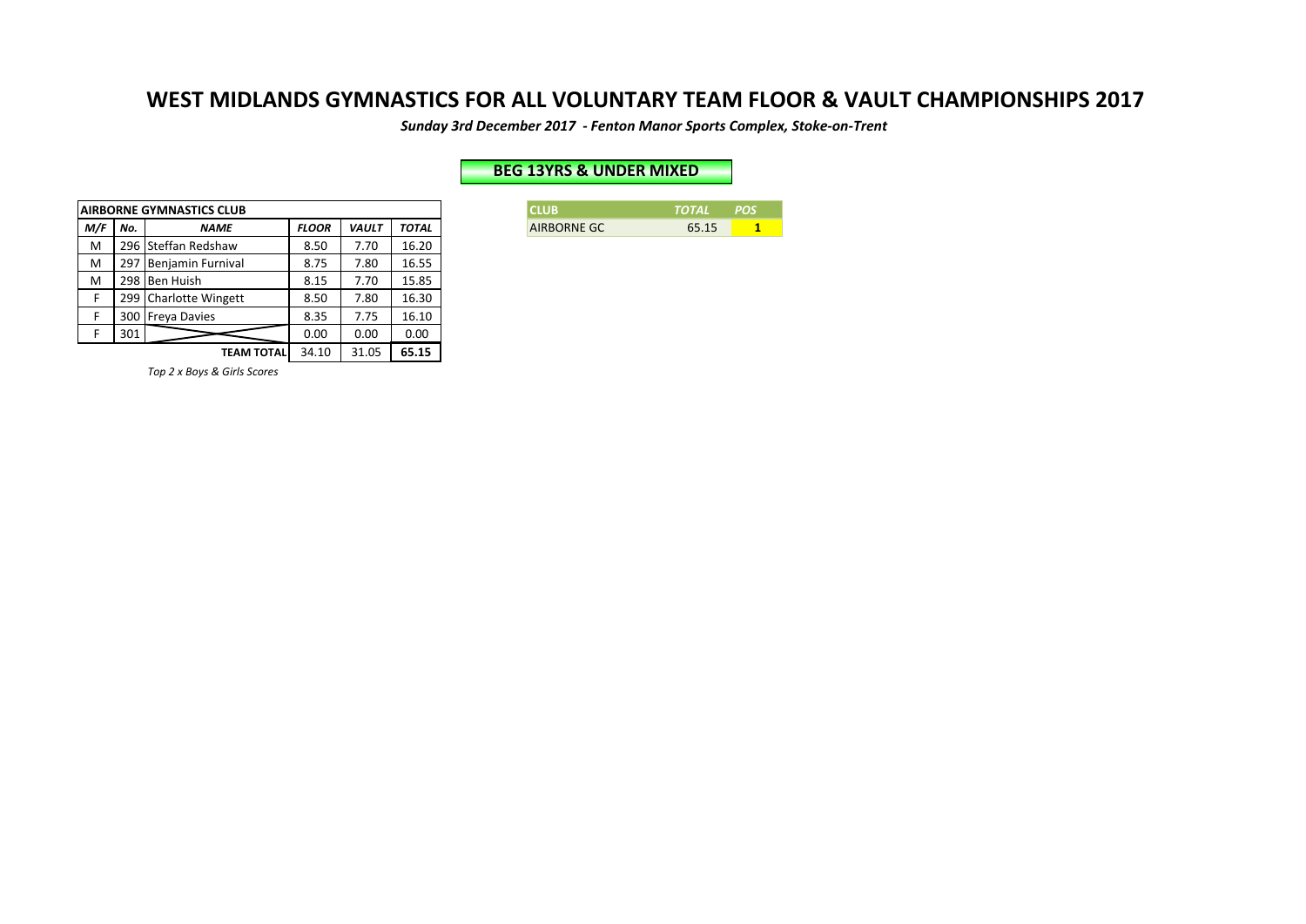Sunday 3rd December 2017 - Fenton Manor Sports Complex, Stoke-on-Trent

### **BEG 13YRS & UNDER MIXED**

|     |     | <b>AIRBORNE GYMNASTICS CLUB</b> |              |              |              |
|-----|-----|---------------------------------|--------------|--------------|--------------|
| M/F | No. | <b>NAME</b>                     | <b>FLOOR</b> | <b>VAULT</b> | <b>TOTAL</b> |
| M   |     | 296 Steffan Redshaw             | 8.50         | 7.70         | 16.20        |
| M   | 297 | <b>Benjamin Furnival</b>        | 8.75         | 7.80         | 16.55        |
| M   | 298 | <b>Ben Huish</b>                | 8.15         | 7.70         | 15.85        |
| F   | 299 | <b>Charlotte Wingett</b>        | 8.50         | 7.80         | 16.30        |
| F   | 300 | <b>Freya Davies</b>             | 8.35         | 7.75         | 16.10        |
| F   | 301 |                                 | 0.00         | 0.00         | 0.00         |
|     |     | TEAM TOTAL                      | 34.10        | 31.05        | 65.15        |

**CLUB** *TOTAL POS* **AIRBORNE GC** 65.15 **1** 

*Top 2 x Boys & Girls Scores*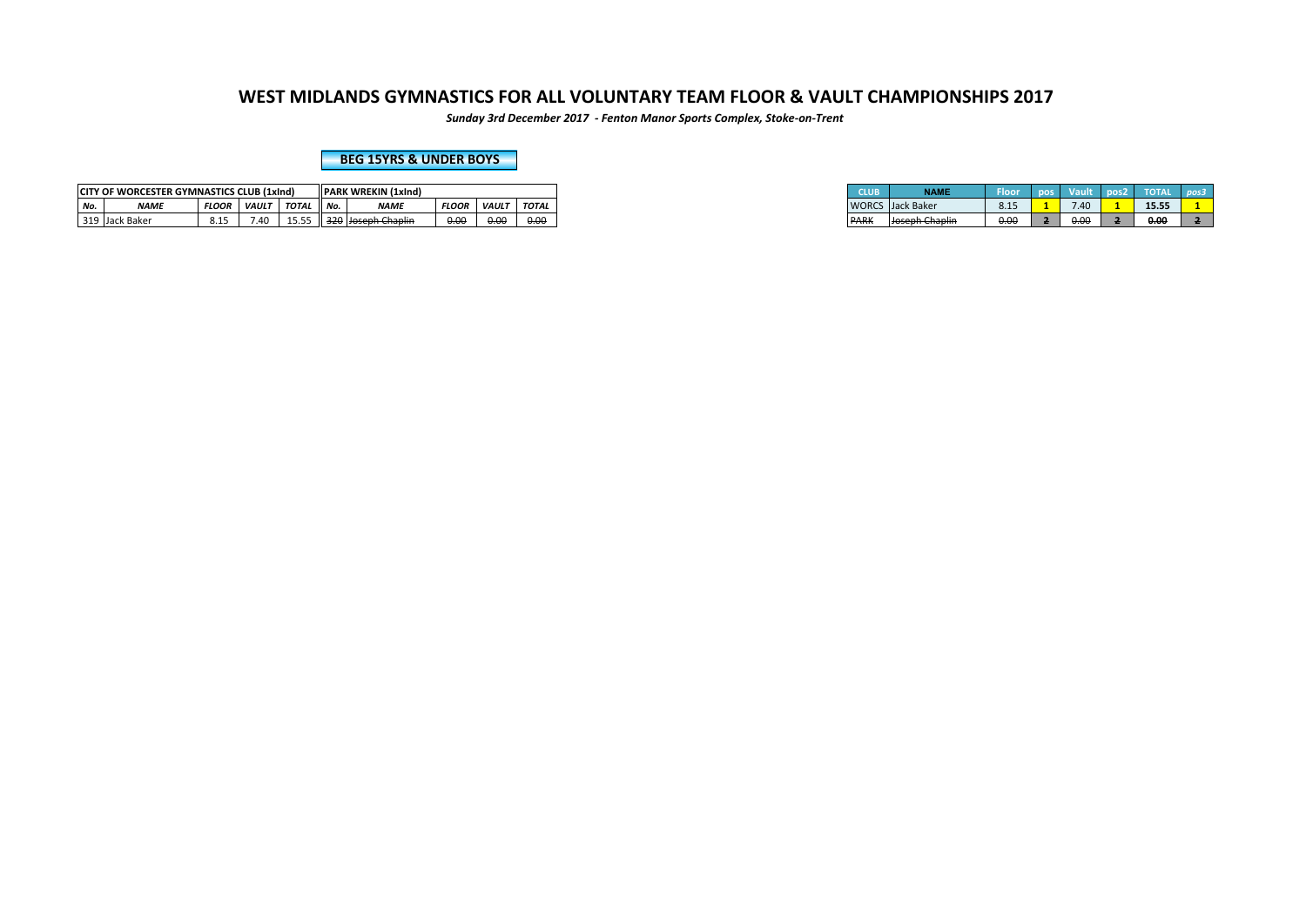*Sunday 3rd December 2017 - Fenton Manor Sports Complex, Stoke-on-Trent*

**BEG 15YRS & UNDER BOYS** 

|     | <b>CITY OF WORCESTER GYMNASTICS CLUB (1xInd)</b> |                       |              |                                      |                        | <b>PARK WREKIN (1xInd)</b>             |                |              |              |
|-----|--------------------------------------------------|-----------------------|--------------|--------------------------------------|------------------------|----------------------------------------|----------------|--------------|--------------|
| No. | <b>NAME</b>                                      | <b>FLOOR</b>          | <b>VAULT</b> | TOTAL                                | $\overline{M}$<br>IVO. | <b>ALABAD</b><br><b>IVAIV</b>          | <b>FLOOR</b>   | <b>VAULT</b> | <b>TOTAL</b> |
|     | 319 Jack Baker                                   | $\sim$ $\sim$<br>ت⊥.ن | 7.40         | $\sim$ $\sim$ $\sim$<br><b>10.00</b> |                        | Il 320 Lloseph Chaplin<br><del>.</del> | n no<br>$\sim$ | 0.00<br>0.01 | 0.00         |

| CLUB         | <b>NAME</b>                     | Floor | pos | <b>Vault</b> | pos2 | <b>TOTA</b> | pos3 |
|--------------|---------------------------------|-------|-----|--------------|------|-------------|------|
| <b>WORCS</b> | Jack Baker                      | 8.15  |     | 7.40         |      | 15.55       |      |
| <b>PARK</b>  | Joseph Chaplin<br>зозерн снарни | 0.00  |     | 0.00         |      | 0.00        |      |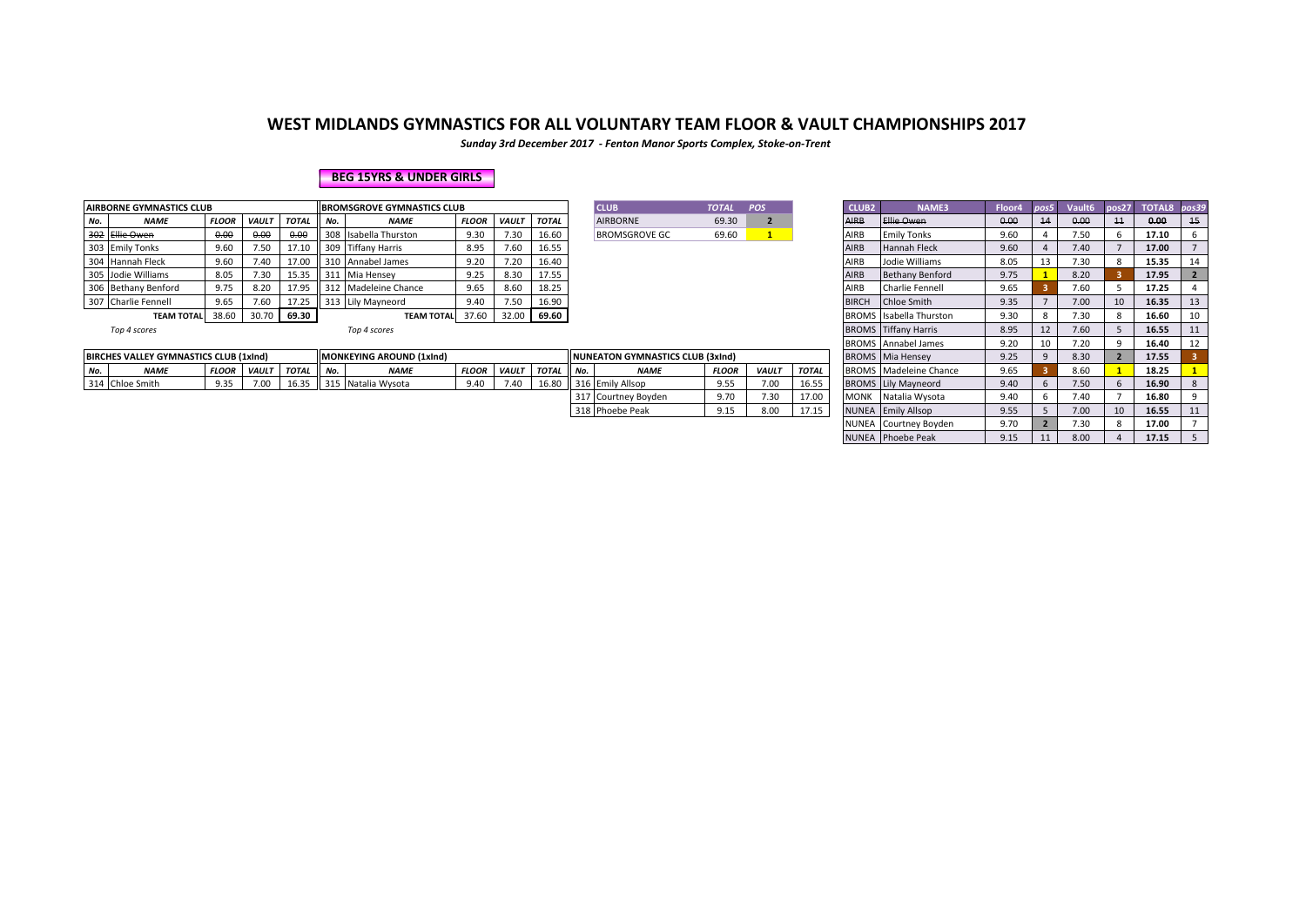*Sunday 3rd December 2017 - Fenton Manor Sports Complex, Stoke-on-Trent*

#### **BEG 15YRS & UNDER GIRLS**

|                                              | <b>AIRBORNE GYMNASTICS CLUB</b> |              |              |                                                     |       | <b>BROMSGROVE GYMNASTICS CLUB</b> |              |              |              | <b>CLUB</b>          | <b>TOTAL</b> | <b>POS</b> |              | <b>CLUB2</b> | <b>NAME3</b>                                    | Floor4 | pos5 | Vault <sub>6</sub> |    | pos27 TOTAL8 pos39                            |    |
|----------------------------------------------|---------------------------------|--------------|--------------|-----------------------------------------------------|-------|-----------------------------------|--------------|--------------|--------------|----------------------|--------------|------------|--------------|--------------|-------------------------------------------------|--------|------|--------------------|----|-----------------------------------------------|----|
| No.                                          | <b>NAME</b>                     | <b>FLOOR</b> | <b>VAULT</b> | <b>TOTAL</b>                                        | . No. | <b>NAME</b>                       | <b>FLOOR</b> | <b>VAULT</b> | <b>TOTAL</b> | <b>AIRBORNE</b>      | 69.30        |            | <b>AIDD</b>  |              | <b>Ellie Owen</b>                               | 0.00   |      | 0.00               | 11 | 0.00                                          | 15 |
|                                              | 302 Ellie Owen                  | 0.00         | 0.00         | 0.00                                                |       | 308 Isabella Thurston             | 9.30         | '.30         | 16.60        | <b>BROMSGROVE GC</b> | 69.60        |            |              |              | <b>Emily Tonks</b>                              | 9.60   |      | 7.50               |    | 17.10                                         |    |
|                                              | 303 Emily Tonks                 | 9.60         | 7.50         | 17.10                                               |       | 309 Tiffany Harris                | 8.95         | '.60         | 16.55        |                      |              |            |              |              | <b>Hannah Fleck</b>                             | 9.60   |      | 7.40               |    | 17.00                                         |    |
|                                              | 304 Hannah Fleck                | 9.60         | 7.40         | 16.40<br>310 Annabel James<br>17.00<br>9.20<br>7.20 |       |                                   |              |              |              |                      |              |            |              |              | Jodie Williams                                  | 8.05   |      | 7.30               |    | 15.35                                         |    |
|                                              | 305 Jodie Williams              | 8.05         | 7.30         | 311 Mia Hensey<br>17.55<br>15.35<br>9.25<br>8.30    |       |                                   |              |              |              |                      |              |            | AIRB         |              | <b>Bethany Benford</b>                          | 9.75   |      | 8.20               |    | 17.95                                         |    |
|                                              | 306 Bethany Benford             | 9.75         | 8.20         | 17.95                                               |       | 312 Madeleine Chance              | 9.65         | 8.60         | 18.25        |                      |              |            |              |              | Charlie Fennell                                 | 9.65   |      | 7.60               |    | 17.25                                         |    |
|                                              | 307 Charlie Fennell             | 9.65         | 7.60         | 17.25                                               |       | 313 Lily Mayneord                 | 9.40         | 7.50         | 16.90        |                      |              |            | <b>BIRCH</b> |              | Chloe Smith                                     | 9.35   |      | 7.00               |    | 16.35                                         | 13 |
| 69.30<br>38.60<br>30.70<br><b>TEAM TOTAL</b> |                                 |              |              |                                                     |       | <b>TEAM TOTAL</b> 37.60           |              | 32.00        | 69.60        |                      |              |            |              |              | <b>BROMS</b> Isabella Thurston                  | 9.30   |      | 7.30               |    | 16.60                                         | 10 |
|                                              | $  -$                           |              |              |                                                     |       | $  -$                             |              |              |              |                      |              |            |              |              | $PROOFAC$ $TT^{\prime}$ $CT^{\prime}$ , $111$ . | 0.05   |      | $\overline{z}$     |    | $\mathbf{A} \mathbf{A} \mathbf{B} \mathbf{B}$ | A  |

| <b>PRNE GYMNASTICS CLUB</b>                                                               |              |              |              |     | <b>BROMSGROVE GYMNASTICS CLUB</b> |              |              |              |     | <b>CLUB</b>                      | <b>TOTAL</b> | POS          |              | <b>CLUB2</b>      | <b>NAME3</b>                   | Floor4 | pos5 | Vault6 | pos27 | TOTAL8 | pos39 |
|-------------------------------------------------------------------------------------------|--------------|--------------|--------------|-----|-----------------------------------|--------------|--------------|--------------|-----|----------------------------------|--------------|--------------|--------------|-------------------|--------------------------------|--------|------|--------|-------|--------|-------|
| <b>NAME</b>                                                                               | <b>FLOOR</b> | <b>VAULT</b> | <b>TOTAL</b> | No. | <b>NAME</b>                       | <b>FLOOR</b> | <b>VAULT</b> | TOTAL        |     | <b>AIRBORNE</b>                  | 69.30        |              |              | <b>AIRB</b>       | Ellie Owen                     | 0.00   | 14   | 0.00   | 11    | 0,00   | 15    |
| Ellie Owen                                                                                | 0.00         | 0.00         | 0.00         |     | 308 Isabella Thurston             | 9.30         | 7.30         | 16.60        |     | <b>BROMSGROVE GC</b>             | 69.60        |              |              | AIRB              | <b>Emily Tonks</b>             | 9.60   |      | 7.50   |       | 17.10  | 6     |
| <b>Emily Tonks</b>                                                                        | 9.60         | 7.50         | 17.10        |     | 309 Tiffany Harris                | 8.95         | 7.60         | 16.55        |     |                                  |              |              |              | <b>AIRB</b>       | Hannah Fleck                   | 9.60   |      | 7.40   |       | 17.00  |       |
| Hannah Fleck                                                                              | 9.60         | 7.40         | 17.00        |     | 310 Annabel James                 | 9.20         | 7.20         | 16.40        |     |                                  |              |              |              | AIRB              | Jodie Williams                 | 8.05   | 13   | 7.30   |       | 15.35  | 14    |
| Jodie Williams                                                                            | 8.05         | 7.30         | 15.35        |     | 311 Mia Hensey                    | 9.25         | 8.30         | 17.55        |     |                                  |              |              |              | <b>AIRB</b>       | <b>Bethany Benford</b>         | 9.75   |      | 8.20   |       | 17.95  |       |
| Bethany Benford                                                                           | 9.75         | 8.20         | 17.95        |     | 312 Madeleine Chance              | 9.65         | 8.60         | 18.25        |     |                                  |              |              |              | AIRB              | Charlie Fennell                | 9.65   |      | 7.60   |       | 17.25  |       |
| 9.65<br>7.60<br>17.25<br>313 Lily Mayneord<br>7.50<br>Charlie Fennell<br>9.40             |              |              |              |     |                                   |              |              |              |     |                                  |              |              |              | <b>BIRCH</b>      | <b>Chloe Smith</b>             | 9.35   |      | 7.00   | 10    | 16.35  | 13    |
| 37.60<br>38.60<br>30.70 69.30<br>32.00<br>69.60<br><b>TEAM TOTAL</b><br><b>TEAM TOTAL</b> |              |              |              |     |                                   |              |              |              |     |                                  |              |              |              |                   | <b>BROMS</b> Isabella Thurston | 9.30   |      | 7.30   |       | 16.60  | 10    |
| Top 4 scores                                                                              |              |              |              |     | Top 4 scores                      |              |              |              |     |                                  |              |              |              |                   | <b>BROMS</b> Tiffany Harris    | 8.95   |      | 7.60   |       | 16.55  | 11    |
|                                                                                           |              |              |              |     |                                   |              |              |              |     |                                  |              |              |              |                   | <b>BROMS</b> Annabel James     | 9.20   | 10   | 7.20   |       | 16.40  | 12    |
| <b>ES VALLEY GYMNASTICS CLUB (1xInd)</b>                                                  |              |              |              |     | <b>MONKEYING AROUND (1xInd)</b>   |              |              |              |     | NUNEATON GYMNASTICS CLUB (3xInd) |              |              |              |                   | <b>BROMS</b> Mia Hensey        | 9.25   |      | 8.30   |       | 17.55  |       |
| <b>NAME</b>                                                                               | <b>FLOOR</b> | <b>VAULT</b> | <b>TOTAL</b> | No. | <b>NAME</b>                       | <b>FLOOR</b> | <b>VAULT</b> | <b>TOTAL</b> | No. | <b>NAME</b>                      | <b>FLOOR</b> | <b>VAULT</b> | <b>TOTAL</b> |                   | <b>BROMS</b> Madeleine Chance  | 9.65   |      | 8.60   |       | 18.25  |       |
| Chloe Smith                                                                               | 9.35         | 7.00         | 16.35        |     | 315 Natalia Wysota                | 9.40         | 7.40         | 16.80        |     | 316 Emily Allsop                 | 9.55         | 7.00         | 16.55        |                   | <b>BROMS</b> Lily Mayneord     | 9.40   |      | 7.50   |       | 16.90  | 8     |
|                                                                                           |              |              |              |     |                                   |              |              |              |     | 317 Courtney Boyden              | 9.70         | 7.30         | 17.00        | <b>MONK</b>       | Natalia Wysota                 | 9.40   |      | 7.40   |       | 16.80  |       |
|                                                                                           |              |              |              |     |                                   |              |              |              |     | 318 Phoebe Peak                  | 9.15         | 8.00         | 17.15        |                   | NUNEA Emily Allsop             | 9.55   |      | 7.00   | 10    | 16.55  | 11    |
|                                                                                           |              |              |              |     |                                   |              |              |              |     |                                  |              |              |              |                   | <b>NUNEA</b> Courtney Boyden   | 9.70   |      | 7.30   |       | 17.00  |       |
|                                                                                           |              |              |              |     |                                   |              |              |              |     |                                  |              |              |              | NUNEA Phoebe Peak | 9.15                           |        | 8.00 |        | 17.15 | 5      |       |

|  |                                        |              |              |              |               |                                  |              |              |              |       |                                          |              |              |       |             | TBROMS TANNADELJAMES          | 9.ZU                         | 1U. |                                                                                                                                                                                                                                                                                                                                                                                                                                   | 16.4U |  |
|--|----------------------------------------|--------------|--------------|--------------|---------------|----------------------------------|--------------|--------------|--------------|-------|------------------------------------------|--------------|--------------|-------|-------------|-------------------------------|------------------------------|-----|-----------------------------------------------------------------------------------------------------------------------------------------------------------------------------------------------------------------------------------------------------------------------------------------------------------------------------------------------------------------------------------------------------------------------------------|-------|--|
|  | BIRCHES VALLEY GYMNASTICS CLUB (1xInd) |              |              |              |               | <b>IMONKEYING AROUND (1xInd)</b> |              |              |              |       | <b>INUNEATON GYMNASTICS CLUB (3xInd)</b> |              |              |       |             | <b>BROMS</b> Mia Hensey       | $\sim$ $\sim$ $\sim$<br>J.ZJ |     | 8.30                                                                                                                                                                                                                                                                                                                                                                                                                              | 17.55 |  |
|  | <b>NAME</b>                            | <b>FLOOR</b> | <b>VAULT</b> | <b>TOTAL</b> | $\mathbf{A}$  | <b>NAME</b>                      | <b>FLOOR</b> | <b>VAULT</b> | <b>TOTAL</b> | I No. | <b>NAME</b>                              | <b>FLOOR</b> | <b>VAULT</b> | TOTAL |             | <b>BROMS</b> Madeleine Chance | 9.65                         |     | 8.60                                                                                                                                                                                                                                                                                                                                                                                                                              | 18.25 |  |
|  | 314 Chloe Smith                        | 0.25         | 7.00         | 10.35        | -415<br>. د د | Natalia Wysota                   | 9.40         |              | 16.80        |       | 316 Emily Allsop                         | 9.55         | 7.00         | 16.55 |             | <b>BROMS</b> Lily Mayneord    | 9.40                         |     | $\overline{ }$ $\overline{ }$ $\overline{ }$ $\overline{ }$ $\overline{ }$ $\overline{ }$ $\overline{ }$ $\overline{ }$ $\overline{ }$ $\overline{ }$ $\overline{ }$ $\overline{ }$ $\overline{ }$ $\overline{ }$ $\overline{ }$ $\overline{ }$ $\overline{ }$ $\overline{ }$ $\overline{ }$ $\overline{ }$ $\overline{ }$ $\overline{ }$ $\overline{ }$ $\overline{ }$ $\overline{ }$ $\overline{ }$ $\overline{ }$ $\overline{$ | 16.90 |  |
|  |                                        |              |              |              |               |                                  |              |              |              |       | <sup>7</sup> Courtney Boyden             | 9.70         | 7.30         | 17.00 | <b>MONK</b> | Natalia Wysota                | 9.40                         |     | 7.40                                                                                                                                                                                                                                                                                                                                                                                                                              | 16.80 |  |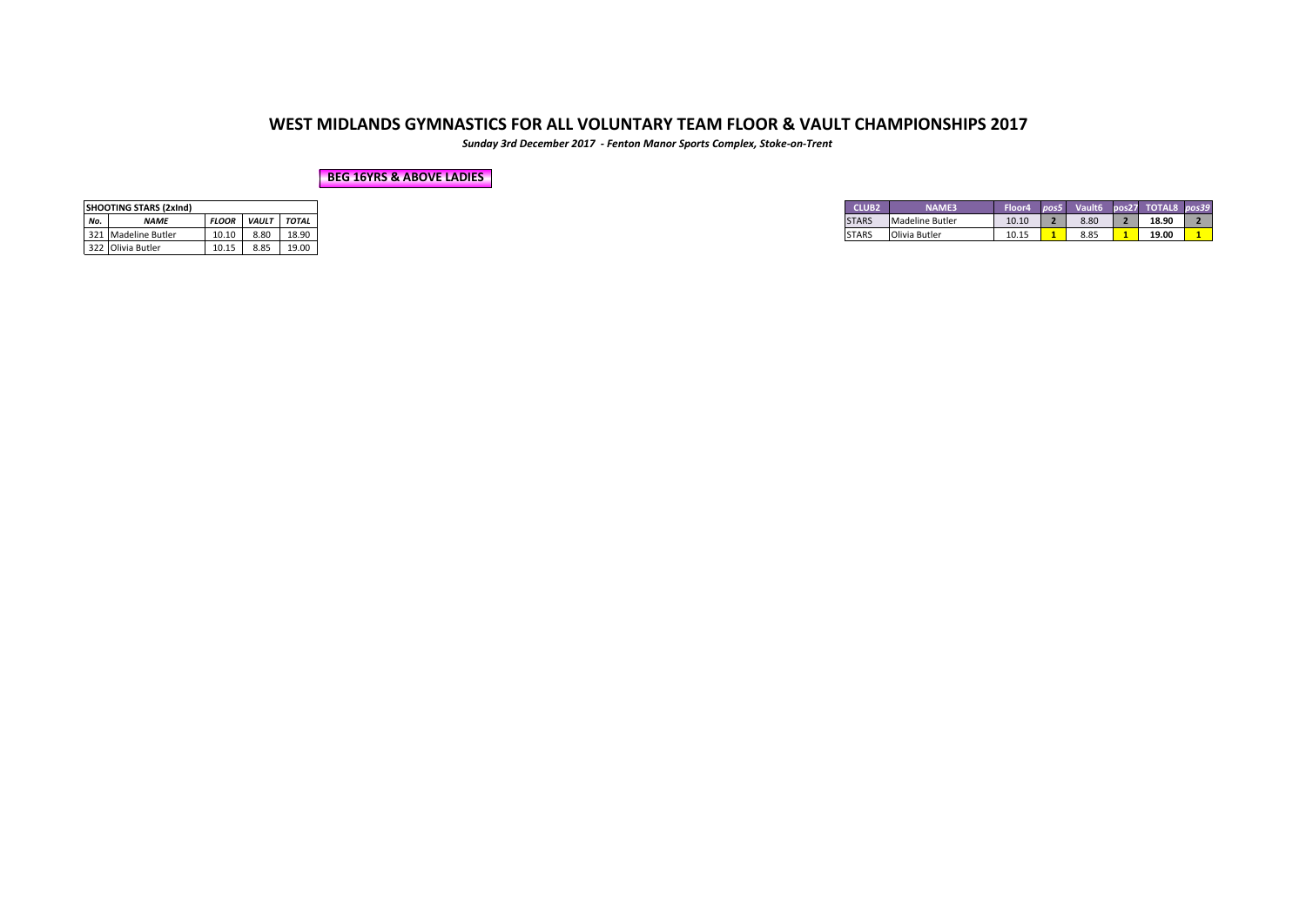*Sunday 3rd December 2017 - Fenton Manor Sports Complex, Stoke-on-Trent*

#### **BEG 16YRS & ABOVE LADIES**

|     | <b>SHOOTING STARS (2xInd)</b> |              |              |              |
|-----|-------------------------------|--------------|--------------|--------------|
| No. | <b>NAME</b>                   | <b>FLOOR</b> | <b>VAULT</b> | <b>TOTAL</b> |
|     | 321 Madeline Butler           | 10.10        | 8.80         | 18.90        |
|     | 322 Olivia Butler             | 10.15        | 8.85         | 19.00        |

| <b>NAME</b>         | <b>TOTAL</b> |
|---------------------|--------------|
| <b>FLOOR</b>        | <b>VAULT</b> |
| 321 Madeline Butler | 18.90        |
| 10.10               | 8.80         |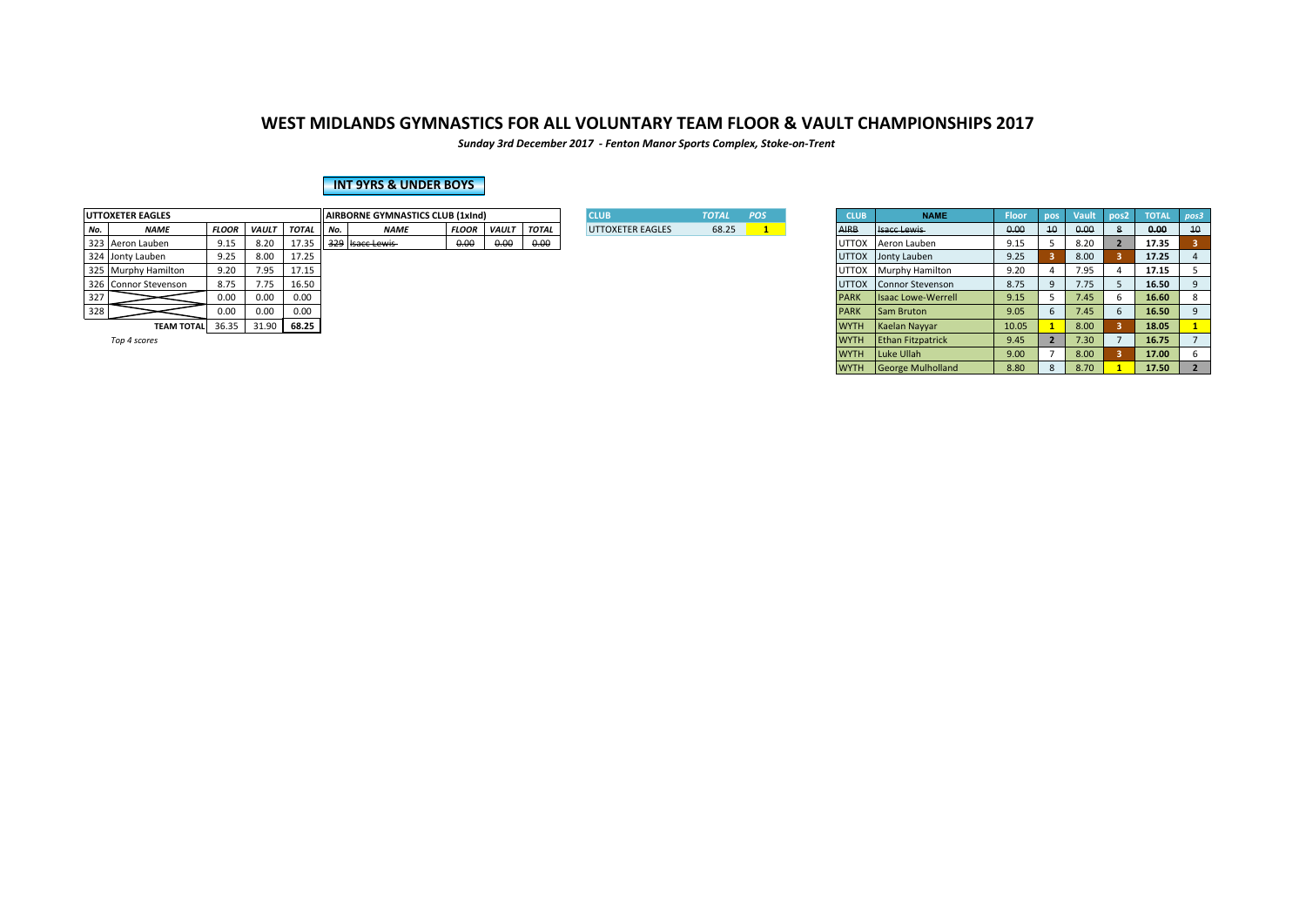*Sunday 3rd December 2017 - Fenton Manor Sports Complex, Stoke-on-Trent*

### **INT 9YRS & UNDER BOYS**

|     | <b>UTTOXETER EAGLES</b> |              |              |              |        | <b>HAIRBORNE GYMNASTICS CLUB (1xInd)</b> |              |              |              | <b>CLUB</b>      | <b>TOTAL</b> | <b>POS</b> | <b>CLUB</b>  | <b>NAME</b>               | <b>Floor</b> |    |      | $\sqrt{2}$ pos2 | <b>TOTAL</b> |    |
|-----|-------------------------|--------------|--------------|--------------|--------|------------------------------------------|--------------|--------------|--------------|------------------|--------------|------------|--------------|---------------------------|--------------|----|------|-----------------|--------------|----|
| No. | <b>NAME</b>             | <b>FLOOR</b> | <b>VAULT</b> | <b>TOTAL</b> | II No. | <b>NAME</b>                              | <b>FLOOR</b> | <b>VAULT</b> | <b>TOTAL</b> | UTTOXETER EAGLES | 68.25        |            |              | <b>Isacc Lewis</b>        | 0.00         | 10 | 0.00 |                 | 0.00         | 10 |
|     | 323 Aeron Lauben        | 9.15         | 8.20         | 17.35        |        | 329 Isacc Lewis                          | 0.00         | 0.00         | 0.00         |                  |              |            | UTTOX        | Aeron Lauben              | 9.15         |    | 8.20 |                 | 17.35        |    |
|     | 324 Jonty Lauben        | 9.25         | 8.00         | 17.25        |        |                                          |              |              |              |                  |              |            |              | UTTOX Jonty Lauben        | 9.25         |    | 8.00 |                 | 17.25        |    |
|     | 325 Murphy Hamilton     | 9.20         | 7.95         | 17.15        |        |                                          |              |              |              |                  |              |            | UTTOX        | <b>Murphy Hamilton</b>    | 9.20         |    | 7.95 |                 | 17.15        |    |
|     | 326 Connor Stevenson    | 8.75         | 1.15         | 16.50        |        |                                          |              |              |              |                  |              |            | <b>UTTOX</b> | Connor Stevenson          | 8.75         |    | 7.75 |                 | 16.50        |    |
| 327 |                         | 0.00         | 0.00         | 0.00         |        |                                          |              |              |              |                  |              |            |              | <b>Isaac Lowe-Werrell</b> | 9.15         |    | 7.45 |                 | 16.60        |    |
| 328 |                         | 0.00         | 0.00         | 0.00         |        |                                          |              |              |              |                  |              |            | PARK         | <b>Sam Bruton</b>         | 9.05         |    | 7.45 |                 | 16.50        |    |
|     | <b>TEAM TOTAL</b>       | 36.35        | 31.90        | 68.25        |        |                                          |              |              |              |                  |              |            | <b>WYTH</b>  | Kaelan Navvar             | 10.05        |    | 8.00 |                 | 18.05        |    |

| <b>XETER EAGLES</b> |              |              |              |     | AIRBORNE GYMNASTICS CLUB (1xInd) |              |             |      | <b>CLUB</b>             | <b>TOTAL</b> | POS | <b>CLUB</b>  | <b>NAME</b>               | <b>Floor</b> | pos | Vault | l pos2 | <b>TOTAL</b> | pos3            |
|---------------------|--------------|--------------|--------------|-----|----------------------------------|--------------|-------------|------|-------------------------|--------------|-----|--------------|---------------------------|--------------|-----|-------|--------|--------------|-----------------|
| <b>NAME</b>         | <b>FLOOR</b> | <b>VAULT</b> | <b>TOTAL</b> | No. | <b>NAME</b>                      | <b>FLOOR</b> | VAULT TOTAL |      | <b>UTTOXETER EAGLES</b> | 68.25        |     | <b>AIRB</b>  | <b>Isacc Lewis</b>        | 0.00         | 10  | 0.00  |        | 0.00         | 10 <sup>°</sup> |
| Aeron Lauben        | 9.15         | 8.20         | 17.35        |     | 329 Isacc Lewis                  | 0.00         | 0.00        | 0.00 |                         |              |     | <b>UTTOX</b> | Aeron Lauben              | 9.15         |     | 8.20  |        | 17.35        |                 |
| Jonty Lauben        | 9.25         | 8.00         | 17.25        |     |                                  |              |             |      |                         |              |     |              | UTTOX Jonty Lauben        | 9.25         |     | 8.00  |        | 17.25        |                 |
| Murphy Hamilton     | 9.20         | 7.95         | 17.15        |     |                                  |              |             |      |                         |              |     | <b>UTTOX</b> | <b>Murphy Hamilton</b>    | 9.20         |     | 7.95  |        | 17.15        |                 |
| Connor Stevenson    | 8.75         | 7.75         | 16.50        |     |                                  |              |             |      |                         |              |     | <b>UTTOX</b> | Connor Stevenson          | 8.75         |     | 7.75  |        | 16.50        |                 |
|                     | 0.00         | 0.00         | 0.00         |     |                                  |              |             |      |                         |              |     | <b>PARK</b>  | <b>Isaac Lowe-Werrell</b> | 9.15         |     | 7.45  |        | 16.60        |                 |
|                     | 0.00         | 0.00         | 0.00         |     |                                  |              |             |      |                         |              |     | <b>PARK</b>  | <b>Sam Bruton</b>         | 9.05         |     | 7.45  |        | 16.50        |                 |
| <b>TEAM TOTAL</b>   | 36.35        | 31.90        | 68.25        |     |                                  |              |             |      |                         |              |     | <b>WYTH</b>  | Kaelan Nayyar             | 10.05        |     | 8.00  |        | 18.05        |                 |
| Top 4 scores        |              |              |              |     |                                  |              |             |      |                         |              |     | <b>WYTH</b>  | <b>Ethan Fitzpatrick</b>  | 9.45         |     | 7.30  |        | 16.75        |                 |
|                     |              |              |              |     |                                  |              |             |      |                         |              |     | <b>WYTH</b>  | Luke Ullah                | 9.00         |     | 8.00  |        | 17.00        |                 |
|                     |              |              |              |     |                                  |              |             |      |                         |              |     | <b>WYTH</b>  | George Mulholland         | 8.80         | 8   | 8.70  |        | 17.50        |                 |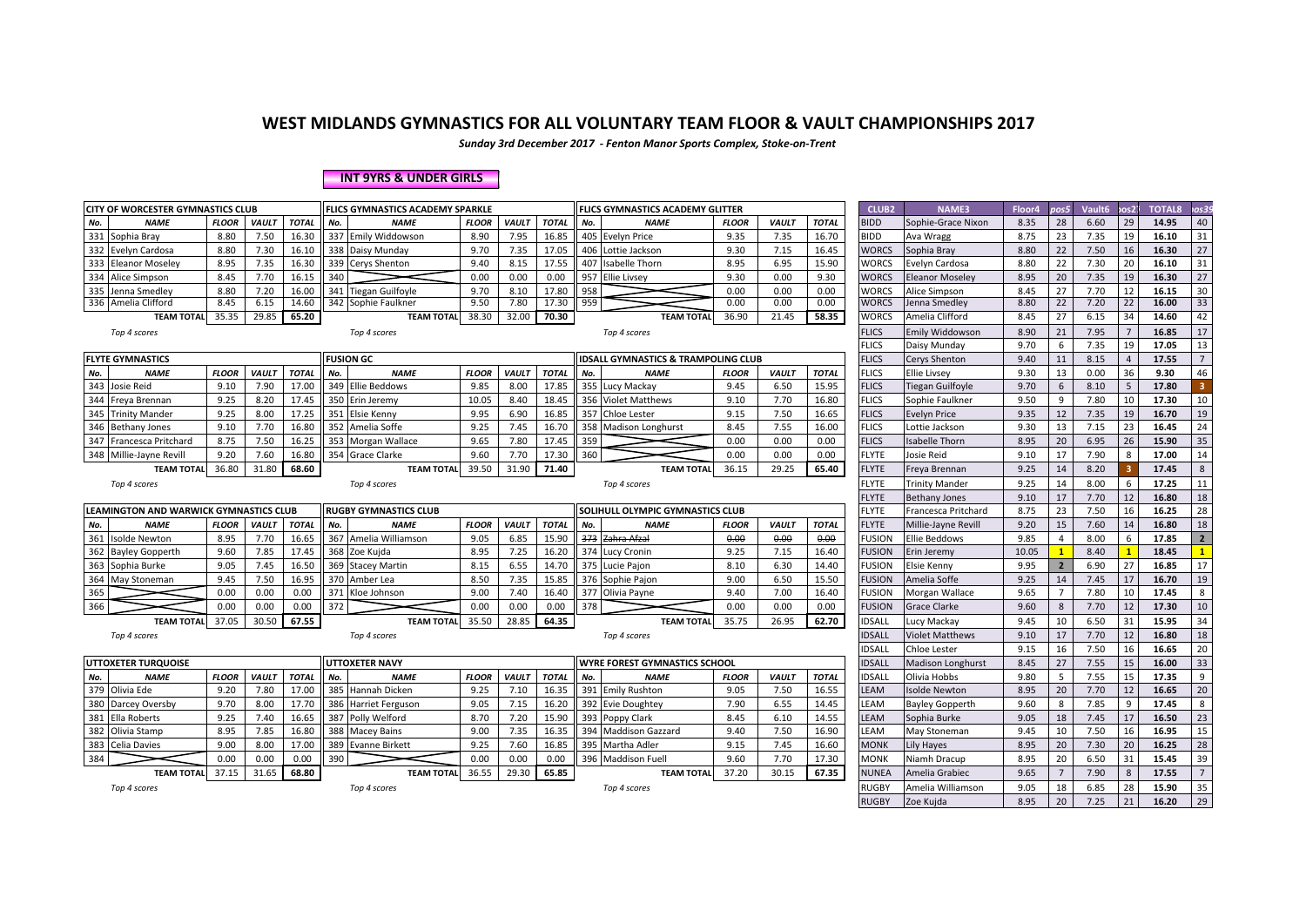*Sunday 3rd December 2017 - Fenton Manor Sports Complex, Stoke-on-Trent*

#### **INT 9YRS & UNDER GIRLS**

| CITY OF WORCESTER GYMNASTICS CLUB      |              |              |              | FLICS GYMNASTICS ACADEMY SPARKLE |              |              |              |     | <b>FLICS GYMNASTICS ACADEMY GLITTER</b>        |              |              |              | <b>CLUB2</b>  | <b>NAME3</b>           | Floor4 | pos5           | Vault6 | os2.           | <b>TOTAL8</b> | os39                 |
|----------------------------------------|--------------|--------------|--------------|----------------------------------|--------------|--------------|--------------|-----|------------------------------------------------|--------------|--------------|--------------|---------------|------------------------|--------|----------------|--------|----------------|---------------|----------------------|
| <b>NAME</b><br>No.                     | <b>FLOOR</b> | <b>VAULT</b> | <b>TOTAL</b> | No.<br><b>NAME</b>               | <b>FLOOR</b> | <b>VAULT</b> | <b>TOTAL</b> | No. | <b>NAME</b>                                    | <b>FLOOR</b> | <b>VAULT</b> | <b>TOTAL</b> | <b>BIDD</b>   | Sophie-Grace Nixon     | 8.35   | 28             | 6.60   | 29             | 14.95         | 40                   |
| 331<br>Sophia Bray                     | 8.80         | 7.50         | 16.30        | 337 Emily Widdowson              | 8.90         | 7.95         | 16.85        |     | 405 Evelyn Price                               | 9.35         | 7.35         | 16.70        | <b>BIDD</b>   | Ava Wragg              | 8.75   | 23             | 7.35   | 19             | 16.10         | 31                   |
| 332<br>Evelyn Cardosa                  | 8.80         | 7.30         | 16.10        | 338 Daisy Munday                 | 9.70         | 7.35         | 17.05        | 406 | Lottie Jackson                                 | 9.30         | 7.15         | 16.45        | <b>WORCS</b>  | Sophia Bray            | 8.80   | 22             | 7.50   | 16             | 16.30         | 27                   |
| 333<br><b>Eleanor Moseley</b>          | 8.95         | 7.35         | 16.30        | 339 Cerys Shenton                | 9.40         | 8.15         | 17.55        | 407 | Isabelle Thorn                                 | 8.95         | 6.95         | 15.90        | <b>WORCS</b>  | Evelyn Cardosa         | 8.80   | 22             | 7.30   | 20             | 16.10         | 31                   |
| 334 Alice Simpson                      | 8.45         | 7.70         | 16.15        | 340                              | 0.00         | 0.00         | 0.00         |     | 957 Ellie Livsey                               | 9.30         | 0.00         | 9.30         | <b>WORCS</b>  | <b>Eleanor Moseley</b> | 8.95   | 20             | 7.35   | 19             | 16.30         | 27                   |
| 335 Jenna Smedley                      | 8.80         | 7.20         | 16.00        | 341 Tiegan Guilfoyle             | 9.70         | 8.10         | 17.80        | 958 |                                                | 0.00         | 0.00         | 0.00         | <b>WORCS</b>  | Alice Simpson          | 8.45   | 27             | 7.70   | 12             | 16.15         | 30                   |
| 336 Amelia Clifford                    | 8.45         | 6.15         | 14.60        | 342 Sophie Faulkner              | 9.50         | 7.80         | 17.30        | 959 |                                                | 0.00         | 0.00         | 0.00         | <b>WORCS</b>  | Jenna Smedley          | 8.80   | 22             | 7.20   | 22             | 16.00         | 33                   |
| <b>TEAM TOTAL</b>                      | 35.35        | 29.85        | 65.20        | <b>TEAM TOTAL</b>                | 38.30        | 32.00        | 70.30        |     | <b>TEAM TOTAL</b>                              | 36.90        | 21.45        | 58.35        | <b>WORCS</b>  | Amelia Clifford        | 8.45   | 27             | 6.15   | 34             | 14.60         | 42                   |
| Top 4 scores                           |              |              |              | Top 4 scores                     |              |              |              |     | Top 4 scores                                   |              |              |              | <b>FLICS</b>  | <b>Emily Widdowson</b> | 8.90   | 21             | 7.95   |                | 16.85         | 17                   |
|                                        |              |              |              |                                  |              |              |              |     |                                                |              |              |              | <b>FLICS</b>  | Daisy Munday           | 9.70   | 6              | 7.35   | 19             | 17.05         | 13                   |
| <b>FLYTE GYMNASTICS</b>                |              |              |              | <b>FUSION GC</b>                 |              |              |              |     | <b>IDSALL GYMNASTICS &amp; TRAMPOLING CLUB</b> |              |              |              | <b>FLICS</b>  | Cerys Shenton          | 9.40   | 11             | 8.15   | $\overline{4}$ | 17.55         | 7 <sup>7</sup>       |
| No.<br><b>NAME</b>                     | <b>FLOOR</b> | VAULT        | <b>TOTAL</b> | No.<br><b>NAME</b>               | <b>FLOOR</b> | <b>VAULT</b> | <b>TOTAL</b> | No. | <b>NAME</b>                                    | <b>FLOOR</b> | <b>VAULT</b> | <b>TOTAL</b> | <b>FLICS</b>  | <b>Ellie Livsey</b>    | 9.30   | 13             | 0.00   | 36             | 9.30          | 46                   |
| Josie Reid<br>343                      | 9.10         | 7.90         | 17.00        | 349 Ellie Beddows                | 9.85         | 8.00         | 17.85        | 355 | Lucy Mackay                                    | 9.45         | 6.50         | 15.95        | <b>FLICS</b>  | Tiegan Guilfoyle       | 9.70   | 6              | 8.10   | 5              | 17.80         | 3 <sup>1</sup>       |
| 344<br>Freya Brennan                   | 9.25         | 8.20         | 17.45        | 350 Erin Jeremy                  | 10.05        | 8.40         | 18.45        |     | 356 Violet Matthews                            | 9.10         | 7.70         | 16.80        | <b>FLICS</b>  | Sophie Faulkner        | 9.50   | 9              | 7.80   | 10             | 17.30         | 10                   |
| 345<br><b>Trinity Mander</b>           | 9.25         | 8.00         | 17.25        | 351 Elsie Kenny                  | 9.95         | 6.90         | 16.85        | 357 | <b>Chloe Lester</b>                            | 9.15         | 7.50         | 16.65        | <b>FLICS</b>  | <b>Evelyn Price</b>    | 9.35   | 12             | 7.35   | 19             | 16.70         | 19                   |
| 346<br><b>Bethany Jones</b>            | 9.10         | 7.70         | 16.80        | 352 Amelia Soffe                 | 9.25         | 7.45         | 16.70        | 358 | <b>Madison Longhurst</b>                       | 8.45         | 7.55         | 16.00        | <b>FLICS</b>  | Lottie Jackson         | 9.30   | 13             | 7.15   | 23             | 16.45         | 24                   |
| 347 Francesca Pritchard                | 8.75         | 7.50         | 16.25        | 353 Morgan Wallace               | 9.65         | 7.80         | 17.45        | 359 |                                                | 0.00         | 0.00         | 0.00         | <b>FLICS</b>  | <b>Isabelle Thorn</b>  | 8.95   | 20             | 6.95   | 26             | 15.90         | 35                   |
| 348<br>Millie-Jayne Revill             | 9.20         | 7.60         | 16.80        | 354 Grace Clarke                 | 9.60         | 7.70         | 17.30        | 360 |                                                | 0.00         | 0.00         | 0.00         | <b>FLYTE</b>  | Josie Reid             | 9.10   | 17             | 7.90   | 8              | 17.00         | 14                   |
| <b>TEAM TOTAL</b>                      | 36.80        | 31.80        | 68.60        | <b>TEAM TOTAL</b>                | 39.50        | 31.90        | 71.40        |     | <b>TEAM TOTAL</b>                              | 36.15        | 29.25        | 65.40        | <b>FLYTE</b>  | Freya Brennan          | 9.25   | 14             | 8.20   |                | 17.45         | 8                    |
| Top 4 scores                           |              |              |              | Top 4 scores                     |              |              |              |     | Top 4 scores                                   |              |              |              | FLYTE         | <b>Trinity Mander</b>  | 9.25   | 14             | 8.00   | 6              | 17.25         | 11                   |
|                                        |              |              |              |                                  |              |              |              |     |                                                |              |              |              | <b>FLYTE</b>  | <b>Bethany Jones</b>   | 9.10   | 17             | 7.70   | 12             | 16.80         | 18                   |
| LEAMINGTON AND WARWICK GYMNASTICS CLUB |              |              |              | <b>RUGBY GYMNASTICS CLUB</b>     |              |              |              |     | SOLIHULL OLYMPIC GYMNASTICS CLUB               |              |              |              | <b>FLYTE</b>  | Francesca Pritchard    | 8.75   | 23             | 7.50   | 16             | 16.25         | 28                   |
| No.<br><b>NAME</b>                     | <b>FLOOR</b> | VAULT        | <b>TOTAL</b> | No.<br><b>NAME</b>               | <b>FLOOR</b> | VAULT        | <b>TOTAL</b> | No. | <b>NAME</b>                                    | <b>FLOOR</b> | <b>VAULT</b> | <b>TOTAL</b> | <b>FLYTE</b>  | Millie-Jayne Revill    | 9.20   | 15             | 7.60   | 14             | 16.80         | 18                   |
| 361<br>Isolde Newton                   | 8.95         | 7.70         | 16.65        | 367 Amelia Williamson            | 9.05         | 6.85         | 15.90        |     | 373 Zahra Afzal                                | 0.00         | 0.00         | 0.00         | <b>FUSION</b> | <b>Ellie Beddows</b>   | 9.85   |                | 8.00   | $\mathsf{f}$   | 17.85         | $\overline{2}$       |
| 362<br><b>Bayley Gopperth</b>          | 9.60         | 7.85         | 17.45        | 368 Zoe Kujda                    | 8.95         | 7.25         | 16.20        | 374 | <b>Lucy Cronin</b>                             | 9.25         | 7.15         | 16.40        | <b>FUSION</b> | Erin Jeremy            | 10.05  |                | 8.40   |                | 18.45         | 1                    |
| Sophia Burke<br>363                    | 9.05         | 7.45         | 16.50        | 369 Stacey Martin                | 8.15         | 6.55         | 14.70        |     | 375 Lucie Pajon                                | 8.10         | 6.30         | 14.40        | <b>FUSION</b> | Elsie Kenny            | 9.95   | $\overline{2}$ | 6.90   | 27             | 16.85         | 17                   |
| May Stoneman<br>364                    | 9.45         | 7.50         | 16.95        | 370 Amber Lea                    | 8.50         | 7.35         | 15.85        |     | 376 Sophie Pajon                               | 9.00         | 6.50         | 15.50        | <b>FUSION</b> | Amelia Soffe           | 9.25   | 14             | 7.45   | 17             | 16.70         | 19                   |
| 365                                    | 0.00         | 0.00         | 0.00         | 371 Kloe Johnson                 | 9.00         | 7.40         | 16.40        |     | 377 Olivia Payne                               | 9.40         | 7.00         | 16.40        | <b>FUSION</b> | Morgan Wallace         | 9.65   | $\overline{7}$ | 7.80   | 10             | 17.45         | 8                    |
| 366                                    | 0.00         | 0.00         | 0.00         | 372                              | 0.00         | 0.00         | 0.00         | 378 |                                                | 0.00         | 0.00         | 0.00         | <b>FUSION</b> | <b>Grace Clarke</b>    | 9.60   | 8              | 7.70   | 12             | 17.30         | 10                   |
| <b>TEAM TOTAL</b>                      |              |              |              |                                  |              |              |              |     |                                                |              |              |              |               |                        |        |                |        | 31             | 15.95         | 34                   |
|                                        | 37.05        | 30.50        | 67.55        | <b>TEAM TOTAL</b>                | 35.50        | 28.85        | 64.35        |     | <b>TEAM TOTAL</b>                              | 35.75        | 26.95        | 62.70        | <b>IDSALL</b> | Lucy Mackay            | 9.45   | 10             | 6.50   |                |               |                      |
| Top 4 scores                           |              |              |              | Top 4 scores                     |              |              |              |     | Top 4 scores                                   |              |              |              | <b>IDSALL</b> | <b>Violet Matthews</b> | 9.10   | 17             | 7.70   | 12             | 16.80         | 18                   |
|                                        |              |              |              |                                  |              |              |              |     |                                                |              |              |              | <b>IDSALL</b> | Chloe Lester           | 9.15   | 16             | 7.50   | 16             | 16.65         | 20                   |
| <b>UTTOXETER TURQUOISE</b>             |              |              |              | <b>UTTOXETER NAVY</b>            |              |              |              |     | <b>WYRE FOREST GYMNASTICS SCHOOL</b>           |              |              |              | <b>IDSALL</b> | Madison Longhurst      | 8.45   | 27             | 7.55   | 15             | 16.00         | 33                   |
| No.<br><b>NAME</b>                     | <b>FLOOR</b> | <b>VAULT</b> | <b>TOTAL</b> | No.<br><b>NAME</b>               | <b>FLOOR</b> | <b>VAULT</b> | <b>TOTAL</b> | No. | <b>NAME</b>                                    | <b>FLOOR</b> | <b>VAULT</b> | <b>TOTAL</b> | <b>IDSALL</b> | Olivia Hobbs           | 9.80   | 5              | 7.55   | 15             | 17.35         | 9                    |
| 379 Olivia Ede                         | 9.20         | 7.80         | 17.00        | 385 Hannah Dicken                | 9.25         | 7.10         | 16.35        |     | 391 Emily Rushton                              | 9.05         | 7.50         | 16.55        | LEAM          | <b>Isolde Newton</b>   | 8.95   | 20             | 7.70   | 12             | 16.65         | 20                   |
| 380<br>Darcey Oversby                  | 9.70         | 8.00         | 17.70        | 386 Harriet Ferguson             | 9.05         | 7.15         | 16.20        |     | 392 Evie Doughtey                              | 7.90         | 6.55         | 14.45        | LEAM          | <b>Bayley Gopperth</b> | 9.60   | 8              | 7.85   | 9              | 17.45         | 8                    |
| <b>Ella Roberts</b><br>381             | 9.25         | 7.40         | 16.65        | 387 Polly Welford                | 8.70         | 7.20         | 15.90        | 393 | Poppy Clark                                    | 8.45         | 6.10         | 14.55        | LEAM          | Sophia Burke           | 9.05   | 18             | 7.45   | 17             | 16.50         | 23                   |
| 382 Olivia Stamp                       | 8.95         | 7.85         | 16.80        | 388 Macey Bains                  | 9.00         | 7.35         | 16.35        | 394 | <b>Maddison Gazzard</b>                        | 9.40         | 7.50         | 16.90        | LEAM          | May Stoneman           | 9.45   | 10             | 7.50   | 16             | 16.95         | 15                   |
| <b>Celia Davies</b><br>383             | 9.00         | 8.00         | 17.00        | 389 Evanne Birkett               | 9.25         | 7.60         | 16.85        |     | 395 Martha Adler                               | 9.15         | 7.45         | 16.60        | <b>MONK</b>   | Lily Hayes             | 8.95   | 20             | 7.30   | 20             | 16.25         | 28                   |
| 384                                    | 0.00         | 0.00         | 0.00         | 390                              | 0.00         | 0.00         | 0.00         |     | 396 Maddison Fuell                             | 9.60         | 7.70         | 17.30        | <b>MONK</b>   | Niamh Dracup           | 8.95   | 20             | 6.50   | 31             | 15.45         | 39                   |
| <b>TEAM TOTAL</b>                      | 37.15        | 31.65        | 68.80        | <b>TEAM TOTAL</b>                | 36.55        | 29.30        | 65.85        |     | <b>TEAM TOTAL</b>                              | 37.20        | 30.15        | 67.35        | <b>NUNEA</b>  | Amelia Grabiec         | 9.65   | $\overline{7}$ | 7.90   | 8              | 17.55         | $\overline{7}$<br>35 |

RUGBY Zoe Kujda 8.95 20 7.25 21 **16.20** 29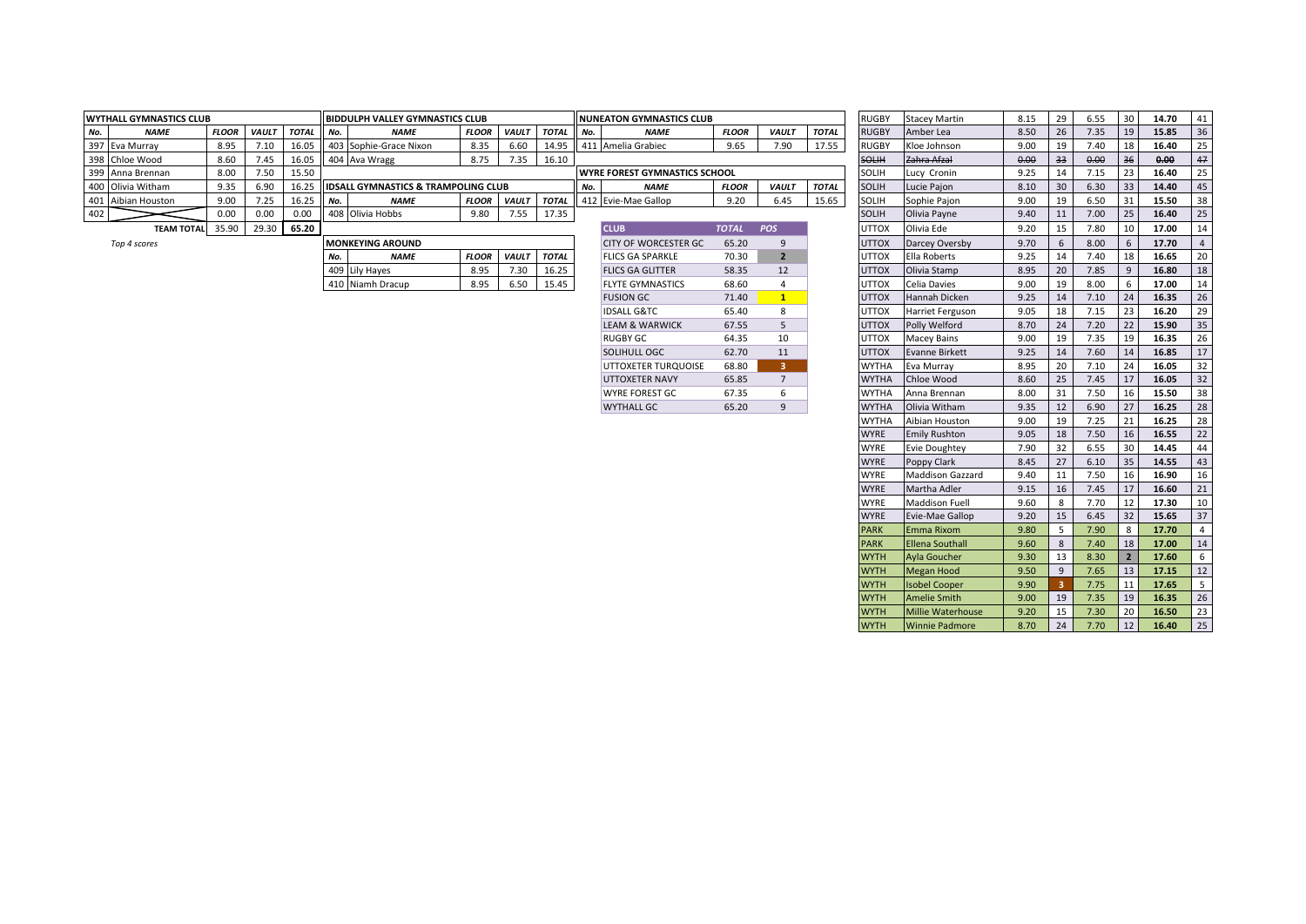|     | <b>WYTHALL GYMNASTICS CLUB</b> |              |              |           |        | <b>IIBIDDULPH VALLEY GYMNASTICS CLUB</b>        |              |              |              |        | <b>INUNEATON GYMNASTICS CLUB</b>      |              |              |              | <b>RUGBY</b> | <b>Stacey Martin</b> | 8.15 | 29 | 6.55 | 30 | 14.70 | -41  |
|-----|--------------------------------|--------------|--------------|-----------|--------|-------------------------------------------------|--------------|--------------|--------------|--------|---------------------------------------|--------------|--------------|--------------|--------------|----------------------|------|----|------|----|-------|------|
| No. | <b>NAME</b>                    | <b>FLOOR</b> | <b>VAULT</b> | TOTAL No. |        | <b>NAME</b>                                     | <b>FLOOR</b> | <b>VAULT</b> | <b>TOTAI</b> | II No. | <b>NAME</b>                           | <b>FLOOR</b> | <b>VAULT</b> | <b>TOTAL</b> | <b>RUGBY</b> | Amber Lea            | 8.50 | 26 | 7.35 | 19 | 15.85 | - 36 |
|     | 397 Eva Murray                 | 8.95         | 7.10         |           |        | 403 Sophie-Grace Nixon                          | 8.35         | 6.60         | 14.95        |        | 411 Amelia Grabiec                    | 9.65         | 7.90         | 17.55        | <b>RUGBY</b> | Kloe Johnson         | 9.00 | 19 | 7.40 | 18 | 16.40 | 25   |
|     | 398 Chloe Wood                 | 8.6          | 7.45         |           |        | 404 Ava Wragg                                   | 8.75         | .35          | 16.10        |        |                                       |              |              |              | SOLIH        | Zahra Afzal          | 0.00 |    | 0.00 | 36 | 0.00  |      |
|     | 399 Anna Brennan               | 8.00         | 7.50         | 15.50     |        |                                                 |              |              |              |        | <b>UVYRE FOREST GYMNASTICS SCHOOL</b> |              |              |              | <b>SOLIH</b> | Lucy Cronin          | 9.25 |    | 7.15 |    | 16.40 | 25   |
|     | 400 Olivia Witham              | 9.35         | 6.9C         |           |        | <b>IIDSALL GYMNASTICS &amp; TRAMPOLING CLUB</b> |              |              |              |        | <b>NAME</b>                           | <b>FLOOR</b> | <b>VAUL1</b> | <b>TOTAL</b> | <b>SOLIH</b> | Lucie Pajon          | 8.10 | 30 | 6.30 | 33 | 14.40 | -45  |
|     | 401 Aibian Houston             | 9.0(         | 7.25         | 16.2      | II No. | <b>NAME</b>                                     | <b>FLOOR</b> | <b>VAULT</b> | <b>TOTAL</b> |        | 412 Evie-Mae Gallop                   | 9.20         | 6.45         | 15.65        | SOLIH        | Sophie Pajon         | 9.00 | 19 | 6.50 |    | 15.50 | 38   |
| 402 |                                |              | 0.00         | 0.00      |        | 408 Olivia Hobbs                                | 9.80         | .55          | 17.35        |        |                                       |              |              |              | <b>SOLIH</b> | Olivia Payne         | 9.40 |    | 7.00 |    | 16.40 |      |
|     | <b>TEAM TOTAL</b>              | 35.90        | 29.30        | 65.20     |        |                                                 |              |              |              |        | <b>CLUB</b>                           | <b>TOTAL</b> | POS          |              | <b>UTTOX</b> | Olivia Ede           | 9.20 |    | 7.80 | 10 | 17.00 |      |
|     |                                |              |              |           |        |                                                 |              |              |              |        |                                       |              |              |              |              |                      |      |    |      |    |       |      |

|     | <b>MONKEYING AROUND</b> |              |              |              |
|-----|-------------------------|--------------|--------------|--------------|
| No. | <b>NAME</b>             | <b>FLOOR</b> | <b>VAULT</b> | <b>TOTAL</b> |
|     | 409 Lily Hayes          | 8.95         | 7.30         | 16.25        |
|     | 410 Niamh Dracup        | 8.95         | 6.50         | 15.45        |

| <b>CLUB</b>               | <b>TOTAL</b> | <b>POS</b>              |
|---------------------------|--------------|-------------------------|
| CITY OF WORCESTER GC      | 65.20        | q                       |
| <b>FLICS GA SPARKLE</b>   | 70.30        | $\overline{\mathbf{z}}$ |
| <b>FLICS GA GLITTER</b>   | 58.35        | 12                      |
| <b>FLYTE GYMNASTICS</b>   | 68.60        | 4                       |
| <b>FUSION GC</b>          | 71.40        | 1                       |
| <b>IDSALL G&amp;TC</b>    | 65.40        | R                       |
| <b>LEAM &amp; WARWICK</b> | 67.55        | 5                       |
| RUGBY GC                  | 64.35        | 10                      |
| SOLIHULL OGC              | 62.70        | 11                      |
| UTTOXETER TURQUOISE       | 68.80        | ٩                       |
| <b>UTTOXETER NAVY</b>     | 65.85        | $\overline{7}$          |
| <b>WYRE FOREST GC</b>     | 67.35        | 6                       |
| <b>WYTHALL GC</b>         | 65.20        | q                       |

| <b>ALL GYMNASTICS CLUB</b> |              |              |              |     | BIDDULPH VALLEY GYMNASTICS CLUB                |              |              |              |     | <b>NUNEATON GYMNASTICS CLUB</b>      |              |                |              | <b>RUGBY</b>               | <b>Stacey Martin</b>                        | 8.15         | 29     | 6.55         | 30             | 14.70          | 41             |
|----------------------------|--------------|--------------|--------------|-----|------------------------------------------------|--------------|--------------|--------------|-----|--------------------------------------|--------------|----------------|--------------|----------------------------|---------------------------------------------|--------------|--------|--------------|----------------|----------------|----------------|
| <b>NAME</b>                | <b>FLOOR</b> | <b>VAULT</b> | <b>TOTAL</b> | No. | <b>NAME</b>                                    | <b>FLOOR</b> | VAULT        | <b>TOTAL</b> | No. | <b>NAME</b>                          | <b>FLOOR</b> | <b>VAULT</b>   | <b>TOTAL</b> | <b>RUGBY</b>               | Amber Lea                                   | 8.50         | 26     | 7.35         | 19             | 15.85          | 36             |
| Eva Murray                 | 8.95         | 7.10         | 16.05        |     | 403 Sophie-Grace Nixon                         | 8.35         | 6.60         | 14.95        |     | 411 Amelia Grabiec                   | 9.65         | 7.90           | 17.55        | <b>RUGBY</b>               | Kloe Johnson                                | 9.00         | 19     | 7.40         | 18             | 16.40          | 25             |
| Chloe Wood                 | 8.60         | 7.45         | 16.05        |     | 404 Ava Wragg                                  | 8.75         | 7.35         | 16.10        |     |                                      |              |                |              | SOLIH                      | Zahra Afzal                                 | 0.00         | 33     | 0.00         | 36             | 0.00           | 47             |
| Anna Brennan               | 8.00         | 7.50         | 15.50        |     |                                                |              |              |              |     | <b>WYRE FOREST GYMNASTICS SCHOOL</b> |              |                |              | SOLIH                      | Lucy Cronin                                 | 9.25         | 14     | 7.15         | 23             | 16.40          | 25             |
| Olivia Witham              | 9.35         | 6.90         | 16.25        |     | <b>IDSALL GYMNASTICS &amp; TRAMPOLING CLUB</b> |              |              |              | No. | <b>NAME</b>                          | <b>FLOOR</b> | <b>VAULT</b>   | <b>TOTAL</b> | <b>SOLIH</b>               | Lucie Pajon                                 | 8.10         | 30     | 6.30         | 33             | 14.40          | 45             |
| Aibian Houston             | 9.00         | 7.25         | 16.25        | No. | <b>NAME</b>                                    | <b>FLOOR</b> | <b>VAULT</b> | <b>TOTAL</b> |     | 412 Evie-Mae Gallop                  | 9.20         | 6.45           | 15.65        | <b>SOLIH</b>               | Sophie Pajon                                | 9.00         | 19     | 6.50         | 31             | 15.50          | 38             |
|                            | 0.00         | 0.00         | 0.00         |     | 408 Olivia Hobbs                               | 9.80         | 7.55         | 17.35        |     |                                      |              |                |              | <b>SOLIH</b>               | Olivia Payne                                | 9.40         | 11     | 7.00         | 25             | 16.40          | 25             |
| TEAM TOTAL 35.90           |              | 29.30        | 65.20        |     |                                                |              |              |              |     | <b>CLUB</b>                          | <b>TOTAL</b> | POS            |              | <b>UTTOX</b>               | Olivia Ede                                  | 9.20         | 15     | 7.80         | 10             | 17.00          | 14             |
| Top 4 scores               |              |              |              |     | <b>MONKEYING AROUND</b>                        |              |              |              |     | <b>CITY OF WORCESTER GC</b>          | 65.20        | 9              |              | <b>UTTOX</b>               | Darcey Oversby                              | 9.70         | 6      | 8.00         | 6              | 17.70          | $\overline{4}$ |
|                            |              |              |              | No. | <b>NAME</b>                                    | <b>FLOOR</b> | <b>VAULT</b> | <b>TOTAL</b> |     | <b>FLICS GA SPARKLE</b>              | 70.30        | $\overline{2}$ |              | <b>UTTOX</b>               | Ella Roberts                                | 9.25         | 14     | 7.40         | 18             | 16.65          | 20             |
|                            |              |              |              |     | 409 Lily Hayes                                 | 8.95         | 7.30         | 16.25        |     | <b>FLICS GA GLITTER</b>              | 58.35        | 12             |              | <b>UTTOX</b>               | Olivia Stamp                                | 8.95         | 20     | 7.85         | 9              | 16.80          | 18             |
|                            |              |              |              |     | 410 Niamh Dracup                               | 8.95         | 6.50         | 15.45        |     | <b>FLYTE GYMNASTICS</b>              | 68.60        | 4              |              | <b>UTTOX</b>               | Celia Davies                                | 9.00         | 19     | 8.00         | 6              | 17.00          | 14             |
|                            |              |              |              |     |                                                |              |              |              |     | <b>FUSION GC</b>                     | 71.40        | 1              |              | <b>UTTOX</b>               | Hannah Dicken                               | 9.25         | 14     | 7.10         | 24             | 16.35          | 26             |
|                            |              |              |              |     |                                                |              |              |              |     | <b>IDSALL G&amp;TC</b>               | 65.40        | 8              |              | <b>UTTOX</b>               | Harriet Ferguson                            | 9.05         | 18     | 7.15         | 23             | 16.20          | 29             |
|                            |              |              |              |     |                                                |              |              |              |     | <b>LEAM &amp; WARWICK</b>            | 67.55        | 5              |              | <b>UTTOX</b>               | Polly Welford                               | 8.70         | 24     | 7.20         | 22             | 15.90          | 35             |
|                            |              |              |              |     |                                                |              |              |              |     | <b>RUGBY GC</b>                      | 64.35        | 10             |              | <b>UTTOX</b>               | Macey Bains                                 | 9.00         | 19     | 7.35         | 19             | 16.35          | 26             |
|                            |              |              |              |     |                                                |              |              |              |     | <b>SOLIHULL OGC</b>                  | 62.70        | 11             |              | <b>UTTOX</b>               | <b>Evanne Birkett</b>                       | 9.25         | 14     | 7.60         | 14             | 16.85          | 17             |
|                            |              |              |              |     |                                                |              |              |              |     | UTTOXETER TURQUOISE                  | 68.80        | 3              |              | <b>WYTHA</b>               | Eva Murray                                  | 8.95         | 20     | 7.10         | 24             | 16.05          | 32             |
|                            |              |              |              |     |                                                |              |              |              |     | <b>UTTOXETER NAVY</b>                | 65.85        | $7^{\circ}$    |              | <b>WYTHA</b>               | Chloe Wood                                  | 8.60         | 25     | 7.45         | 17             | 16.05          | 32             |
|                            |              |              |              |     |                                                |              |              |              |     | <b>WYRE FOREST GC</b>                | 67.35        | 6              |              | <b>WYTHA</b>               | Anna Brennan                                | 8.00         | 31     | 7.50         | 16             | 15.50          | 38             |
|                            |              |              |              |     |                                                |              |              |              |     | <b>WYTHALL GC</b>                    | 65.20        | 9              |              | <b>WYTHA</b>               | Olivia Witham                               | 9.35         | 12     | 6.90         | 27             | 16.25          | 28             |
|                            |              |              |              |     |                                                |              |              |              |     |                                      |              |                |              | <b>WYTHA</b>               | Aibian Houston                              | 9.00         | 19     | 7.25         | 21             | 16.25          | 28             |
|                            |              |              |              |     |                                                |              |              |              |     |                                      |              |                |              | <b>WYRE</b>                | <b>Emily Rushton</b>                        | 9.05         | 18     | 7.50         | 16             | 16.55          | 22             |
|                            |              |              |              |     |                                                |              |              |              |     |                                      |              |                |              | <b>WYRE</b>                | <b>Evie Doughtey</b>                        | 7.90         | 32     | 6.55         | 30             | 14.45          | 44             |
|                            |              |              |              |     |                                                |              |              |              |     |                                      |              |                |              | <b>WYRE</b>                | Poppy Clark                                 | 8.45         | 27     | 6.10         | 35             | 14.55          | 43             |
|                            |              |              |              |     |                                                |              |              |              |     |                                      |              |                |              | <b>WYRE</b>                | <b>Maddison Gazzard</b>                     | 9.40         | 11     | 7.50         | 16             | 16.90          | 16             |
|                            |              |              |              |     |                                                |              |              |              |     |                                      |              |                |              | <b>WYRE</b>                | Martha Adler                                | 9.15         | 16     | 7.45         | 17             | 16.60          | 21             |
|                            |              |              |              |     |                                                |              |              |              |     |                                      |              |                |              | WYRE                       | <b>Maddison Fuell</b>                       | 9.60         | 8      | 7.70         | 12             | 17.30          | 10             |
|                            |              |              |              |     |                                                |              |              |              |     |                                      |              |                |              | <b>WYRE</b>                | Evie-Mae Gallop                             | 9.20         | 15     | 6.45         | 32             | 15.65          | 37             |
|                            |              |              |              |     |                                                |              |              |              |     |                                      |              |                |              | <b>PARK</b>                | <b>Emma Rixom</b>                           | 9.80         | 5      | 7.90         | 8              | 17.70          | $\overline{4}$ |
|                            |              |              |              |     |                                                |              |              |              |     |                                      |              |                |              | <b>PARK</b>                | <b>Ellena Southall</b>                      | 9.60         | 8      | 7.40         | 18             | 17.00          | 14             |
|                            |              |              |              |     |                                                |              |              |              |     |                                      |              |                |              | <b>WYTH</b>                | <b>Ayla Goucher</b>                         | 9.30         | 13     | 8.30         | $\overline{2}$ | 17.60<br>17.15 | 6<br>12        |
|                            |              |              |              |     |                                                |              |              |              |     |                                      |              |                |              | <b>WYTH</b><br><b>WYTH</b> | <b>Megan Hood</b>                           | 9.50<br>9.90 | 9<br>3 | 7.65<br>7.75 | 13<br>11       | 17.65          | 5              |
|                            |              |              |              |     |                                                |              |              |              |     |                                      |              |                |              | <b>WYTH</b>                | <b>Isobel Cooper</b><br><b>Amelie Smith</b> | 9.00         | 19     | 7.35         | 19             | 16.35          | 26             |
|                            |              |              |              |     |                                                |              |              |              |     |                                      |              |                |              | <b>WYTH</b>                | <b>Millie Waterhouse</b>                    | 9.20         | 15     | 7.30         | 20             | 16.50          | 23             |
|                            |              |              |              |     |                                                |              |              |              |     |                                      |              |                |              | <b>WYTH</b>                |                                             | 8.70         | 24     | 7.70         | 12             | 16.40          | 25             |
|                            |              |              |              |     |                                                |              |              |              |     |                                      |              |                |              |                            | <b>Winnie Padmore</b>                       |              |        |              |                |                |                |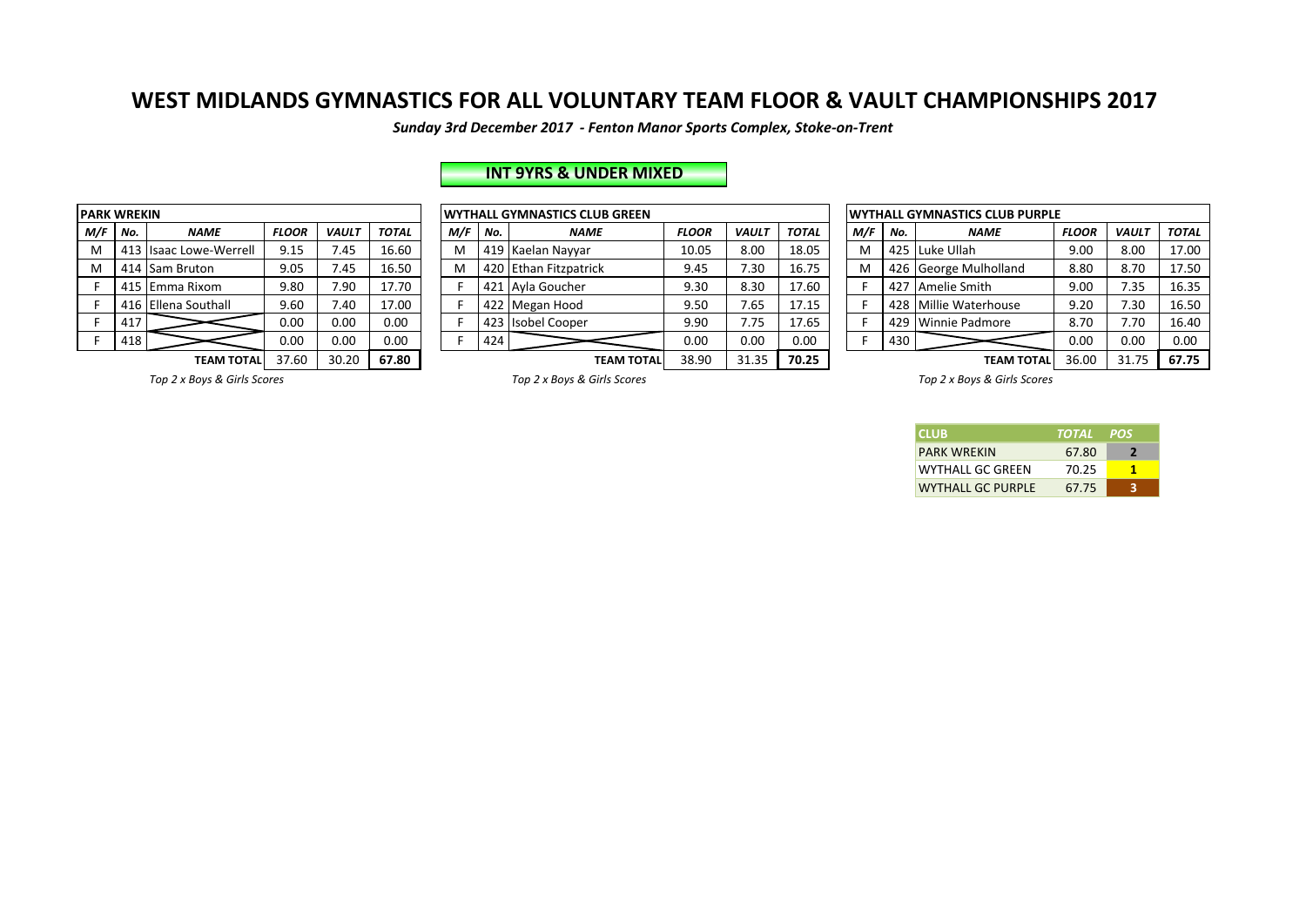*Sunday 3rd December 2017 - Fenton Manor Sports Complex, Stoke-on-Trent*

# **INT 9YRS & UNDER MIXED**

| <b>PARK WREKIN</b> |     |                           |              |              |              |
|--------------------|-----|---------------------------|--------------|--------------|--------------|
| M/F                | No. | <b>NAME</b>               | <b>FLOOR</b> | <b>VAULT</b> | <b>TOTAL</b> |
| M                  | 413 | <b>Isaac Lowe-Werrell</b> | 9.15         | 7.45         | 16.60        |
| M                  | 414 | Sam Bruton                | 9.05         | 7.45         | 16.50        |
| F                  | 415 | Emma Rixom                | 9.80         | 7.90         | 17.70        |
| F.                 | 416 | Ellena Southall           | 9.60         | 7.40         | 17.00        |
| F                  | 417 |                           | 0.00         | 0.00         | 0.00         |
| F                  | 418 |                           | 0.00         | 0.00         | 0.00         |
|                    |     |                           | 37.CO        | 20.22        | $- - - -$    |

|     | <b>ARK WREKIN</b> |                        |              |              |              |     |     | <b>WYTHALL GYMNASTICS CLUB GREEN</b> |              |              |              |     |     | <b>WYTHALL GYMNASTICS CLUB PURPLE</b> |              |              |              |
|-----|-------------------|------------------------|--------------|--------------|--------------|-----|-----|--------------------------------------|--------------|--------------|--------------|-----|-----|---------------------------------------|--------------|--------------|--------------|
| M/F | No.               | <b>NAME</b>            | <b>FLOOR</b> | <b>VAUL1</b> | <b>TOTAL</b> | M/F | No. | <b>NAME</b>                          | <b>FLOOR</b> | <b>VAULT</b> | <b>TOTAL</b> | M/F | No. | <b>NAME</b>                           | <b>FLOOR</b> | <b>VAUL1</b> | <b>TOTAL</b> |
| M   |                   | 413 Isaac Lowe-Werrell | 9.15         | 45.          | 16.60        |     |     | 419 Kaelan Nayyar                    | 10.05        | 8.00         | 18.05        | M   |     | 425 Luke Ullah                        | 9.00         | 8.00         | 17.00        |
| M   |                   | 414 Sam Bruton         | 9.05         | 1.45         | 16.50        |     |     | 420 Ethan Fitzpatrick                | 9.45         | 7.30         | 16.75        | M   |     | 426 George Mulholland                 | 8.80         | 8.70         | 17.50        |
|     |                   | 415 Emma Rixom         | 9.80         | 7.90         | 17.70        |     |     | 421 Ayla Goucher                     | 9.30         | 8.30         | 17.60        |     | 427 | Amelie Smith                          | 9.00         | 7.35         | 16.35        |
|     |                   | 416 Ellena Southall    | 9.60         | 40.          | 17.00        |     |     | 422 Megan Hood                       | 9.50         | 7.65         | 17.15        |     |     | 428 Millie Waterhouse                 | 9.20         | 7.30         | 16.50        |
|     | 417               |                        | 0.00         | 0.00         | 0.00         |     |     | 423 Isobel Cooper                    | 9.90         | 7.75         | 17.65        |     |     | 429 Winnie Padmore                    | 8.70         | 7.70         | 16.40        |
|     | 418               |                        | 0.00         | 0.00         | 0.00         |     | 424 |                                      | 0.00         | 0.00         | 0.00         |     | 430 |                                       | 0.00         | 0.00         | 0.00         |
|     |                   | TEARA TOTAL            | 27.50        | חר חכ        | C7 ON        |     |     | TEAM TOTAL                           | 2000         | <b>21.25</b> | <b>70.25</b> |     |     | <b>TEAMATOTAL</b>                     | $2C \cap 2C$ | 21.75        | 57.75        |

|                   |              |              |              |     |     | <b>IWYTHALL GYMNASTICS CLUB GREEN</b> |              |              |              |     |     | <b>IWYTHALL GYMNASTICS CLUB PURPLE</b> |              |              |              |
|-------------------|--------------|--------------|--------------|-----|-----|---------------------------------------|--------------|--------------|--------------|-----|-----|----------------------------------------|--------------|--------------|--------------|
| <b>VAME</b>       | <b>FLOOR</b> | <b>VAUL1</b> | <b>TOTAL</b> | M/F | No. | <b>NAME</b>                           | <b>FLOOR</b> | <b>VAULT</b> | <b>TOTAL</b> | M/F | No. | <b>NAME</b>                            | <b>FLOOR</b> | <b>VAULT</b> | <b>TOTAL</b> |
| we-Werrell        | 9.15         | 7.45         | 16.60        | M   |     | 419 Kaelan Nayyar                     | 10.05        | 8.00         | 18.05        | M   |     | 425 Luke Ullah                         | 9.00         | 8.00         | 17.00        |
| uton              | 9.05         | 7.45         | 16.50        | M   |     | 420 Ethan Fitzpatrick                 | 9.45         | 7.30         | 16.75        | M   |     | 426 George Mulholland                  | 8.80         | 8.70         | 17.50        |
| <b>Rixom</b>      | 9.80         | 7.90         | 17.70        |     |     | 421 Avla Goucher                      | 9.30         | 8.30         | 17.60        |     | 427 | Amelie Smith                           | 9.00         | 7.35         | 16.35        |
| outhall           | 9.60         | 7.40         | 17.00        |     |     | 422 Megan Hood                        | 9.50         | 7.65         | 17.15        |     |     | 428 Millie Waterhouse                  | 9.20         | 7.30         | 16.50        |
|                   | 0.00         | 0.00         | 0.00         |     |     | 423 Isobel Cooper                     | 9.90         | 7.75         | 17.65        |     |     | 429 Winnie Padmore                     | 8.70         | 1.70         | 16.40        |
|                   | 0.00         | 0.00         | 0.00         |     | 424 |                                       | 0.00         | 0.00         | 0.00         |     | 430 |                                        | 0.00         | 0.00         | 0.00         |
| <b>TEAM TOTAL</b> | 37.60        | 30.20        | 67.80        |     |     | <b>TEAM TOTAL</b>                     | 38.90        | 31.35        | 70.25        |     |     | <b>TEAM TOTAL</b>                      | 36.00        | 31.75        | 67.75        |

**Top** 2 x Boys & Girls Scores *Top 2* x Boys & Girls Scores *Top 2* x Boys & Girls Scores *Top 2* x Boys & Girls Scores *Top 2* x Boys & Girls Scores

| <b>ICLUB</b>             | TOTAL POS |   |
|--------------------------|-----------|---|
| <b>PARK WRFKIN</b>       | 67.80     | 2 |
| WYTHALL GC GREEN         | 70.25     |   |
| <b>WYTHALL GC PURPLE</b> | 67.75     | ર |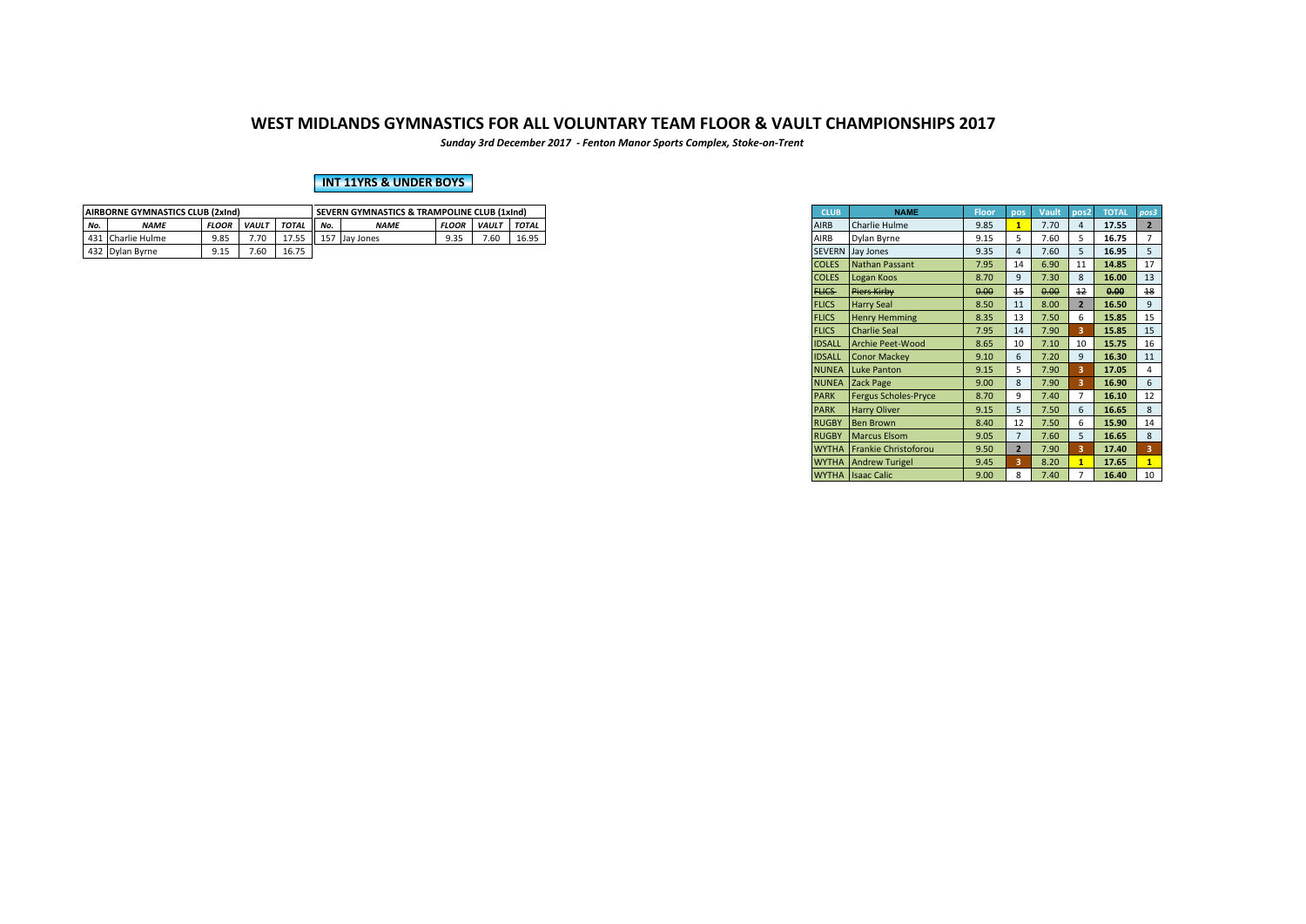*Sunday 3rd December 2017 - Fenton Manor Sports Complex, Stoke-on-Trent*

### **INT 11YRS & UNDER BOYS**

|     | <b>AIRBORNE GYMNASTICS CLUB (2xInd)</b> |              |                              |       |                                    | <b>SEVERN GYMNASTICS &amp; TRAMPOLINE CLUB (1xInd)</b> |                    |  |              |
|-----|-----------------------------------------|--------------|------------------------------|-------|------------------------------------|--------------------------------------------------------|--------------------|--|--------------|
| No. | <b>NAME</b>                             | <b>FLOOR</b> | <b>TOTAL</b><br><b>VAULT</b> |       |                                    | <b>NAME</b>                                            | <b>FLOOR VAULT</b> |  | <b>TOTAL</b> |
|     | 431 Charlie Hulme                       | 9.85         | 7.70                         | 17.55 | 7.60<br>16.95<br>Q 25<br>Jay Jones |                                                        |                    |  |              |
|     | 432 Dylan Byrne                         |              | 7.60                         | 16.75 |                                    |                                                        |                    |  |              |

| <b>CLUB</b>   | <b>NAME</b>                 | <b>Floor</b> | pos                     | <b>Vault</b> | pos2                    | <b>TOTAL</b> | pos3                    |
|---------------|-----------------------------|--------------|-------------------------|--------------|-------------------------|--------------|-------------------------|
| <b>AIRB</b>   | Charlie Hulme               | 9.85         | $\overline{\mathbf{1}}$ | 7.70         | $\overline{4}$          | 17.55        | $\overline{2}$          |
| AIRB          | Dylan Byrne                 | 9.15         | 5                       | 7.60         | 5                       | 16.75        | 7                       |
| <b>SEVERN</b> | Jay Jones                   | 9.35         | 4                       | 7.60         | 5                       | 16.95        | 5                       |
| <b>COLES</b>  | <b>Nathan Passant</b>       | 7.95         | 14                      | 6.90         | 11                      | 14.85        | 17                      |
| <b>COLES</b>  | Logan Koos                  | 8.70         | 9                       | 7.30         | 8                       | 16.00        | 13                      |
| FLICS-        | Piers Kirby                 | 0.00         | 15                      | 0.00         | 12                      | 0.00         | 18                      |
| <b>FLICS</b>  | <b>Harry Seal</b>           | 8.50         | 11                      | 8.00         | $\overline{2}$          | 16.50        | 9                       |
| <b>FLICS</b>  | <b>Henry Hemming</b>        | 8.35         | 13                      | 7.50         | 6                       | 15.85        | 15                      |
| <b>FLICS</b>  | <b>Charlie Seal</b>         | 7.95         | 14                      | 7.90         | 3                       | 15.85        | 15                      |
| <b>IDSALL</b> | <b>Archie Peet-Wood</b>     | 8.65         | 10                      | 7.10         | 10                      | 15.75        | 16                      |
| <b>IDSALL</b> | <b>Conor Mackey</b>         | 9.10         | 6                       | 7.20         | 9                       | 16.30        | 11                      |
| <b>NUNEA</b>  | <b>Luke Panton</b>          | 9.15         | 5                       | 7.90         | $\overline{\mathbf{3}}$ | 17.05        | 4                       |
| <b>NUNEA</b>  | <b>Zack Page</b>            | 9.00         | 8                       | 7.90         | 3                       | 16.90        | 6                       |
| <b>PARK</b>   | <b>Fergus Scholes-Pryce</b> | 8.70         | 9                       | 7.40         | 7                       | 16.10        | 12                      |
| <b>PARK</b>   | <b>Harry Oliver</b>         | 9.15         | 5                       | 7.50         | 6                       | 16.65        | 8                       |
| <b>RUGBY</b>  | <b>Ben Brown</b>            | 8.40         | 12                      | 7.50         | 6                       | 15.90        | 14                      |
| <b>RUGBY</b>  | <b>Marcus Elsom</b>         | 9.05         | $\overline{7}$          | 7.60         | 5                       | 16.65        | 8                       |
| <b>WYTHA</b>  | <b>Frankie Christoforou</b> | 9.50         | $\overline{2}$          | 7.90         | 3                       | 17.40        | $\overline{\mathbf{3}}$ |
| <b>WYTHA</b>  | <b>Andrew Turigel</b>       | 9.45         | 3                       | 8.20         | $\overline{1}$          | 17.65        | $\overline{1}$          |
| <b>WYTHA</b>  | <b>Isaac Calic</b>          | 9.00         | 8                       | 7.40         | 7                       | 16.40        | 10                      |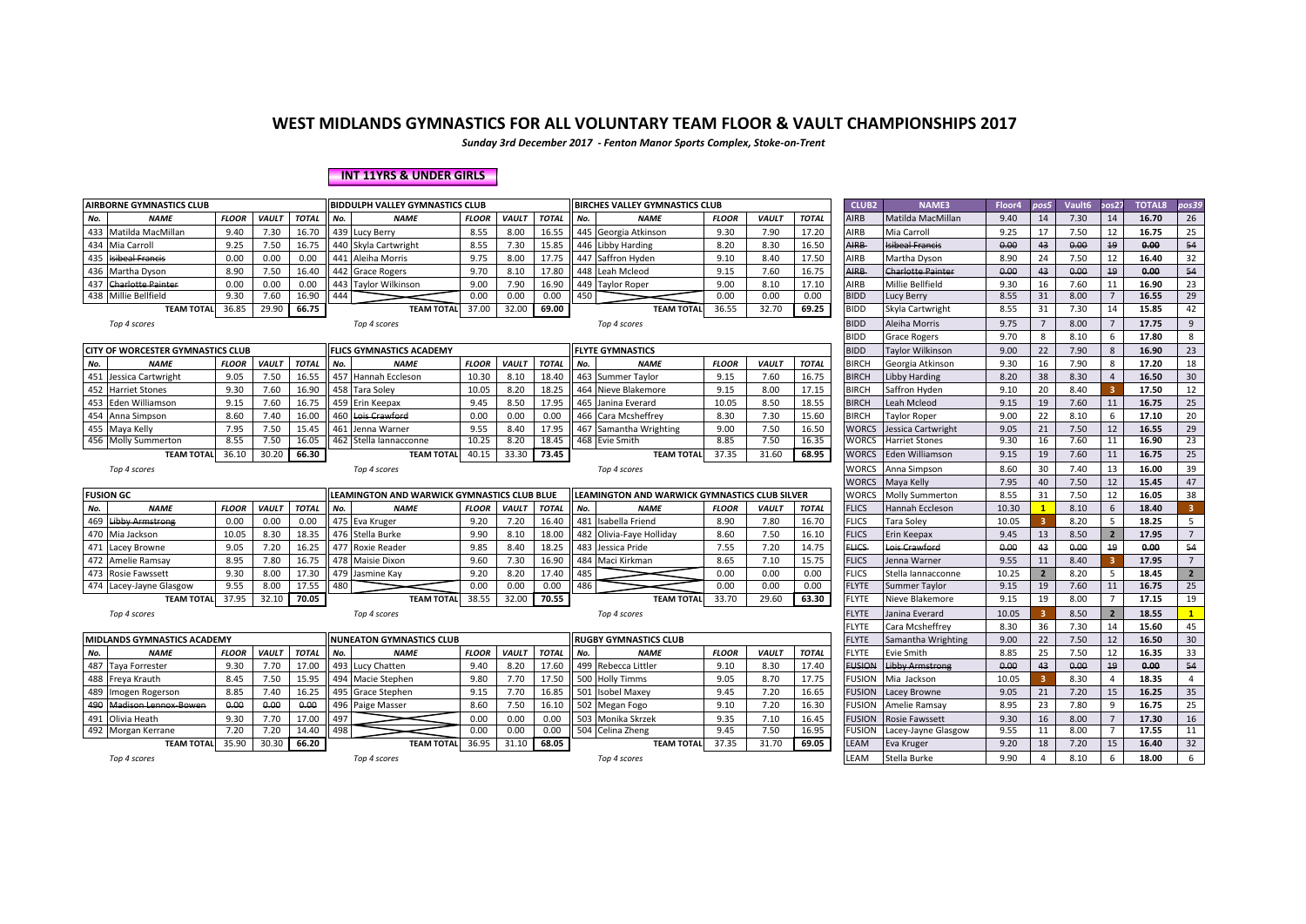*Sunday 3rd December 2017 - Fenton Manor Sports Complex, Stoke-on-Trent*

#### **INT 11YRS & UNDER GIRLS**

|     | <b>AIRBORNE GYMNASTICS CLUB</b><br>BIDDULPH VALLEY GYMNASTICS CLUB |              |              |              |     |                                             |              |              |              |     | <b>BIRCHES VALLEY GYMNASTICS CLUB</b>         |              |              |              | CLUB <sub>2</sub>  | <b>NAME3</b>               | Floor4       | pos5                 | Vault <sub>6</sub> | os27                    | <b>TOTAL8</b>  | os39                    |
|-----|--------------------------------------------------------------------|--------------|--------------|--------------|-----|---------------------------------------------|--------------|--------------|--------------|-----|-----------------------------------------------|--------------|--------------|--------------|--------------------|----------------------------|--------------|----------------------|--------------------|-------------------------|----------------|-------------------------|
| No. | <b>NAME</b>                                                        | <b>FLOOR</b> | <b>VAULT</b> | <b>TOTAL</b> | No. | <b>NAME</b>                                 | <b>FLOOR</b> | <b>VAULT</b> | <b>TOTAL</b> | No. | <b>NAME</b>                                   | <b>FLOOR</b> | <b>VAULT</b> | <b>TOTAL</b> | AIRB               | Matilda MacMillan          | 9.40         | 14                   | 7.30               | 14                      | 16.70          | 26                      |
| 433 | Matilda MacMillan                                                  | 9.40         | 7.30         | 16.70        |     | 439 Lucy Berry                              | 8.55         | 8.00         | 16.55        |     | 445 Georgia Atkinson                          | 9.30         | 7.90         | 17.20        | AIRB               | Mia Carroll                | 9.25         | 17                   | 7.50               | 12                      | 16.75          | 25                      |
| 434 | Mia Carroll                                                        | 9.25         | 7.50         | 16.75        |     | 440 Skyla Cartwright                        | 8.55         | 7.30         | 15.85        |     | 446 Libby Harding                             | 8.20         | 8.30         | 16.50        | AIRB-              | <b>Isibeal Francis</b>     | 0.00         | 43                   | 0.00               | 19                      | 0.00           | 54                      |
| 435 | <b>Isibeal Francis</b>                                             | 0.00         | 0.00         | 0.00         |     | 441 Aleiha Morris                           | 9.75         | 8.00         | 17.75        |     | 447 Saffron Hyden                             | 9.10         | 8.40         | 17.50        | AIRB               | Martha Dyson               | 8.90         | 24                   | 7.50               | 12                      | 16.40          | 32                      |
|     | 436 Martha Dyson                                                   | 8.90         | 7.50         | 16.40        |     | 442 Grace Rogers                            | 9.70         | 8.10         | 17.80        |     | 448 Leah Mcleod                               | 9.15         | 7.60         | 16.75        | <b>NIRB</b>        | <b>Charlotte Painter</b>   | 0.00         | 43                   | 0.00               | 19                      | 0.00           | 54                      |
| 437 | <b>Charlotte Painter</b>                                           | 0.00         | 0.00         | 0.00         |     | 443 Taylor Wilkinson                        | 9.00         | 7.90         | 16.90        |     | 449 Taylor Roper                              | 9.00         | 8.10         | 17.10        | AIRB               | Millie Bellfield           | 9.30         | 16                   | 7.60               | 11                      | 16.90          | 23                      |
|     | 438 Millie Bellfield                                               | 9.30         | 7.60         | 16.90        | 444 |                                             | 0.00         | 0.00         | 0.00         | 450 |                                               | 0.00         | 0.00         | 0.00         | <b>BIDD</b>        | Lucy Berry                 | 8.55         | 31                   | 8.00               | $\overline{7}$          | 16.55          | 29                      |
|     | <b>TEAM TOTAL</b>                                                  | 36.85        | 29.90        | 66.75        |     | <b>TEAM TOTAL</b>                           | 37.00        | 32.00        | 69.00        |     | <b>TEAM TOTAL</b>                             | 36.55        | 32.70        | 69.25        | <b>BIDD</b>        | Skyla Cartwright           | 8.55         | 31                   | 7.30               | 14                      | 15.85          | 42                      |
|     | Top 4 scores                                                       |              |              |              |     | Top 4 scores                                |              |              |              |     | Top 4 scores                                  |              |              |              | <b>BIDD</b>        | Aleiha Morris              | 9.75         |                      | 8.00               | $\overline{7}$          | 17.75          | 9                       |
|     |                                                                    |              |              |              |     |                                             |              |              |              |     |                                               |              |              |              | BIDD               | <b>Grace Rogers</b>        | 9.70         | 8                    | 8.10               | 6                       | 17.80          | 8                       |
|     | <b>CITY OF WORCESTER GYMNASTICS CLUB</b>                           |              |              |              |     | <b>FLICS GYMNASTICS ACADEMY</b>             |              |              |              |     | <b>FLYTE GYMNASTICS</b>                       |              |              |              | <b>BIDD</b>        | <b>Tavlor Wilkinson</b>    | 9.00         | 22                   | 7.90               | 8                       | 16.90          | 23                      |
| No. | <b>NAME</b>                                                        | <b>FLOOR</b> | <b>VAULT</b> | <b>TOTAL</b> | No. | <b>NAME</b>                                 | <b>FLOOR</b> | <b>VAULT</b> | <b>TOTAL</b> | No. | <b>NAME</b>                                   | <b>FLOOR</b> | <b>VAULT</b> | <b>TOTAL</b> | <b>BIRCH</b>       | Georgia Atkinson           | 9.30         | 16                   | 7.90               | 8                       | 17.20          | 18                      |
|     | 451 Jessica Cartwright                                             | 9.05         | 7.50         | 16.55        |     | 457 Hannah Eccleson                         | 10.30        | 8.10         | 18.40        |     | 463 Summer Taylor                             | 9.15         | 7.60         | 16.75        | <b>BIRCH</b>       | Libby Harding              | 8.20         | 38                   | 8.30               | $\overline{4}$          | 16.50          | 30                      |
| 452 | <b>Harriet Stones</b>                                              | 9.30         | 7.60         | 16.90        |     | 458 Tara Soley                              | 10.05        | 8.20         | 18.25        |     | 464 Nieve Blakemore                           | 9.15         | 8.00         | 17.15        | BIRCH              | Saffron Hyden              | 9.10         | 20                   | 8.40               | $\overline{\mathbf{3}}$ | 17.50          | 12                      |
| 453 | Eden Williamson                                                    | 9.15         | 7.60         | 16.75        |     | 459 Erin Keepax                             | 9.45         | 8.50         | 17.95        |     | 465 Janina Everard                            | 10.05        | 8.50         | 18.55        | <b>BIRCH</b>       | Leah Mcleod                | 9.15         | 19                   | 7.60               | 11                      | 16.75          | 25                      |
| 454 | Anna Simpson                                                       | 8.60         | 7.40         | 16.00        |     | 460 Lois Crawford                           | 0.00         | 0.00         | 0.00         |     | 466 Cara Mcsheffrey                           | 8.30         | 7.30         | 15.60        | <b>BIRCH</b>       | <b>Taylor Roper</b>        | 9.00         | 22                   | 8.10               | 6                       | 17.10          | 20                      |
|     | 455 Maya Kelly                                                     | 7.95         | 7.50         | 15.45        |     | 461 Jenna Warner                            | 9.55         | 8.40         | 17.95        |     | 467 Samantha Wrighting                        | 9.00         | 7.50         | 16.50        | <b>WORCS</b>       | Jessica Cartwright         | 9.05         | 21                   | 7.50               | 12                      | 16.55          | 29                      |
|     | 456 Molly Summerton                                                | 8.55         | 7.50         | 16.05        |     | 462 Stella lannacconne                      | 10.25        | 8.20         | 18.45        |     | 468 Evie Smith                                | 8.85         | 7.50         | 16.35        | <b>WORCS</b>       | Harriet Stones             | 9.30         | 16                   | 7.60               | 11                      | 16.90          | 23                      |
|     | <b>TEAM TOTAL</b>                                                  | 36.10        | 30.20        | 66.30        |     | <b>TEAM TOTAL</b>                           | 40.15        | 33.30        | 73.45        |     | <b>TEAM TOTAL</b>                             | 37.35        | 31.60        | 68.95        | <b>WORCS</b>       | <b>Eden Williamson</b>     | 9.15         | 19                   | 7.60               | 11                      | 16.75          | 25                      |
|     | Top 4 scores                                                       |              |              |              |     | Top 4 scores                                |              |              |              |     | Top 4 scores                                  |              |              |              | <b>WORCS</b>       | Anna Simpson               | 8.60         | 30                   | 7.40               | 13                      | 16.00          | 39                      |
|     |                                                                    |              |              |              |     |                                             |              |              |              |     |                                               |              |              |              | WORCS              | Maya Kelly                 | 7.95         | 40                   | 7.50               | 12                      | 15.45          | 47                      |
|     | <b>FUSION GC</b>                                                   |              |              |              |     | LEAMINGTON AND WARWICK GYMNASTICS CLUB BLUE |              |              |              |     | LEAMINGTON AND WARWICK GYMNASTICS CLUB SILVER |              |              |              | <b>WORCS</b>       | Molly Summerton            | 8.55         | 31                   | 7.50               | 12                      | 16.05          | 38                      |
| No. | <b>NAME</b>                                                        | <b>FLOOR</b> | <b>VAULT</b> | <b>TOTAL</b> | No. | <b>NAME</b>                                 | <b>FLOOR</b> | <b>VAULT</b> | <b>TOTAL</b> | No. | <b>NAME</b>                                   | <b>FLOOR</b> | <b>VAULT</b> | <b>TOTAL</b> | <b>FLICS</b>       | Hannah Eccleson            | 10.30        | $\mathbf{1}$         | 8.10               | 6                       | 18.40          | $\overline{\mathbf{3}}$ |
| 469 | <b>Libby Armstrong</b>                                             | 0.00         | 0.00         | 0.00         |     | 475 Eva Kruger                              | 9.20         | 7.20         | 16.40        | 481 | Isabella Friend                               | 8.90         | 7.80         | 16.70        | <b>FLICS</b>       | Tara Soley                 | 10.05        | 3                    | 8.20               | 5                       | 18.25          | 5                       |
|     |                                                                    |              |              |              |     |                                             |              |              |              |     |                                               |              |              |              |                    |                            |              |                      |                    |                         |                |                         |
|     | 470 Mia Jackson                                                    | 10.05        | 8.30         | 18.35        |     | 476 Stella Burke                            | 9.90         | 8.10         | 18.00        |     | 482 Olivia-Fave Hollidav                      | 8.60         | 7.50         | 16.10        | <b>FLICS</b>       | Erin Keepax                | 9.45         | 13                   | 8.50               | $\overline{2}$          | 17.95          | $\overline{7}$          |
| 471 | Lacey Browne                                                       | 9.05         | 7.20         | 16.25        |     | 477 Roxie Reader                            | 9.85         | 8.40         | 18.25        |     | 483 Jessica Pride                             | 7.55         | 7.20         | 14.75        | <b>FLICS</b>       | Lois Crawford              | 0.00         | 43                   | 0.00               | 19                      | 0.00           | 54                      |
|     | 472 Amelie Ramsay                                                  | 8.95         | 7.80         | 16.75        |     | 478 Maisie Dixon                            | 9.60         | 7.30         | 16.90        |     | 484 Maci Kirkman                              | 8.65         | 7.10         | 15.75        | <b>FLICS</b>       | Jenna Warner               | 9.55         | 11                   | 8.40               | -3                      | 17.95          | $7\overline{ }$         |
|     | 473 Rosie Fawssett                                                 | 9.30         | 8.00         | 17.30        |     | 479 Jasmine Kay                             | 9.20         | 8.20         | 17.40        | 485 |                                               | 0.00         | 0.00         | 0.00         | <b>FLICS</b>       | Stella Iannacconne         | 10.25        |                      | 8.20               | - 5                     | 18.45          | $\overline{2}$          |
|     | 474 Lacey-Jayne Glasgow                                            | 9.55         | 8.00         | 17.55        | 480 |                                             | 0.00         | 0.00         | 0.00         | 486 |                                               | 0.00         | 0.00         | 0.00         | <b>FLYTE</b>       | <b>Summer Taylor</b>       | 9.15         | 19                   | 7.60               | 11                      | 16.75          | 25                      |
|     | <b>TEAM TOTAL</b>                                                  | 37.95        | 32.10        | 70.05        |     | <b>TEAM TOTAL</b>                           | 38.55        | 32.00        | 70.55        |     | <b>TEAM TOTAL</b>                             | 33.70        | 29.60        | 63.30        | <b>FLYTE</b>       | Nieve Blakemore            | 9.15         | 19                   | 8.00               | $\overline{7}$          | 17.15          | 19                      |
|     | Top 4 scores                                                       |              |              |              |     | Top 4 scores                                |              |              |              |     | Top 4 scores                                  |              |              |              | <b>FLYTE</b>       | Janina Everard             | 10.05        | 3                    | 8.50               | $\overline{2}$          | 18.55          | $\mathbf{1}$            |
|     |                                                                    |              |              |              |     |                                             |              |              |              |     |                                               |              |              |              | <b>FLYTE</b>       | Cara Mcsheffrey            | 8.30         | 36                   | 7.30               | 14                      | 15.60          | 45                      |
|     | MIDLANDS GYMNASTICS ACADEMY                                        |              |              |              |     | <b>NUNEATON GYMNASTICS CLUB</b>             |              |              |              |     | <b>RUGBY GYMNASTICS CLUB</b>                  |              |              |              | <b>FLYTE</b>       | Samantha Wrighting         | 9.00         | 22                   | 7.50               | 12                      | 16.50          | 30                      |
| No. | <b>NAME</b>                                                        | <b>FLOOR</b> | <b>VAULT</b> | <b>TOTAL</b> | No. | <b>NAME</b>                                 | <b>FLOOR</b> | <b>VAULT</b> | <b>TOTAL</b> | No. | <b>NAME</b>                                   | <b>FLOOR</b> | <b>VAULT</b> | <b>TOTAL</b> | <b>FLYTE</b>       | Evie Smith                 | 8.85         | 25                   | 7.50               | 12                      | 16.35          | 33                      |
|     | 487 Taya Forrester                                                 | 9.30         | 7.70         | 17.00        |     | 493 Lucy Chatten                            | 9.40         | 8.20         | 17.60        |     | 499 Rebecca Littler                           | 9.10         | 8.30         | 17.40        | <b>FUSION</b>      | <b>Libby Armstrong</b>     | 0.00         | 43                   | 0.00               | 19                      | 0.00           | 54                      |
|     | 488 Freya Krauth                                                   | 8.45         | 7.50         | 15.95        |     | 494 Macie Stephen                           | 9.80         | 7.70         | 17.50        |     | 500 Holly Timms                               | 9.05         | 8.70         | 17.75        | <b>FUSION</b>      | Mia Jackson                | 10.05        | ు                    | 8.30               | $\overline{4}$          | 18.35          | $\overline{4}$          |
| 489 | Imogen Rogerson                                                    | 8.85         | 7.40         | 16.25        |     | 495 Grace Stephen                           | 9.15         | 7.70         | 16.85        | 501 | <b>Isobel Maxey</b>                           | 9.45         | 7.20         | 16.65        | <b>FUSION</b>      | Lacey Browne               | 9.05         | 21                   | 7.20               | 15                      | 16.25          | 35                      |
| 490 | <b>Madison Lennox Bowen</b>                                        | 0.00         | 0.00         | 0.00         |     | 496 Paige Masser                            | 8.60         | 7.50         | 16.10        |     | 502 Megan Fogo                                | 9.10         | 7.20         | 16.30        | <b>FUSION</b>      | Amelie Ramsay              | 8.95         | 23                   | 7.80               | 9                       | 16.75          | 25                      |
|     | 491 Olivia Heath                                                   | 9.30         | 7.70         | 17.00        | 497 |                                             | 0.00         | 0.00         | 0.00         |     | 503 Monika Skrzek                             | 9.35         | 7.10         | 16.45        | <b>FUSION</b>      | <b>Rosie Fawssett</b>      | 9.30         | 16                   | 8.00               | $\overline{7}$          | 17.30          | 16                      |
|     | 492 Morgan Kerrane                                                 | 7.20         | 7.20         | 14.40        | 498 |                                             | 0.00         | 0.00         | 0.00         |     | 504 Celina Zheng                              | 9.45         | 7.50         | 16.95        | <b>FUSION</b>      | Lacey-Jayne Glasgow        | 9.55         | 11                   | 8.00               |                         | 17.55          | 11                      |
|     | <b>TEAM TOTAL</b><br>Top 4 scores                                  | 35.90        | 30.30        | 66.20        |     | <b>TEAM TOTAL</b><br>Top 4 scores           | 36.95        | 31.10        | 68.05        |     | <b>TEAM TOTAL</b><br>Top 4 scores             | 37.35        | 31.70        | 69.05        | LEAM<br><b>EAM</b> | Eva Kruger<br>Stella Burke | 9.20<br>9.90 | 18<br>$\overline{a}$ | 7.20<br>8.10       | 15<br>6                 | 16.40<br>18.00 | 32<br>6                 |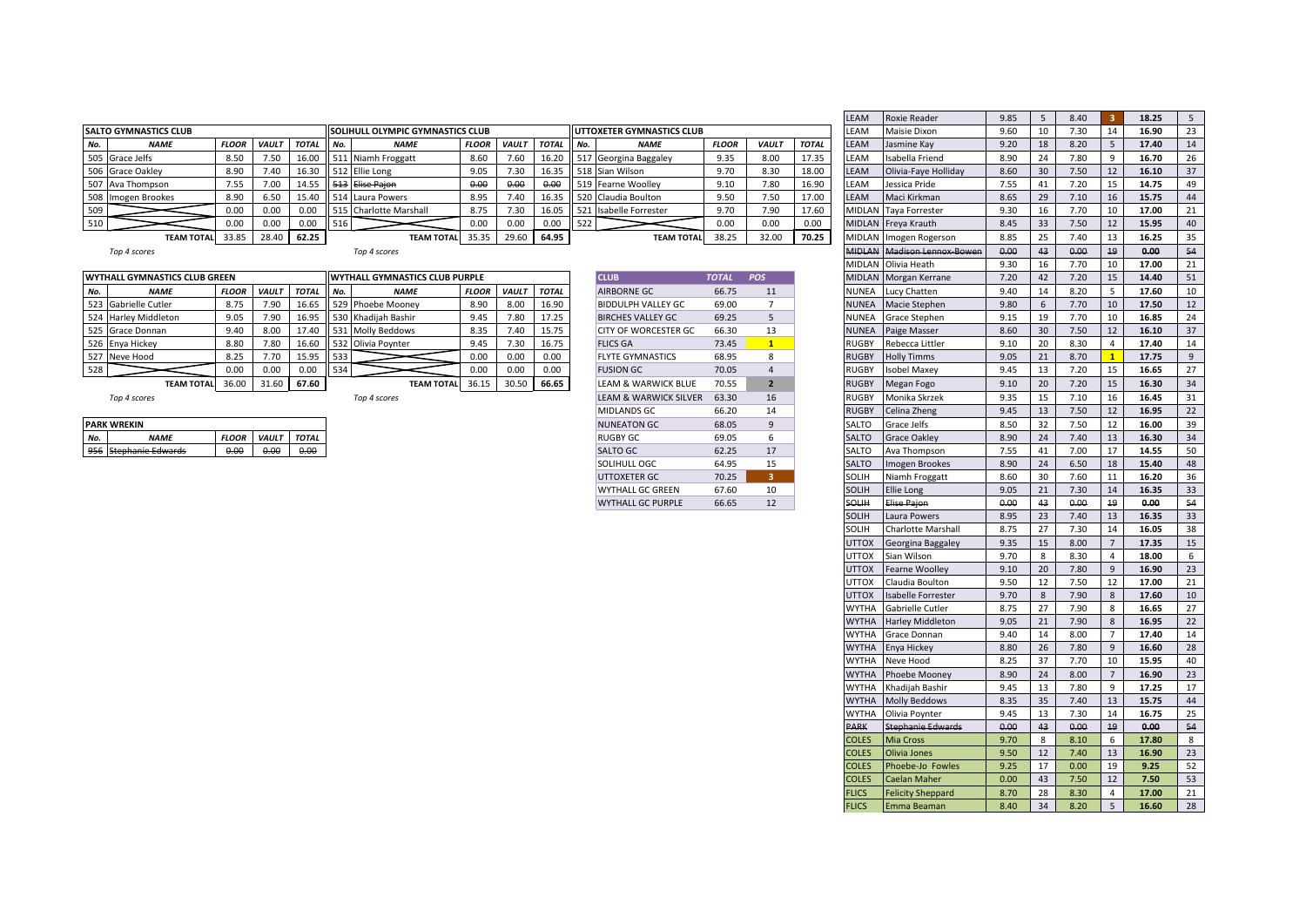|                                                                                      |                              |              |              |              |     |                                         |              |              |              |                   |                                    |              |              |              | $----$                 | $\cdots$                                                                                                        | $\sim$ |      | .    |       | $- - - -$ |  |
|--------------------------------------------------------------------------------------|------------------------------|--------------|--------------|--------------|-----|-----------------------------------------|--------------|--------------|--------------|-------------------|------------------------------------|--------------|--------------|--------------|------------------------|-----------------------------------------------------------------------------------------------------------------|--------|------|------|-------|-----------|--|
|                                                                                      | <b>SALTO GYMNASTICS CLUB</b> |              |              |              |     | <b>SOLIHULL OLYMPIC GYMNASTICS CLUB</b> |              |              |              |                   | <b>I UTTOXETER GYMNASTICS CLUB</b> |              |              |              | <b>LEAM</b>            | Maisie Dixon                                                                                                    | 9.60   |      | '.30 | 14    | 16.90     |  |
| No.                                                                                  | <b>NAME</b>                  | <b>FLOOR</b> | <b>VAULT</b> | <b>TOTAL</b> | No. | <b>NAME</b>                             | <b>FLOOR</b> | <b>VAULT</b> | <b>TOTAL</b> |                   | <b>NAME</b>                        | <b>FLOOI</b> | <b>VAULT</b> | <b>TOTAL</b> | <b>LEAM</b>            | Jasmine Kay                                                                                                     | 9.20   | 18   | 8.20 |       | 17.40     |  |
|                                                                                      | 505 Grace Jelfs              | 8.50         | 7.50         | 16.0         |     | 511 Niamh Froggatt                      | 8.60         | 7.60         | 16.20        |                   | 517 Georgina Baggaley              | 9.35         | 8.00         | 17.35        | <b>LEAM</b>            | Isabella Friend                                                                                                 | 8.90   |      | 7.80 |       | 16.70     |  |
|                                                                                      | 506 Grace Oakley             | 8.90         | 7.40         | 16.30        |     | 512 Ellie Long                          | 9.05         | 7.30         | 16.35        |                   | 518 Sian Wilson                    | 9.70         | 8.30         | 18.00        | <b>LEAM</b>            | Olivia-Faye Holliday                                                                                            | 8.60   | 30   | 7.50 | 12    | 16.10     |  |
|                                                                                      | 507 Ava Thompson             | 7.55         | 7.00         | L4.5         |     | 513 Elise Paion                         | 0.00         | 0.00         | 0.00         |                   | 519 Fearne Woollev                 | 9.10         | 7.80         | 16.90        | <b>LEAM</b>            | Jessica Pride                                                                                                   | 7.55   |      | 7.20 | 15    | 14.75     |  |
|                                                                                      | 508 Imogen Brookes           | 8.90         | 6.50         | 15.40        |     | 514 Laura Powers                        | 8.95         | 7.40         | 16.35        |                   | 520 Claudia Boulton                | 9.50         | 7.5C         | 17.00        | <b>LEAM</b>            | Maci Kirkman                                                                                                    | 8.65   | 29   | 7.10 | 16    | 15.75     |  |
| 1509                                                                                 |                              | 0.00         |              | 0.00         |     | 515 Charlotte Marshall                  | 8.75         | 7.30         | 16.05        |                   | 521 Isabelle Forrester             | 9.70         | 7.90         | 17.60        |                        | MIDLAN Taya Forrester                                                                                           | 9.30   |      | .70  | 10    | 17.00     |  |
| 510                                                                                  |                              |              | 0.00         | 0.00         | 516 |                                         | 0.00         | 0.00         | 0.00         | 522               |                                    | 0.00         | 0.00         | 0.00         |                        | MIDLAN Freya Krauth                                                                                             | 8.45   | 33   | 7.50 | 12    | 15.95     |  |
| 33.85<br>28.40<br>62.25<br>35.35<br>29.60<br><b>TEAM TOTAL</b><br><b>TEAM TOTALI</b> |                              |              |              |              |     |                                         |              | 64.95        |              | <b>TEAM TOTAL</b> | 38.25                              | 32.00        | 70.25        |              | MIDLAN Imogen Rogerson | 8.85                                                                                                            | 25     | 7.40 | 13   | 16.25 |           |  |
|                                                                                      |                              |              |              |              |     |                                         |              |              |              |                   |                                    |              |              |              |                        | the contract of the contract of the contract of the contract of the contract of the contract of the contract of |        |      |      |       |           |  |

|     | WYTHALL GYMNASTICS CLUB GREEN        |              |              |              |      | <b>WYTHALL GYMNASTICS CLUB PURPLE</b> |              |              |              | <b>CLUB</b>                 | <b>TOTAI</b> | <b>POS</b> |              | <b>MIDLAN</b> Morgan Kerrane | 7.20 |                 | .20  | 15 | 14.40 |  |
|-----|--------------------------------------|--------------|--------------|--------------|------|---------------------------------------|--------------|--------------|--------------|-----------------------------|--------------|------------|--------------|------------------------------|------|-----------------|------|----|-------|--|
| No. | <b>NAME</b>                          | <b>FLOOR</b> | <b>VAULT</b> | <b>TOTAL</b> | No.  | <b>NAME</b>                           | <b>FLOOI</b> | <b>VAULT</b> | <b>TOTAL</b> | <b>AIRBORNE GC</b>          | 66.75        | 11         | <b>NUNEA</b> | Lucy Chatten                 | 9.40 |                 | 8.20 |    | 17.60 |  |
|     | 523 Gabrielle Cutler                 | 8.75         | 7.90         | 16.65        |      | 529 Phoebe Mooney                     | 8.90         | 8.00         | 16.90        | <b>BIDDULPH VALLEY GC</b>   | 69.00        |            | <b>NUNEA</b> | Macie Stephen                | 9.80 |                 | 7.70 |    | 17.50 |  |
|     | 524 Harley Middleton                 | 9.05         | 7.90         | 16.95        |      | 530 Khadijah Bashir                   |              | 7.80         | 17.25        | <b>BIRCHES VALLEY GC</b>    | 69.25        |            | <b>NUNEA</b> | Grace Stephen                | 9.15 |                 | 7.70 | 10 | 16.85 |  |
|     | 525 Grace Donnan                     | 9.40         |              | 17.40        |      | 531 Molly Beddows                     |              | 7.40         | 15.75        | <b>CITY OF WORCESTER GC</b> | 66.30        | 13         | <b>NUNEA</b> | Paige Masser                 | 8.60 | 30 <sup>2</sup> | 7.50 | 12 | 16.10 |  |
|     | 526 Enya Hickey                      | 8.80         | 7.80         | 16.60        |      | 532 Olivia Poynter                    |              | 7.30         | 16.75        | <b>FLICS GA</b>             | 73.45        |            | <b>RUGBY</b> | Rebecca Littler              | 9.10 |                 | 8.30 |    | 17.40 |  |
|     | 527 Neve Hood                        | 8.25         | 7.70         | 15.95        | 1533 |                                       | 0.00         | 0.00         | 0.00         | <b>FLYTE GYMNASTICS</b>     | 68.95        |            | <b>RUGBY</b> | <b>Holly Timms</b>           | 9.05 |                 | 8.70 |    | 17.75 |  |
|     |                                      |              | 0.00         | 0.00         | 534  |                                       | 0.00         | 0.00         | 0.00         | <b>FUSION GC</b>            | 70.05        |            | <b>RUGBY</b> | Isobel Maxev                 | 9.45 |                 | 7.20 | 15 | 16.65 |  |
|     | 36.00<br>31.60<br><b>TEAM TOTALI</b> |              |              | 67.60        |      | <b>TEAM TOTAL</b>                     | 36.15        | 30.50        | 66.65        | LEAM & WARWICK BLUE         | 70.55        |            | <b>RUGBY</b> | Megan Fogo                   | 9.10 |                 | 7.20 | 15 | 16.30 |  |

|     | <b>IPARK WREKIN</b>      |              |              |              |
|-----|--------------------------|--------------|--------------|--------------|
|     | <b>NAMF</b>              | <b>FLOOR</b> | <b>VAULT</b> | <b>TOTAL</b> |
| 956 | <b>Stephanie Edwards</b> | ስ ስስ         |              |              |

| <b>CLUB</b>                      | <b>TOTAL</b> | <b>POS</b>     |
|----------------------------------|--------------|----------------|
| <b>AIRBORNE GC</b>               | 66.75        | 11             |
| <b>BIDDULPH VALLEY GC</b>        | 69.00        | 7              |
| <b>BIRCHES VALLEY GC</b>         | 69.25        | 5              |
| CITY OF WORCESTER GC             | 66.30        | 13             |
| <b>FLICS GA</b>                  | 73.45        | $\mathbf{1}$   |
| <b>FLYTE GYMNASTICS</b>          | 68.95        | 8              |
| <b>FUSION GC</b>                 | 70.05        | $\overline{4}$ |
| LEAM & WARWICK BLUE              | 70.55        | $\overline{2}$ |
| <b>LEAM &amp; WARWICK SILVER</b> | 63.30        | 16             |
| MIDLANDS GC                      | 66.20        | 14             |
| <b>NUNEATON GC</b>               | 68.05        | 9              |
| <b>RUGBY GC</b>                  | 69.05        | 6              |
| SALTO GC                         | 62.25        | 17             |
| SOLIHULL OGC                     | 64.95        | 15             |
| <b>UTTOXETER GC</b>              | 70.25        | 3              |
| WYTHALL GC GREEN                 | 67.60        | 10             |
| <b>WYTHALL GC PURPLE</b>         | 66.65        | 12             |

|                               |              |              |              |     |                                  |              |              |              |                           |              |                |              | LEAM          | Roxie Reader              | 9.85 | 5  | 8.40 | -3               | 18.25 | 5 <sup>5</sup>   |
|-------------------------------|--------------|--------------|--------------|-----|----------------------------------|--------------|--------------|--------------|---------------------------|--------------|----------------|--------------|---------------|---------------------------|------|----|------|------------------|-------|------------------|
| <b>SALTO GYMNASTICS CLUB</b>  |              |              |              |     | SOLIHULL OLYMPIC GYMNASTICS CLUB |              |              |              | UTTOXETER GYMNASTICS CLUB |              |                |              | LEAM          | <b>Maisie Dixon</b>       | 9.60 | 10 | 7.30 | 14               | 16.90 | 23               |
| <b>NAME</b><br>No.            | <b>FLOOR</b> | <b>VAULT</b> | <b>TOTAL</b> | No. | <b>NAME</b>                      | FLOOR        | <b>VAULT</b> | <b>TOTAL</b> | No.<br><b>NAME</b>        | <b>FLOOR</b> | <b>VAULT</b>   | <b>TOTAL</b> | LEAM          | Jasmine Kay               | 9.20 | 18 | 8.20 | 5                | 17.40 | 14               |
| 505<br>Grace Jelfs            | 8.50         | 7.50         | 16.00        |     | 511 Niamh Froggatt               | 8.60         | 7.60         | 16.20        | 517 Georgina Baggaley     | 9.35         | 8.00           | 17.35        | LEAM          | Isabella Friend           | 8.90 | 24 | 7.80 | 9                | 16.70 | 26               |
| 506<br><b>Grace Oakley</b>    | 8.90         | 7.40         | 16.30        |     | 512 Ellie Long                   | 9.05         | 7.30         | 16.35        | 518 Sian Wilson           | 9.70         | 8.30           | 18.00        | LEAM          | Olivia-Faye Holliday      | 8.60 | 30 | 7.50 | 12               | 16.10 | 37               |
| 507 Ava Thompson              | 7.55         | 7.00         | 14.55        |     | 513 Elise Pajon                  | 0.00         | 0.00         | 0.00         | 519 Fearne Woolley        | 9.10         | 7.80           | 16.90        | LEAM          | Jessica Pride             | 7.55 | 41 | 7.20 | 15               | 14.75 | 49               |
| 508<br>Imogen Brookes         | 8.90         | 6.50         | 15.40        |     | 514 Laura Powers                 | 8.95         | 7.40         | 16.35        | 520 Claudia Boulton       | 9.50         | 7.50           | 17.00        | LEAM          | Maci Kirkman              | 8.65 | 29 | 7.10 | 16               | 15.75 | 44               |
| 509                           | 0.00         | 0.00         | 0.00         |     | 515 Charlotte Marshall           | 8.75         | 7.30         | 16.05        | 521 Isabelle Forrester    | 9.70         | 7.90           | 17.60        | MIDLAN        | <b>Taya Forrester</b>     | 9.30 | 16 | 7.70 | 10               | 17.00 | 21               |
| 510                           | 0.00         | 0.00         | 0.00         | 516 |                                  | 0.00         | 0.00         | 0.00         | 522                       | 0.00         | 0.00           | 0.00         | <b>MIDLAN</b> | Freya Krauth              | 8.45 | 33 | 7.50 | 12               | 15.95 | 40               |
| <b>TEAM TOTAL</b>             | 33.85        | 28.40        | 62.25        |     | <b>TEAM TOTAL</b>                | 35.35        | 29.60        | 64.95        | <b>TEAM TOTAL</b>         | 38.25        | 32.00          | 70.25        | <b>MIDLAN</b> | Imogen Rogerson           | 8.85 | 25 | 7.40 | 13               | 16.25 | 35               |
| Top 4 scores                  |              |              |              |     | Top 4 scores                     |              |              |              |                           |              |                |              | <b>MIDLAN</b> | Madison Lennox-Bowen      | 0.00 | 43 | 0.00 | 19               | 0.00  | 54               |
|                               |              |              |              |     |                                  |              |              |              |                           |              |                |              | MIDLAN        | Olivia Heath              | 9.30 | 16 | 7.70 | 10               | 17.00 | 21               |
| WYTHALL GYMNASTICS CLUB GREEN |              |              |              |     | WYTHALL GYMNASTICS CLUB PURPLE   |              |              |              | <b>CLUB</b>               | <b>TOTAL</b> | <b>POS</b>     |              | <b>MIDLAN</b> | Morgan Kerrane            | 7.20 | 42 | 7.20 | 15               | 14.40 | 51               |
| <b>NAME</b><br>No.            | <b>FLOOR</b> | <b>VAULT</b> | <b>TOTAL</b> | No. | <b>NAME</b>                      | <b>FLOOR</b> | <b>VAULT</b> | <b>TOTAL</b> | AIRBORNE GC               | 66.75        | 11             |              | NUNEA         | Lucy Chatten              | 9.40 | 14 | 8.20 | 5                | 17.60 | 10 <sup>10</sup> |
| 523 Gabrielle Cutler          | 8.75         | 7.90         | 16.65        |     | 529 Phoebe Mooney                | 8.90         | 8.00         | 16.90        | <b>BIDDULPH VALLEY GC</b> | 69.00        | $\overline{7}$ |              | NUNEA         | Macie Stephen             | 9.80 | 6  | 7.70 | 10               | 17.50 | 12               |
| 524 Harley Middleton          | 9.05         | 7.90         | 16.95        |     | 530 Khadijah Bashir              | 9.45         | 7.80         | 17.25        | <b>BIRCHES VALLEY GC</b>  | 69.25        | 5              |              | NUNEA         | Grace Stephen             | 9.15 | 19 | 7.70 | 10               | 16.85 | 24               |
| 525 Grace Donnan              | 9.40         | 8.00         | 17.40        |     | 531 Molly Beddows                | 8.35         | 7.40         | 15.75        | CITY OF WORCESTER GC      | 66.30        | 13             |              | NUNEA         | Paige Masser              | 8.60 | 30 | 7.50 | 12               | 16.10 | 37               |
| 526 Enya Hickey               | 8.80         | 7.80         | 16.60        |     | 532 Olivia Poynter               | 9.45         | 7.30         | 16.75        | <b>FLICS GA</b>           | 73.45        | 1              |              | RUGBY         | Rebecca Littler           | 9.10 | 20 | 8.30 | $\overline{4}$   | 17.40 | 14               |
| 527 Neve Hood                 | 8.25         | 7.70         | 15.95        | 533 |                                  | 0.00         | 0.00         | 0.00         | <b>FLYTE GYMNASTICS</b>   | 68.95        | 8              |              | RUGBY         | <b>Holly Timms</b>        | 9.05 | 21 | 8.70 | $\mathbf{1}$     | 17.75 | 9                |
| 528                           | 0.00         | 0.00         | 0.00         | 534 |                                  | 0.00         | 0.00         | 0.00         | <b>FUSION GC</b>          | 70.05        | $\overline{4}$ |              | RUGBY         | <b>Isobel Maxey</b>       | 9.45 | 13 | 7.20 | 15               | 16.65 | 27               |
| <b>TEAM TOTAL</b>             | 36.00        | 31.60        | 67.60        |     | <b>TEAM TOTAL</b>                | 36.15        | 30.50        | 66.65        | LEAM & WARWICK BLUE       | 70.55        | $\overline{2}$ |              | RUGBY         | Megan Fogo                | 9.10 | 20 | 7.20 | 15               | 16.30 | 34               |
| Top 4 scores                  |              |              |              |     | Top 4 scores                     |              |              |              | LEAM & WARWICK SILVER     | 63.30        | 16             |              | RUGBY         | Monika Skrzek             | 9.35 | 15 | 7.10 | 16               | 16.45 | 31               |
|                               |              |              |              |     |                                  |              |              |              | <b>MIDLANDS GC</b>        | 66.20        | 14             |              | <b>RUGBY</b>  | Celina Zheng              | 9.45 | 13 | 7.50 | 12               | 16.95 | 22               |
| <b>PARK WREKIN</b>            |              |              |              |     |                                  |              |              |              | <b>NUNEATON GC</b>        | 68.05        | 9              |              | SALTO         | Grace Jelfs               | 8.50 | 32 | 7.50 | 12               | 16.00 | 39               |
| <b>NAME</b><br>No.            | <b>FLOOR</b> | <b>VAULT</b> | <b>TOTAL</b> |     |                                  |              |              |              | <b>RUGBY GC</b>           | 69.05        | 6              |              | SALTO         | <b>Grace Oakley</b>       | 8.90 | 24 | 7.40 | 13               | 16.30 | 34               |
| 956 Stephanie Edwards         | 0.00         | 0.00         | 0.00         |     |                                  |              |              |              | <b>SALTO GC</b>           | 62.25        | 17             |              | SALTO         | Ava Thompson              | 7.55 | 41 | 7.00 | 17               | 14.55 | 50               |
|                               |              |              |              |     |                                  |              |              |              | SOLIHULL OGC              | 64.95        | 15             |              | SALTO         | Imogen Brookes            | 8.90 | 24 | 6.50 | 18               | 15.40 | 48               |
|                               |              |              |              |     |                                  |              |              |              | <b>UTTOXETER GC</b>       | 70.25        | 3 <sup>2</sup> |              | SOLIH         | Niamh Froggatt            | 8.60 | 30 | 7.60 | 11               | 16.20 | 36               |
|                               |              |              |              |     |                                  |              |              |              | WYTHALL GC GREEN          | 67.60        | 10             |              | SOLIH         | <b>Ellie Long</b>         | 9.05 | 21 | 7.30 | $14\,$           | 16.35 | 33               |
|                               |              |              |              |     |                                  |              |              |              | <b>WYTHALL GC PURPLE</b>  | 66.65        | 12             |              | SOLIH         | <b>Elise Pajon</b>        | 0.00 | 43 | 0.00 | ${\bf 19}$       | 0.00  | 54               |
|                               |              |              |              |     |                                  |              |              |              |                           |              |                |              | SOLIH         | Laura Powers              | 8.95 | 23 | 7.40 | 13               | 16.35 | 33               |
|                               |              |              |              |     |                                  |              |              |              |                           |              |                |              | SOLIH         | <b>Charlotte Marshall</b> | 8.75 | 27 | 7.30 | 14               | 16.05 | 38               |
|                               |              |              |              |     |                                  |              |              |              |                           |              |                |              | <b>NOTTU</b>  | Georgina Baggaley         | 9.35 | 15 | 8.00 | $\overline{7}$   | 17.35 | 15               |
|                               |              |              |              |     |                                  |              |              |              |                           |              |                |              | <b>UTTOX</b>  | Sian Wilson               | 9.70 | 8  | 8.30 | $\overline{4}$   | 18.00 | 6                |
|                               |              |              |              |     |                                  |              |              |              |                           |              |                |              | UTTOX         | <b>Fearne Woolley</b>     | 9.10 | 20 | 7.80 | 9                | 16.90 | 23               |
|                               |              |              |              |     |                                  |              |              |              |                           |              |                |              | <b>XOTTL</b>  | Claudia Boulton           | 9.50 | 12 | 7.50 | 12               | 17.00 | 21               |
|                               |              |              |              |     |                                  |              |              |              |                           |              |                |              | UTTOX         | Isabelle Forrester        | 9.70 | 8  | 7.90 | 8                | 17.60 | 10 <sup>10</sup> |
|                               |              |              |              |     |                                  |              |              |              |                           |              |                |              | <b>WYTHA</b>  | Gabrielle Cutler          | 8.75 | 27 | 7.90 | 8                | 16.65 | 27               |
|                               |              |              |              |     |                                  |              |              |              |                           |              |                |              | <b>WYTHA</b>  | <b>Harley Middleton</b>   | 9.05 | 21 | 7.90 | $\boldsymbol{8}$ | 16.95 | 22               |
|                               |              |              |              |     |                                  |              |              |              |                           |              |                |              | WYTHA         | Grace Donnan              | 9.40 | 14 | 8.00 | $\overline{7}$   | 17.40 | 14               |
|                               |              |              |              |     |                                  |              |              |              |                           |              |                |              | WYTHA         | Enya Hickey               | 8.80 | 26 | 7.80 | 9                | 16.60 | 28               |
|                               |              |              |              |     |                                  |              |              |              |                           |              |                |              | WYTHA         | Neve Hood                 | 8.25 | 37 | 7.70 | 10               | 15.95 | 40               |
|                               |              |              |              |     |                                  |              |              |              |                           |              |                |              | <b>WYTHA</b>  | <b>Phoebe Mooney</b>      | 8.90 | 24 | 8.00 | $\overline{7}$   | 16.90 | 23               |
|                               |              |              |              |     |                                  |              |              |              |                           |              |                |              | WYTHA         | Khadijah Bashir           | 9.45 | 13 | 7.80 | 9                | 17.25 | 17               |
|                               |              |              |              |     |                                  |              |              |              |                           |              |                |              | WYTHA         | <b>Molly Beddows</b>      | 8.35 | 35 | 7.40 | 13               | 15.75 | 44               |
|                               |              |              |              |     |                                  |              |              |              |                           |              |                |              | WYTHA         | Olivia Poynter            | 9.45 | 13 | 7.30 | 14               | 16.75 | 25               |
|                               |              |              |              |     |                                  |              |              |              |                           |              |                |              | <b>PARK</b>   | <b>Stephanie Edwards</b>  | 0.00 | 43 | 0.00 | 19               | 0.00  | 54               |
|                               |              |              |              |     |                                  |              |              |              |                           |              |                |              | <b>COLES</b>  | <b>Mia Cross</b>          | 9.70 | 8  | 8.10 | 6                | 17.80 | 8                |
|                               |              |              |              |     |                                  |              |              |              |                           |              |                |              | <b>COLES</b>  | Olivia Jones              | 9.50 | 12 | 7.40 | 13               | 16.90 | 23               |
|                               |              |              |              |     |                                  |              |              |              |                           |              |                |              | <b>COLES</b>  | Phoebe-Jo Fowles          | 9.25 | 17 | 0.00 | 19               | 9.25  | 52               |
|                               |              |              |              |     |                                  |              |              |              |                           |              |                |              | <b>COLES</b>  | <b>Caelan Maher</b>       | 0.00 | 43 | 7.50 | 12               | 7.50  | 53               |
|                               |              |              |              |     |                                  |              |              |              |                           |              |                |              | <b>ELICS</b>  | <b>Felicity Sheppard</b>  | 8.70 | 28 | 8.30 | $\overline{4}$   | 17.00 | 21               |
|                               |              |              |              |     |                                  |              |              |              |                           |              |                |              | <b>FLICS</b>  | Emma Beaman               | 8.40 | 34 | 8.20 | $5\overline{5}$  | 16.60 | 28               |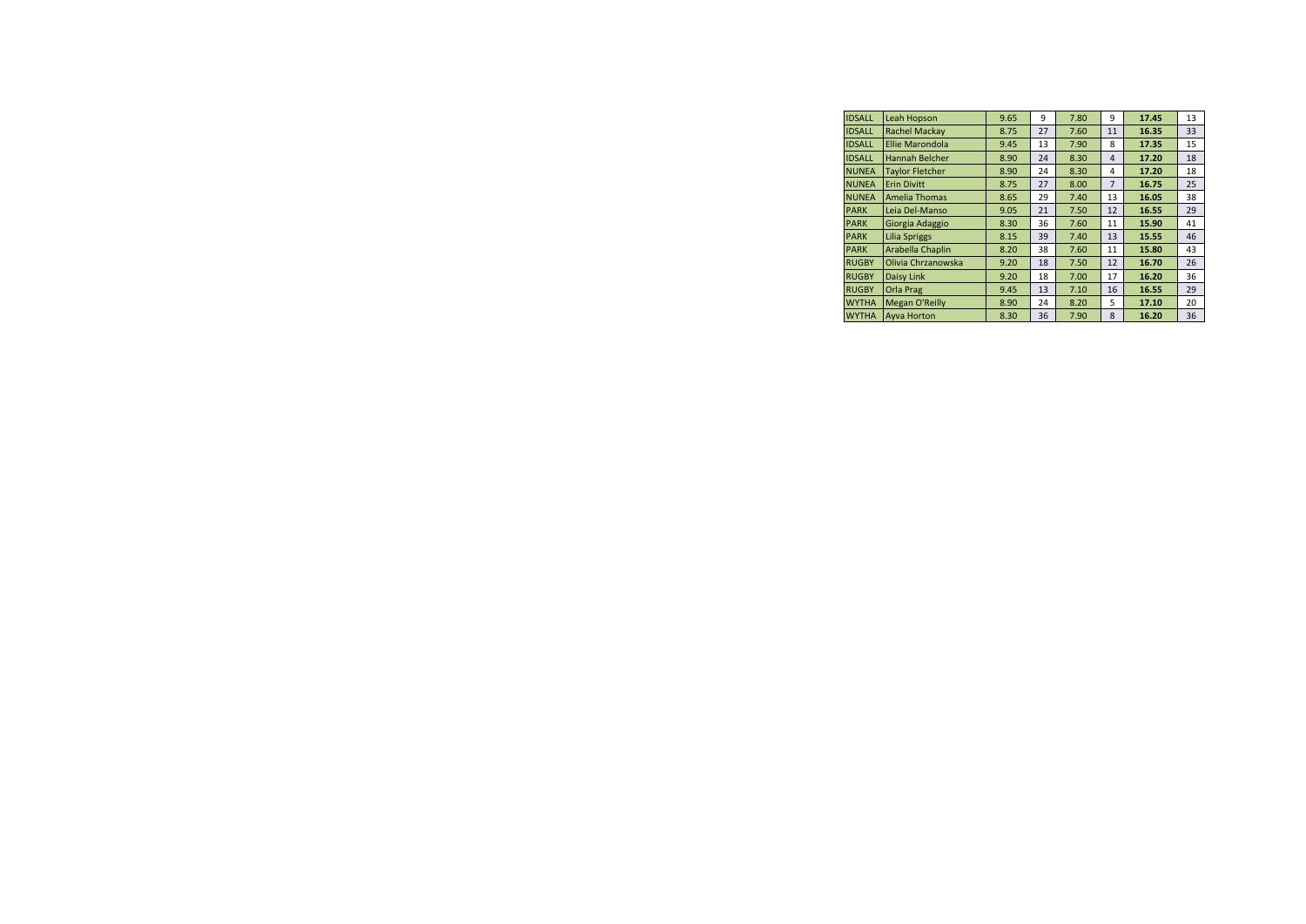| <b>IDSALL</b> | Leah Hopson            | 9.65 | 9  | 7.80 | 9              | 17.45 | 13 |
|---------------|------------------------|------|----|------|----------------|-------|----|
| <b>IDSALL</b> | <b>Rachel Mackav</b>   | 8.75 | 27 | 7.60 | 11             | 16.35 | 33 |
| <b>IDSALL</b> | <b>Ellie Marondola</b> | 9.45 | 13 | 7.90 | 8              | 17.35 | 15 |
| <b>IDSALL</b> | Hannah Belcher         | 8.90 | 24 | 8.30 | $\overline{4}$ | 17.20 | 18 |
| <b>NUNEA</b>  | <b>Taylor Fletcher</b> | 8.90 | 24 | 8.30 | 4              | 17.20 | 18 |
| <b>NUNEA</b>  | <b>Erin Divitt</b>     | 8.75 | 27 | 8.00 | $\overline{7}$ | 16.75 | 25 |
| <b>NUNEA</b>  | <b>Amelia Thomas</b>   | 8.65 | 29 | 7.40 | 13             | 16.05 | 38 |
| <b>PARK</b>   | Leia Del-Manso         | 9.05 | 21 | 7.50 | 12             | 16.55 | 29 |
| <b>PARK</b>   | Giorgia Adaggio        | 8.30 | 36 | 7.60 | 11             | 15.90 | 41 |
| <b>PARK</b>   | <b>Lilia Spriggs</b>   | 8.15 | 39 | 7.40 | 13             | 15.55 | 46 |
| <b>PARK</b>   | Arabella Chaplin       | 8.20 | 38 | 7.60 | 11             | 15.80 | 43 |
| <b>RUGBY</b>  | Olivia Chrzanowska     | 9.20 | 18 | 7.50 | 12             | 16.70 | 26 |
| <b>RUGBY</b>  | Daisy Link             | 9.20 | 18 | 7.00 | 17             | 16.20 | 36 |
| <b>RUGBY</b>  | <b>Orla Prag</b>       | 9.45 | 13 | 7.10 | 16             | 16.55 | 29 |
| <b>WYTHA</b>  | <b>Megan O'Reilly</b>  | 8.90 | 24 | 8.20 | 5              | 17.10 | 20 |
| <b>WYTHA</b>  | <b>Avva Horton</b>     | 8.30 | 36 | 7.90 | 8              | 16.20 | 36 |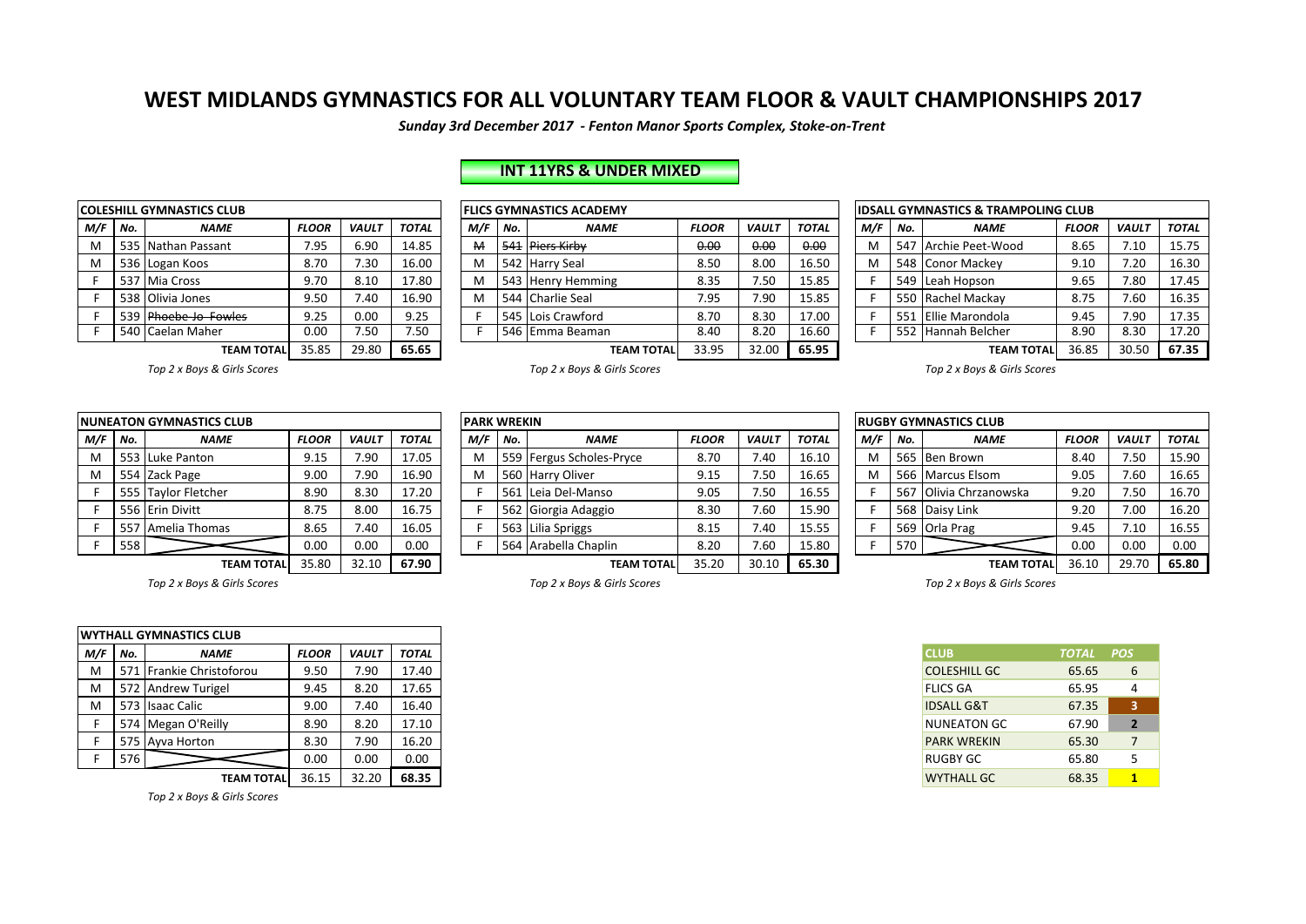*Sunday 3rd December 2017 - Fenton Manor Sports Complex, Stoke-on-Trent*

|     |     | <b>COLESHILL GYMNASTICS CLUB</b> |              |              |              |                 |     | <b>FLICS GYMNASTICS ACADEMY</b> |
|-----|-----|----------------------------------|--------------|--------------|--------------|-----------------|-----|---------------------------------|
| M/F | No. | <b>NAME</b>                      | <b>FLOOR</b> | <b>VAULT</b> | <b>TOTAL</b> | M/F             | No. | <b>NAME</b>                     |
| м   |     | 535 Nathan Passant               | 7.95         | 6.90         | 14.85        | M               | 541 | <b>Piers Kirby</b>              |
| M   |     | 536 Logan Koos                   | 8.70         | 7.30         | 16.00        | M               |     | 542 Harry Seal                  |
| F   | 537 | Mia Cross                        | 9.70         | 8.10         | 17.80        | M               |     | 543 Henry Hemming               |
|     |     | 538 Olivia Jones                 | 9.50         | 7.40         | 16.90        | M               |     | 544 Charlie Seal                |
| F   | 539 | Phoebe-Jo Fowles                 | 9.25         | 0.00         | 9.25         |                 |     | 545 Lois Crawford               |
| F   |     | 540 Caelan Maher                 | 7.50         | F            |              | 546 Emma Beaman |     |                                 |
|     |     | <b>TEAM TOTAL</b>                | 35.85        | 29.80        | 65.65        |                 |     | TEA                             |

# **INT 11YRS & UNDER MIXED**

|         |                                              | <b>COLESHILL GYMNASTICS CLUB</b> |              |                 |              |     |     | <b>FLICS GYMNASTICS ACADEMY</b> |              |              |              |     |     | <b>IDSALL GYMNASTICS &amp; TRAMPOLING CLUB</b> |              |              |              |
|---------|----------------------------------------------|----------------------------------|--------------|-----------------|--------------|-----|-----|---------------------------------|--------------|--------------|--------------|-----|-----|------------------------------------------------|--------------|--------------|--------------|
| M/F No. |                                              | <b>NAME</b>                      | <b>FLOOR</b> | <b>VAULT</b>    | <b>TOTAL</b> | M/F | No. | <b>NAME</b>                     | <b>FLOOR</b> | <b>VAULT</b> | <b>TOTAL</b> | M/F | No. | <b>NAME</b>                                    | <b>FLOOR</b> | <b>VAULT</b> | <b>TOTAL</b> |
| м       | 535                                          | i Nathan Passant                 | 7.95         | 6.90            | 14.85        | M   |     | 541 Piers Kirby                 | 0.00         | 0.00         | 0.00         |     |     | 547 Archie Peet-Wood                           | 8.65         | 7.10         | 15.75        |
| M       |                                              | 536 Logan Koos                   | 8.70         | $^{\prime}$ .30 | 16.00        | M   |     | 542 Harry Seal                  | 8.50         | 8.00         | 16.50        |     |     | 548 Conor Mackey                               | 9.10         | 7.20         | 16.30        |
|         | .537                                         | 7   Mia Cross                    | 9.70         | 8.10            | 17.80        | M   |     | 543 Henry Hemming               | 8.35         | 7.50         | 15.85        |     |     | 549 Leah Hopson                                | 9.65         | 7.80         | 17.45        |
|         |                                              | 538 Olivia Jones                 | 9.50         | 7.40            | 16.90        | M   |     | 544 Charlie Seal                | 7.95         | 7.90         | 15.85        |     |     | 550 Rachel Mackay                              | 8.75         | 7.60         | 16.35        |
|         | 539                                          | <b>Phoebe-Jo Fowles</b>          | 9.25         | 0.00            | 9.25         |     |     | 545 Lois Crawford               | 8.70         | 8.30         | 17.00        |     | 551 | L Ellie Marondola                              | 9.45         | 7.90         | 17.35        |
|         |                                              | 540   Caelan Maher               | 0.00         | 7.50            | 7.50         |     |     | 546 Emma Beaman                 | 8.40         | 8.20         | 16.60        |     |     | 552 Hannah Belcher                             | 8.90         | 8.30         | 17.20        |
|         | 65.65<br>35.85<br>29.80<br><b>TEAM TOTAL</b> |                                  |              |                 |              |     |     | <b>TEAM TOTAL</b>               | 33.95        | 32.00        | 65.95        |     |     | <b>TEAM TOTAL</b>                              | 36.85        | 30.50        | 67.35        |

| <b>IDSALL GYMNASTICS &amp; TRAMPOLING CLUB</b> |     |                   |              |              |              |  |  |  |  |  |  |  |
|------------------------------------------------|-----|-------------------|--------------|--------------|--------------|--|--|--|--|--|--|--|
| M/F                                            | No. | <b>NAME</b>       | <b>FLOOR</b> | <b>VAULT</b> | <b>TOTAL</b> |  |  |  |  |  |  |  |
| м                                              | 547 | Archie Peet-Wood  | 8.65         | 7.10         | 15.75        |  |  |  |  |  |  |  |
| м                                              | 548 | Conor Mackey      | 9.10         | 7.20         | 16.30        |  |  |  |  |  |  |  |
| F                                              | 549 | Leah Hopson       | 9.65         | 7.80         | 17.45        |  |  |  |  |  |  |  |
| F                                              | 550 | Rachel Mackay     | 8.75         | 7.60         | 16.35        |  |  |  |  |  |  |  |
| F                                              | 551 | Ellie Marondola   | 9.45         | 7.90         | 17.35        |  |  |  |  |  |  |  |
| F                                              | 552 | Hannah Belcher    | 8.90         | 8.30         | 17.20        |  |  |  |  |  |  |  |
|                                                |     | <b>TEAM TOTAL</b> | 36.85        | 30.50        | 67.35        |  |  |  |  |  |  |  |

**Top** 2 x Boys & Girls Scores *Top 2* x Boys & Girls Scores *Top 2* x Boys & Girls Scores *Top 2* x Boys & Girls Scores

|     |     | <b>NUNEATON GYMNASTICS CLUB</b> |              |              |              |
|-----|-----|---------------------------------|--------------|--------------|--------------|
| M/F | No. | <b>NAME</b>                     | <b>FLOOR</b> | <b>VAULT</b> | <b>TOTAL</b> |
| M   |     | 553 Luke Panton                 | 9.15         | 7.90         | 17.05        |
| M   |     | 554 Zack Page                   | 9.00         | 7.90         | 16.90        |
| F   |     | 555 Taylor Fletcher             | 8.90         | 8.30         | 17.20        |
| F   |     | 556 Erin Divitt                 | 8.75         | 8.00         | 16.75        |
| F   | 557 | Amelia Thomas                   | 8.65         | 7.40         | 16.05        |
| F   | 558 |                                 | 0.00         | 0.00         | 0.00         |
|     |     | <b>TEAM TOTAL</b>               | 35.80        | 32.10        | 67.90        |

|           | NUNEATON GYMNASTICS CLUB            |                     |              |              |                                                                             |  | <b>PARK WREKIN</b> |     |                          |              |              |              |       |     |       | <b>RUGBY GYMNASTICS CLUB</b> |              |              |              |
|-----------|-------------------------------------|---------------------|--------------|--------------|-----------------------------------------------------------------------------|--|--------------------|-----|--------------------------|--------------|--------------|--------------|-------|-----|-------|------------------------------|--------------|--------------|--------------|
| $M/F$ No. |                                     | <b>NAME</b>         | <b>FLOOR</b> | <b>VAULT</b> | <b>TOTAL</b>                                                                |  | M/F                | No. | <b>NAME</b>              | <b>FLOOR</b> | <b>VAULT</b> | <b>TOTAL</b> |       | M/F | No.   | <b>NAME</b>                  | <b>FLOOR</b> | <b>VAULT</b> | <b>TOTAL</b> |
| M         |                                     | 553 Luke Panton     | 9.15         | 7.90         | 17.05                                                                       |  | M                  |     | 559 Fergus Scholes-Pryce | 8.70         | 7.40         | 16.10        |       |     |       | 565 Ben Brown                | 8.40         | 7.50         | 15.90        |
| M         |                                     | 554 Zack Page       | 9.00         | 7.90         | 16.90                                                                       |  | M                  |     | 560 Harry Oliver         | 9.15         | 7.50         | 16.65        |       |     |       | 566 Marcus Elsom             | 9.05         | 7.60         | 16.65        |
|           |                                     | 555 Taylor Fletcher | 8.90         | 8.30         | 17.20                                                                       |  |                    |     | 561 Leia Del-Manso       | 9.05         | 7.50         | 16.55        |       |     |       | 567 Olivia Chrzanowska       | 9.20         | 7.50         | 16.70        |
|           |                                     | 556 Erin Divitt     | 8.75         | 8.00         | 16.75                                                                       |  |                    |     | 562 Giorgia Adaggio      | 8.30         | 7.60         | 15.90        |       |     |       | 568 Daisy Link               | 9.20         | 7.00         | 16.20        |
|           |                                     | 557   Amelia Thomas | 8.65         | 7.40         | 16.05                                                                       |  |                    |     | 563 Lilia Spriggs        | 8.15         | 7.40         | 15.55        |       |     |       | 569 Orla Prag                | 9.45         | 7.10         | 16.55        |
|           | 558                                 |                     | 0.00         | 0.00         | 0.00                                                                        |  |                    |     | 564 Arabella Chaplin     | 8.20         | 7.60         | 15.80        |       |     | 570 l |                              | 0.00         | 0.00         | 0.00         |
|           | 35.80<br>32.10<br><b>TEAM TOTAL</b> |                     |              | 67.90        | 35.20<br>65.30<br>30.10<br>36.10<br><b>TEAM TOTALI</b><br><b>TEAM TOTAL</b> |  |                    |     |                          |              |              | 29.70        | 65.80 |     |       |                              |              |              |              |

| <b>RUGBY GYMNASTICS CLUB</b> |     |                    |              |              |              |  |  |  |  |  |  |  |  |  |
|------------------------------|-----|--------------------|--------------|--------------|--------------|--|--|--|--|--|--|--|--|--|
| M/F                          | No. | <b>NAME</b>        | <b>FLOOR</b> | <b>VAULT</b> | <b>TOTAL</b> |  |  |  |  |  |  |  |  |  |
| M                            | 565 | <b>Ben Brown</b>   | 8.40         | 7.50         | 15.90        |  |  |  |  |  |  |  |  |  |
| M                            | 566 | Marcus Elsom       | 9.05         | 7.60         | 16.65        |  |  |  |  |  |  |  |  |  |
| F                            | 567 | Olivia Chrzanowska | 9.20         | 7.50         | 16.70        |  |  |  |  |  |  |  |  |  |
| F                            | 568 | Daisy Link         | 9.20         | 7.00         | 16.20        |  |  |  |  |  |  |  |  |  |
| F                            | 569 | Orla Prag          | 9.45         | 7.10         | 16.55        |  |  |  |  |  |  |  |  |  |
| F                            | 570 |                    | 0.00         | 0.00         | 0.00         |  |  |  |  |  |  |  |  |  |
|                              |     | <b>TEAM TOTAL</b>  | 36.10        | 29.70        | 65.80        |  |  |  |  |  |  |  |  |  |

Top 2 x Boys & Girls Scores *Top 2* x Boys & Girls Scores *Top 2* x Boys & Girls Scores *Top 2* x Boys & Girls Scores

|     |                     | <b>IWYTHALL GYMNASTICS CLUB</b> |              |              |              |
|-----|---------------------|---------------------------------|--------------|--------------|--------------|
| M/F | No.                 | <b>NAME</b>                     | <b>FLOOR</b> | <b>VAULT</b> | <b>TOTAL</b> |
| M   | 571                 | Frankie Christoforou            | 9.50         | 7.90         | 17.40        |
| M   |                     | 572 Andrew Turigel              | 9.45         | 8.20         | 17.65        |
| м   |                     | 9.00<br>7.40<br>573 Isaac Calic |              | 16.40        |              |
|     |                     | 574 Megan O'Reilly              | 8.90         | 8.20         | 17.10        |
|     |                     | 575 Avva Horton                 | 8.30         | 7.90         | 16.20        |
|     | 576<br>0.00<br>0.00 |                                 | 0.00         |              |              |
|     |                     | <b>TEAM TOTAL</b>               | 36.15        | 32.20        | 68.35        |

*Top 2 x Boys & Girls Scores*

| <b>CLUB</b>           | TOTAL POS |                |
|-----------------------|-----------|----------------|
| <b>COLESHILL GC</b>   | 65.65     | 6              |
| <b>FLICS GA</b>       | 65.95     | 4              |
| <b>IDSALL G&amp;T</b> | 67.35     | 3              |
| <b>NUNEATON GC</b>    | 67.90     | $\overline{2}$ |
| <b>PARK WREKIN</b>    | 65.30     | 7              |
| RUGBY GC              | 65.80     | 5              |
| <b>WYTHALL GC</b>     | 68.35     | 1              |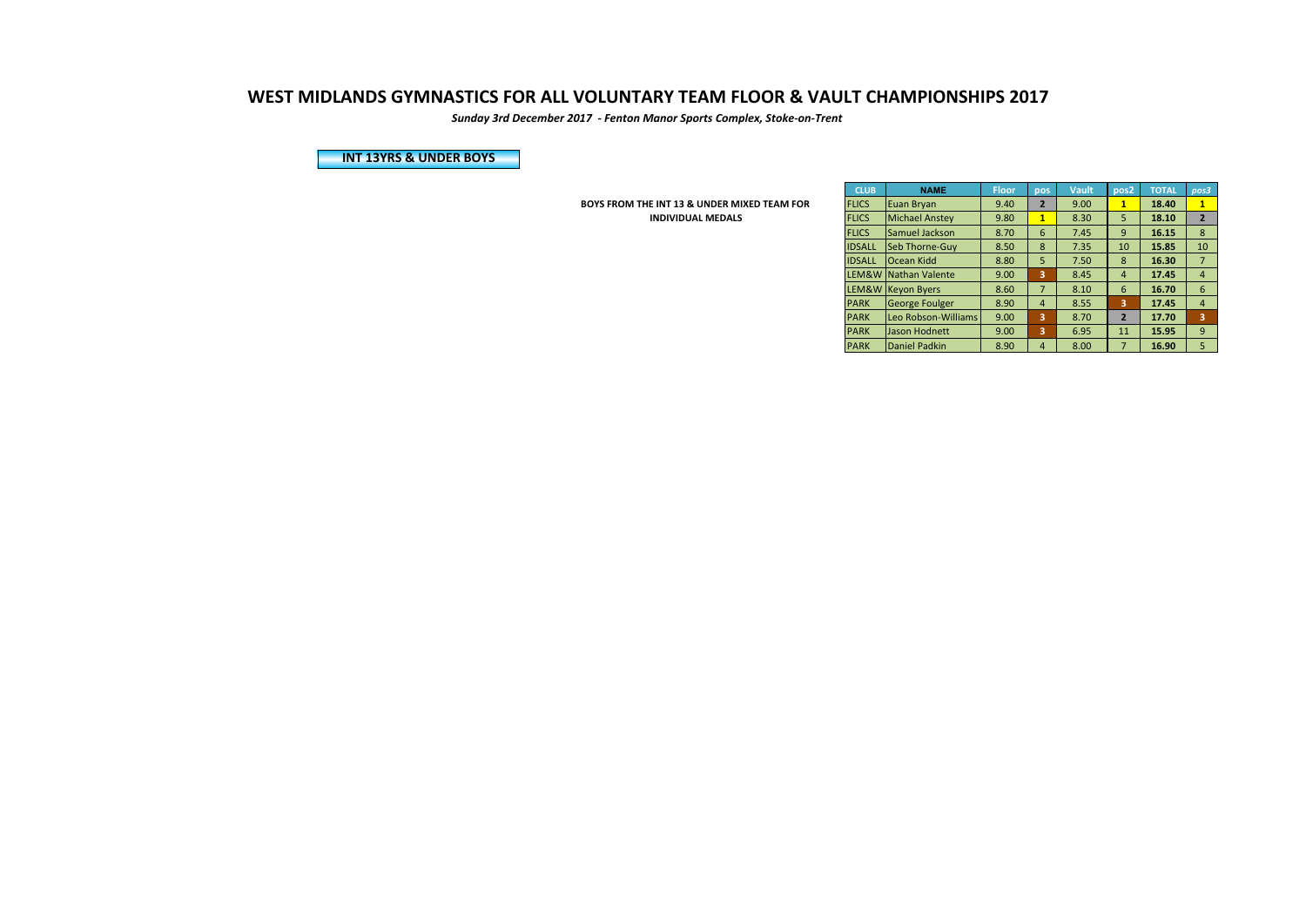*Sunday 3rd December 2017 - Fenton Manor Sports Complex, Stoke-on-Trent*

**INT 13YRS & UNDER BOYS** 

**BOYS FROM THE INT 13 & UNDER MIXED TEAM FOR INDIVIDUAL MEDALS** 

| <b>CLUB</b>   | <b>NAME</b>           | <b>Floor</b> | pos                     | <b>Vault</b> | pos <sub>2</sub> | <b>TOTAL</b> | pos3           |
|---------------|-----------------------|--------------|-------------------------|--------------|------------------|--------------|----------------|
| <b>FLICS</b>  | Euan Bryan            | 9.40         | $\overline{2}$          | 9.00         | 1                | 18.40        | $\mathbf{1}$   |
| <b>FLICS</b>  | <b>Michael Anstey</b> | 9.80         | $\overline{\mathbf{1}}$ | 8.30         | 5                | 18.10        | $\overline{2}$ |
| <b>FLICS</b>  | <b>Samuel Jackson</b> | 8.70         | 6                       | 7.45         | 9                | 16.15        | 8              |
| <b>IDSALL</b> | Seb Thorne-Guy        | 8.50         | 8                       | 7.35         | 10               | 15.85        | 10             |
| <b>IDSALL</b> | Ocean Kidd            | 8.80         | 5                       | 7.50         | 8                | 16.30        | $\overline{7}$ |
| LEM&W         | Nathan Valente        | 9.00         | 3                       | 8.45         | $\overline{4}$   | 17.45        | $\overline{4}$ |
| LEM&W         | <b>Keyon Byers</b>    | 8.60         | $\overline{7}$          | 8.10         | 6                | 16.70        | 6              |
| <b>PARK</b>   | <b>George Foulger</b> | 8.90         | $\overline{4}$          | 8.55         | 3                | 17.45        | $\overline{4}$ |
| <b>PARK</b>   | Leo Robson-Williams   | 9.00         | 3                       | 8.70         | $\overline{2}$   | 17.70        | 3              |
| <b>PARK</b>   | Jason Hodnett         | 9.00         | 3                       | 6.95         | 11               | 15.95        | 9              |
| <b>PARK</b>   | Daniel Padkin         | 8.90         | $\overline{4}$          | 8.00         | 7                | 16.90        | 5              |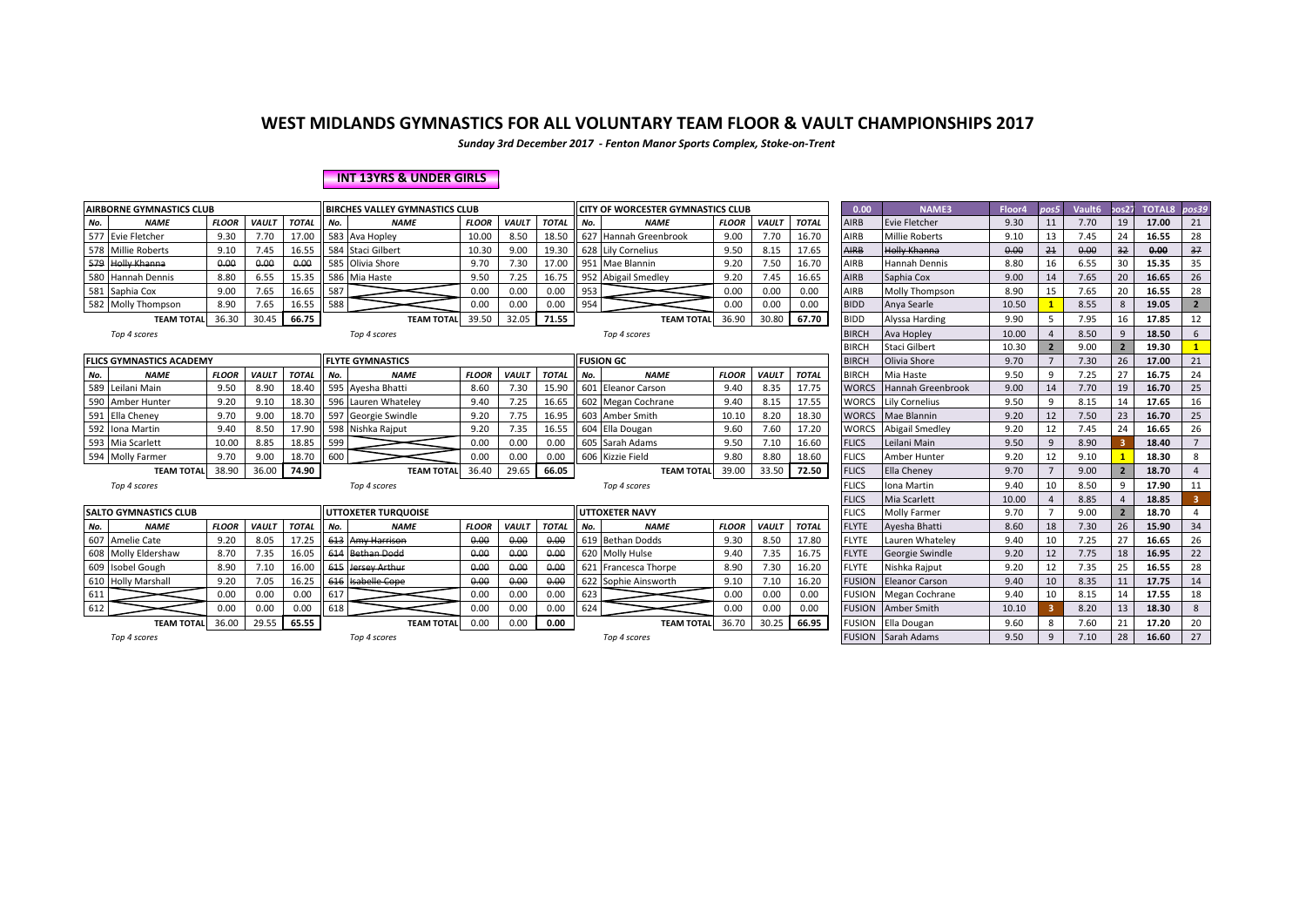*Sunday 3rd December 2017 - Fenton Manor Sports Complex, Stoke-on-Trent*

#### **INT 13YRS & UNDER GIRLS**

|     | <b>AIRBORNE GYMNASTICS CLUB</b> |              |              |              | <b>BIRCHES VALLEY GYMNASTICS CLUB</b> |                            |              |              |              | <b>CITY OF WORCESTER GYMNASTICS CLUB</b> |                         |              |              | 0.00         | NAME3         | Floor4                    | pos5  | Vault6         | cos27 | <b>TOTAL8</b> | pos39 |                |
|-----|---------------------------------|--------------|--------------|--------------|---------------------------------------|----------------------------|--------------|--------------|--------------|------------------------------------------|-------------------------|--------------|--------------|--------------|---------------|---------------------------|-------|----------------|-------|---------------|-------|----------------|
| No. | <b>NAME</b>                     | <b>FLOOR</b> | VAULT        | <b>TOTAL</b> | No.                                   | <b>NAME</b>                | <b>FLOOR</b> | <b>VAULT</b> | <b>TOTAL</b> | No.                                      | <b>NAME</b>             | <b>FLOOR</b> | <b>VAULT</b> | <b>TOTAL</b> | <b>AIRB</b>   | <b>Evie Fletcher</b>      | 9.30  | 11             | 7.70  | 19            | 17.00 | 21             |
|     | 577 Evie Fletcher               | 9.30         | 7.70         | 17.00        |                                       | 583 Ava Hopley             | 10.00        | 8.50         | 18.50        |                                          | 627 Hannah Greenbrook   | 9.00         | 7.70         | 16.70        | AIRB          | <b>Millie Roberts</b>     | 9.10  | 13             | 7.45  | 24            | 16.55 | 28             |
|     | 578 Millie Roberts              | 9.10         | 7.45         | 16.55        |                                       | 584 Staci Gilbert          | 10.30        | 9.00         | 19.30        |                                          | 628 Lily Cornelius      | 9.50         | 8.15         | 17.65        | <b>AIRB</b>   | Holly Khanna              | 0.00  | 21             | 0.00  | 32            | 0.00  | 37             |
|     | <b>Holly Khanna</b>             | 0.00         | 0.00         | 0.00         | 585                                   | Olivia Shore               | 9.70         | 7.30         | 17.00        | 951                                      | Mae Blannin             | 9.20         | 7.50         | 16.70        | AIRB          | Hannah Dennis             | 8.80  | 16             | 6.55  | 30            | 15.35 | 35             |
|     | 580 Hannah Dennis               | 8.80         | 6.55         | 15.35        |                                       | 586 Mia Haste              | 9.50         | 7.25         | 16.75        |                                          | 952 Abigail Smedley     | 9.20         | 7.45         | 16.65        | AIRB          | Saphia Cox                | 9.00  | 14             | 7.65  | 20            | 16.65 | 26             |
| 581 | Saphia Cox                      | 9.00         | 7.65         | 16.65        | 587                                   |                            | 0.00         | 0.00         | 0.00         | 953                                      |                         | 0.00         | 0.00         | 0.00         | AIRB          | Molly Thompson            | 8.90  | 15             | 7.65  | 20            | 16.55 | 28             |
|     | 582 Molly Thompson              | 8.90         | 7.65         | 16.55        | 588                                   |                            | 0.00         | 0.00         | 0.00         | 954                                      |                         | 0.00         | 0.00         | 0.00         | <b>BIDD</b>   | Anya Searle               | 10.50 |                | 8.55  | $\mathbf{R}$  | 19.05 | $\overline{2}$ |
|     | <b>TEAM TOTAL</b>               | 36.30        | 30.45        | 66.75        |                                       | <b>TEAM TOTAL</b>          | 39.50        | 32.05        | 71.55        |                                          | <b>TEAM TOTA</b>        | 36.90        | 30.80        | 67.70        | <b>BIDD</b>   | Alyssa Harding            | 9.90  |                | 7.95  | 16            | 17.85 | 12             |
|     | Top 4 scores                    |              |              |              |                                       | Top 4 scores               |              |              |              |                                          | Top 4 scores            |              |              |              | <b>BIRCH</b>  | Ava Hopley                | 10.00 |                | 8.50  | $\mathbf{q}$  | 18.50 | 6              |
|     |                                 |              |              |              |                                       |                            |              |              |              |                                          |                         |              |              |              | <b>BIRCH</b>  | Staci Gilbert             | 10.30 | $\overline{2}$ | 9.00  |               | 19.30 |                |
|     | <b>FLICS GYMNASTICS ACADEMY</b> |              |              |              |                                       | <b>FLYTE GYMNASTICS</b>    |              |              |              |                                          | <b>FUSION GC</b>        |              |              |              | <b>BIRCH</b>  | Olivia Shore              | 9.70  |                | 7.30  | 26            | 17.00 | 21             |
| No. | <b>NAME</b>                     | <b>FLOOR</b> | VAULT        | <b>TOTAL</b> | No.                                   | <b>NAME</b>                | <b>FLOOR</b> | <b>VAULT</b> | <b>TOTAL</b> | No.                                      | <b>NAME</b>             | <b>FLOOR</b> | <b>VAULT</b> | <b>TOTAL</b> | <b>BIRCH</b>  | Mia Haste                 | 9.50  | $\mathsf{q}$   | 7.25  | 27            | 16.75 | 24             |
|     | 589 Leilani Main                | 9.50         | 8.90         | 18.40        |                                       | 595 Ayesha Bhatti          | 8.60         | 7.30         | 15.90        |                                          | 601 Eleanor Carson      | 9.40         | 8.35         | 17.75        | <b>WORCS</b>  | Hannah Greenbrook         | 9.00  | 14             | 7.70  | 19            | 16.70 | 25             |
|     | 590 Amber Hunter                | 9.20         | 9.10         | 18.30        |                                       | 596 Lauren Whateley        | 9.40         | 7.25         | 16.65        |                                          | 602 Megan Cochrane      | 9.40         | 8.15         | 17.55        | <b>WORCS</b>  | Lily Cornelius            | 9.50  | 9              | 8.15  | 14            | 17.65 | 16             |
| 591 | Ella Cheney                     | 9.70         | 9.00         | 18.70        |                                       | 597 Georgie Swindle        | 9.20         | 7.75         | 16.95        |                                          | 603 Amber Smith         | 10.10        | 8.20         | 18.30        | <b>WORCS</b>  | Mae Blannin               | 9.20  | 12             | 7.50  | 23            | 16.70 | 25             |
|     | 592 Iona Martin                 | 9.40         | 8.50         | 17.90        |                                       | 598 Nishka Rajput          | 9.20         | 7.35         | 16.55        |                                          | 604 Ella Dougan         | 9.60         | 7.60         | 17.20        | <b>WORCS</b>  | Abigail Smedley           | 9.20  | 12             | 7.45  | 24            | 16.65 | 26             |
|     | 593 Mia Scarlett                | 10.00        | 8.85         | 18.85        | 599                                   |                            | 0.00         | 0.00         | 0.00         |                                          | 605 Sarah Adams         | 9.50         | 7.10         | 16.60        | <b>FLICS</b>  | Leilani Main              | 9.50  | 9              | 8.90  |               | 18.40 | $\overline{7}$ |
|     | 594 Molly Farmer                | 9.70         | 9.00         | 18.70        | 600                                   |                            | 0.00         | 0.00         | 0.00         |                                          | 606 Kizzie Field        | 9.80         | 8.80         | 18.60        | <b>FLICS</b>  | Amber Hunter              | 9.20  | 12             | 9.10  |               | 18.30 | 8              |
|     | <b>TEAM TOTAL</b>               | 38.90        | 36.00        | 74.90        |                                       | <b>TEAM TOTAL</b>          | 36.40        | 29.65        | 66.05        |                                          | <b>TEAM TOTAL</b>       | 39.00        | 33.50        | 72.50        | <b>FLICS</b>  | <b>Ella Cheney</b>        | 9.70  |                | 9.00  |               | 18.70 | $\overline{4}$ |
|     | Top 4 scores                    |              |              |              |                                       | Top 4 scores               |              |              |              |                                          | Top 4 scores            |              |              |              | <b>FLICS</b>  | Iona Martin               | 9.40  | 10             | 8.50  | q             | 17.90 | 11             |
|     |                                 |              |              |              |                                       |                            |              |              |              |                                          |                         |              |              |              | <b>FLICS</b>  | Mia Scarlett              | 10.00 |                | 8.85  |               | 18.85 |                |
|     | <b>SALTO GYMNASTICS CLUB</b>    |              |              |              |                                       | <b>UTTOXETER TURQUOISE</b> |              |              |              |                                          | <b>UTTOXETER NAVY</b>   |              |              |              | <b>FLICS</b>  | <b>Molly Farmer</b>       | 9.70  |                | 9.00  |               | 18.70 | $\overline{4}$ |
| No. | <b>NAME</b>                     | <b>FLOOR</b> | <b>VAULT</b> | <b>TOTAL</b> | No.                                   | <b>NAME</b>                | <b>FLOOR</b> | <b>VAULT</b> | <b>TOTAL</b> | No.                                      | <b>NAME</b>             | <b>FLOOR</b> | <b>VAULT</b> | <b>TOTAL</b> | <b>FLYTE</b>  | Avesha Bhatti             | 8.60  | 18             | 7.30  | 26            | 15.90 | 34             |
| 607 | Amelie Cate                     | 9.20         | 8.05         | 17.25        |                                       | 613 Amy Harrison           | 0.00         | 0.00         | 0.00         |                                          | 619 Bethan Dodds        | 9.30         | 8.50         | 17.80        | <b>FLYTE</b>  | Lauren Whateley           | 9.40  | 10             | 7.25  | 27            | 16.65 | 26             |
|     | 608 Molly Eldershaw             | 8.70         | 7.35         | 16.05        | 614                                   | <b>Bethan Dodd</b>         | 0.00         | 0.00         | 0.00         |                                          | 620 Molly Hulse         | 9.40         | 7.35         | 16.75        | <b>FLYTE</b>  | Georgie Swindle           | 9.20  | 12             | 7.75  | 18            | 16.95 | 22             |
|     | 609 Isobel Gough                | 8.90         | 7.10         | 16.00        | 615                                   | <b>Jersey Arthur</b>       | 0.00         | 0.00         | 0.00         | 621                                      | <b>Francesca Thorpe</b> | 8.90         | 7.30         | 16.20        | <b>FLYTE</b>  | Nishka Raiput             | 9.20  | 12             | 7.35  | 25            | 16.55 | 28             |
|     | 610 Holly Marshall              | 9.20         | 7.05         | 16.25        | 616                                   | <b>Isabelle Cope</b>       | 0.00         | 0.00         | 0.00         |                                          | 622 Sophie Ainsworth    | 9.10         | 7.10         | 16.20        | <b>FUSION</b> | <b>Eleanor Carson</b>     | 9.40  | 10             | 8.35  | 11            | 17.75 | 14             |
| 611 |                                 | 0.00         | 0.00         | 0.00         | 617                                   |                            | 0.00         | 0.00         | 0.00         | 623                                      |                         | 0.00         | 0.00         | 0.00         | <b>FUSION</b> | Megan Cochrane            | 9.40  | 10             | 8.15  | 14            | 17.55 | 18             |
| 612 |                                 | 0.00         | 0.00         | 0.00         | 618                                   |                            | 0.00         | 0.00         | 0.00         | 624                                      |                         | 0.00         | 0.00         | 0.00         | <b>FUSION</b> | Amber Smith               | 10.10 |                | 8.20  | 13            | 18.30 | 8              |
|     | <b>TEAM TOTAL</b>               | 36.00        | 29.55        | 65.55        |                                       | <b>TEAM TOTAL</b>          | 0.00         | 0.00         | 0.00         |                                          | <b>TEAM TOTAL</b>       | 36.70        | 30.25        | 66.95        | <b>FUSION</b> | Ella Dougan               | 9.60  | 8              | 7.60  | 21            | 17.20 | 20             |
|     | Top 4 scores<br>Top 4 scores    |              |              |              |                                       |                            |              |              |              |                                          | Top 4 scores            |              |              |              |               | <b>FUSION</b> Sarah Adams | 9.50  | 9              | 7.10  | 28            | 16.60 | 27             |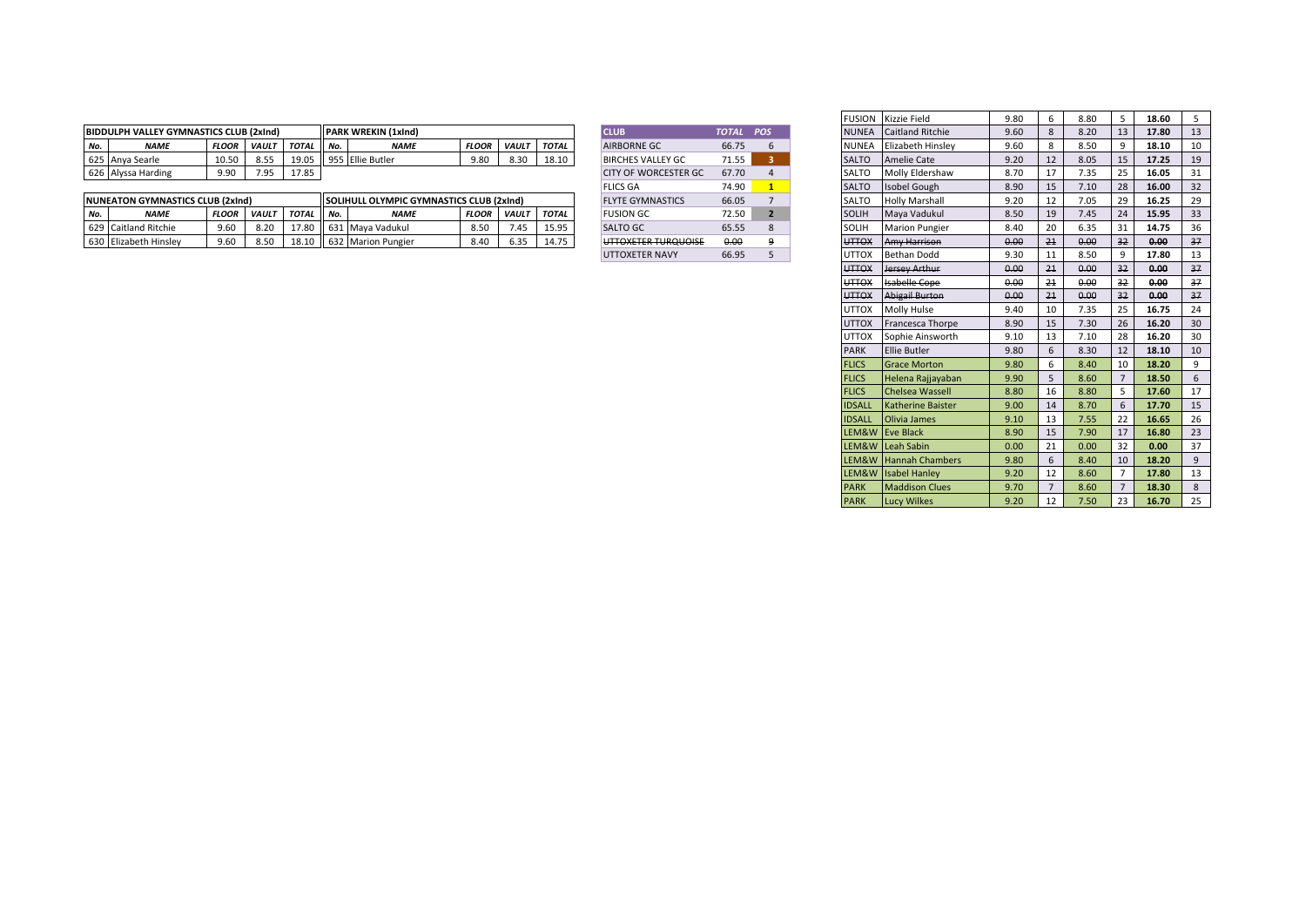|     | <b>BIDDULPH VALLEY GYMNASTICS CLUB (2xInd)</b> |       |       |              |       | <b>IPARK WREKIN (1xind)</b> |              |              |              | <b>CLUB</b>                 | TOTAL | <b>POS</b> | <b>NUNEA</b> | <b>Caitland Ritchie</b>  | 9.60 | 8.ZU | 17.80 |  |
|-----|------------------------------------------------|-------|-------|--------------|-------|-----------------------------|--------------|--------------|--------------|-----------------------------|-------|------------|--------------|--------------------------|------|------|-------|--|
| No. | NAME                                           | FLOOR | VAULT | <b>TOTAL</b> | I No. | <i><b>NAME</b></i>          | <b>FLOOR</b> | <b>VAULT</b> | <b>TOTAL</b> | <b>AIRBORNE GC</b>          | 66.75 |            | <b>NUNEA</b> | <b>Elizabeth Hinsley</b> | 9.60 |      | 18.10 |  |
|     | 625 Anya Searle                                | 10.50 | 8.55  | 19.0         |       | 955 Ellie Butler            | 9.80         | 8.30         | 18.10        | <b>BIRCHES VALLEY GC</b>    | 71.55 |            | SALTO        | Amelie Cate              | 9.20 | 8.05 | 17.25 |  |
|     | 626 Alyssa Harding                             | 9.90  | 7.95  | 17.85        |       |                             |              |              |              | <b>CITY OF WORCESTER GC</b> | 67.70 |            | SALTO        | Molly Eldershaw          | 8.70 | . ت  | 16.05 |  |

|     | <b>INUNEATON GYMNASTICS CLUB (2xInd)</b> |              |                       |              | <b>ISOLIH</b> | HULL OLYMPIC GYMNASTICS CLUB (2xInd) |                |                        |              | <b>FLYTE GYMNASTICS</b>                                  | 66.05 |  | SALTC                       | <b>Holly Marshall</b>                    | $\sim$ $\sim$  |    | 7.05 | 16.25 |  |
|-----|------------------------------------------|--------------|-----------------------|--------------|---------------|--------------------------------------|----------------|------------------------|--------------|----------------------------------------------------------|-------|--|-----------------------------|------------------------------------------|----------------|----|------|-------|--|
| No. | <b>NAME</b>                              | <b>FLOOR</b> | <b>NAULT</b>          | <b>TOTAL</b> | II No.        | <b>NAMI</b>                          | <b>FLOOR</b>   | <b>VAULT</b>           | <b>TOTAL</b> | <b>FUSION GC</b>                                         | 72 5A |  | SOLI                        | Mava Vadukui                             | 0 <sub>0</sub> |    | 7.43 | 15.95 |  |
|     | 629 Caitland Ritchie                     | 9.60         | 8.20                  | ×            |               | 1631 Maya Vadukul                    | 850<br><b></b> | $\overline{a}$<br>د4.' | 15.05        | <b>SALTO GL</b>                                          |       |  | SOLI.                       | <b>IMarion Pungier</b>                   | חו פ<br>ð.41   | zu | J.35 | 14.75 |  |
|     | 630 Elizabeth Hinsley                    | 9.60         | <b>850</b><br><b></b> | 8.10         | ်    6.       | ا 2. Marion Pungier                  | 8.40           | - --<br>-55.د          |              | <b>ILITTOVETED THROHOICE</b><br><u>UTTUM TEN TUNUUUT</u> | 0.00  |  | <b>UTTO</b><br><del>.</del> | Amy Harricon<br><del>Alliy Nahisol</del> | n nr<br>v.v.   | 21 | 0.00 |       |  |

| <b>CLUB</b>                                          | <b>TOTAL</b> | <b>POS</b>     |
|------------------------------------------------------|--------------|----------------|
| <b>AIRBORNE GC</b>                                   | 66.75        | 6              |
| <b>BIRCHES VALLEY GC</b>                             | 71.55        | 3              |
| CITY OF WORCESTER GC.                                | 67.70        |                |
| <b>FLICS GA</b>                                      | 74.90        | 1              |
| <b>FLYTE GYMNASTICS</b>                              | 66.05        | $\overline{7}$ |
| <b>FUSION GC</b>                                     | 72.50        | $\overline{2}$ |
| <b>SALTO GC</b>                                      | 65.55        | 8              |
| LITTAVETED THDAHAICE<br><del>one ren runduoisi</del> | 0.00         | ۹              |
| <b>UTTOXETER NAVY</b>                                | 66.95        | 5              |

|                             |              |                | <b>FUSION</b> | Kizzie Field             | 9.80 | 6              | 8.80 | 5              | 18.60 | 5  |
|-----------------------------|--------------|----------------|---------------|--------------------------|------|----------------|------|----------------|-------|----|
| <b>CLUB</b>                 | <b>TOTAL</b> | POS            | <b>NUNEA</b>  | <b>Caitland Ritchie</b>  | 9.60 | 8              | 8.20 | 13             | 17.80 | 13 |
| AIRBORNE GC                 | 66.75        | 6              | <b>NUNEA</b>  | Elizabeth Hinslev        | 9.60 | 8              | 8.50 | 9              | 18.10 | 10 |
| <b>BIRCHES VALLEY GC</b>    | 71.55        | 3              | <b>SALTO</b>  | <b>Amelie Cate</b>       | 9.20 | 12             | 8.05 | 15             | 17.25 | 19 |
| <b>CITY OF WORCESTER GC</b> | 67.70        | $\overline{4}$ | SALTO         | Molly Eldershaw          | 8.70 | 17             | 7.35 | 25             | 16.05 | 31 |
| <b>FLICS GA</b>             | 74.90        | $\mathbf{1}$   | <b>SALTO</b>  | Isobel Gough             | 8.90 | 15             | 7.10 | 28             | 16.00 | 32 |
| <b>FLYTE GYMNASTICS</b>     | 66.05        | $\overline{7}$ | SALTO         | <b>Holly Marshall</b>    | 9.20 | 12             | 7.05 | 29             | 16.25 | 29 |
| <b>FUSION GC</b>            | 72.50        | $\overline{2}$ | <b>SOLIH</b>  | Maya Vadukul             | 8.50 | 19             | 7.45 | 24             | 15.95 | 33 |
| SALTO GC                    | 65.55        | 8              | SOLIH         | <b>Marion Pungier</b>    | 8.40 | 20             | 6.35 | 31             | 14.75 | 36 |
| UTTOXETER TURQUOISE         | 0.00         | 9              | <b>UTTOX</b>  | Amy Harrison             | 0.00 | 21             | 0.00 | 32             | 0.00  | 37 |
| UTTOXETER NAVY              | 66.95        | 5              | UTTOX         | <b>Bethan Dodd</b>       | 9.30 | 11             | 8.50 | 9              | 17.80 | 13 |
|                             |              |                | <b>UTTOX</b>  | Jersey Arthur            | 0.00 | 21             | 0.00 | 32             | 0.00  | 37 |
|                             |              |                | <b>UTTOX</b>  | <b>Isabelle Cope</b>     | 0.00 | 21             | 0.00 | 32             | 0.00  | 37 |
|                             |              |                | <b>UTTOX</b>  | <b>Abigail Burton</b>    | 0.00 | 21             | 0.00 | 32             | 0.00  | 37 |
|                             |              |                | <b>UTTOX</b>  | Molly Hulse              | 9.40 | 10             | 7.35 | 25             | 16.75 | 24 |
|                             |              |                | <b>UTTOX</b>  | Francesca Thorpe         | 8.90 | 15             | 7.30 | 26             | 16.20 | 30 |
|                             |              |                | <b>UTTOX</b>  | Sophie Ainsworth         | 9.10 | 13             | 7.10 | 28             | 16.20 | 30 |
|                             |              |                | <b>PARK</b>   | <b>Ellie Butler</b>      | 9.80 | 6              | 8.30 | 12             | 18.10 | 10 |
|                             |              |                | <b>FLICS</b>  | <b>Grace Morton</b>      | 9.80 | 6              | 8.40 | 10             | 18.20 | 9  |
|                             |              |                | <b>FLICS</b>  | Helena Rajjayaban        | 9.90 | 5              | 8.60 | $\overline{7}$ | 18.50 | 6  |
|                             |              |                | <b>FLICS</b>  | Chelsea Wassell          | 8.80 | 16             | 8.80 | 5              | 17.60 | 17 |
|                             |              |                | <b>IDSALL</b> | <b>Katherine Baister</b> | 9.00 | 14             | 8.70 | 6              | 17.70 | 15 |
|                             |              |                | <b>IDSALL</b> | Olivia James             | 9.10 | 13             | 7.55 | 22             | 16.65 | 26 |
|                             |              |                | LEM&W         | <b>Eve Black</b>         | 8.90 | 15             | 7.90 | 17             | 16.80 | 23 |
|                             |              |                | LEM&W         | Leah Sabin               | 0.00 | 21             | 0.00 | 32             | 0.00  | 37 |
|                             |              |                | LEM&W         | <b>Hannah Chambers</b>   | 9.80 | 6              | 8.40 | 10             | 18.20 | 9  |
|                             |              |                | LEM&W         | <b>Isabel Hanley</b>     | 9.20 | 12             | 8.60 | $\overline{7}$ | 17.80 | 13 |
|                             |              |                | <b>PARK</b>   | <b>Maddison Clues</b>    | 9.70 | $\overline{7}$ | 8.60 | $\overline{7}$ | 18.30 | 8  |
|                             |              |                | <b>PARK</b>   | <b>Lucy Wilkes</b>       | 9.20 | 12             | 7.50 | 23             | 16.70 | 25 |
|                             |              |                |               |                          |      |                |      |                |       |    |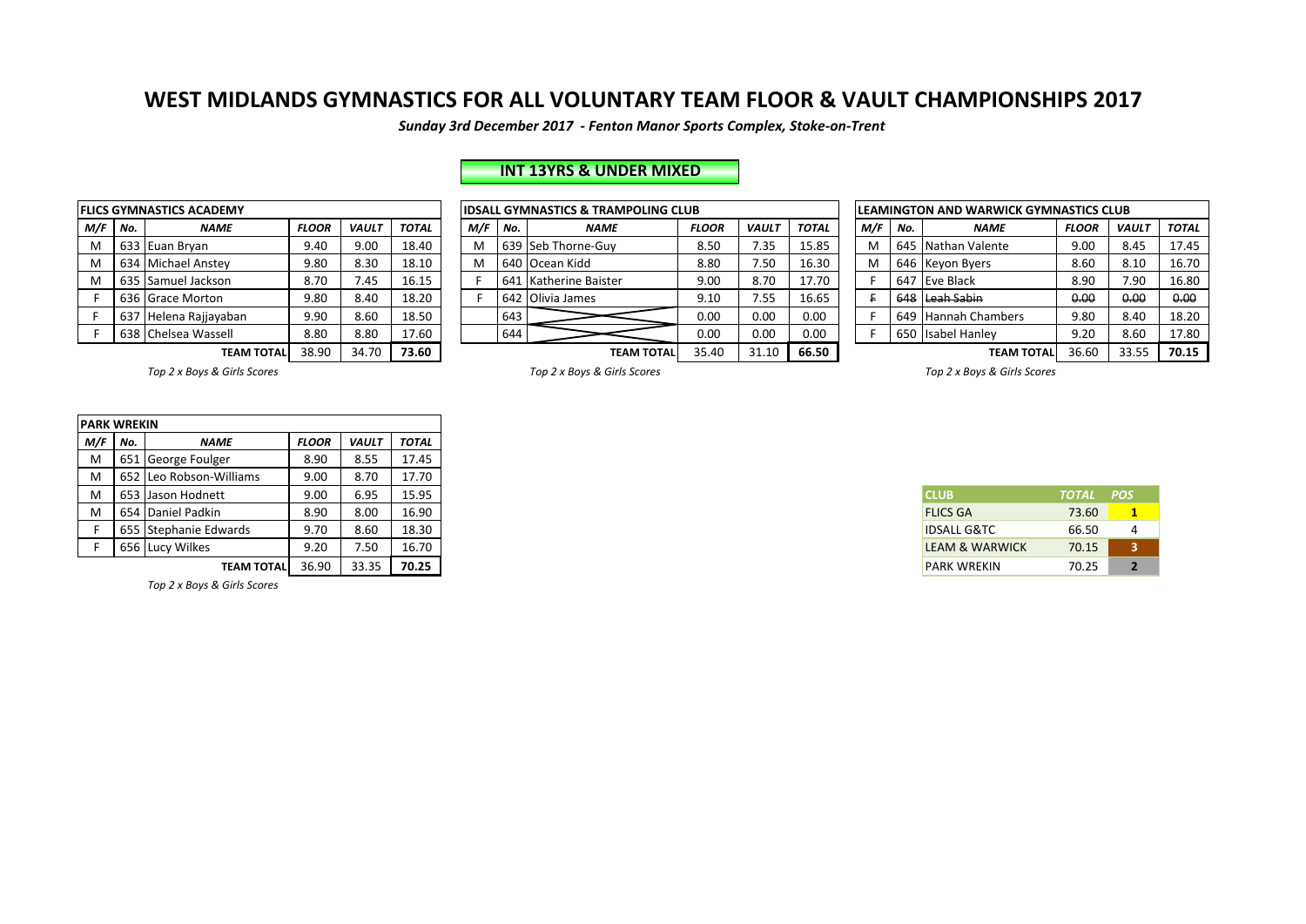*Sunday 3rd December 2017 - Fenton Manor Sports Complex, Stoke-on-Trent*

# **INT 13YRS & UNDER MIXED**

|     |     | <b>FLICS GYMNASTICS ACADEMY</b> |              |              |              |     |     | IDSALL GYMNASTICS & TRAMPOLING CLUB |              |
|-----|-----|---------------------------------|--------------|--------------|--------------|-----|-----|-------------------------------------|--------------|
| M/F | No. | <b>NAME</b>                     | <b>FLOOR</b> | <b>VAULT</b> | <b>TOTAL</b> | M/F | No. | <b>NAME</b>                         | FL           |
| M   |     | 633 Euan Bryan                  | 9.40         | 9.00         | 18.40        | M   |     | 639 Seb Thorne-Guy                  | 8            |
| M   |     | 634 Michael Anstey              | 9.80         | 8.30         | 18.10        | M   |     | 640 Ocean Kidd                      | 8            |
| M   |     | 635 Samuel Jackson              | 8.70         | 7.45         | 16.15        |     |     | 641 Katherine Baister               | g            |
| F   |     | 636 Grace Morton                | 9.80         | 8.40         | 18.20        |     |     | 642 Olivia James                    | g            |
| F   | 637 | Helena Rajjayaban               | 9.90         | 8.60         | 18.50        |     | 643 |                                     |              |
|     |     | 638 Chelsea Wassell             | 8.80         | 8.80         | 17.60        |     | 644 |                                     |              |
|     |     | <b>TEAM TOTAL</b>               | 38.90        | 34.70        | 73.60        |     |     | <b>TEAM TOTAL</b>                   | $\mathbf{3}$ |

|           |                                              | LICS GYMNASTICS ACADEMY |              |              |              |                                              |     | <b>IDSALL GYMNASTICS &amp; TRAMPOLING CLUB</b> | <b>LEAMINGTON AND WARWICK GYMNASTICS CLUB</b> |              |              |  |     |                                              |                     |              |              |              |
|-----------|----------------------------------------------|-------------------------|--------------|--------------|--------------|----------------------------------------------|-----|------------------------------------------------|-----------------------------------------------|--------------|--------------|--|-----|----------------------------------------------|---------------------|--------------|--------------|--------------|
| M/F   No. |                                              | <b>NAME</b>             | <b>FLOOR</b> | <b>VAULT</b> | <b>TOTAL</b> | M/F                                          | No. | <b>NAME</b>                                    | <b>FLOOR</b>                                  | <b>VAULT</b> | <b>TOTAL</b> |  | M/F | No.                                          | <b>NAME</b>         | <b>FLOOR</b> | <b>VAULT</b> | <b>TOTAL</b> |
| M         |                                              | 633 Euan Bryan          | 9.40         | 9.00         | 18.40        | M                                            |     | 639 Seb Thorne-Guy                             | 8.50                                          | 7.35         | 15.85        |  |     |                                              | 645 Nathan Valente  | 9.00         | 8.45         | 17.45        |
| M         |                                              | 634 Michael Anstey      | 9.80         | 8.30         | 18.10        | M                                            |     | 640 Ocean Kidd                                 | 8.80                                          | 7.50         | 16.30        |  |     |                                              | 646 Keyon Byers     | 8.60         | 8.10         | 16.70        |
| M         | 635                                          | Samuel Jackson          | 8.70         | 7.45         | 16.15        |                                              |     | 641 Katherine Baister                          | 9.00                                          | 8.70         | 17.70        |  |     |                                              | 647 Eve Black       | 8.90         | 7.90         | 16.80        |
|           |                                              | 636 Grace Morton        | 9.80         | 8.40         | 18.20        |                                              |     | 642 Olivia James                               | 9.10                                          | 7.55         | 16.65        |  |     |                                              | 648 Leah Sabin      | 0.00         | 0.00         | 0.00         |
|           | 637                                          | 7 Helena Rajjayaban     | 9.90         | 8.60         | 18.50        |                                              | 643 |                                                | 0.00                                          | 0.00         | 0.00         |  |     |                                              | 649 Hannah Chambers | 9.80         | 8.40         | 18.20        |
|           |                                              | 638 Chelsea Wassell     | 8.80         | 8.80         | 17.60        |                                              | 644 |                                                | 0.00                                          | 0.00         | 0.00         |  |     |                                              | 650 Isabel Hanley   | 9.20         | 8.60         | 17.80        |
|           | 73.60<br>38.90<br>34.70<br><b>TEAM TOTAL</b> |                         |              |              |              | 35.40<br>66.50<br>31.10<br><b>TEAM TOTAL</b> |     |                                                |                                               |              |              |  |     | 70.15<br>33.55<br>36.60<br><b>TEAM TOTAL</b> |                     |              |              |              |

| LEAMINGTON AND WARWICK GYMNASTICS CLUB |                                        |                        |              |              |              |  |  |  |  |  |  |  |  |
|----------------------------------------|----------------------------------------|------------------------|--------------|--------------|--------------|--|--|--|--|--|--|--|--|
| M/F                                    | No.                                    | <b>NAME</b>            | <b>FLOOR</b> | <b>VAULT</b> | <b>TOTAL</b> |  |  |  |  |  |  |  |  |
| M                                      |                                        | 645 Nathan Valente     | 9.00         | 8.45         | 17.45        |  |  |  |  |  |  |  |  |
| м                                      | 646                                    | Keyon Byers            | 8.60         | 8.10         | 16.70        |  |  |  |  |  |  |  |  |
| F                                      | 647                                    | Eve Black              | 8.90         | 7.90         | 16.80        |  |  |  |  |  |  |  |  |
| F                                      | 648                                    | Leah Sabin             | 0.00         | 0.00         | 0.00         |  |  |  |  |  |  |  |  |
| F                                      | 649                                    | <b>Hannah Chambers</b> | 9.80         | 8.40         | 18.20        |  |  |  |  |  |  |  |  |
| F                                      | 650                                    | <b>Isabel Hanley</b>   | 9.20         | 8.60         | 17.80        |  |  |  |  |  |  |  |  |
|                                        | 33.55<br>70.15<br>36.60<br>ΤΕΑΜ ΤΟΤΑΙ. |                        |              |              |              |  |  |  |  |  |  |  |  |

Top 2 x Boys & Girls Scores *Top 2* x Boys & Girls Scores *Top 2* x Boys & Girls Scores *Top 2* x Boys & Girls Scores

| <b>PARK WREKIN</b> |                   |                         |              |              |              |
|--------------------|-------------------|-------------------------|--------------|--------------|--------------|
| M/F                | No.               | <b>NAME</b>             | <b>FLOOR</b> | <b>VAULT</b> | <b>TOTAL</b> |
| M                  |                   | 651 George Foulger      | 8.90         | 8.55         | 17.45        |
| м                  |                   | 652 Leo Robson-Williams | 9.00         | 8.70         | 17.70        |
| M                  |                   | 653 Jason Hodnett       | 9.00         | 6.95         | 15.95        |
| M                  | 654 Daniel Padkin |                         | 8.90         | 8.00         | 16.90        |
|                    |                   | 655 Stephanie Edwards   | 9.70         | 8.60         | 18.30        |
|                    |                   | 656 Lucy Wilkes         | 9.20         | 7.50         | 16.70        |
|                    |                   | <b>TEAM TOTAL</b>       | 36.90        | 33.35        | 70.25        |

*Top 2 x Boys & Girls Scores*

| <b>CLUB</b>               | TOTAL POS |   |
|---------------------------|-----------|---|
| <b>FLICS GA</b>           | 73.60     |   |
| <b>IDSALL G&amp;TC</b>    | 66.50     |   |
| <b>IFAM &amp; WARWICK</b> | 70.15     | ર |
| <b>PARK WREKIN</b>        | 70.25     | 2 |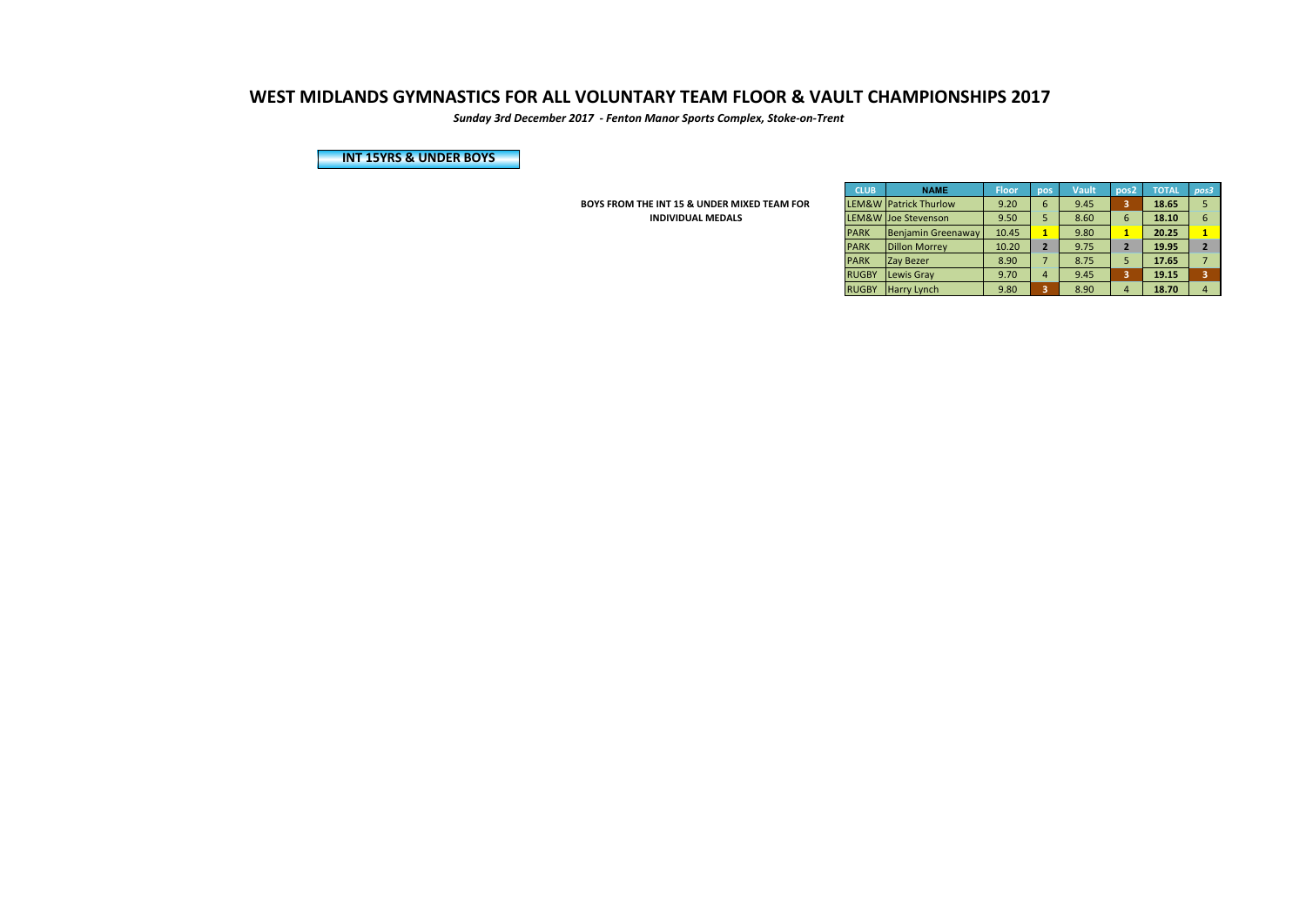*Sunday 3rd December 2017 - Fenton Manor Sports Complex, Stoke-on-Trent*

**INT 15YRS & UNDER BOYS** 

**BOYS FROM THE INT 15 & UNDER MIXED TEAM FOR INDIVIDUAL MEDALS** 

| <b>CLUB</b>        | <b>NAME</b>            | <b>Floor</b> | pos            | <b>Vault</b> | pos <sub>2</sub> | <b>TOTAL</b> | pos3                    |
|--------------------|------------------------|--------------|----------------|--------------|------------------|--------------|-------------------------|
| LEM&W <sup>1</sup> | <b>Patrick Thurlow</b> | 9.20         | 6              | 9.45         | 3                | 18.65        | 5                       |
| LEM&W              | Joe Stevenson          | 9.50         | 5              | 8.60         | 6                | 18.10        | 6                       |
| <b>PARK</b>        | Benjamin Greenaway     | 10.45        | 1              | 9.80         |                  | 20.25        | 1                       |
| <b>PARK</b>        | <b>Dillon Morrey</b>   | 10.20        | $\overline{2}$ | 9.75         | $\overline{2}$   | 19.95        | $\overline{2}$          |
| <b>PARK</b>        | <b>Zay Bezer</b>       | 8.90         | $\overline{7}$ | 8.75         | 5                | 17.65        | 7                       |
| <b>RUGBY</b>       | Lewis Gray             | 9.70         | 4              | 9.45         | 3                | 19.15        | $\overline{\mathbf{3}}$ |
| <b>RUGBY</b>       | Harry Lynch            | 9.80         | 3              | 8.90         | $\overline{a}$   | 18.70        | $\overline{a}$          |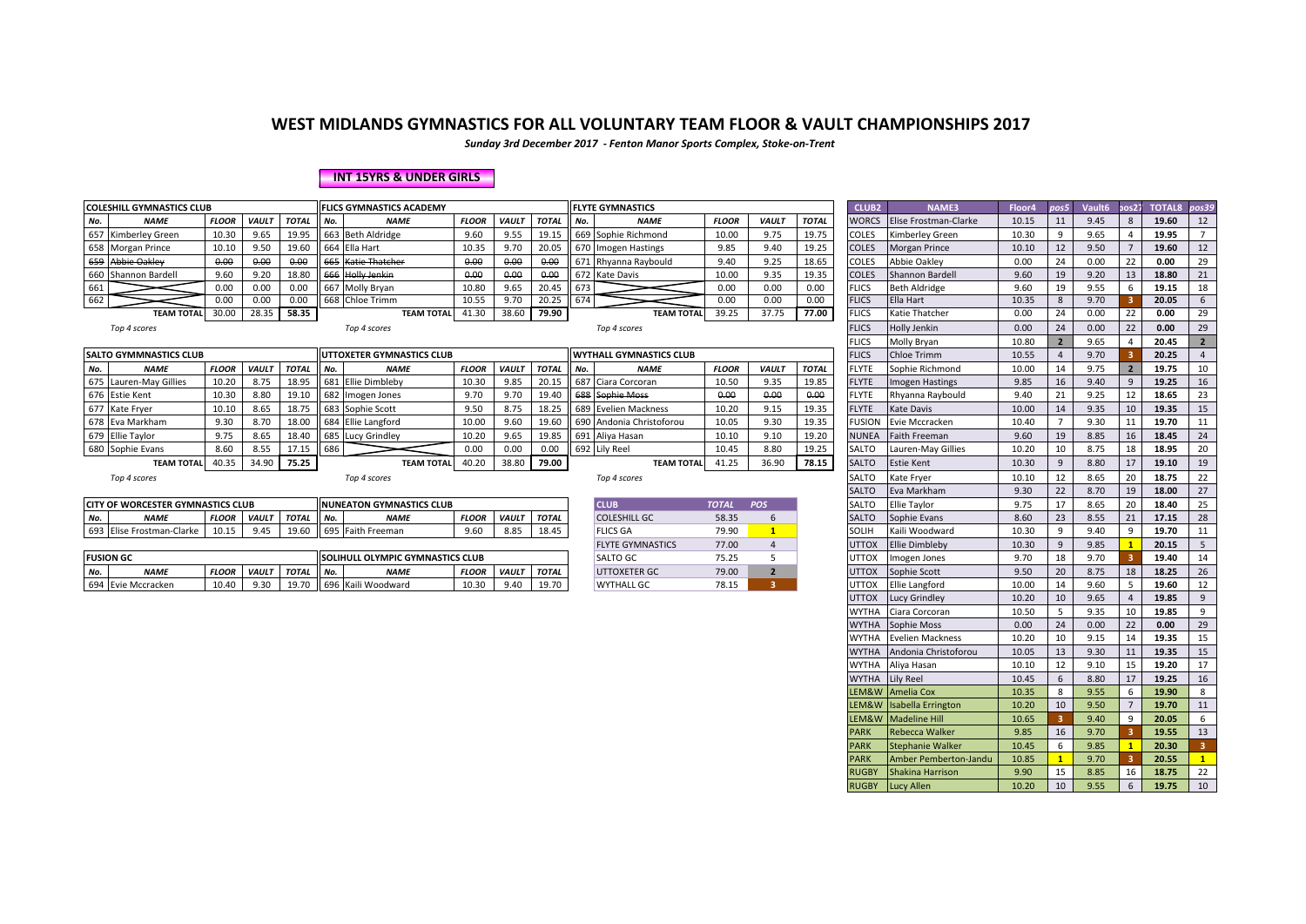*Sunday 3rd December 2017 - Fenton Manor Sports Complex, Stoke-on-Trent*

#### **INT 15YRS & UNDER GIRLS**

|     | <b>COLESHILL GYMNASTICS CLUB</b><br><b>FLICS GYMNASTICS ACADEMY</b> |              |              |              |     |                           |              |              |              |     | <b>FLYTE GYMNASTICS</b>        |              |              |              | <b>CLUB2</b>  | <b>NAME3</b>          | Floor4 | pos5 | Vault <sub>6</sub> | pos27          | TOTAL8 pos39 |    |
|-----|---------------------------------------------------------------------|--------------|--------------|--------------|-----|---------------------------|--------------|--------------|--------------|-----|--------------------------------|--------------|--------------|--------------|---------------|-----------------------|--------|------|--------------------|----------------|--------------|----|
| No. | <b>NAME</b>                                                         | <b>FLOOR</b> | <b>VAULT</b> | <b>TOTAL</b> | No. | <b>NAME</b>               | <b>FLOOR</b> | <b>VAULT</b> | <b>TOTAL</b> | No. | <b>NAME</b>                    | <b>FLOOR</b> | <b>VAULT</b> | <b>TOTAL</b> | <b>WORCS</b>  | Elise Frostman-Clarke | 10.15  | 11   | 9.45               | 8 <sup>2</sup> | 19.60        | 12 |
|     | 657 Kimberley Green                                                 | 10.30        | 9.65         | 19.95        |     | 663 Beth Aldridge         | 9.60         | 9.55         | 19.15        |     | 669 Sophie Richmond            | 10.00        | 9.75         | 19.75        | <b>COLES</b>  | Kimberley Green       | 10.30  | q    | 9.65               |                | 19.95        |    |
|     | 658 Morgan Prince                                                   | 10.10        | 9.50         | 19.60        |     | 664 Ella Hart             | 10.35        | 9.70         | 20.05        |     | 670 Imogen Hastings            | 9.85         | 9.40         | 19.25        | <b>COLES</b>  | <b>Morgan Prince</b>  | 10.10  | 12   | 9.50               |                | 19.60        | 12 |
| 659 | <b>Abbie Oakley</b>                                                 | 0.00         | 0.00         | 0.00         | 665 | Katie-Thatcher            | 0.00         | 0.00         | 0.00         |     | 671 Rhyanna Raybould           | 9.40         | 9.25         | 18.65        | COLES         | Abbie Oaklev          | 0.00   | 24   | 0.00               | 22             | 0.00         | 29 |
|     | 660 Shannon Bardell                                                 | 9.60         | 9.20         | 18.80        | 666 | <b>Holly Jenkin</b>       | 0.00         | 0.00         | 0.00         |     | 672 Kate Davis                 | 10.00        | 9.35         | 19.35        | <b>COLES</b>  | Shannon Bardell       | 9.60   | 19   | 9.20               | 13             | 18.80        | 21 |
| 661 |                                                                     | 0.00         | 0.00         | 0.00         | 667 | Molly Bryan               | 10.80        | 9.65         | 20.45        | 673 |                                | 0.00         | 0.00         | 0.00         | <b>FLICS</b>  | <b>Beth Aldridge</b>  | 9.60   | 19   | 9.55               |                | 19.15        | 18 |
|     |                                                                     | 0.00         | 0.00         | 0.00         |     | 668 Chloe Trimm           | 10.55        | 9.70         | 20.25        | 674 |                                | 0.00         | 0.00         | 0.00         | <b>FLICS</b>  | Ella Hart             | 10.35  | 8    | 9.70               |                | 20.05        | 6  |
|     | <b>TEAM TOTAL</b>                                                   | 30.00        | 28.35        | 58.35        |     | <b>TEAM TOTAL</b>         | 41.30        | 38.60        | 79.90        |     | <b>TEAM TOTAL</b>              | 39.25        | 37.75        | 77.00        | <b>FLICS</b>  | Katie Thatcher        | 0.00   | 24   | 0.00               | 22             | 0.00         | 29 |
|     | Top 4 scores                                                        |              |              |              |     | Top 4 scores              |              |              |              |     | Top 4 scores                   |              |              |              | <b>FLICS</b>  | <b>Holly Jenkin</b>   | 0.00   | 24   | 0.00               | 22             | 0.00         | 29 |
|     |                                                                     |              |              |              |     |                           |              |              |              |     |                                |              |              |              | <b>FLICS</b>  | Molly Bryan           | 10.80  |      | 9.65               |                | 20.45        |    |
|     | <b>SALTO GYMMNASTICS CLUB</b>                                       |              |              |              |     | UTTOXETER GYMNASTICS CLUB |              |              |              |     | <b>WYTHALL GYMNASTICS CLUB</b> |              |              |              | <b>FLICS</b>  | <b>Chloe Trimm</b>    | 10.55  |      | 9.70               |                | 20.25        |    |
| No. | <b>NAME</b>                                                         | <b>FLOOR</b> | <b>VAULT</b> | <b>TOTAL</b> | No. | <b>NAME</b>               | <b>FLOOR</b> | VAULT        | <b>TOTAL</b> | No. | <b>NAME</b>                    | <b>FLOOR</b> | <b>VAULT</b> | <b>TOTAL</b> | <b>FLYTE</b>  | Sophie Richmond       | 10.00  | 14   | 9.75               |                | 19.75        |    |
|     | 675 Lauren-May Gillies                                              | 10.20        | 8.75         | 18.95        | 681 | Ellie Dimbleby            | 10.30        | 9.85         | 20.15        |     | 687 Ciara Corcoran             | 10.50        | 9.35         | 19.85        | <b>FLYTE</b>  | Imogen Hastings       | 9.85   |      | 9.40               |                | 19.25        | 16 |
|     | 676 Estie Kent                                                      | 10.30        | 8.80         | 19.10        |     | 682 Imogen Jones          | 9.70         | 9.70         | 19.40        |     | 688 Sophie Moss                | 0.00         | 0.00         | 0.00         | <b>FLYTE</b>  | Rhyanna Raybould      | 9.40   | 21   | 9.25               |                | 18.65        | 23 |
|     | 677 Kate Fryer                                                      | 10.10        | 8.65         | 18.75        |     | 683 Sophie Scott          | 9.50         | 8.75         | 18.25        |     | 689 Evelien Mackness           | 10.20        | 9.15         | 19.35        | <b>FLYTE</b>  | <b>Kate Davis</b>     | 10.00  | 14   | 9.35               |                | 19.35        | 15 |
|     | 678 Eva Markham                                                     | 9.30         | 8.70         | 18.00        |     | 684 Ellie Langford        | 10.00        | 9.60         | 19.60        |     | 690 Andonia Christoforou       | 10.05        | 9.30         | 19.35        | <b>FUSION</b> | Evie Mccracken        | 10.40  |      | 9.30               |                | 19.70        |    |
|     | 679 Ellie Taylor                                                    | 9.75         | 8.65         | 18.40        |     | 685 Lucy Grindley         | 10.20        | 9.65         | 19.85        |     | 691 Aliya Hasan                | 10.10        | 9.10         | 19.20        | <b>NUNEA</b>  | Faith Freeman         | 9.60   | 19   | 8.85               | 16             | 18.45        | 24 |
|     | 680 Sophie Evans                                                    | 8.60         | 8.55         | 17.15        | 686 |                           | 0.00         | 0.00         | 0.00         |     | 692 Lily Reel                  | 10.45        | 8.80         | 19.25        | <b>SALTO</b>  | Lauren-May Gillies    | 10.20  |      | 8.75               | 18             | 18.95        | 20 |
|     | <b>TEAM TOTAL</b>                                                   | 40.35        | 34.90        | 75.25        |     | <b>TEAM TOTAL</b>         | 40.20        | 38.80        | 79.00        |     | <b>TEAM TOTAL</b>              | 41.25        | 36.90        | 78.15        | <b>SALTO</b>  | <b>Estie Kent</b>     | 10.30  | 9    | 8.80               |                | 19.10        | 19 |
|     | Top 4 scores<br>Top 4 scores<br>Top 4 scores                        |              |              |              |     |                           |              |              |              |     | SALTO                          | Kate Fryer   | 10.10        | 12           | 8.65          | 20                    | 18.75  | 22   |                    |                |              |    |

|     | <b>ICITY OF WORCESTER GYMNASTICS CLUB</b> |             |             |              |                | <b>INUNEATON GYMNASTICS CLUB</b> |       |                |                        | <b>CLUE</b>         | <b>TOTAL</b>           | POS | <b>SALTU</b> | l Filio I<br>Tavlo<br>.         | .<br>,,, | $\sim$ $\sim$<br>o.o.       | 18.40 |    |
|-----|-------------------------------------------|-------------|-------------|--------------|----------------|----------------------------------|-------|----------------|------------------------|---------------------|------------------------|-----|--------------|---------------------------------|----------|-----------------------------|-------|----|
| No. | <b>NAM</b>                                | <b>FLOO</b> | <b>VAUL</b> | TOTAL No.    |                | <b>NAME</b>                      | FLOOR | <b>VAUL</b>    | <b>TOTAL</b>           | <b>COLESHILL GC</b> | 58.3.                  |     | <b>SALTC</b> | Soph.<br>e Evans                | 8.60     | $\sim$<br>3.5. <sup>-</sup> | 17.15 | zc |
|     | 693 Elise<br>-Clarke -<br>riusi           | 10.1        | 9.45        | <b>10.00</b> | <b>695</b> Fai | n Freeman                        | .60   | $\sim$<br>୪.୪. | $\sim$ $\sim$<br>18.45 | <b>FLICS GA</b>     | <b>70.00</b><br>ิ 9.90 |     | <b>ISOLI</b> | 11122<br>dwarc<br>IN di<br>vv∪∪ | 10.30    | a AC                        | 19.70 |    |

| <b>CLUB</b>             | <b>TOTAL</b> | <b>POS</b> |
|-------------------------|--------------|------------|
| <b>COLESHILL GC</b>     | 58.35        | 6          |
| <b>FLICS GA</b>         | 79.90        |            |
| <b>FLYTE GYMNASTICS</b> | 77.00        |            |
| SALTO GC                | 75.25        |            |
|                         |              |            |

|     |                          |             |              |                   |             |                                    |              |             |                   |                   | ,,,,,,                        |  | .            | <b>ILIII</b> C DIIIINICD V | ----       |    | ----       | ----- |    |
|-----|--------------------------|-------------|--------------|-------------------|-------------|------------------------------------|--------------|-------------|-------------------|-------------------|-------------------------------|--|--------------|----------------------------|------------|----|------------|-------|----|
|     | <b>FUSION GO</b>         |             |              |                   |             | IISOLIHULL OLYMPIC GYMNASTICS CLUB |              |             |                   | <b>SALTO GC</b>   |                               |  | <b>UTTOX</b> | Ilmogen Jones              | 9.70       |    | 70<br>9./U | 19.40 |    |
| No. | <b>NIA NAE</b>           | <b>FLOO</b> | <b>VAULT</b> | <b>TOTA</b>       | No.         | <b>NAME</b>                        | <b>FLOOR</b> | <b>VAUI</b> | <b>TOTAL</b>      | UTTOXETER GC      | 79.00                         |  | <b>UTTOX</b> | Sophie Scott               | QET<br>しいい | zu |            | 18.25 | ZΟ |
| 69  | <b>94 Evie Mccracken</b> | 10.40       | 9.30         | $40 - 7$<br>19.70 | ---<br>-696 | ''i Woodward<br>i Kaili            | 10.30        | 9.40        | 19.7 <sub>0</sub> | <b>WYTHALL GC</b> | $\sim$ $\sim$ $\sim$<br>78.15 |  | <b>UTTOX</b> | <b>Ellie</b><br>e Langfor  | 10.00      |    | 9.60       | 19.60 |    |
|     |                          |             |              |                   |             |                                    |              |             |                   |                   |                               |  |              |                            |            |    |            |       |    |

| <b>NAME</b>             | <b>FLOOR</b> | <b>VAULT</b>        | <b>TOTAL</b> | <b>WORCS</b>  | Elise Frostman-Clarke     | 10.15 | 11             | 9.45 | 8              | 19.60 | 12             |
|-------------------------|--------------|---------------------|--------------|---------------|---------------------------|-------|----------------|------|----------------|-------|----------------|
| Sophie Richmond         | 10.00        | 9.75                | 19.75        | COLES         | Kimberley Green           | 10.30 | 9              | 9.65 | 4              | 19.95 | $\overline{7}$ |
| Imogen Hastings         | 9.85         | 9.40                | 19.25        | <b>COLES</b>  | Morgan Prince             | 10.10 | 12             | 9.50 | $\overline{7}$ | 19.60 | 12             |
| Rhyanna Raybould        | 9.40         | 9.25                | 18.65        | COLES         | Abbie Oakley              | 0.00  | 24             | 0.00 | 22             | 0.00  | 29             |
| Kate Davis              | 10.00        | 9.35                | 19.35        | <b>COLES</b>  | Shannon Bardell           | 9.60  | 19             | 9.20 | 13             | 18.80 | 21             |
|                         | 0.00         | 0.00                | 0.00         | <b>FLICS</b>  | <b>Beth Aldridge</b>      | 9.60  | 19             | 9.55 | 6              | 19.15 | 18             |
|                         | 0.00         | 0.00                | 0.00         | <b>FLICS</b>  | Ella Hart                 | 10.35 | 8              | 9.70 | 3              | 20.05 | 6              |
| <b>TEAM TOTAL</b>       | 39.25        | 37.75               | 77.00        | <b>FLICS</b>  | Katie Thatcher            | 0.00  | 24             | 0.00 | 22             | 0.00  | 29             |
| Top 4 scores            |              |                     |              | <b>FLICS</b>  | Holly Jenkin              | 0.00  | 24             | 0.00 | 22             | 0.00  | 29             |
|                         |              |                     |              | <b>FLICS</b>  | Molly Bryan               | 10.80 | $\overline{2}$ | 9.65 | 4              | 20.45 | $\overline{2}$ |
| IALL GYMNASTICS CLUB    |              |                     |              | <b>FLICS</b>  | Chloe Trimm               | 10.55 | 4              | 9.70 | 3              | 20.25 | 4              |
| <b>NAME</b>             | <b>FLOOR</b> | <i><b>VAULT</b></i> | <b>TOTAL</b> | <b>FLYTE</b>  | Sophie Richmond           | 10.00 | 14             | 9.75 | $\overline{2}$ | 19.75 | 10             |
| Ciara Corcoran          | 10.50        | 9.35                | 19.85        | <b>FLYTE</b>  | Imogen Hastings           | 9.85  | 16             | 9.40 | 9              | 19.25 | 16             |
| Sophie Moss             | 0.00         | 0.00                | 0.00         | <b>FLYTE</b>  | Rhyanna Raybould          | 9.40  | 21             | 9.25 | 12             | 18.65 | 23             |
| Evelien Mackness        | 10.20        | 9.15                | 19.35        | <b>FLYTE</b>  | Kate Davis                | 10.00 | 14             | 9.35 | 10             | 19.35 | 15             |
| Andonia Christoforou    | 10.05        | 9.30                | 19.35        | <b>FUSION</b> | Evie Mccracken            | 10.40 | $\overline{7}$ | 9.30 | 11             | 19.70 | 11             |
| Aliya Hasan             | 10.10        | 9.10                | 19.20        | <b>NUNEA</b>  | Faith Freeman             | 9.60  | 19             | 8.85 | 16             | 18.45 | 24             |
| Lily Reel               | 10.45        | 8.80                | 19.25        | SALTO         | Lauren-May Gillies        | 10.20 | 10             | 8.75 | 18             | 18.95 | 20             |
| <b>TEAM TOTAL</b>       | 41.25        | 36.90               | 78.15        | <b>SALTO</b>  | <b>Estie Kent</b>         | 10.30 | 9              | 8.80 | 17             | 19.10 | 19             |
| Top 4 scores            |              |                     |              | SALTO         | Kate Fryer                | 10.10 | 12             | 8.65 | 20             | 18.75 | 22             |
|                         |              |                     |              | <b>SALTO</b>  | Eva Markham               | 9.30  | 22             | 8.70 | 19             | 18.00 | 27             |
| <b>CLUB</b>             | <b>TOTAL</b> | <b>POS</b>          |              | SALTO         | Ellie Taylor              | 9.75  | 17             | 8.65 | 20             | 18.40 | 25             |
| COLESHILL GC            | 58.35        | 6                   |              | SALTO         | Sophie Evans              | 8.60  | 23             | 8.55 | 21             | 17.15 | 28             |
| <b>FLICS GA</b>         | 79.90        | $\mathbf{1}$        |              | SOLIH         | Kaili Woodward            | 10.30 | 9              | 9.40 | 9              | 19.70 | 11             |
| <b>FLYTE GYMNASTICS</b> | 77.00        | $\overline{4}$      |              | <b>UTTOX</b>  | <b>Ellie Dimbleby</b>     | 10.30 | 9              | 9.85 | $\overline{1}$ | 20.15 | 5              |
| SALTO GC                | 75.25        | 5                   |              | UTTOX         | Imogen Jones              | 9.70  | 18             | 9.70 | 3              | 19.40 | 14             |
| UTTOXETER GC            | 79.00        | $\overline{2}$      |              | <b>UTTOX</b>  | Sophie Scott              | 9.50  | 20             | 8.75 | 18             | 18.25 | 26             |
| WYTHALL GC              | 78.15        | 3                   |              | UTTOX         | <b>Ellie Langford</b>     | 10.00 | 14             | 9.60 | 5              | 19.60 | 12             |
|                         |              |                     |              | <b>UTTOX</b>  | <b>Lucy Grindley</b>      | 10.20 | 10             | 9.65 | $\overline{4}$ | 19.85 | 9              |
|                         |              |                     |              | WYTHA         | Ciara Corcoran            | 10.50 | 5              | 9.35 | 10             | 19.85 | 9              |
|                         |              |                     |              | WYTHA         | Sophie Moss               | 0.00  | 24             | 0.00 | 22             | 0.00  | 29             |
|                         |              |                     |              | WYTHA         | <b>Evelien Mackness</b>   | 10.20 | 10             | 9.15 | 14             | 19.35 | 15             |
|                         |              |                     |              | <b>WYTHA</b>  | Andonia Christoforou      | 10.05 | 13             | 9.30 | 11             | 19.35 | 15             |
|                         |              |                     |              | WYTHA         | Aliya Hasan               | 10.10 | 12             | 9.10 | 15             | 19.20 | 17             |
|                         |              |                     |              | <b>WYTHA</b>  | Lily Reel                 | 10.45 | 6              | 8.80 | 17             | 19.25 | 16             |
|                         |              |                     |              | LEM&W         | <b>Amelia Cox</b>         | 10.35 | 8              | 9.55 | 6              | 19.90 | 8              |
|                         |              |                     |              | LEM&W         | <b>Isabella Errington</b> | 10.20 | 10             | 9.50 | $\overline{7}$ | 19.70 | 11             |
|                         |              |                     |              | LEM&W         | <b>Madeline Hill</b>      | 10.65 | з              | 9.40 | 9              | 20.05 | 6              |
|                         |              |                     |              | <b>PARK</b>   | <b>Rebecca Walker</b>     | 9.85  | 16             | 9.70 | 3              | 19.55 | 13             |
|                         |              |                     |              | <b>PARK</b>   | <b>Stephanie Walker</b>   | 10.45 | 6              | 9.85 | $\mathbf{1}$   | 20.30 | 3              |
|                         |              |                     |              | <b>PARK</b>   | Amber Pemberton-Jandu     | 10.85 | $\mathbf{1}$   | 9.70 | 3              | 20.55 | $\mathbf{1}$   |
|                         |              |                     |              | <b>RUGBY</b>  | Shakina Harrison          | 9.90  | 15             | 8.85 | 16             | 18.75 | 22             |
|                         |              |                     |              | <b>RUGBY</b>  | Lucy Allen                | 10.20 | 10             | 9.55 | 6              | 19.75 | 10             |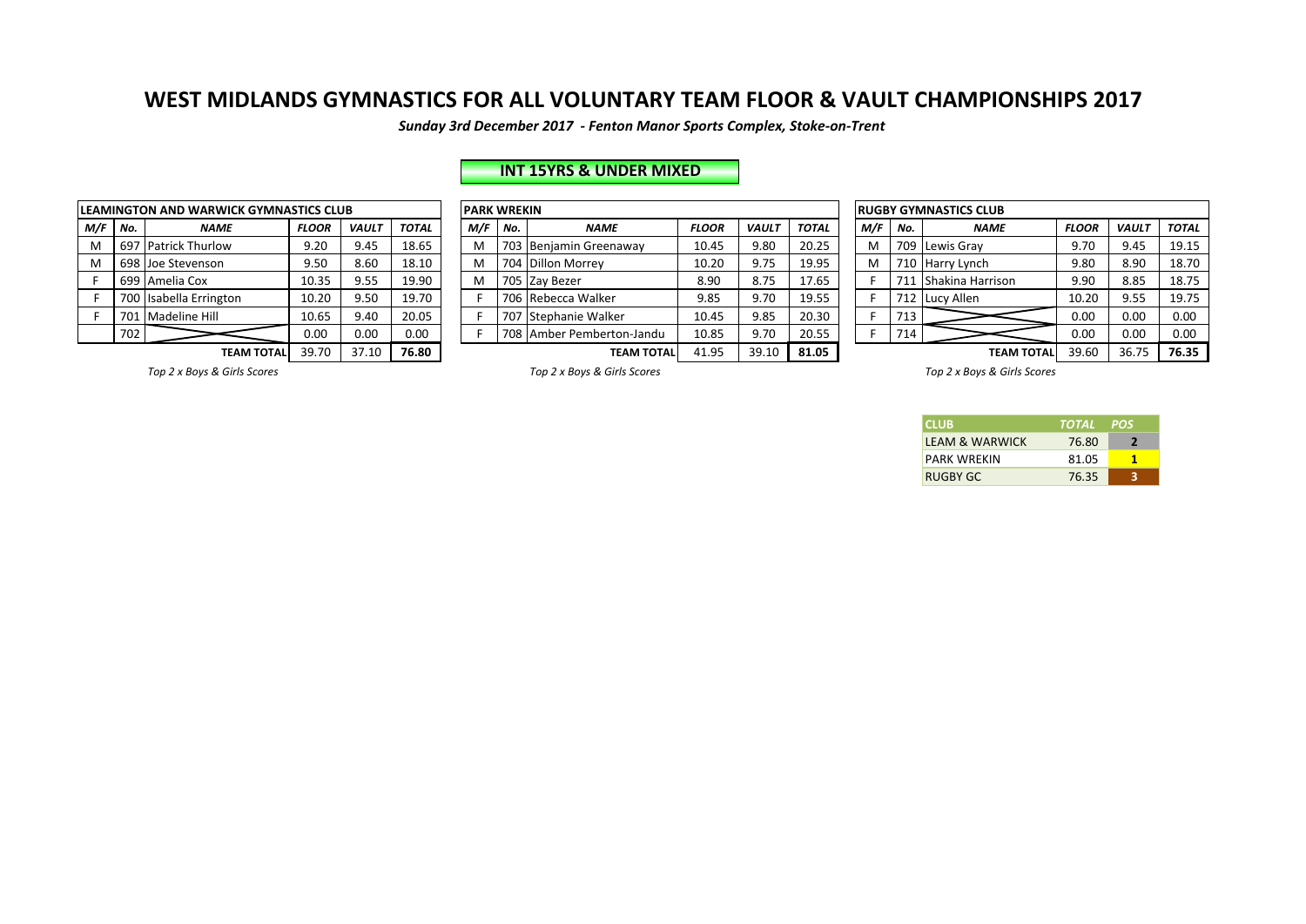*Sunday 3rd December 2017 - Fenton Manor Sports Complex, Stoke-on-Trent*

# **INT 15YRS & UNDER MIXED**

| <b>LEAMINGTON AND WARWICK GYMNASTICS CLUB</b> |     |                        |              |              |              |  |  |  |  |  |  |  |  |  |
|-----------------------------------------------|-----|------------------------|--------------|--------------|--------------|--|--|--|--|--|--|--|--|--|
| M/F                                           | No. | <b>NAME</b>            | <b>FLOOR</b> | <b>VAULT</b> | <b>TOTAL</b> |  |  |  |  |  |  |  |  |  |
| M                                             | 697 | <b>Patrick Thurlow</b> | 9.20         | 9.45         | 18.65        |  |  |  |  |  |  |  |  |  |
| M                                             | 698 | Joe Stevenson          | 9.50         | 8.60         | 18.10        |  |  |  |  |  |  |  |  |  |
| F                                             | 699 | Amelia Cox             | 10.35        | 9.55         | 19.90        |  |  |  |  |  |  |  |  |  |
| F                                             | 700 | Isabella Errington     | 10.20        | 9.50         | 19.70        |  |  |  |  |  |  |  |  |  |
| F                                             | 701 | <b>Madeline Hill</b>   | 10.65        | 9.40         | 20.05        |  |  |  |  |  |  |  |  |  |
|                                               | 702 |                        | 0.00         | 0.00         | 0.00         |  |  |  |  |  |  |  |  |  |
|                                               |     | <b>TEAM TOTAL</b>      | 39.70        | 37.10        | 76.80        |  |  |  |  |  |  |  |  |  |

|   |                            | <b>EAMINGTON AND WARWICK GYMNASTICS CLUB</b> |              |              |              |  | <b>PARK WREKIN</b> |     |                           |              |              |              |  |     | <b>RUGBY GYMNASTICS CLUB</b> |                      |              |              |              |  |  |
|---|----------------------------|----------------------------------------------|--------------|--------------|--------------|--|--------------------|-----|---------------------------|--------------|--------------|--------------|--|-----|------------------------------|----------------------|--------------|--------------|--------------|--|--|
|   | M/F   No.                  | <b>NAME</b>                                  | <b>FLOOR</b> | <b>VAULT</b> | <b>TOTAL</b> |  | M/F                | No. | <b>NAME</b>               | <b>FLOOR</b> | <b>VAULT</b> | <b>TOTAL</b> |  | M/F | No.                          | <b>NAME</b>          | <b>FLOOR</b> | <b>VAULT</b> | <b>TOTAL</b> |  |  |
| M | 697                        | <b>Patrick Thurlow</b>                       | 9.20         | 9.45         | 18.65        |  | M                  |     | 703 Benjamin Greenaway    | 10.45        | 9.80         | 20.25        |  | M   |                              | 709 Lewis Grav       | 9.70         | 9.45         | 19.15        |  |  |
| M |                            | 698 Joe Stevenson                            | 9.50         | 8.60         | 18.10        |  | M                  |     | 704 Dillon Morrey         | 10.20        | 9.75         | 19.95        |  | M   |                              | 710 Harry Lynch      | 9.80         | 8.90         | 18.70        |  |  |
|   |                            | 699   Amelia Cox                             | 10.35        | 9.55         | 19.90        |  | M                  |     | 705 Zav Bezer             | 8.90         | 8.75         | 17.65        |  |     | 711                          | L   Shakina Harrison | 9.90         | 8.85         | 18.75        |  |  |
|   |                            | 700 Isabella Errington                       | 10.20        | 9.50         | 19.70        |  |                    |     | 706 Rebecca Walker        | 9.85         | 9.70         | 19.55        |  |     |                              | 712 Lucy Allen       | 10.20        | 9.55         | 19.75        |  |  |
|   |                            | 701 Madeline Hill                            | 10.65        | 9.40         | 20.05        |  |                    |     | 707 Stephanie Walker      | 10.45        | 9.85         | 20.30        |  |     | 713 <sub>1</sub>             |                      | 0.00         | 0.00         | 0.00         |  |  |
|   | 702                        |                                              | 0.00         | 0.00         | 0.00         |  |                    |     | 708 Amber Pemberton-Jandu | 10.85        | 9.70         | 20.55        |  |     | 714                          |                      | 0.00         | 0.00         | 0.00         |  |  |
|   | 39.70<br><b>TEAM TOTAL</b> |                                              |              | 37.10        | 76.80        |  |                    |     | <b>TEAM TOTAL</b>         | 41.95        | 39.10        | 81.05        |  |     |                              | <b>TEAM TOTAL</b>    | 39.60        | 36.75        | 76.35        |  |  |

| <b>RUGBY GYMNASTICS CLUB</b> |     |                  |              |              |              |  |  |  |  |  |  |  |  |
|------------------------------|-----|------------------|--------------|--------------|--------------|--|--|--|--|--|--|--|--|
| M/F                          | No. | <b>NAME</b>      | <b>FLOOR</b> | <b>VAULT</b> | <b>TOTAL</b> |  |  |  |  |  |  |  |  |
| M                            | 709 | Lewis Gray       | 9.70         | 9.45         | 19.15        |  |  |  |  |  |  |  |  |
| M                            | 710 | Harry Lynch      | 9.80         | 8.90         | 18.70        |  |  |  |  |  |  |  |  |
| F                            | 711 | Shakina Harrison | 9.90         | 8.85         | 18.75        |  |  |  |  |  |  |  |  |
| F                            | 712 | Lucy Allen       | 10.20        | 9.55         | 19.75        |  |  |  |  |  |  |  |  |
| F                            | 713 |                  | 0.00         | 0.00         | 0.00         |  |  |  |  |  |  |  |  |
| F                            | 714 |                  | 0.00         | 0.00         | 0.00         |  |  |  |  |  |  |  |  |
|                              |     | TEAM TOTAL       | 39.60        | 36.75        | 76.35        |  |  |  |  |  |  |  |  |

Top 2 x Boys & Girls Scores *Top 2* x Boys & Girls Scores *Top 2* x Boys & Girls Scores *Top 2* x Boys & Girls Scores

| <b>CLUB</b>               | TOTAL POS |   |
|---------------------------|-----------|---|
| <b>IFAM &amp; WARWICK</b> | 76.80     |   |
| <b>PARK WRFKIN</b>        | 81.05     |   |
| RUGBY GC                  | 76.35     | ર |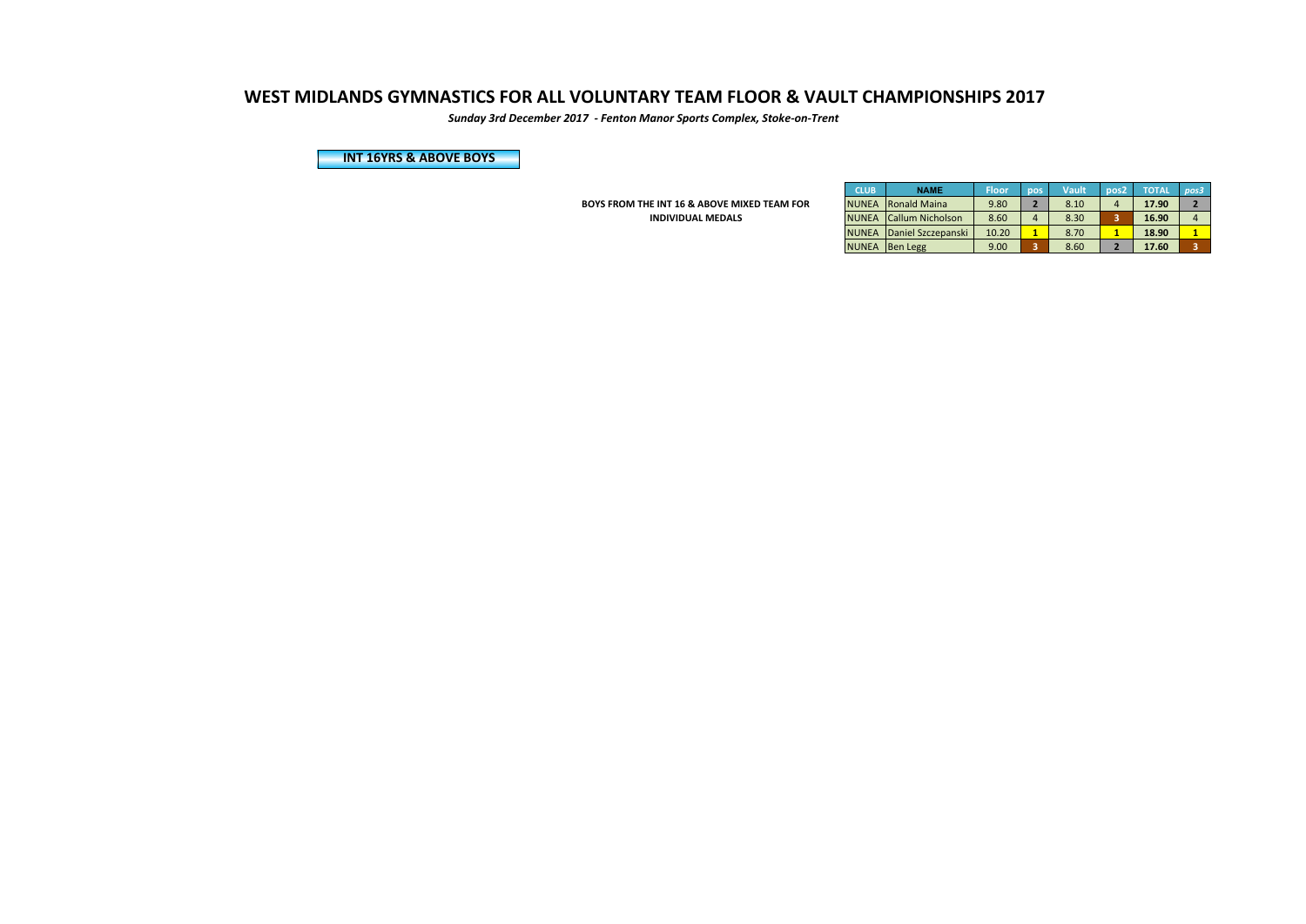*Sunday 3rd December 2017 - Fenton Manor Sports Complex, Stoke-on-Trent*

**INT 16YRS & ABOVE BOYS** 

**BOYS FROM THE INT 16 & ABOVE MIXED TEAM FOR INDIVIDUAL MEDALS** 

| <b>CLUB</b>  | <b>NAME</b>             | <b>Floor</b> | pos            | <b>Vault</b> | pos <sub>2</sub> | <b>TOTAL</b> | pos3 |
|--------------|-------------------------|--------------|----------------|--------------|------------------|--------------|------|
| <b>NUNEA</b> | Ronald Maina            | 9.80         | $\overline{2}$ | 8.10         | $\overline{4}$   | 17.90        |      |
| <b>NUNEA</b> | <b>Callum Nicholson</b> | 8.60         | 4              | 8.30         | 3                | 16.90        |      |
| <b>NUNEA</b> | Daniel Szczepanski      | 10.20        |                | 8.70         |                  | 18.90        |      |
| <b>NUNEA</b> | <b>Ben Legg</b>         | 9.00         | 3              | 8.60         |                  | 17.60        |      |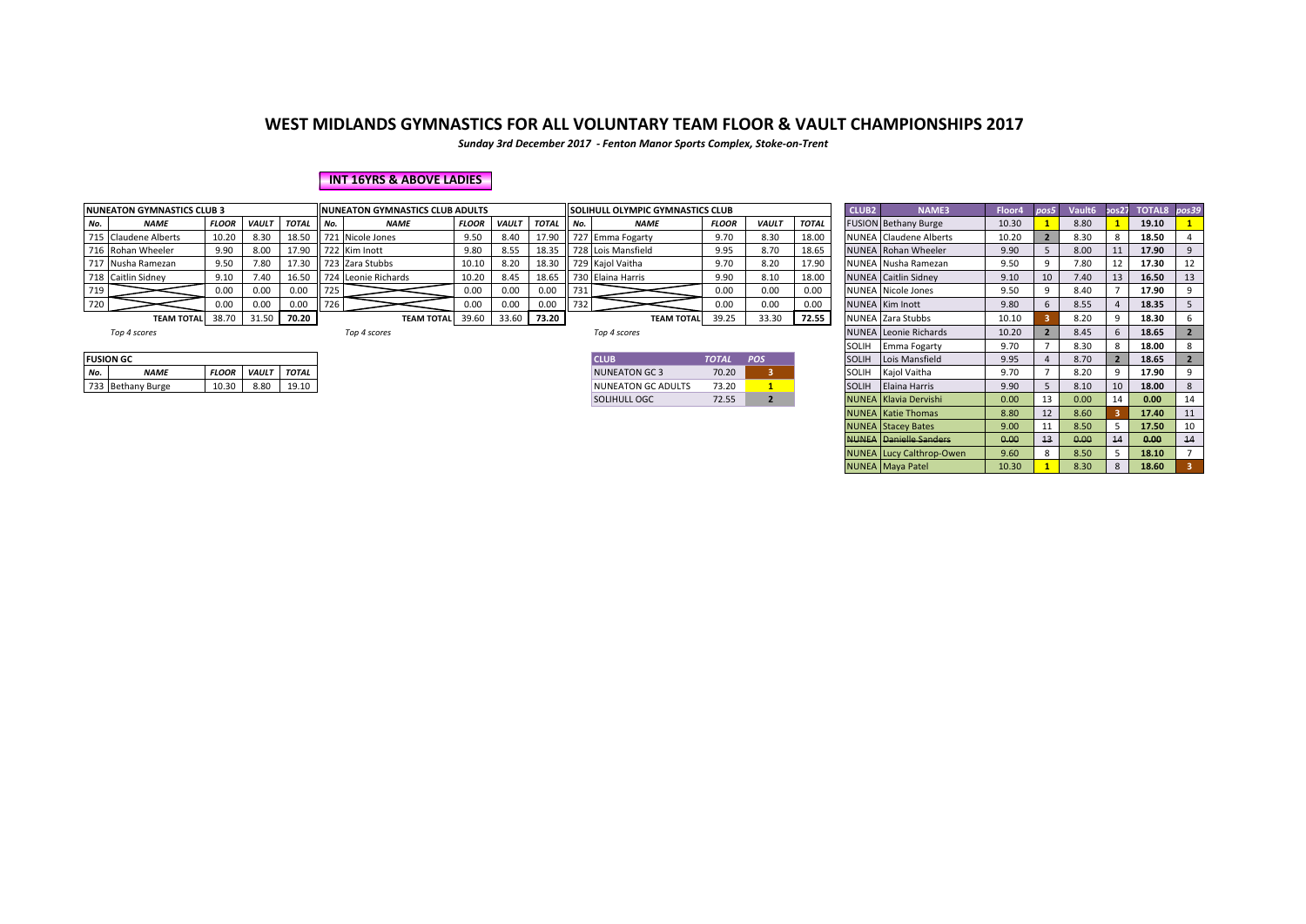*Sunday 3rd December 2017 - Fenton Manor Sports Complex, Stoke-on-Trent*

#### **INT 16YRS & ABOVE LADIES**

|     | <b>NUNEATON GYMNASTICS CLUB 3</b> |              |              |              | <b>IINUNEATON GYMNASTICS CLUB ADULTS</b> |                     |              |              |              |        | <b>II SOLIHULL OLYMPIC GYMNASTICS CLUB</b> |              |              |              |  | <b>NAME3</b>                | Floor4 | pos5 | Vault <sub>6</sub> |    | pos27 TOTAL8 pos39 |  |
|-----|-----------------------------------|--------------|--------------|--------------|------------------------------------------|---------------------|--------------|--------------|--------------|--------|--------------------------------------------|--------------|--------------|--------------|--|-----------------------------|--------|------|--------------------|----|--------------------|--|
| No. | <b>NAME</b>                       | <b>FLOOR</b> | <b>VAULT</b> | <b>TOTAL</b> | II No.                                   | <b>NAME</b>         | <b>FLOOR</b> | <b>VAUL1</b> | <b>TOTAL</b> | II No. | <b>NAME</b>                                | <b>FLOOR</b> | <b>VAULT</b> | <b>TOTAL</b> |  | FUSION Bethany Burge        | 10.30  |      | 8.80               |    | 19.10              |  |
|     | 715 Claudene Alberts              | 10.20        | 8.30         | 18.50        |                                          | 721 Nicole Jones    | 9.50         | 8.40         | 17.90        |        | 727 Emma Fogarty                           | 9.70         | 8.30         | 18.00        |  | NUNEA Claudene Alberts      | 10.20  |      | 8.30               |    | 18.50              |  |
|     | 716 Rohan Wheeler                 | 9.90         | 8.00         | 17.90        |                                          | 722 Kim Inott       | 9.80         | 8.55         | 18.35        |        | 728 Lois Mansfield                         | 9.95         | 8.70         | 18.65        |  | NUNEA Rohan Wheeler         | 9.90   |      | 8.00               |    | 17.90              |  |
|     | 717 Nusha Ramezan                 | 9.50         | 7.80         | 17.30        |                                          | 723 Zara Stubbs     | 10.10        | 8.20         | 18.30        |        | 729 Kajol Vaitha                           | 9.70         | 8.20         | 17.90        |  | NUNEA Nusha Ramezan         | 9.50   |      | 7.80               |    | 17.30              |  |
|     | 718 Caitlin Sidney                | 9.10         | 7.40         | 16.50        |                                          | 724 Leonie Richards | 10.20        | 8.45         | 18.65        |        | 730 Elaina Harris                          | 9.90         | 8.10         | 18.00        |  | <b>NUNEA</b> Caitlin Sidney | 9.10   |      | .40                | 13 | 16.50              |  |
| 719 |                                   | 0.00         | 0.00         | 0.00         | 725                                      |                     | 0.00         | 0.00         | 0.00         | 731    |                                            | 0.00         | 0.00         | 0.00         |  | <b>NUNEA</b> Nicole Jones   | 9.50   |      | .40                |    | 17.90              |  |
| 720 |                                   | 0.00         | 0.00         | 0.00         | 1726                                     |                     | 0.00         | 0.00         | 0.00         | 732    |                                            | 0.00         | 0.00         | 0.00         |  | NUNEA Kim Inott             | 9.80   |      | 8.55               |    | 18.35              |  |
|     | <b>TEAM TOTAL</b>                 | 38.70        | 31.50        | 70.20        |                                          | <b>TEAM TOTAL</b>   | 39.60        | 33.60        | 73.20        |        | <b>TEAM TOTAL</b>                          | 39.25        | 33.30        | 72.55        |  | NUNEA Zara Stubbs           | 10.10  |      | 8.20               |    | 18.30              |  |

| 4 scores |  |
|----------|--|
|          |  |

|  |  | Top 4 score: |
|--|--|--------------|
|  |  |              |

| <b>ICLUB</b>       | <b>TOTAL</b> | <b>POS</b> |
|--------------------|--------------|------------|
| NUNEATON GC 3      | 70.20        |            |
| NUNEATON GC ADULTS | 73.20        |            |
| SOLIHULL OGC       | 72.55        |            |

|     | <b>NUNEATON GYMNASTICS CLUB 3</b> |              |              |              |        | <b>INUNEATON GYMNASTICS CLUB ADULTS</b> |              |       |             |     | <b>SOLIHULL OLYMPIC GYMNASTICS CLUB</b> |              |              |              |              | NAME3                           | Floor4 | pos5 | Vault6 | pos27           | TOTAL8 pos39 |    |
|-----|-----------------------------------|--------------|--------------|--------------|--------|-----------------------------------------|--------------|-------|-------------|-----|-----------------------------------------|--------------|--------------|--------------|--------------|---------------------------------|--------|------|--------|-----------------|--------------|----|
| No. | <b>NAME</b>                       | <b>FLOOR</b> | <b>VAULT</b> | <b>TOTAL</b> | II No. | <b>NAME</b>                             | <b>FLOOR</b> | VAULT | TOTAL       | No. | <b>NAME</b>                             | <b>FLOOR</b> | <b>VAULT</b> | <b>TOTAL</b> |              | <b>FUSION Bethany Burge</b>     | 10.30  |      | 8.80   |                 | 19.10        |    |
|     | 715 Claudene Alberts              | 10.20        | 8.30         | 18.50        |        | 721 Nicole Jones                        | 9.50         | 8.40  | 17.90       |     | 727 Emma Fogarty                        | 9.70         | 8.30         | 18.00        |              | <b>NUNEA</b> Claudene Alberts   | 10.20  |      | 8.30   |                 | 18.50        |    |
|     | 716 Rohan Wheeler                 | 9.90         | 8.00         | 17.90        |        | 722 Kim Inott                           | 9.80         | 8.55  | $18.35$     |     | 728 Lois Mansfield                      | 9.95         | 8.70         | 18.65        |              | NUNEA Rohan Wheeler             | 9.90   |      | 8.00   |                 | 17.90        | 9  |
|     | 717 Nusha Ramezan                 | 9.50         | 7.80         | 17.30        |        | 723 Zara Stubbs                         | 10.10        | 8.20  | 18.30       |     | 729 Kajol Vaitha                        | 9.70         | 8.20         | 17.90        |              | NUNEA Nusha Ramezan             | 9.50   | 9    | 7.80   | 12              | 17.30        | 12 |
|     | 718 Caitlin Sidney                | 9.10         | 7.40         | 16.50        |        | 724 Leonie Richards                     | 10.20        | 8.45  | 18.65       |     | 730 Elaina Harris                       | 9.90         | 8.10         | 18.00        |              | <b>NUNEA</b> Caitlin Sidney     | 9.10   | 10   | 7.40   | 13              | 16.50        | 13 |
| 719 |                                   | 0.00         | 0.00         | 0.00         | 725    |                                         | 0.00         | 0.00  | 0.00        | 731 |                                         | 0.00         | 0.00         | 0.00         |              | NUNEA Nicole Jones              | 9.50   | 9    | 8.40   |                 | 17.90        |    |
| 720 |                                   | 0.00         | 0.00         | 0.00         | 726    |                                         | 0.00         | 0.00  | 0.00        | 732 |                                         | 0.00         | 0.00         | 0.00         |              | <b>NUNEA</b> Kim Inott          | 9.80   |      | 8.55   |                 | 18.35        |    |
|     | <b>TEAM TOTAL</b>                 | 38.70        | 31.50        | 70.20        |        | <b>TEAM TOTAL</b>                       | 39.60        |       | 33.60 73.20 |     | <b>TEAM TOTAL</b>                       | 39.25        | 33.30        | 72.55        |              | NUNEA Zara Stubbs               | 10.10  |      | 8.20   |                 | 18.30        |    |
|     | Top 4 scores                      |              |              |              |        | Top 4 scores                            |              |       |             |     | Top 4 scores                            |              |              |              |              | <b>NUNEA</b> Leonie Richards    | 10.20  |      | 8.45   |                 | 18.65        |    |
|     |                                   |              |              |              |        |                                         |              |       |             |     |                                         |              |              |              | SOLIH        | Emma Fogarty                    | 9.70   |      | 8.30   |                 | 18.00        | 8  |
|     | <b>FUSION GC</b>                  |              |              |              |        |                                         |              |       |             |     | <b>CLUB</b>                             | <b>TOTAL</b> | POS          |              | <b>SOLIH</b> | Lois Mansfield                  | 9.95   |      | 8.70   |                 | 18.65        |    |
| No. | <b>NAME</b>                       | <b>FLOOR</b> | <b>VAULT</b> | <b>TOTAL</b> |        |                                         |              |       |             |     | NUNEATON GC 3                           | 70.20        |              |              | SOLIH        | Kajol Vaitha                    | 9.70   |      | 8.20   |                 | 17.90        |    |
|     | 733 Bethany Burge                 | 10.30        | 8.80         | 19.10        |        |                                         |              |       |             |     | <b>NUNEATON GC ADULTS</b>               | 73.20        |              |              | <b>SOLIH</b> | Elaina Harris                   | 9.90   |      | 8.10   | 10 <sup>1</sup> | 18.00        | 8  |
|     |                                   |              |              |              |        |                                         |              |       |             |     | <b>SOLIHULL OGC</b>                     | 72.55        |              |              |              | NUNEA Klavia Dervishi           | 0.00   | 13   | 0.00   | 14              | 0.00         | 14 |
|     |                                   |              |              |              |        |                                         |              |       |             |     |                                         |              |              |              |              | <b>NUNEA</b> Katie Thomas       | 8.80   | 12   | 8.60   |                 | 17.40        | 11 |
|     |                                   |              |              |              |        |                                         |              |       |             |     |                                         |              |              |              |              | <b>NUNEA</b> Stacey Bates       | 9.00   | 11   | 8.50   |                 | 17.50        |    |
|     |                                   |              |              |              |        |                                         |              |       |             |     |                                         |              |              |              |              | <b>NUNEA</b> Danielle Sanders   | 0.00   | 13   | 0.00   | 14              | 0.00         | 14 |
|     |                                   |              |              |              |        |                                         |              |       |             |     |                                         |              |              |              |              | <b>NUNEA</b> Lucy Calthrop-Owen | 9.60   |      | 8.50   |                 | 18.10        |    |
|     |                                   |              |              |              |        |                                         |              |       |             |     |                                         |              |              |              |              | <b>NUNEA</b> Maya Patel         | 10.30  |      | 8.30   | 8               | 18.60        |    |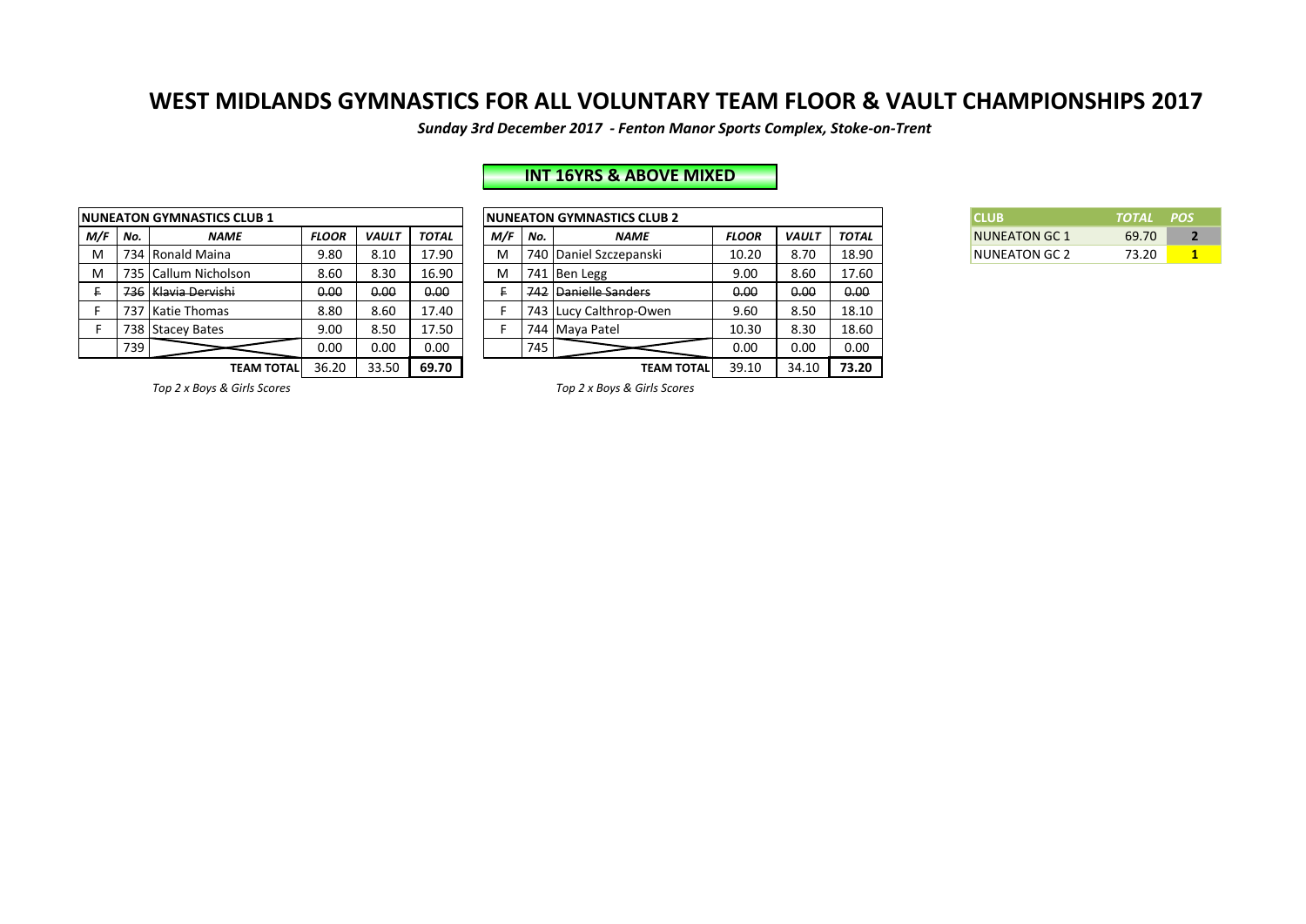*Sunday 3rd December 2017 - Fenton Manor Sports Complex, Stoke-on-Trent*

# **INT 16YRS & ABOVE MIXED**

|     |     | <b>NUNEATON GYMNASTICS CLUB 1</b> | <b>NUNEATON GYMNASTICS CLUB 2</b> |              |              |     |               |                        |  |  |  |
|-----|-----|-----------------------------------|-----------------------------------|--------------|--------------|-----|---------------|------------------------|--|--|--|
| M/F | No. | <b>NAME</b>                       | <b>FLOOR</b>                      | <b>VAULT</b> | <b>TOTAL</b> | M/F | No.           | <b>NAME</b>            |  |  |  |
| М   |     | 734 Ronald Maina                  | 9.80                              | 8.10         | 17.90        | M   |               | 740 Daniel Szczepanski |  |  |  |
| М   |     | 735 Callum Nicholson              | 8.60                              | 8.30         | 16.90        | M   |               | 741 Ben Legg           |  |  |  |
| £   |     | 736   Klavia Dervishi             | 0.00                              | 0.00         | 0.00         |     | 742           | Danielle Sanders       |  |  |  |
|     |     | 737 Katie Thomas                  | 8.80                              | 8.60         | 17.40        |     |               | 743 Lucy Calthrop-Owen |  |  |  |
| F   |     | 738 Stacey Bates                  | 9.00                              | 8.50         | 17.50        |     |               | 744 Maya Patel         |  |  |  |
|     | 739 |                                   | 0.00                              | 0.00         | 0.00         |     | 745           |                        |  |  |  |
|     |     | <b>TEAM TOTAL</b>                 | 36.20                             | 33.50        | 69.70        |     | <b>TEAM T</b> |                        |  |  |  |

|         |                     | <b>IUNEATON GYMNASTICS CLUB 1</b> |              |              |              |     |     | <b>INUNEATON GYMNASTICS CLUB 2</b> |              |              |              | <b>CLUB</b>          | <b>TOTAL</b> | <b>POS</b> |
|---------|---------------------|-----------------------------------|--------------|--------------|--------------|-----|-----|------------------------------------|--------------|--------------|--------------|----------------------|--------------|------------|
| M/F No. |                     | <b>NAME</b>                       | <b>FLOOR</b> | <b>VAULT</b> | <b>TOTAL</b> | M/F | No. | <b>NAME</b>                        | <b>FLOOR</b> | <b>VAUL1</b> | <b>TOTAL</b> | <b>NUNEATON GC 1</b> | 69.70        |            |
| M       |                     | 734 Ronald Maina                  | 9.80         | 8.10         | 17.90        | м   |     | 740 Daniel Szczepanski             | 10.20        | 8.70         | 18.90        | <b>NUNEATON GC 2</b> | 73.20        |            |
| M       |                     | 735 Callum Nicholson              | 8.60         | 8.30         | 16.90        | м   |     | 741 Ben Legg                       | 9.00         | 8.60         | 17.60        |                      |              |            |
|         | 736 Klavia Dervishi |                                   | 0.00         | 0.00         | 0.00         |     |     | 742 Danielle Sanders               | 0.00         | 0.00         | 0.00         |                      |              |            |
|         |                     | 737 Katie Thomas                  | 8.80         | 8.60         | 17.40        |     |     | 743 Lucy Calthrop-Owen             | 9.60         | 8.50         | 18.10        |                      |              |            |
|         |                     | 738 Stacey Bates                  | 9.00         | 8.50         | 17.50        |     |     | 744 Maya Patel                     | 10.30        | 8.30         | 18.60        |                      |              |            |
|         | 739                 |                                   | 0.00         | 0.00         | 0.00         |     | 745 |                                    | 0.00         | 0.00         | 0.00         |                      |              |            |
|         |                     | <b>TEAM TOTALI</b>                | 36.20        | 33.50        | 69.70        |     |     | <b>TEAM TOTAL</b>                  | 39.10        | 34.10        | 73.20        |                      |              |            |

| <b>CLUB</b>          | TOTAL POS |  |
|----------------------|-----------|--|
| <b>NUNEATON GC 1</b> | 69.70     |  |
| NUNEATON GC 2        | 73.20     |  |

*Top 2 x Boys & Girls Scores Top 2 x Boys & Girls Scores*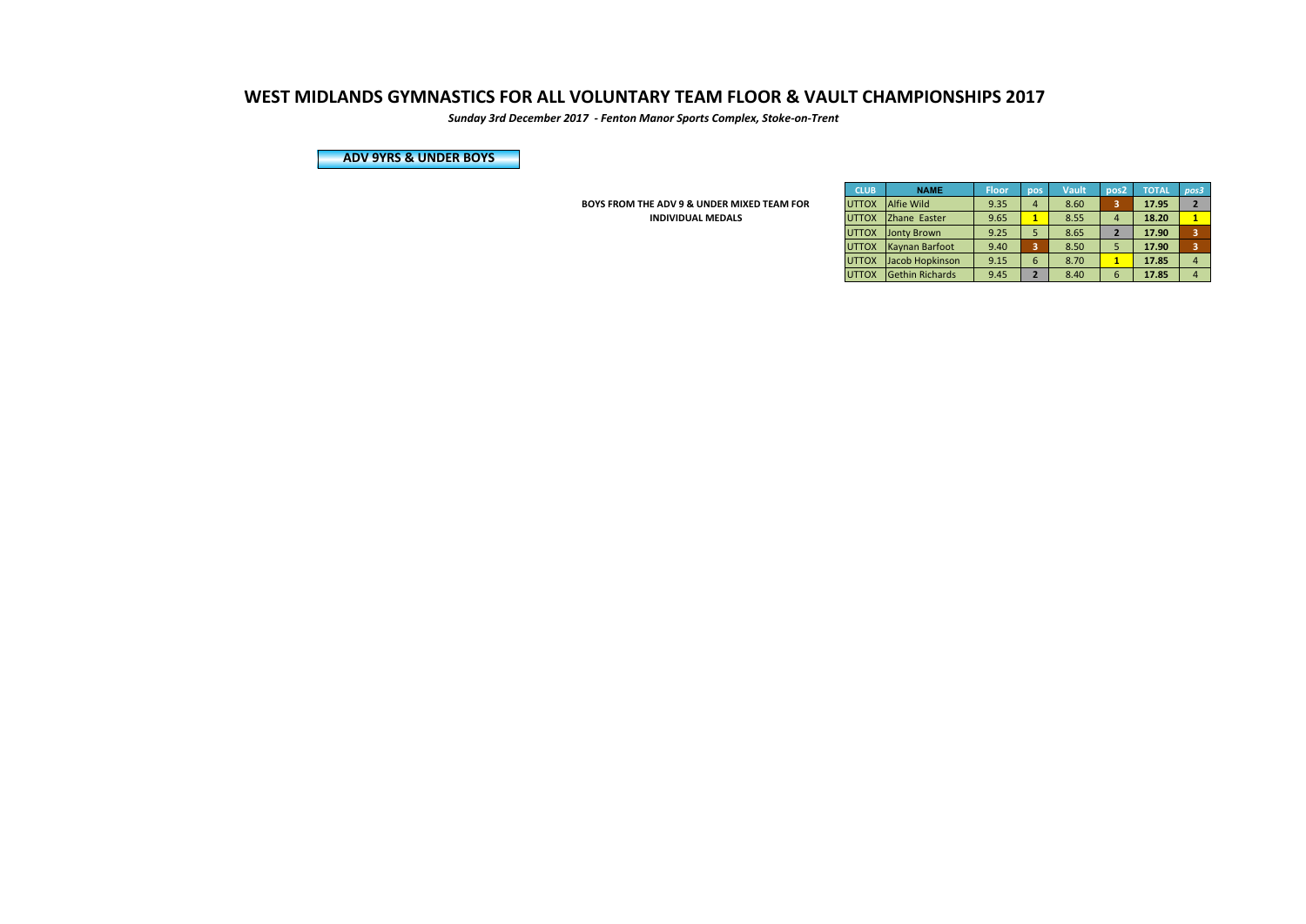*Sunday 3rd December 2017 - Fenton Manor Sports Complex, Stoke-on-Trent*

**ADV 9YRS & UNDER BOYS**

**BOYS FROM THE ADV 9 & UNDER MIXED TEAM FOR INDIVIDUAL MEDALS** 

| <b>CLUB</b>  | <b>NAME</b>            | <b>Floor</b> | pos            | Vault | pos <sub>2</sub> | <b>TOTAL</b> | pos3                    |
|--------------|------------------------|--------------|----------------|-------|------------------|--------------|-------------------------|
| <b>UTTOX</b> | <b>Alfie Wild</b>      | 9.35         | 4              | 8.60  | 3                | 17.95        | $\overline{\mathbf{2}}$ |
| <b>UTTOX</b> | Zhane Easter           | 9.65         | 1              | 8.55  | $\overline{a}$   | 18.20        | 1                       |
| <b>UTTOX</b> | <b>Jonty Brown</b>     | 9.25         | 5              | 8.65  | $\overline{2}$   | 17.90        | 3                       |
| <b>UTTOX</b> | Kaynan Barfoot         | 9.40         | 3              | 8.50  | 5                | 17.90        | 3                       |
| <b>UTTOX</b> | Jacob Hopkinson        | 9.15         | 6              | 8.70  | 1                | 17.85        | $\overline{4}$          |
| <b>UTTOX</b> | <b>Gethin Richards</b> | 9.45         | $\overline{2}$ | 8.40  | 6                | 17.85        |                         |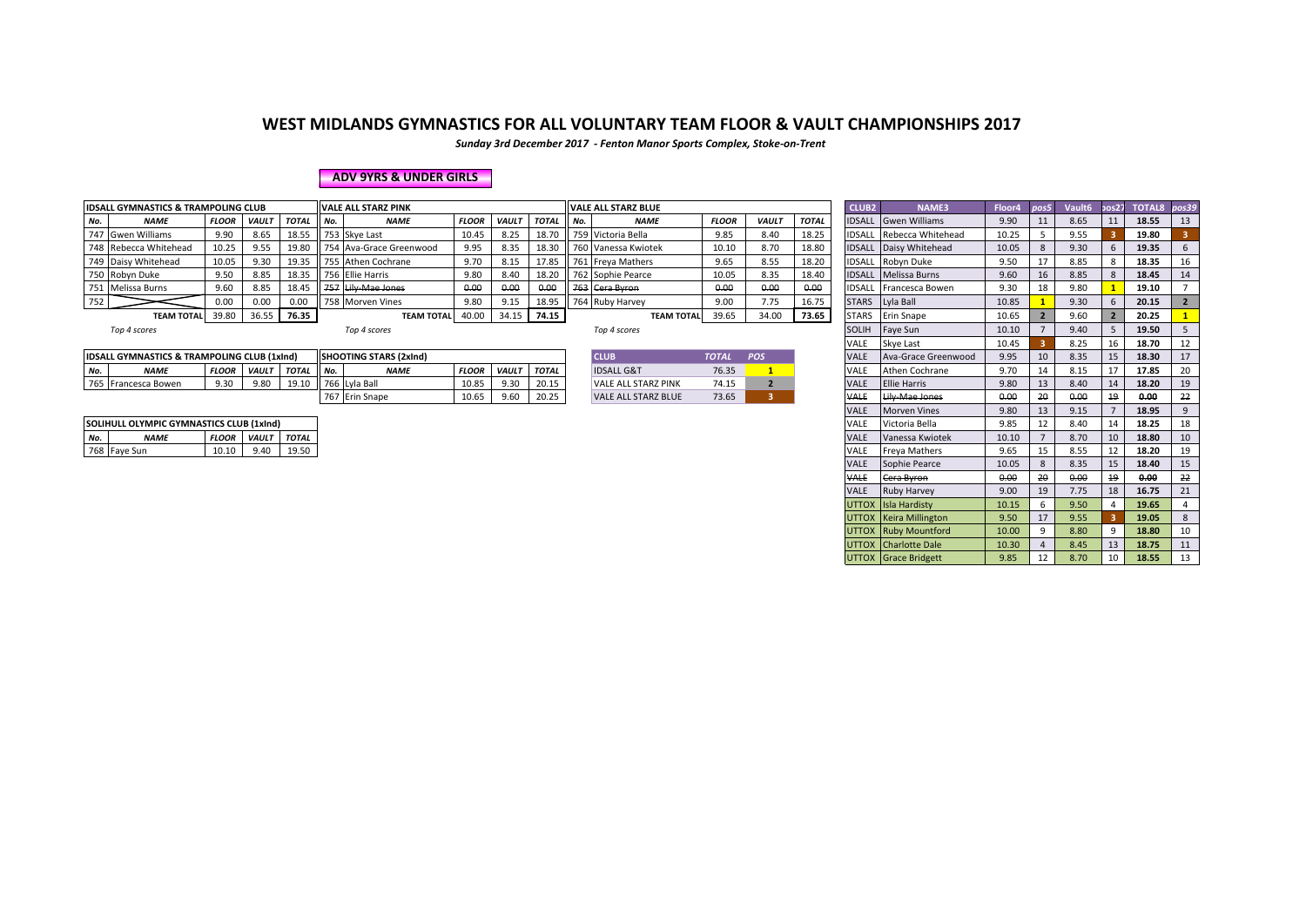*Sunday 3rd December 2017 - Fenton Manor Sports Complex, Stoke-on-Trent*

### **ADV 9YRS & UNDER GIRLS**

|     | <b>IDSALL GYMNASTICS &amp; TRAMPOLING CLUB</b> |              |              |             | <b>VALE ALL STARZ PINK</b> |              |              |              |     | VALE ALL STARZ BLUE |              |              |              | <b>CLUB2</b>  | <b>NAME3</b>                  | Floor4 | pos5 | Vault <sub>6</sub> | pos27 TOTAL8 pos39 |  |
|-----|------------------------------------------------|--------------|--------------|-------------|----------------------------|--------------|--------------|--------------|-----|---------------------|--------------|--------------|--------------|---------------|-------------------------------|--------|------|--------------------|--------------------|--|
| No. | <b>NAME</b>                                    | <b>FLOOR</b> | <b>VAULT</b> | <b>TOTA</b> | <b>NAME</b>                | <b>FLOOR</b> | <b>VAULT</b> | <b>TOTAL</b> | No. | <b>NAME</b>         | <b>FLOOR</b> | <b>VAULT</b> | <b>TOTAL</b> |               | <b>IDSALL</b> Gwen Williams   | 9.90   | 11   | 8.65               | 18.55              |  |
|     | 747 Gwen Williams                              | 9.90         | 8.65         | 18.55       | 753 Skve Last              | 10.45        | 8.25         | 18.70        |     | 759 Victoria Bella  | 9.85         | 8.40         | 18.25        | <b>IDSALL</b> | Rebecca Whitehead             | 10.25  |      | 9.55               | 19.80              |  |
|     | 748 Rebecca Whitehead                          | 10.25        | 9.55         | 19.80       | 754 Ava-Grace Greenwood    | 9.95         | 8.35         | 18.30        |     | 760 Vanessa Kwiotek | 10.10        | 8.70         | 18.80        |               | <b>IDSALL</b> Daisy Whitehead | 10.05  |      | 9.30               | 19.35              |  |
|     | 749 Daisy Whitehead                            | 10.05        | 9.30         | 19.35       | 755 Athen Cochrane         | 9.70         | 8.15         | 17.85        |     | 761 Freva Mathers   | 9.65         | 8.55         | 18.20        | <b>IDSALL</b> | Robyn Duke                    | 9.50   |      | 8.85               | 18.35              |  |
|     | 750 Robyn Duke                                 | 9.50         | 8.85         | 18.35       | 756 Ellie Harris           | 9.80         | 8.40         | 18.20        |     | 762 Sophie Pearce   | 10.05        | 8.35         | 18.40        |               | <b>IDSALL Melissa Burns</b>   | 9.60   | 16   | 8.85               | 18.45              |  |
|     | 751 Melissa Burns                              | 9.60         | 8.85         | 18.45       | 757 Lily-Mae Jones         | 0.00         | 0.00         | 0.00         |     | 763 Cera Byron      | 0.00         | 0.00         | 0.00         | <b>IDSALL</b> | Francesca Bowen .             | 9.30   | 18   | 9.80               | 19.10              |  |
| 752 |                                                | 0.00         | 0.00         | 0.00        | 758 Morven Vines           | 9.80         | 9.15         | 18.95        |     | 764 Ruby Harvey     | 9.00         | 7.75         | 16.75        | <b>STARS</b>  | Lyla Ball                     | 10.85  |      | 9.30               | 20.15              |  |
|     | <b>TEAM TOTAL</b>                              | 39.80        | 36.55        | 76.35       | <b>TEAM TOTAI</b>          | 40.00        | 34.15        | 74.15        |     | <b>TEAM TOTAL</b>   | 39.65        | 34.00        | 73.65        | <b>STARS</b>  | <b>Erin Snape</b>             | 10.65  |      | 9.60               | 20.25              |  |

|     | <b>IDSALL GYMNASTICS &amp; TRAMPOLING CLUB (1xInd)</b> |              |             |                  |        | <b>ISHOOTING STARS (2xInd)</b> |              |             |              | <b>CLUE</b>                | <b>TOTAL</b> | POS | VAL               | Ava-Grace Greenwood                          | 9.95             |    | 8.35           | 1 <sup>E</sup>  | 18.30 |                |
|-----|--------------------------------------------------------|--------------|-------------|------------------|--------|--------------------------------|--------------|-------------|--------------|----------------------------|--------------|-----|-------------------|----------------------------------------------|------------------|----|----------------|-----------------|-------|----------------|
| No. | <b>NAME</b>                                            | <b>FLOOR</b> | VAULT TOTAL |                  | II No. | <b>NAME</b>                    | <b>FLOOR</b> | <b>VAUL</b> | <b>TOTAL</b> | <b>IDSALL G&amp;T</b>      | 76.35        |     | VAL               | Athen Cochrane                               | 9.70             |    | $Q$ 15<br>ᇰ.⊥. |                 | 17.85 |                |
| 765 | Francesca Bowen                                        | Q 30         | 9.8C        | 101 <sup>c</sup> |        | Lyla Ball                      | 10.85        | 9.30        | 20.15        | VALE ALL STARZ PINK        | 74.15        |     | VALI              | <b>Ellie Harris</b>                          | 9.8 <sub>C</sub> |    | 8.40           | $\overline{14}$ | 18.20 | 1 <sup>c</sup> |
|     |                                                        |              |             |                  | 161    | 7 Erin Snape                   | 10.65        | 9.60        | 20.25        | <b>VALE ALL STARZ BLUE</b> | 73.65        |     | $\mathbf{M}$<br>T | ily Mao Jones<br>m <sub>1</sub><br>mac sonce | 0.00             | zч | 0.00<br>v.v.   | 10<br>- 77      | 0.00  |                |

| <b>CLUB</b>                | <b>TOTAL</b> | <b>POS</b> |
|----------------------------|--------------|------------|
| <b>IDSALL G&amp;T</b>      | 7635         |            |
| <b>VALE ALL STARZ PINK</b> | 74 15        |            |
| <b>VALE ALL STARZ BLUE</b> | 73.65        |            |

|     | <b>IDSALL GYMNASTICS &amp; TRAMPOLING CLUB</b>         |              |              |              |     | <b>VALE ALL STARZ PINK</b>    |              |              |              |     | <b>VALE ALL STARZ BLUE</b> |              |                |              | CLUB <sub>2</sub> | NAME3                  | Floor4 | pos5           | Vault6 | 30s27 | TOTAL8 pos39 |                |
|-----|--------------------------------------------------------|--------------|--------------|--------------|-----|-------------------------------|--------------|--------------|--------------|-----|----------------------------|--------------|----------------|--------------|-------------------|------------------------|--------|----------------|--------|-------|--------------|----------------|
| No. | <b>NAME</b>                                            | <b>FLOOR</b> | <b>VAULT</b> | <b>TOTAL</b> | No. | <b>NAME</b>                   | <b>FLOOR</b> | <b>VAULT</b> | <b>TOTAL</b> | No. | <b>NAME</b>                | <b>FLOOR</b> | <b>VAULT</b>   | <b>TOTAL</b> | <b>IDSALL</b>     | <b>Gwen Williams</b>   | 9.90   | 11             | 8.65   | 11    | 18.55        | 13             |
|     | 747 Gwen Williams                                      | 9.90         | 8.65         | 18.55        |     | 753 Skye Last                 | 10.45        | 8.25         | 18.70        |     | 759 Victoria Bella         | 9.85         | 8.40           | 18.25        | <b>IDSALL</b>     | Rebecca Whitehead      | 10.25  | 5              | 9.55   |       | 19.80        |                |
|     | 748 Rebecca Whitehead                                  | 10.25        | 9.55         | 19.80        |     | 754 Ava-Grace Greenwood       | 9.95         | 8.35         | 18.30        |     | 760 Vanessa Kwiotek        | 10.10        | 8.70           | 18.80        | <b>IDSALL</b>     | Daisy Whitehead        | 10.05  | 8              | 9.30   | 6     | 19.35        | 6              |
|     | 749 Daisy Whitehead                                    | 10.05        | 9.30         | 19.35        |     | 755 Athen Cochrane            | 9.70         | 8.15         | 17.85        |     | 761 Freya Mathers          | 9.65         | 8.55           | 18.20        | <b>IDSALL</b>     | Robyn Duke             | 9.50   | 17             | 8.85   |       | 18.35        | 16             |
|     | 750 Robyn Duke                                         | 9.50         | 8.85         | 18.35        |     | 756 Ellie Harris              | 9.80         | 8.40         | 18.20        |     | 762 Sophie Pearce          | 10.05        | 8.35           | 18.40        | <b>IDSALL</b>     | Melissa Burns          | 9.60   | 16             | 8.85   | 8     | 18.45        | 14             |
|     | 751 Melissa Burns                                      | 9.60         | 8.85         | 18.45        |     | 757 Lily-Mae Jones            | 0.00         | 0.00         | 0,00         |     | 763 Cera Byron             | 0.00         | 0.00           | 0.00         | <b>IDSALL</b>     | Francesca Bowen        | 9.30   | 18             | 9.80   |       | 19.10        |                |
| 752 |                                                        | 0.00         | 0.00         | 0.00         |     | 758 Morven Vines              | 9.80         | 9.15         | 18.95        |     | 764 Ruby Harvey            | 9.00         | 7.75           | 16.75        | <b>STARS</b>      | Lyla Ball              | 10.85  |                | 9.30   | 6     | 20.15        | $2^{\circ}$    |
|     | TEAM TOTAL 39.80                                       |              | 36.55        | 76.35        |     | <b>TEAM TOTAL</b>             | 40.00        | 34.15        | 74.15        |     | <b>TEAM TOTAL</b>          | 39.65        | 34.00          | 73.65        | <b>STARS</b>      | <b>Erin Snape</b>      | 10.65  | $\overline{2}$ | 9.60   |       | 20.25        |                |
|     | Top 4 scores                                           |              |              |              |     | Top 4 scores                  |              |              |              |     | Top 4 scores               |              |                |              | <b>SOLIH</b>      | Faye Sun               | 10.10  |                | 9.40   |       | 19.50        | 5 <sup>5</sup> |
|     |                                                        |              |              |              |     |                               |              |              |              |     |                            |              |                |              | VALE              | <b>Skye Last</b>       | 10.45  |                | 8.25   | 16    | 18.70        | 12             |
|     | <b>IDSALL GYMNASTICS &amp; TRAMPOLING CLUB (1xInd)</b> |              |              |              |     | <b>SHOOTING STARS (2xInd)</b> |              |              |              |     | <b>CLUB</b>                | <b>TOTAL</b> | <b>POS</b>     |              | <b>VALE</b>       | Ava-Grace Greenwood    | 9.95   | 10             | 8.35   | 15    | 18.30        | 17             |
| No. | <b>NAME</b>                                            | <b>FLOOR</b> | VAULT        | <b>TOTAL</b> | No. | <b>NAME</b>                   | <b>FLOOR</b> | VAULT        | <b>TOTAL</b> |     | <b>IDSALL G&amp;T</b>      | 76.35        |                |              | <b>VALE</b>       | <b>Athen Cochrane</b>  | 9.70   | 14             | 8.15   | 17    | 17.85        | 20             |
|     | 765 Francesca Bowen                                    | 9.30         | 9.80         | 19.10        |     | 766 Lyla Ball                 | 10.85        | 9.30         | 20.15        |     | <b>VALE ALL STARZ PINK</b> | 74.15        | $\overline{2}$ |              | <b>VALE</b>       | <b>Ellie Harris</b>    | 9.80   | 13             | 8.40   | 14    | 18.20        | 19             |
|     |                                                        |              |              |              |     | 767 Erin Snape                | 10.65        | 9.60         | 20.25        |     | <b>VALE ALL STARZ BLUE</b> | 73.65        | 3 <sup>1</sup> |              | <b>VALE</b>       | Lily Mae Jones         | 0.00   | 20             | 0.00   | 19    | 0.00         | 22             |
|     |                                                        |              |              |              |     |                               |              |              |              |     |                            |              |                |              | <b>VALE</b>       | <b>Morven Vines</b>    | 9.80   | 13             | 9.15   |       | 18.95        | 9              |
|     | SOLIHULL OLYMPIC GYMNASTICS CLUB (1xInd)               |              |              |              |     |                               |              |              |              |     |                            |              |                |              | VALE              | Victoria Bella         | 9.85   | 12             | 8.40   | 14    | 18.25        | 18             |
| No. | <b>NAME</b>                                            | <b>FLOOR</b> | VAULT        | <b>TOTAL</b> |     |                               |              |              |              |     |                            |              |                |              | <b>VALE</b>       | Vanessa Kwiotek        | 10.10  |                | 8.70   | 10    | 18.80        | 10             |
|     | 768 Faye Sun                                           | 10.10        | 9.40         | 19.50        |     |                               |              |              |              |     |                            |              |                |              | <b>VALE</b>       | <b>Freya Mathers</b>   | 9.65   | 15             | 8.55   | 12    | 18.20        | 19             |
|     |                                                        |              |              |              |     |                               |              |              |              |     |                            |              |                |              | <b>VALE</b>       | Sophie Pearce          | 10.05  | 8              | 8.35   | 15    | 18.40        | 15             |
|     |                                                        |              |              |              |     |                               |              |              |              |     |                            |              |                |              | <b>VALE</b>       | Cera Byron             | 0.00   | 20             | 0.00   | 19    | 0.00         | 22             |
|     |                                                        |              |              |              |     |                               |              |              |              |     |                            |              |                |              | <b>VALE</b>       | <b>Ruby Harvey</b>     | 9.00   | 19             | 7.75   | 18    | 16.75        | 21             |
|     |                                                        |              |              |              |     |                               |              |              |              |     |                            |              |                |              |                   | UTTOX IIsla Hardisty   | 10.15  | 6              | 9.50   |       | 19.65        | $\overline{4}$ |
|     |                                                        |              |              |              |     |                               |              |              |              |     |                            |              |                |              |                   | UTTOX Keira Millington | 9.50   | 17             | 9.55   |       | 19.05        | 8              |
|     |                                                        |              |              |              |     |                               |              |              |              |     |                            |              |                |              |                   | UTTOX Ruby Mountford   | 10.00  | 9              | 8.80   | q     | 18.80        | 10             |
|     |                                                        |              |              |              |     |                               |              |              |              |     |                            |              |                |              |                   | UTTOX Charlotte Dale   | 10.30  | $\overline{4}$ | 8.45   | 13    | 18.75        | 11             |
|     |                                                        |              |              |              |     |                               |              |              |              |     |                            |              |                |              |                   | UTTOX Grace Bridgett   | 9.85   | 12             | 8.70   | 10    | 18.55        | 13             |

|     | SOLIHULL OLYMPIC GYMNASTICS CLUB (1xInd) |       |                          |       |  |  |  |  |  |  |  |
|-----|------------------------------------------|-------|--------------------------|-------|--|--|--|--|--|--|--|
| No. | <b>NAMF</b>                              |       | <b>FLOOR VAULT TOTAL</b> |       |  |  |  |  |  |  |  |
|     | 768 Fave Sun                             | 10.10 | 9.40                     | 19.50 |  |  |  |  |  |  |  |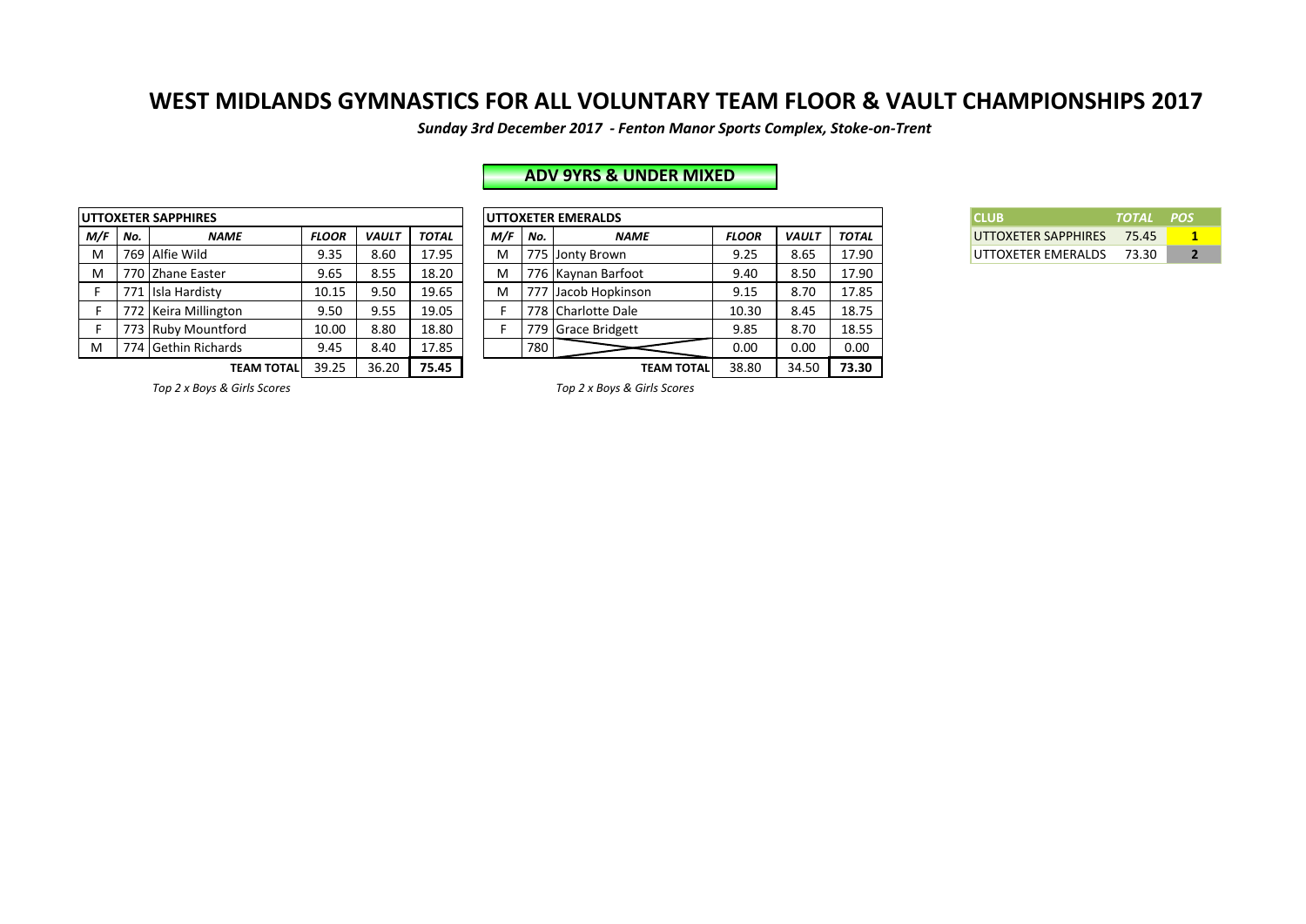Sunday 3rd December 2017 - Fenton Manor Sports Complex, Stoke-on-Trent

# **ADV 9YRS & UNDER MIXED**

|     |     | <b>UTTOXETER SAPPHIRES</b> |              |              |              |     |     | <b>UTTOXETER EMERALDS</b> |
|-----|-----|----------------------------|--------------|--------------|--------------|-----|-----|---------------------------|
| M/F | No. | <b>NAME</b>                | <b>FLOOR</b> | <b>VAULT</b> | <b>TOTAL</b> | M/F | No. | Λ                         |
| M   |     | 769 Alfie Wild             | 9.35         | 8.60         | 17.95        | M   |     | 775 Jonty Brown           |
| м   |     | 770 Zhane Easter           | 9.65         | 8.55         | 18.20        | M   |     | 776 Kaynan Bar            |
| F   |     | 771 Isla Hardisty          | 10.15        | 9.50         | 19.65        | M   |     | 777 Jacob Hopk            |
| F   |     | 772 Keira Millington       | 9.50         | 9.55         | 19.05        |     | 778 | Charlotte D               |
| F   |     | 773 Ruby Mountford         | 10.00        | 8.80         | 18.80        |     |     | 779 Grace Bridg           |
| M   |     | 774 Gethin Richards        | 9.45         | 8.40         | 17.85        |     | 780 |                           |
|     |     | <b>TEAM TOTAL</b>          | 39.25        | 36.20        | 75.45        |     |     |                           |

|         | JTTOXETER SAPPHIRES  |              |              |              |       |     | <b>UTTOXETER EMERALDS</b> |              |              |       | <b>CLUB</b>         | <b>TOTAL</b> | <b>POS</b> |
|---------|----------------------|--------------|--------------|--------------|-------|-----|---------------------------|--------------|--------------|-------|---------------------|--------------|------------|
| M/F No. | <b>NAME</b>          | <b>FLOOR</b> | <b>VAULT</b> | <b>TOTAL</b> | M/F I | No. | <b>NAME</b>               | <b>FLOOR</b> | <b>VAULT</b> | TOTAL | UTTOXETER SAPPHIRES | 75.45        |            |
| M       | 769 Alfie Wild       | 9.35         | 8.60         | 17.95        | м     |     | 775 Jonty Brown           | 9.25         | 8.65         | 17.90 | UTTOXETER EMERALDS  | 73.30        |            |
| M       | 770 Zhane Easter     | 9.65         | 8.55         | 18.20        | м     |     | 776 Kaynan Barfoot        | 9.40         | 8.50         | 17.90 |                     |              |            |
|         | 771 Isla Hardisty    | 10.15        | 9.50         | 19.65        |       |     | 777 Jacob Hopkinson       | 9.15         | 8.70         | 17.85 |                     |              |            |
|         | 772 Keira Millington | 9.50         | 9.55         | 19.05        |       |     | 778 Charlotte Dale        | 10.30        | 8.45         | 18.75 |                     |              |            |
|         | 773 Ruby Mountford   | 10.00        | 8.80         | 18.80        |       |     | 779 Grace Bridgett        | 9.85         | 8.70         | 18.55 |                     |              |            |
| м       | 774 Gethin Richards  | 9.45         | 8.40         | 17.85        |       | 780 |                           | 0.00         | 0.00         | 0.00  |                     |              |            |
|         | <b>TEAM TOTAL</b>    | 39.25        | 36.20        | 75.45        |       |     | <b>TEAM TOTAL</b>         | 38.80        | 34.50        | 73.30 |                     |              |            |

| <b>CLUB</b>                | TOTAL POS |  |
|----------------------------|-----------|--|
| <b>UTTOXETER SAPPHIRES</b> | 75.45     |  |
| UTTOXETER EMERALDS         | 73.30     |  |

**Top 2** x Boys & Girls Scores **1988 Top 2** x Boys & Girls Scores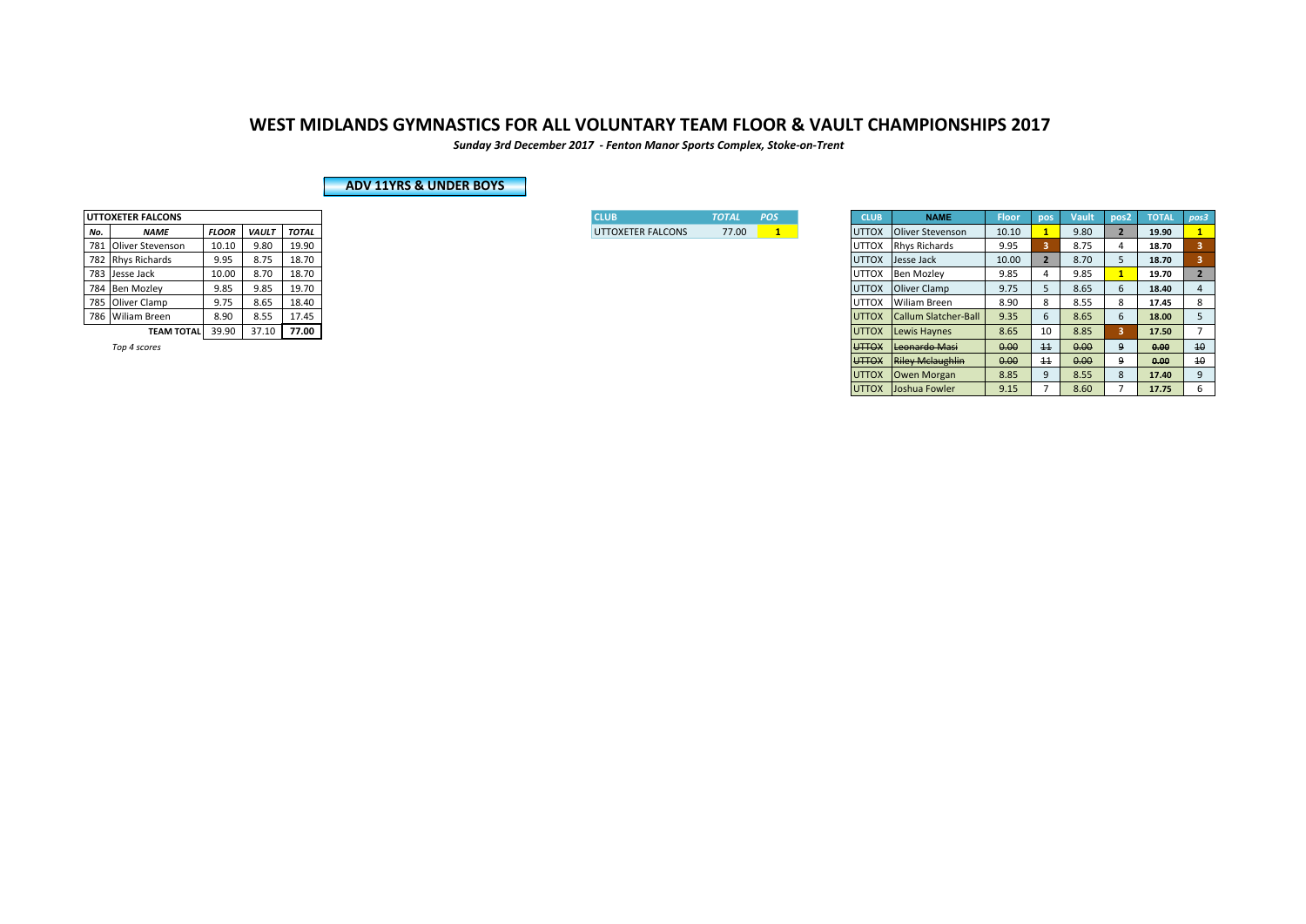*Sunday 3rd December 2017 - Fenton Manor Sports Complex, Stoke-on-Trent*

### **ADV 11YRS & UNDER BOYS**

|     | <b>UTTOXETER FALCONS</b> |              |       |              |  |  |  |  |  |  |  |
|-----|--------------------------|--------------|-------|--------------|--|--|--|--|--|--|--|
| No. | <b>NAME</b>              | <b>FLOOR</b> | VAULT | <b>TOTAL</b> |  |  |  |  |  |  |  |
| 781 | Oliver Stevenson         | 10.10        | 9.80  | 19.90        |  |  |  |  |  |  |  |
| 782 | <b>Rhys Richards</b>     | 9.95         | 8.75  | 18.70        |  |  |  |  |  |  |  |
| 783 | Jesse Jack               | 10.00        | 8.70  | 18.70        |  |  |  |  |  |  |  |
| 784 | <b>Ben Mozley</b>        | 9.85         | 9.85  | 19.70        |  |  |  |  |  |  |  |
| 785 | Oliver Clamp             | 9.75         | 8.65  | 18.40        |  |  |  |  |  |  |  |
|     | 786 Wiliam Breen         | 8.90         | 8.55  | 17.45        |  |  |  |  |  |  |  |
|     | <b>TEAM TOTAL</b>        | 39.90        | 37.10 | 77.00        |  |  |  |  |  |  |  |

| <b>ICLUB</b>             | <b>TOTAL</b> | n pos |
|--------------------------|--------------|-------|
| <b>UTTOXETER FALCONS</b> | 77.00        |       |

|     | <b>UTTOXETER FALCONS</b> |              |       |              |
|-----|--------------------------|--------------|-------|--------------|
| No. | <b>NAME</b>              | <b>FLOOR</b> | VAULT | <b>TOTAL</b> |
|     | 781 Oliver Stevenson     | 10.10        | 9.80  | 19.90        |
|     | 782 Rhys Richards        | 9.95         | 8.75  | 18.70        |
|     | 783 Jesse Jack           | 10.00        | 8.70  | 18.70        |
|     | 784 Ben Mozley           | 9.85         | 9.85  | 19.70        |
|     | 785 Oliver Clamp         | 9.75         | 8.65  | 18.40        |
|     | 786 Wiliam Breen         | 8.90         | 8.55  | 17.45        |
|     | <b>TEAM TOTAL</b>        | 39.90        |       | 37.10 77.00  |
|     | Top 4 scores             |              |       |              |
|     |                          |              |       |              |
|     |                          |              |       |              |
|     |                          |              |       |              |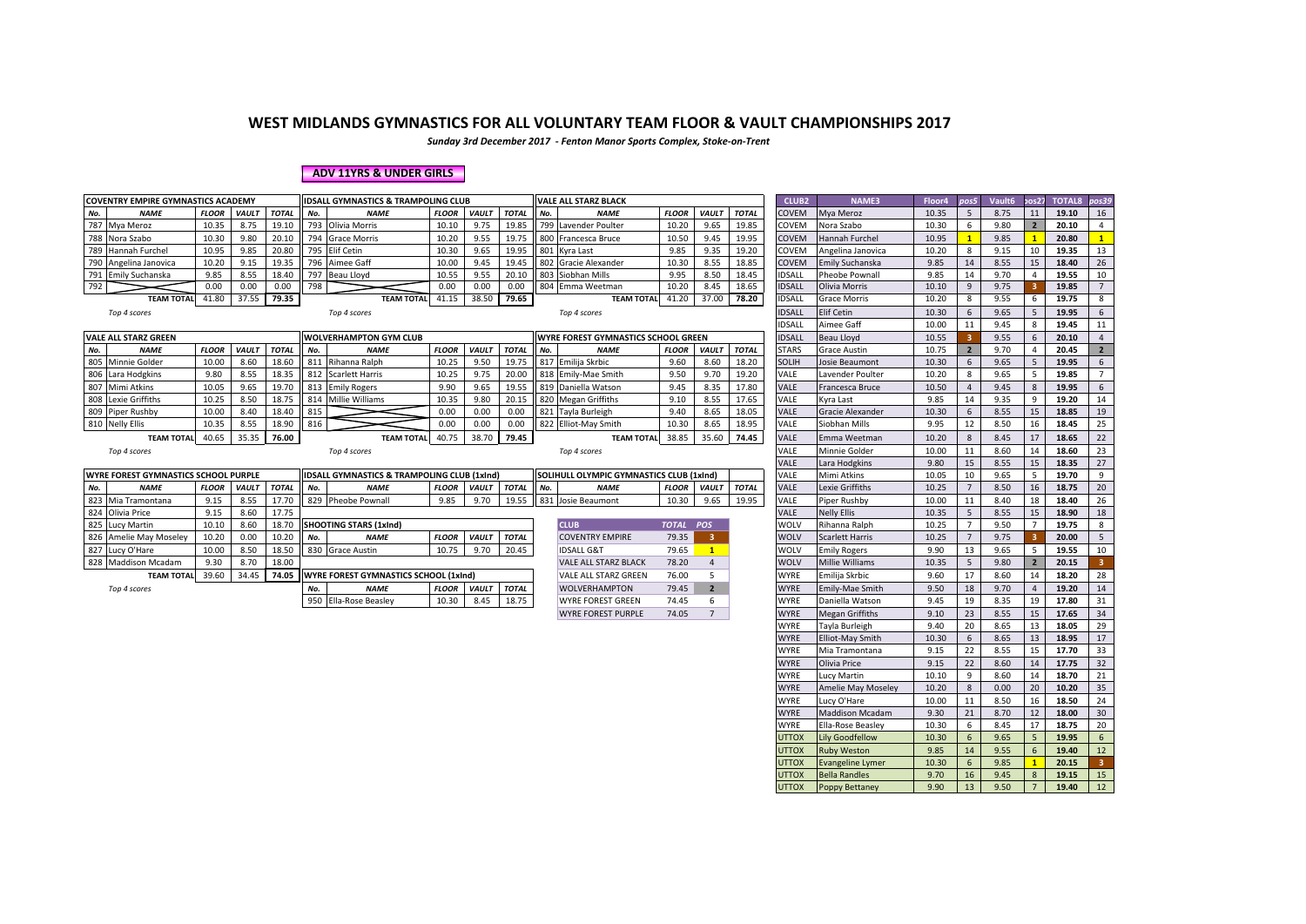*Sunday 3rd December 2017 - Fenton Manor Sports Complex, Stoke-on-Trent*

#### **ADV 11YRS & UNDER GIRLS**

|     | <b>COVENTRY EMPIRE GYMNASTICS ACADEMY</b>   |              |              |              |     | <b>IDSALL GYMNASTICS &amp; TRAMPOLING CLUB</b>         |              |                    |              |     | <b>VALE ALL STARZ BLACK</b>                     |              |                         |              | CLUB <sub>2</sub> | NAME3                   | Floor4 | pos5           | Vault6 | pos27            | TOTAL8 pos39 |                 |
|-----|---------------------------------------------|--------------|--------------|--------------|-----|--------------------------------------------------------|--------------|--------------------|--------------|-----|-------------------------------------------------|--------------|-------------------------|--------------|-------------------|-------------------------|--------|----------------|--------|------------------|--------------|-----------------|
| No. | <b>NAME</b>                                 | <b>FLOOR</b> | <b>VAULT</b> | <b>TOTAL</b> | No. | <b>NAME</b>                                            | <b>FLOOR</b> | <b>VAULT</b>       | <b>TOTAL</b> | No. | <b>NAME</b>                                     | <b>FLOOR</b> | VAULT                   | <b>TOTAL</b> | <b>COVEM</b>      | Mya Meroz               | 10.35  | -5             | 8.75   | 11               | 19.10        | 16              |
|     | 787 Mya Meroz                               | 10.35        | 8.75         | 19.10        |     | 793 Olivia Morris                                      | 10.10        | 9.75               | 19.85        |     | 799 Lavender Poulter                            | 10.20        | 9.65                    | 19.85        | COVEM             | Nora Szabo              | 10.30  | 6              | 9.80   | $\overline{2}$   | 20.10        | $\overline{4}$  |
|     | 788 Nora Szabo                              | 10.30        | 9.80         | 20.10        |     | 794 Grace Morris                                       | 10.20        | 9.55               | 19.75        |     | 800 Francesca Bruce                             | 10.50        | 9.45                    | 19.95        | COVEM             | Hannah Furchel          | 10.95  |                | 9.85   |                  | 20.80        | 1               |
|     | 789 Hannah Furchel                          | 10.95        | 9.85         | 20.80        |     | 795 Elif Cetin                                         | 10.30        | 9.65               | 19.95        |     | 801 Kyra Last                                   | 9.85         | 9.35                    | 19.20        | COVEM             | Angelina Janovica       | 10.20  | 8              | 9.15   | 10               | 19.35        | 13              |
|     | 790 Angelina Janovica                       | 10.20        | 9.15         | 19.35        |     | 796 Aimee Gaff                                         | 10.00        | 9.45               | 19.45        |     | 802 Gracie Alexander                            | 10.30        | 8.55                    | 18.85        | <b>COVEM</b>      | <b>Emily Suchanska</b>  | 9.85   | 14             | 8.55   | 15               | 18.40        | 26              |
|     | 791 Emily Suchanska                         | 9.85         | 8.55         | 18.40        |     | 797 Beau Lloyd                                         | 10.55        | 9.55               | 20.10        |     | 803 Siobhan Mills                               | 9.95         | 8.50                    | 18.45        | <b>IDSALL</b>     | Pheobe Pownall          | 9.85   | 14             | 9.70   |                  | 19.55        | 10              |
| 792 |                                             | 0.00         | 0.00         | 0.00         | 798 |                                                        | 0.00         | 0.00               | 0.00         |     | 804 Emma Weetman                                | 10.20        | 8.45                    | 18.65        | <b>IDSALL</b>     | Olivia Morris           | 10.10  | 9              | 9.75   |                  | 19.85        | $7^{\circ}$     |
|     | TEAM TOTAL 41.80                            |              | 37.55        | 79.35        |     | <b>TEAM TOTAL</b>                                      | 41.15        | 38.50              | 79.65        |     | <b>TEAM TOTAL</b>                               | 41.20        | 37.00                   | 78.20        | <b>IDSALL</b>     | <b>Grace Morris</b>     | 10.20  | 8              | 9.55   | 6                | 19.75        | 8               |
|     | Top 4 scores                                |              |              |              |     | Top 4 scores                                           |              |                    |              |     | Top 4 scores                                    |              |                         |              | <b>IDSALL</b>     | <b>Elif Cetin</b>       | 10.30  | 6              | 9.65   | 5                | 19.95        | $6^{\circ}$     |
|     |                                             |              |              |              |     |                                                        |              |                    |              |     |                                                 |              |                         |              | <b>IDSALL</b>     | Aimee Gaff              | 10.00  | 11             | 9.45   | 8                | 19.45        | 11              |
|     | <b>VALE ALL STARZ GREEN</b>                 |              |              |              |     | <b>WOLVERHAMPTON GYM CLUB</b>                          |              |                    |              |     | <b>WYRE FOREST GYMNASTICS SCHOOL GREEN</b>      |              |                         |              | <b>IDSALL</b>     | <b>Beau Lloyd</b>       | 10.55  |                | 9.55   | $6 \overline{6}$ | 20.10        | $\overline{4}$  |
| No. | <b>NAME</b>                                 | <b>FLOOR</b> | <b>VAULT</b> | <b>TOTAL</b> | No. | <b>NAME</b>                                            | <b>FLOOR</b> | <b>VAULT</b>       | <b>TOTAL</b> | No. | <b>NAME</b>                                     | <b>FLOOR</b> | VAULT                   | <b>TOTAL</b> | <b>STARS</b>      | <b>Grace Austin</b>     | 10.75  | $\overline{2}$ | 9.70   | $\overline{4}$   | 20.45        | $2^{\circ}$     |
|     | 805 Minnie Golder                           | 10.00        | 8.60         | 18.60        |     | 811 Rihanna Ralph                                      | 10.25        | 9.50               | 19.75        |     | 817 Emilija Skrbic                              | 9.60         | 8.60                    | 18.20        | <b>SOLIH</b>      | Josie Beaumont          | 10.30  | 6              | 9.65   | 5                | 19.95        | $6\overline{6}$ |
|     | 806 Lara Hodgkins                           | 9.80         | 8.55         | 18.35        |     | 812 Scarlett Harris                                    | 10.25        | 9.75               | 20.00        |     | 818 Emily-Mae Smith                             | 9.50         | 9.70                    | 19.20        | <b>VALE</b>       | Lavender Poulter        | 10.20  | 8              | 9.65   | -5               | 19.85        | $7^{\circ}$     |
|     | 807 Mimi Atkins                             | 10.05        | 9.65         | 19.70        |     | 813 Emily Rogers                                       | 9.90         | 9.65               | 19.55        |     | 819 Daniella Watson                             | 9.45         | 8.35                    | 17.80        | <b>VALE</b>       | Francesca Bruce         | 10.50  | $\overline{4}$ | 9.45   | 8                | 19.95        | $6\phantom{1}$  |
|     | 808 Lexie Griffiths                         | 10.25        | 8.50         | 18.75        |     | 814 Millie Williams                                    | 10.35        | 9.80               | 20.15        |     | 820 Megan Griffiths                             | 9.10         | 8.55                    | 17.65        | VALE              | Kyra Last               | 9.85   | 14             | 9.35   | 9                | 19.20        | 14              |
|     | 809 Piper Rushby                            | 10.00        | 8.40         | 18.40        | 815 |                                                        | 0.00         | 0.00               | 0.00         |     | 821 Tayla Burleigh                              | 9.40         | 8.65                    | 18.05        | <b>VALE</b>       | Gracie Alexander        | 10.30  | 6              | 8.55   | 15               | 18.85        | 19              |
|     | 810 Nelly Ellis                             | 10.35        | 8.55         | 18.90        | 816 |                                                        | 0.00         | 0.00               | 0.00         |     | 822 Elliot-May Smith                            | 10.30        | 8.65                    | 18.95        | VALE              | Siobhan Mills           | 9.95   | 12             | 8.50   | 16               | 18.45        | 25              |
|     | <b>TEAM TOTAL</b>                           | 40.65        | 35.35        | 76.00        |     | <b>TEAM TOTAL</b>                                      | 40.75        | 38.70              | 79.45        |     | <b>TEAM TOTAL</b>                               | 38.85        | 35.60                   | 74.45        | <b>VALE</b>       | Emma Weetman            | 10.20  | 8              | 8.45   | 17               | 18.65        | 22              |
|     | Top 4 scores                                |              |              |              |     | Top 4 scores                                           |              |                    |              |     | Top 4 scores                                    |              |                         |              | <b>VALE</b>       | Minnie Golder           | 10.00  | 11             | 8.60   | 14               | 18.60        | 23              |
|     |                                             |              |              |              |     |                                                        |              |                    |              |     |                                                 |              |                         |              | <b>VALE</b>       | Lara Hodgkins           | 9.80   | 15             | 8.55   | 15               | 18.35        | 27              |
|     | <b>WYRE FOREST GYMNASTICS SCHOOL PURPLE</b> |              |              |              |     | <b>IDSALL GYMNASTICS &amp; TRAMPOLING CLUB (1xInd)</b> |              |                    |              |     | <b>SOLIHULL OLYMPIC GYMNASTICS CLUB (1xInd)</b> |              |                         |              | <b>VALE</b>       | Mimi Atkins             | 10.05  | 10             | 9.65   | 5                | 19.70        | 9               |
| No. | <b>NAME</b>                                 | <b>FLOOR</b> | <b>VAULT</b> | <b>TOTAL</b> | No. | <b>NAME</b>                                            |              | FLOOR VAULT        | <b>TOTAL</b> | No. | <b>NAME</b>                                     | <b>FLOOR</b> | <b>VAULT</b>            | <b>TOTAL</b> | <b>VALE</b>       | Lexie Griffiths         | 10.25  |                | 8.50   | 16               | 18.75        | 20              |
|     | 823 Mia Tramontana                          | 9.15         | 8.55         | 17.70        |     | 829 Pheobe Pownall                                     | 9.85         | 9.70               | 19.55        |     | 831 Josie Beaumont                              | 10.30        | 9.65                    | 19.95        | VALE              | Piper Rushby            | 10.00  | 11             | 8.40   | 18               | 18.40        | 26              |
|     | 824 Olivia Price                            | 9.15         | 8.60         | 17.75        |     |                                                        |              |                    |              |     |                                                 |              |                         |              | <b>VALE</b>       | <b>Nelly Ellis</b>      | 10.35  | 5              | 8.55   | 15               | 18.90        | 18              |
|     | 825 Lucy Martin                             | 10.10        | 8.60         | 18.70        |     | <b>SHOOTING STARS (1xInd)</b>                          |              |                    |              |     | <b>CLUB</b>                                     | TOTAL POS    |                         |              | WOLV              | Rihanna Ralph           | 10.25  | $\overline{7}$ | 9.50   | $\overline{7}$   | 19.75        | 8               |
|     | 826 Amelie May Moseley                      | 10.20        | 0.00         | 10.20        | No. | <b>NAME</b>                                            | <b>FLOOR</b> | <b>VAULT</b>       | <b>TOTAL</b> |     | <b>COVENTRY EMPIRE</b>                          | 79.35        | $\overline{\mathbf{3}}$ |              | <b>WOLV</b>       | <b>Scarlett Harris</b>  | 10.25  | $\overline{7}$ | 9.75   |                  | 20.00        | 5 <sup>5</sup>  |
| 827 | Lucy O'Hare                                 | 10.00        | 8.50         | 18.50        |     | 830 Grace Austin                                       | 10.75        | 9.70               | 20.45        |     | <b>IDSALL G&amp;T</b>                           | 79.65        | $\mathbf{1}$            |              | WOLV              | <b>Emily Rogers</b>     | 9.90   | 13             | 9.65   | 5                | 19.55        | 10              |
|     | 828 Maddison Mcadam                         | 9.30         | 8.70         | 18.00        |     |                                                        |              |                    |              |     | <b>VALE ALL STARZ BLACK</b>                     | 78.20        | 4                       |              | <b>WOLV</b>       | <b>Millie Williams</b>  | 10.35  | 5              | 9.80   | $\overline{2}$   | 20.15        | 3 <sup>7</sup>  |
|     | <b>TEAM TOTAL</b>                           | 39.60        | 34.45        | 74.05        |     | <b>WYRE FOREST GYMNASTICS SCHOOL (1xind)</b>           |              |                    |              |     | <b>VALE ALL STARZ GREEN</b>                     | 76.00        | -5                      |              | <b>WYRE</b>       | Emilija Skrbic          | 9.60   | 17             | 8.60   | 14               | 18.20        | 28              |
|     | Top 4 scores                                |              |              |              | No. | <b>NAME</b>                                            |              | <b>FLOOR VAULT</b> | <b>TOTAL</b> |     | <b>WOLVERHAMPTON</b>                            | 79.45        | $\overline{2}$          |              | <b>WYRE</b>       | Emily-Mae Smith         | 9.50   | 18             | 9.70   | $\overline{a}$   | 19.20        | 14              |
|     |                                             |              |              |              |     | 950 Ella-Rose Beasley                                  | 10.30        | 8.45               | 18.75        |     | <b>WYRE FOREST GREEN</b>                        | 74.45        | 6                       |              | <b>WYRE</b>       | Daniella Watson         | 9.45   | 19             | 8.35   | 19               | 17.80        | 31              |
|     |                                             |              |              |              |     |                                                        |              |                    |              |     | <b>WYRE FOREST PURPLE</b>                       | 74.05        | $7^{\circ}$             |              | <b>WYRE</b>       | <b>Megan Griffiths</b>  | 9.10   | 23             | 8.55   | 15               | 17.65        | 34              |
|     |                                             |              |              |              |     |                                                        |              |                    |              |     |                                                 |              |                         |              | WYRE              | Tayla Burleigh          | 9.40   | 20             | 8.65   | 13               | 18.05        | 29              |
|     |                                             |              |              |              |     |                                                        |              |                    |              |     |                                                 |              |                         |              | <b>WYRE</b>       | <b>Elliot-May Smith</b> | 10.30  | 6              | 8.65   | 13               | 18.95        | 17              |

| <b>CU V LIVI</b> | <b>IVOIG JEGUU</b>        | 10.JU | v                       | J.OU | $\epsilon$     | 20.10 |                         |
|------------------|---------------------------|-------|-------------------------|------|----------------|-------|-------------------------|
| COVEM            | Hannah Furchel            | 10.95 | $\mathbf{1}$            | 9.85 | $\mathbf{1}$   | 20.80 | $\overline{1}$          |
| COVEM            | Angelina Janovica         | 10.20 | 8                       | 9.15 | 10             | 19.35 | 13                      |
| COVEM            | Emily Suchanska           | 9.85  | 14                      | 8.55 | 15             | 18.40 | 26                      |
| <b>IDSALL</b>    | Pheobe Pownall            | 9.85  | 14                      | 9.70 | 4              | 19.55 | 10                      |
| IDSALL           | Olivia Morris             | 10.10 | 9                       | 9.75 | 3              | 19.85 | $\overline{7}$          |
| <b>IDSALL</b>    | <b>Grace Morris</b>       | 10.20 | 8                       | 9.55 | 6              | 19.75 | 8                       |
| <b>IDSALL</b>    | <b>Elif Cetin</b>         | 10.30 | 6                       | 9.65 | 5              | 19.95 | 6                       |
| <b>IDSALL</b>    | Aimee Gaff                | 10.00 | 11                      | 9.45 | 8              | 19.45 | 11                      |
| <b>IDSALL</b>    | Beau Lloyd                | 10.55 | 3                       | 9.55 | 6              | 20.10 | $\overline{4}$          |
| STARS            | <b>Grace Austin</b>       | 10.75 | $\overline{\mathbf{2}}$ | 9.70 | 4              | 20.45 | $\overline{\mathbf{2}}$ |
| SOLIH            | Josie Beaumont            | 10.30 | 6                       | 9.65 | 5              | 19.95 | 6                       |
| VALE             | Lavender Poulter          | 10.20 | 8                       | 9.65 | 5              | 19.85 | $\overline{7}$          |
| VALE             | Francesca Bruce           | 10.50 | 4                       | 9.45 | 8              | 19.95 | 6                       |
| VALE             | Kyra Last                 | 9.85  | 14                      | 9.35 | 9              | 19.20 | 14                      |
| VALE             | Gracie Alexander          | 10.30 | 6                       | 8.55 | 15             | 18.85 | 19                      |
| VALE             | Siobhan Mills             | 9.95  | 12                      | 8.50 | 16             | 18.45 | 25                      |
| VALE             | Emma Weetman              | 10.20 | 8                       | 8.45 | 17             | 18.65 | 22                      |
| .<br>Vale        | Minnie Golder             | 10.00 | 11                      | 8.60 | 14             | 18.60 | 23                      |
| VALE             | Lara Hodgkins             | 9.80  | 15                      | 8.55 | 15             | 18.35 | 27                      |
| VALE             | Mimi Atkins               | 10.05 | 10                      | 9.65 | 5              | 19.70 | 9                       |
| VALE             | Lexie Griffiths           | 10.25 | 7                       | 8.50 | 16             | 18.75 | 20                      |
| VALE             | Piper Rushby              | 10.00 | 11                      | 8.40 | 18             | 18.40 | 26                      |
| VALE             | <b>Nelly Ellis</b>        | 10.35 | 5                       | 8.55 | 15             | 18.90 | 18                      |
| WOLV             | Rihanna Ralph             | 10.25 | 7                       | 9.50 | 7              | 19.75 | 8                       |
| WOLV             | <b>Scarlett Harris</b>    | 10.25 | $\overline{7}$          | 9.75 | 3              | 20.00 | 5                       |
| WOLV             | <b>Emily Rogers</b>       | 9.90  | 13                      | 9.65 | 5              | 19.55 | 10                      |
| WOLV             | Millie Williams           | 10.35 | 5                       | 9.80 | $\overline{2}$ | 20.15 | 3                       |
| <b>WYRE</b>      | Emilija Skrbic            | 9.60  | 17                      | 8.60 | 14             | 18.20 | 28                      |
| <b>WYRE</b>      | Emily-Mae Smith           | 9.50  | 18                      | 9.70 | $\overline{4}$ | 19.20 | 14                      |
| <b>WYRE</b>      | Daniella Watson           | 9.45  | 19                      | 8.35 | 19             | 17.80 | 31                      |
| <b>WYRE</b>      | <b>Megan Griffiths</b>    | 9.10  | 23                      | 8.55 | 15             | 17.65 | 34                      |
| <b>WYRE</b>      | Tayla Burleigh            | 9.40  | 20                      | 8.65 | 13             | 18.05 | 29                      |
| <b>WYRE</b>      | Elliot-May Smith          | 10.30 | 6                       | 8.65 | 13             | 18.95 | 17                      |
| WYRE             | Mia Tramontana            | 9.15  | 22                      | 8.55 | 15             | 17.70 | 33                      |
| <b>WYRE</b>      | Olivia Price              | 9.15  | 22                      | 8.60 | 14             | 17.75 | 32                      |
| WYRE             | Lucy Martin               | 10.10 | 9                       | 8.60 | 14             | 18.70 | 21                      |
| WYRE             | <b>Amelie May Moseley</b> | 10.20 | 8                       | 0.00 | 20             | 10.20 | 35                      |
| WYRE             | Lucy O'Hare               | 10.00 | 11                      | 8.50 | 16             | 18.50 | 24                      |
| WYRE             | <b>Maddison Mcadam</b>    | 9.30  | 21                      | 8.70 | 12             | 18.00 | 30                      |
| <b>WYRE</b>      | Ella-Rose Beasley         | 10.30 | 6                       | 8.45 | 17             | 18.75 | 20                      |
| <b>UTTOX</b>     | Lily Goodfellow           | 10.30 | 6                       | 9.65 | 5              | 19.95 | 6                       |
| <b>UTTOX</b>     | <b>Ruby Weston</b>        | 9.85  | 14                      | 9.55 | 6              | 19.40 | 12                      |
| <b>UTTOX</b>     | <b>Evangeline Lymer</b>   | 10.30 | 6                       | 9.85 | $\mathbf{1}$   | 20.15 | 3                       |
| <b>UTTOX</b>     | <b>Bella Randles</b>      | 9.70  | 16                      | 9.45 | 8              | 19.15 | 15                      |
| <b>UTTOX</b>     | Poppy Bettaney            | 9.90  | 13                      | 9.50 | $\overline{7}$ | 19.40 | 12                      |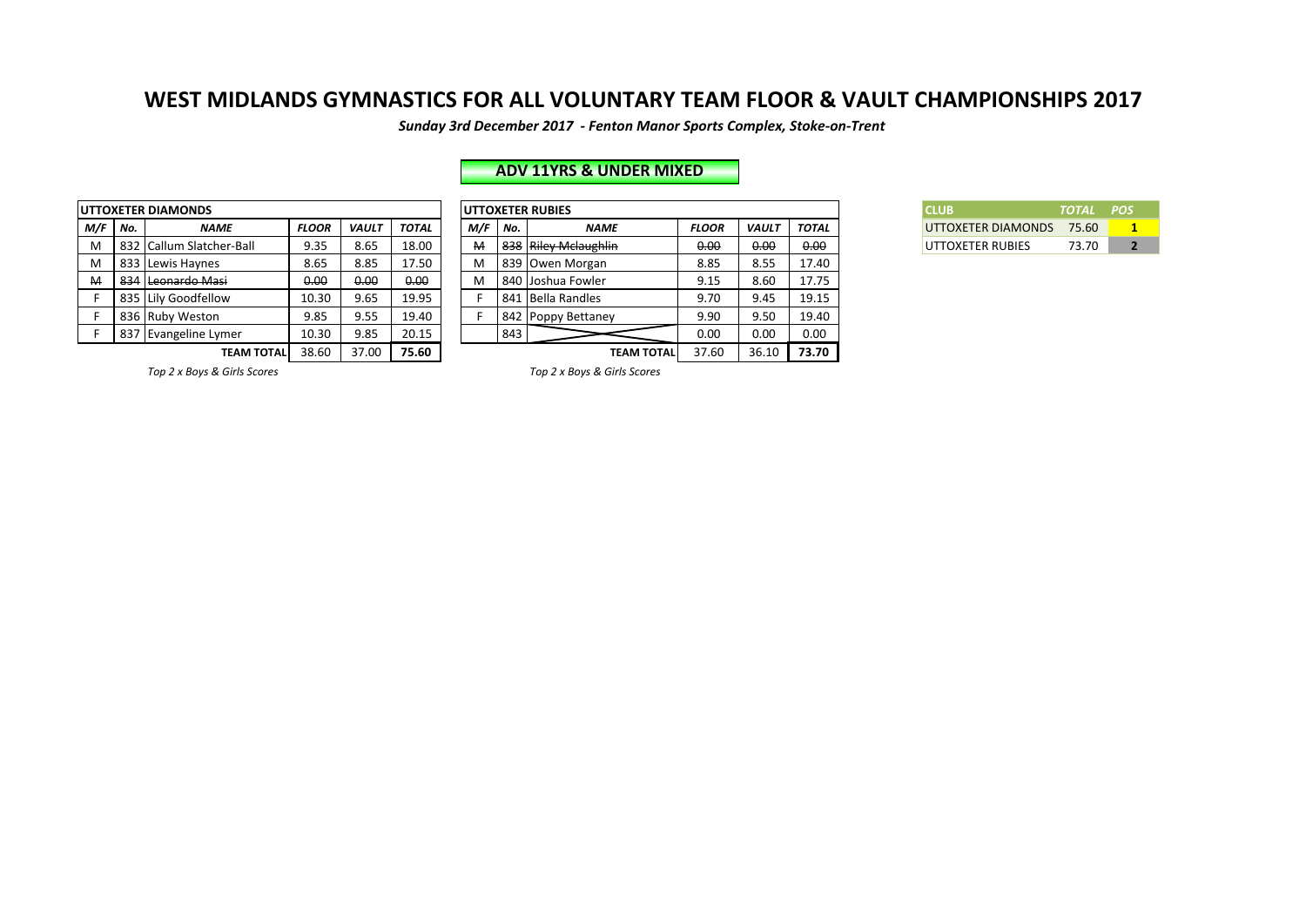*Sunday 3rd December 2017 - Fenton Manor Sports Complex, Stoke-on-Trent*

|     |     | <b>UTTOXETER DIAMONDS</b> |              |              |              |     |     | <b>UTTOXETER RUBIES</b> |
|-----|-----|---------------------------|--------------|--------------|--------------|-----|-----|-------------------------|
| M/F | No. | <b>NAME</b>               | <b>FLOOR</b> | <b>VAULT</b> | <b>TOTAL</b> | M/F | No. |                         |
| M   | 832 | Callum Slatcher-Ball      | 9.35         | 8.65         | 18.00        | м   | 838 | <b>Riley M</b>          |
| м   | 833 | Lewis Haynes              | 8.65         | 8.85         | 17.50        | м   | 839 | Owen N                  |
| M   | 834 | Leonardo Masi             | 0.00         | 0.00         | 0.00         | м   | 840 | Joshua                  |
| F   | 835 | Lily Goodfellow           | 10.30        | 9.65         | 19.95        |     | 841 | Bella Ra                |
| F   | 836 | <b>Ruby Weston</b>        | 9.85         | 9.55         | 19.40        | F   | 842 | Poppy E                 |
| F   | 837 | Evangeline Lymer          | 10.30        | 9.85         | 20.15        |     | 843 |                         |
|     |     | <b>TEAM TOTAL</b>         | 38.60        | 37.00        | 75.60        |     |     |                         |

## **ADV 11YRS & UNDER MIXED**

|         |     | JTTOXETER DIAMONDS       |              |              |              |     |     | <b>UTTOXETER RUBIES</b> |              |              |       | <b>CLUB</b>             | <b>TOTAL</b> | <b>POS</b> |
|---------|-----|--------------------------|--------------|--------------|--------------|-----|-----|-------------------------|--------------|--------------|-------|-------------------------|--------------|------------|
| M/F No. |     | <b>NAME</b>              | <b>FLOOR</b> | <b>VAULT</b> | <b>TOTAL</b> | M/F | No. | <b>NAME</b>             | <b>FLOOR</b> | <b>VAULT</b> | TOTAL | UTTOXETER DIAMONDS      | 75.60        |            |
| M       |     | 832 Callum Slatcher-Ball | 9.35         | 8.65         | 18.00        | M   |     | 838 Riley Melaughlin    | 0.00         | 0.00         | 0.00  | <b>UTTOXETER RUBIES</b> | 73.70        |            |
| M       |     | 833 Lewis Havnes         | 8.65         | 8.85         | 17.50        | м   |     | 839   Owen Morgan       | 8.85         | 8.55         | 17.40 |                         |              |            |
| M       | 834 | Leonardo Masi            | 0.00         | 0.00         | 0.00         | м   |     | 840 Joshua Fowler       | 9.15         | 8.60         | 17.75 |                         |              |            |
|         |     | 835 Lily Goodfellow      | 10.30        | 9.65         | 19.95        |     |     | 841 Bella Randles       | 9.70         | 9.45         | 19.15 |                         |              |            |
|         |     | 836 Ruby Weston          | 9.85         | 9.55         | 19.40        |     |     | 842 Poppy Bettaney      | 9.90         | 9.50         | 19.40 |                         |              |            |
|         |     | 837 Evangeline Lymer     | 10.30        | 9.85         | 20.15        |     | 843 |                         | 0.00         | 0.00         | 0.00  |                         |              |            |
|         |     | TEAM TOTALI              | 38.60        | 37.00        | 75.60        |     |     | <b>TEAM TOTAL</b>       | 37.60        | 36.10        | 73.70 |                         |              |            |

| <b>CLUB</b>              | TOTAL POS |  |
|--------------------------|-----------|--|
| UTTOXETER DIAMONDS 75.60 |           |  |
| UTTOXETER RUBIES         | 73.70     |  |

*Top 2 x Boys & Girls Scores Top 2 x Boys & Girls Scores*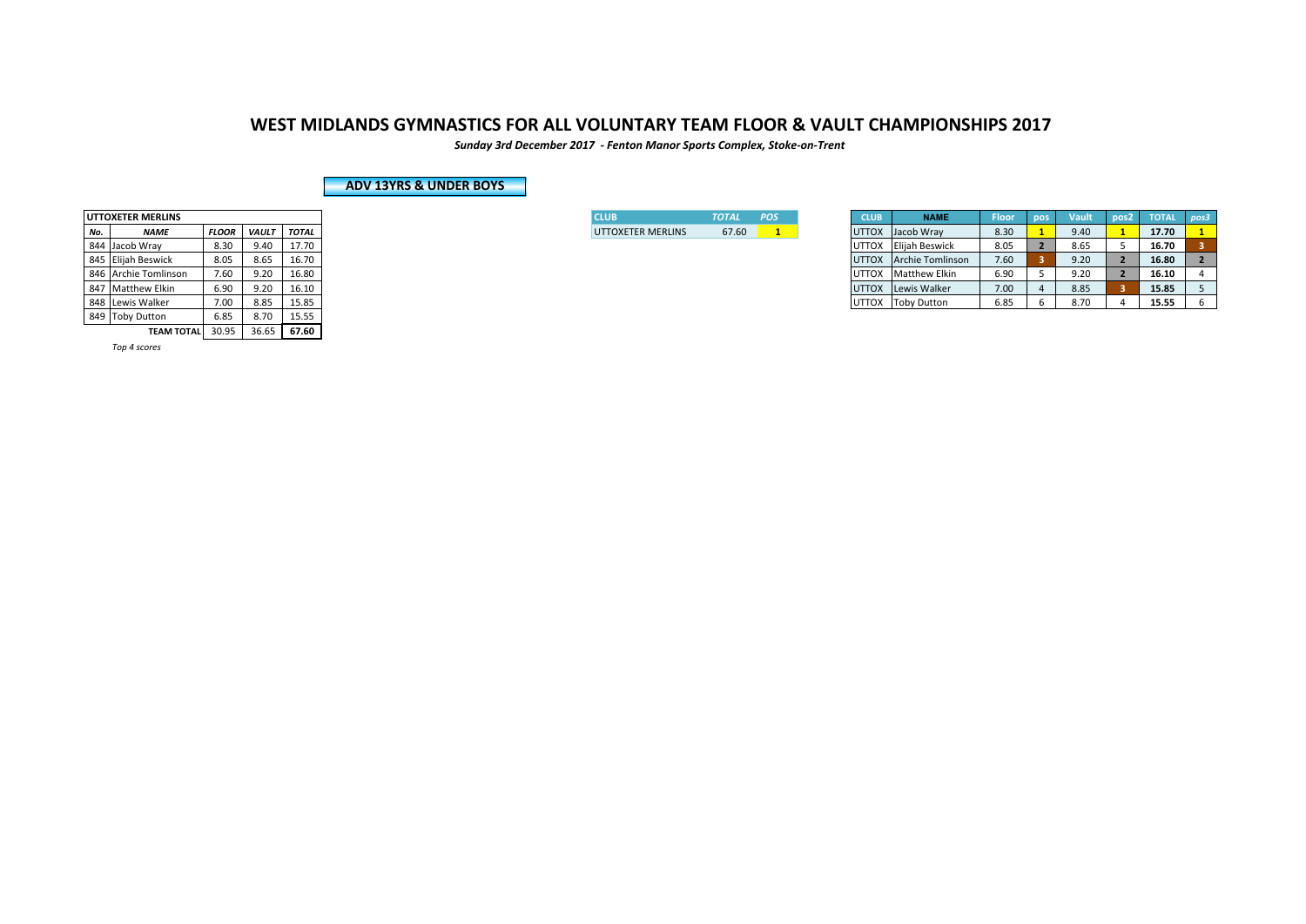*Sunday 3rd December 2017 - Fenton Manor Sports Complex, Stoke-on-Trent*

### **ADV 13YRS & UNDER BOYS**

|     | <b>UTTOXETER MERLINS</b> |              |              |              |
|-----|--------------------------|--------------|--------------|--------------|
| No. | <b>NAME</b>              | <b>FLOOR</b> | <b>VAULT</b> | <b>TOTAL</b> |
| 844 | Jacob Wray               | 8.30         | 9.40         | 17.70        |
| 845 | <b>Elijah Beswick</b>    | 8.05         | 8.65         | 16.70        |
| 846 | <b>Archie Tomlinson</b>  | 7.60         | 9.20         | 16.80        |
| 847 | <b>Matthew Elkin</b>     | 6.90         | 9.20         | 16.10        |
| 848 | Lewis Walker             | 7.00         | 8.85         | 15.85        |
| 849 | <b>Toby Dutton</b>       | 6.85         | 8.70         | 15.55        |
|     | <b>TEAM TOTAL</b>        | 30.95        | 36.65        | 67.60        |

*Top 4 scores* 

| I CLUB                   | <b>TOTAL</b> | <b>POS</b> |  |
|--------------------------|--------------|------------|--|
| <b>UTTOXETER MERLINS</b> | 67.60        |            |  |

|     | UTTOXETER MERLINS    |       |              |              |
|-----|----------------------|-------|--------------|--------------|
| No. | <b>NAME</b>          | FLOOR | <b>VAULT</b> | <b>TOTAL</b> |
|     | 844 Jacob Wray       | 8.30  | 9.40         | 17.70        |
|     | 845 Elijah Beswick   | 8.05  | 8.65         | 16.70        |
|     | 846 Archie Tomlinson | 7.60  | 9.20         | 16.80        |
|     | 847 Matthew Elkin    | 6.90  | 9.20         | 16.10        |
|     | 848 Lewis Walker     | 7.00  | 8.85         | 15.85        |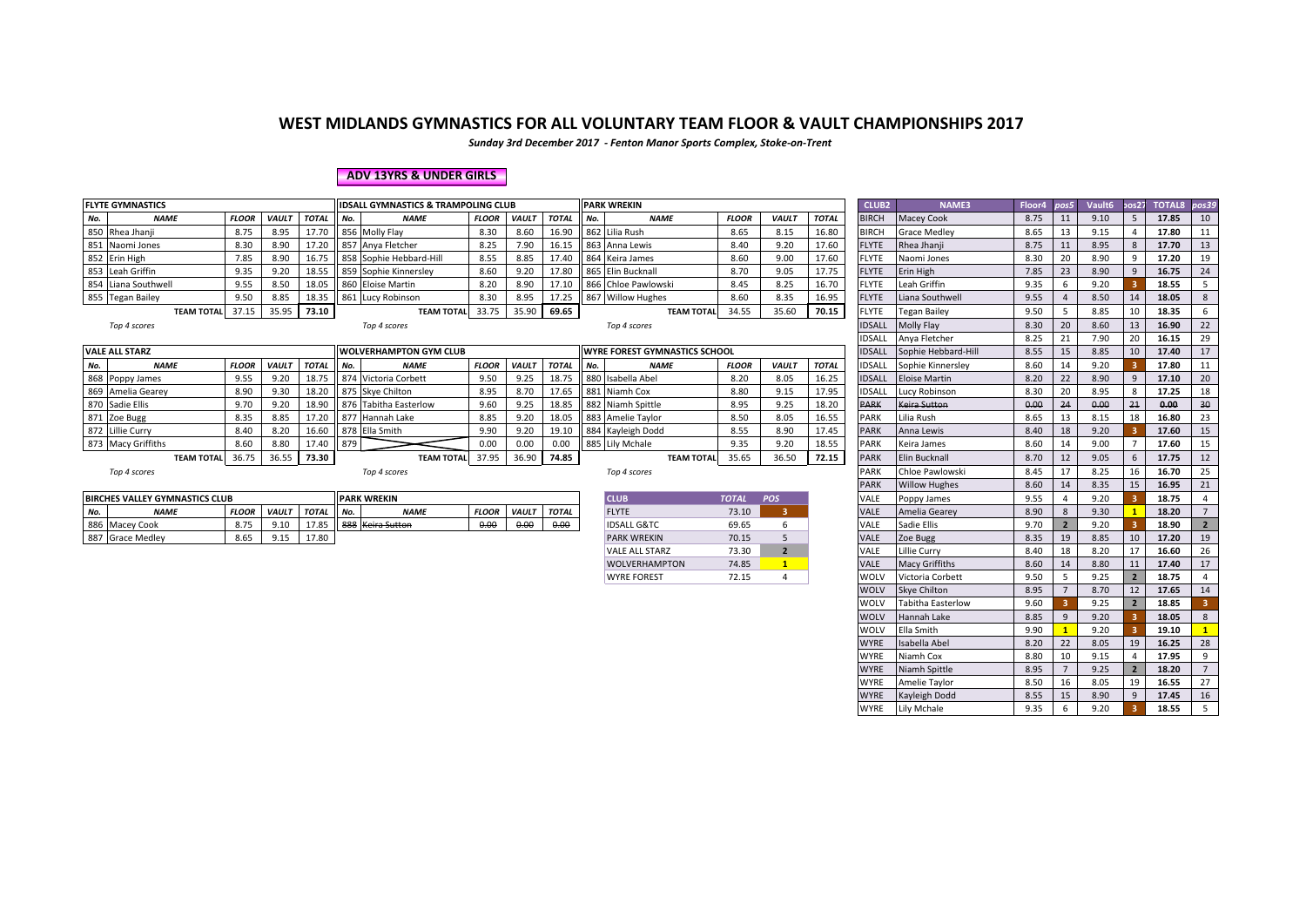*Sunday 3rd December 2017 - Fenton Manor Sports Complex, Stoke-on-Trent*

#### **ADV 13YRS & UNDER GIRLS**

| <b>FLYTE GYMNASTICS</b> |                   |              |              |              |     | <b>IDSALL GYMNASTICS &amp; TRAMPOLING CLUB</b> |              |              |       |     | <b>PARK WREKIN</b>                   |              |              |              | CLUB <sub>2</sub> | <b>NAME3</b>         | Floor4 | nos5 | Vault6 | oos2 | <b>TOTAL8</b> | pos39 |
|-------------------------|-------------------|--------------|--------------|--------------|-----|------------------------------------------------|--------------|--------------|-------|-----|--------------------------------------|--------------|--------------|--------------|-------------------|----------------------|--------|------|--------|------|---------------|-------|
| No.                     | <b>NAME</b>       | <b>FLOOR</b> | <b>VAULT</b> | <b>TOTAL</b> | No. | <b>NAME</b>                                    | <b>FLOOR</b> | <b>VAUL1</b> | TOTAL | No. | <b>NAME</b>                          | <b>FLOOR</b> | <b>VAULT</b> | <b>TOTAL</b> | <b>BIRCH</b>      | Macey Cook           | 8.75   |      | 9.10   |      | 17.85         | 10    |
| 850 Rhea Jhanji         |                   | 8.75         | 8.95         | 17.70        |     | 856 Molly Flay                                 | 8.30         | 8.60         | 16.90 |     | 862 Lilia Rush                       | 8.65         | 8.15         | 16.80        | <b>BIRCH</b>      | <b>Grace Medley</b>  | 8.65   |      | 9.15   |      | 17.80         |       |
| 851 Naomi Jones         |                   | 8.30         | 8.90         | 17.20        |     | 857 Anya Fletcher                              | 8.25         | 7.90         | 16.15 |     | 863 Anna Lewis                       | 8.40         | 9.20         | 17.60        | <b>FLYTE</b>      | Rhea Jhanji          | 8.75   |      | 8.95   |      | 17.70         | 13    |
| 852 Erin High           |                   | 7.85         | 8.90         | 16.75        |     | 858 Sophie Hebbard-Hill                        | 8.55         | 8.85         | 17.40 |     | 864 Keira James                      | 8.60         | 9.00         | 17.60        | <b>FLYTE</b>      | Naomi Jones          | 8.30   | 20   | 8.90   |      | 17.20         | 19    |
| 853 Leah Griffin        |                   | 9.35         | 9.20         | 18.55        |     | 859 Sophie Kinnersley                          | 8.60         | 9.20         | 17.80 |     | 865 Elin Bucknall                    | 8.70         | 9.05         | 17.75        | <b>FLYTE</b>      | Erin High            | 7.85   | 23   | 8.90   | -9   | 16.75         | 24    |
| 854 Liana Southwell     |                   | 9.55         | 8.50         | 18.05        |     | 860 Eloise Martin                              | 8.20         | 8.90         | 17.10 |     | 866 Chloe Pawlowski                  | 8.45         | 8.25         | 16.70        | <b>FLYTE</b>      | Leah Griffin         | 9.35   |      | 9.20   |      | 18.55         |       |
| 855 Tegan Bailey        |                   | 9.50         | 8.85         | 18.35        |     | 861 Lucy Robinson                              | 8.30         | 8.95         |       |     | 867 Willow Hughes                    | 8.60         | 8.35         | 16.95        | <b>FLYTE</b>      | Liana Southwell      | 9.55   |      | 8.50   | 14   | 18.05         |       |
|                         | <b>TEAM TOTAL</b> | 37.15        | 35.95        | 73.10        |     | <b>TEAM TOTAL</b>                              | 33.75        | 35.90        | 69.65 |     | <b>TEAM TOTAL</b>                    | 34.55        | 35.60        | 70.15        | <b>FLYTE</b>      | <b>Tegan Bailey</b>  | 9.50   |      | 8.85   | 10   | 18.35         |       |
| Top 4 scores            |                   |              |              |              |     | Top 4 scores                                   |              |              |       |     | Top 4 scores                         |              |              |              | <b>IDSALL</b>     | Molly Flay           | 8.30   | 20   | 8.60   | 13   | 16.90         | 22    |
|                         |                   |              |              |              |     |                                                |              |              |       |     |                                      |              |              |              | IDSALL            | Anya Fletcher        | 8.25   | 21   | 7.90   | 20   | 16.15         | 29    |
| <b>VALE ALL STARZ</b>   |                   |              |              |              |     | <b>WOLVERHAMPTON GYM CLUB</b>                  |              |              |       |     | <b>WYRE FOREST GYMNASTICS SCHOOL</b> |              |              |              | <b>IDSALI</b>     | Sophie Hebbard-Hill  | 8.55   | 15   | 8.85   |      | 17.40         | 17    |
| No.                     | <b>NAME</b>       | <b>FLOOR</b> | <b>VAULT</b> | <b>TOTAL</b> | No. | <b>NAME</b>                                    | <b>FLOOR</b> | <b>VAULT</b> | TOTAL | No. | <b>NAME</b>                          | <b>FLOOR</b> | <b>VAULT</b> | <b>TOTAL</b> | IDSALL            | Sophie Kinnersley    | 8.60   | 14   | 9.20   |      | 17.80         |       |
| 868 Poppy James         |                   | 9.55         | 9.20         | 18.75        |     | 874 Victoria Corbett                           | 9.50         | 9.25         | 18.75 |     | 880 Isabella Abel                    | 8.20         | 8.05         | 16.25        | <b>IDSALL</b>     | <b>Eloise Martin</b> | 8.20   | 22   | 8.90   |      | 17.10         | 20    |
| 869 Amelia Gearey       |                   | 8.90         | 9.30         | 18.20        |     | 875 Skye Chilton                               | 8.95         | 8.70         | 17.65 |     | 881 Niamh Cox                        | 8.80         | 9.15         | 17.95        | IDSALL            | Lucy Robinson        | 8.30   | 20   | 8.95   |      | 17.25         | 18    |
| 870 Sadie Ellis         |                   | 9.70         | 9.20         | 18.90        |     | 876 Tabitha Easterlow                          | 9.60         | 9.25         | 18.85 |     | 882 Niamh Spittle                    | 8.95         | 9.25         | 18.20        | <b>PARK</b>       | <b>Keira Sutton</b>  | 0.00   | 24   | 0.00   | 21   | 0.00          | 30    |
| 871 Zoe Bugg            |                   | 8.35         | 8.85         |              |     | 877 Hannah Lake                                | 8.85         | 9.20         | 18.05 |     | 883 Amelie Taylor                    | 8.50         | 8.05         | 16.55        | <b>PARK</b>       | Lilia Rush           | 8.65   | 13   | 8.15   | 18   | 16.80         | 23    |
| 872 Lillie Curry        |                   | 8.40         | 8.20         | 16.60        |     | 878 Ella Smith                                 | 9.90         | 9.20         | 19.10 |     | 884 Kayleigh Dodd                    | 8.55         | 8.90         | 17.45        | <b>PARK</b>       | Anna Lewis           | 8.40   | 18   | 9.20   |      | 17.60         | 15    |
| 873 Macy Griffiths      |                   | 8.60         | 8.80         | 17.40        | 879 |                                                | 0.00         | 0.00         | 0.00  |     | 885 Lily Mchale                      | 9.35         | 9.20         | 18.55        | <b>PARK</b>       | Keira James          | 8.60   | 14   | 9.00   |      | 17.60         | 15    |
|                         | <b>TEAM TOTAL</b> | 36.75        | 36.55        | 73.30        |     | <b>TEAM TOTAL</b>                              | 37.95        | 36.90        | 74.85 |     | <b>TEAM TOTAL</b>                    | 35.65        | 36.50        | 72.15        | <b>PARK</b>       | Elin Bucknall        | 8.70   |      | 9.05   |      | 17.75         | 12    |
| Top 4 scores            |                   |              |              |              |     | Top 4 scores                                   |              |              |       |     | Top 4 scores                         |              |              |              | PARK              | Chloe Pawlowski      | 8.45   |      | 8.25   | 16   | 16.70         | 25    |

|     | <b>BIRCHES VALLEY GYMNASTICS CLUB</b> |              |       |              |        | <b>PARK WREKIN</b> |              |              |                             | <b>CLUE</b>            | <b>TOTA</b> | <b>POS</b> | <b>VALL</b> | Poppy James   | FF.<br>J.J. |    | 9.20            | 18.75 |               |
|-----|---------------------------------------|--------------|-------|--------------|--------|--------------------|--------------|--------------|-----------------------------|------------------------|-------------|------------|-------------|---------------|-------------|----|-----------------|-------|---------------|
| No. | <b>NAME</b>                           | <b>FLOOR</b> | VAUL7 | <b>TOTAL</b> | II No. | <b>NAME</b>        | <b>FLOOR</b> | <b>VAULT</b> | TOTAL                       | FLYTE                  | 73.10       |            | <b>VALL</b> | Amelia Gearev | 8.90        |    | Q <sub>20</sub> | 18.20 |               |
| 886 | Macey Cook                            |              |       | $\sim$       |        | 888 Keira Sutton   | 0.00         | 0.00         | 0.00<br>$\sigma$ . $\sigma$ | <b>IDSALL G&amp;TC</b> | 69.65       |            | VALL        | Sadie Ellis   | 9.70        |    | 97              | 18.90 |               |
| 88  | Grace Medley                          | OCI<br>8.DJ  |       | <b>17.00</b> |        |                    |              |              |                             | <b>PARK WREKIN</b>     | 70.15       |            | <b>VALL</b> | Zoe Bugg      | 8.35        | 19 | 8.85            | 17.20 | $\sim$<br>سمد |

| <b>CLUB</b>            | <b>TOTAL</b> | <b>POS</b>              |
|------------------------|--------------|-------------------------|
| <b>FLYTE</b>           | 73.10        |                         |
| <b>IDSALL G&amp;TC</b> | 69.65        |                         |
| <b>PARK WREKIN</b>     | 70.15        |                         |
| <b>VALE ALL STARZ</b>  | 73.30        | $\overline{\mathbf{z}}$ |
| <b>WOLVERHAMPTON</b>   | 74.85        |                         |
| <b>WYRE FOREST</b>     | 72.15        |                         |

| <b>WREKIN</b>              |              |                |              | CLUB <sub>2</sub> | NAME3                | Floor4 | pos5           | Vault6 | pos27          | <b>TOTAL8</b> | pos39          |
|----------------------------|--------------|----------------|--------------|-------------------|----------------------|--------|----------------|--------|----------------|---------------|----------------|
| <b>NAME</b>                | <b>FLOOR</b> | VAULT          | <b>TOTAL</b> | <b>BIRCH</b>      | Macey Cook           | 8.75   | 11             | 9.10   | 5              | 17.85         | 10             |
| Lilia Rush                 | 8.65         | 8.15           | 16.80        | <b>BIRCH</b>      | Grace Medley         | 8.65   | 13             | 9.15   | 4              | 17.80         | 11             |
| Anna Lewis                 | 8.40         | 9.20           | 17.60        | <b>FLYTE</b>      | Rhea Jhanji          | 8.75   | 11             | 8.95   | 8              | 17.70         | 13             |
| Keira James                | 8.60         | 9.00           | 17.60        | FLYTE             | Naomi Jones          | 8.30   | 20             | 8.90   | 9              | 17.20         | 19             |
| Elin Bucknall              | 8.70         | 9.05           | 17.75        | <b>FLYTE</b>      | Erin High            | 7.85   | 23             | 8.90   | 9              | 16.75         | 24             |
| Chloe Pawlowski            | 8.45         | 8.25           | 16.70        | <b>FLYTE</b>      | Leah Griffin         | 9.35   | 6              | 9.20   | 3              | 18.55         | 5              |
| <b>Willow Hughes</b>       | 8.60         | 8.35           | 16.95        | <b>FLYTE</b>      | Liana Southwell      | 9.55   | $\overline{4}$ | 8.50   | 14             | 18.05         | 8              |
| <b>TEAM TOTAL</b>          | 34.55        | 35.60          | 70.15        | <b>FLYTE</b>      | Tegan Bailey         | 9.50   | 5              | 8.85   | 10             | 18.35         | 6              |
| Top 4 scores               |              |                |              | <b>IDSALL</b>     | Molly Flay           | 8.30   | 20             | 8.60   | 13             | 16.90         | 22             |
|                            |              |                |              | IDSALL            | Anya Fletcher        | 8.25   | 21             | 7.90   | 20             | 16.15         | 29             |
| : FOREST GYMNASTICS SCHOOL |              |                |              | <b>IDSALL</b>     | Sophie Hebbard-Hill  | 8.55   | 15             | 8.85   | 10             | 17.40         | 17             |
| <b>NAME</b>                | <b>FLOOR</b> | <b>VAULT</b>   | <b>TOTAL</b> | <b>IDSALL</b>     | Sophie Kinnersley    | 8.60   | 14             | 9.20   | 3              | 17.80         | 11             |
| Isabella Abel              | 8.20         | 8.05           | 16.25        | <b>IDSALL</b>     | <b>Eloise Martin</b> | 8.20   | 22             | 8.90   | 9              | 17.10         | 20             |
| Niamh Cox                  | 8.80         | 9.15           | 17.95        | <b>IDSALL</b>     | Lucy Robinson        | 8.30   | 20             | 8.95   | 8              | 17.25         | 18             |
| Niamh Spittle              | 8.95         | 9.25           | 18.20        | <b>PARK</b>       | Keira Sutton         | 0.00   | 24             | 0.00   | 21             | 0.00          | 30             |
| Amelie Taylor              | 8.50         | 8.05           | 16.55        | PARK              | Lilia Rush           | 8.65   | 13             | 8.15   | 18             | 16.80         | 23             |
| Kayleigh Dodd              | 8.55         | 8.90           | 17.45        | PARK              | Anna Lewis           | 8.40   | 18             | 9.20   | 3              | 17.60         | 15             |
| Lily Mchale                | 9.35         | 9.20           | 18.55        | PARK              | Keira James          | 8.60   | 14             | 9.00   | 7              | 17.60         | 15             |
| <b>TEAM TOTAL</b>          | 35.65        | 36.50          | 72.15        | <b>PARK</b>       | Elin Bucknall        | 8.70   | 12             | 9.05   | 6              | 17.75         | 12             |
| Top 4 scores               |              |                |              | PARK              | Chloe Pawlowski      | 8.45   | 17             | 8.25   | 16             | 16.70         | 25             |
|                            |              |                |              | <b>PARK</b>       | <b>Willow Hughes</b> | 8.60   | 14             | 8.35   | 15             | 16.95         | 21             |
| <b>CLUB</b>                | <b>TOTAL</b> | <b>POS</b>     |              | VALE              | Poppy James          | 9.55   | 4              | 9.20   | з              | 18.75         | 4              |
| <b>FLYTE</b>               | 73.10        | 3              |              | VALE              | Amelia Gearey        | 8.90   | 8              | 9.30   | $\mathbf{1}$   | 18.20         | $\overline{7}$ |
| IDSALL G&TC                | 69.65        | 6              |              | VALE              | Sadie Ellis          | 9.70   | $\overline{2}$ | 9.20   | 3              | 18.90         | $\overline{2}$ |
| <b>PARK WREKIN</b>         | 70.15        | 5              |              | VALE              | Zoe Bugg             | 8.35   | 19             | 8.85   | 10             | 17.20         | 19             |
| <b>VALE ALL STARZ</b>      | 73.30        | $\overline{2}$ |              | VALE              | Lillie Curry         | 8.40   | 18             | 8.20   | 17             | 16.60         | 26             |
| <b>WOLVERHAMPTON</b>       | 74.85        | 1              |              | VALE              | Macy Griffiths       | 8.60   | 14             | 8.80   | 11             | 17.40         | 17             |
| <b>WYRE FOREST</b>         | 72.15        | 4              |              | WOLV              | Victoria Corbett     | 9.50   | 5              | 9.25   | $\overline{2}$ | 18.75         | 4              |
|                            |              |                |              | WOLV              | Skye Chilton         | 8.95   | $\overline{7}$ | 8.70   | 12             | 17.65         | 14             |
|                            |              |                |              | WOLV              | Tabitha Easterlow    | 9.60   | 3              | 9.25   | $\overline{2}$ | 18.85         | 3              |
|                            |              |                |              | WOLV              | Hannah Lake          | 8.85   | 9              | 9.20   | 3              | 18.05         | 8              |
|                            |              |                |              | WOLV              | Ella Smith           | 9.90   | $\mathbf{1}$   | 9.20   | 3              | 19.10         | $\mathbf{1}$   |
|                            |              |                |              | <b>WYRE</b>       | Isabella Abel        | 8.20   | 22             | 8.05   | 19             | 16.25         | 28             |
|                            |              |                |              | <b>WYRE</b>       | Niamh Cox            | 8.80   | 10             | 9.15   | 4              | 17.95         | 9              |
|                            |              |                |              | <b>WYRE</b>       | Niamh Spittle        | 8.95   | $\overline{7}$ | 9.25   | $\overline{2}$ | 18.20         | $\overline{7}$ |
|                            |              |                |              | <b>WYRE</b>       | Amelie Taylor        | 8.50   | 16             | 8.05   | 19             | 16.55         | 27             |
|                            |              |                |              | <b>WYRE</b>       | Kayleigh Dodd        | 8.55   | 15             | 8.90   | 9              | 17.45         | 16             |
|                            |              |                |              | WYRE              | Lily Mchale          | 9.35   | 6              | 9.20   | 3              | 18.55         | 5              |
|                            |              |                |              |                   |                      |        |                |        |                |               |                |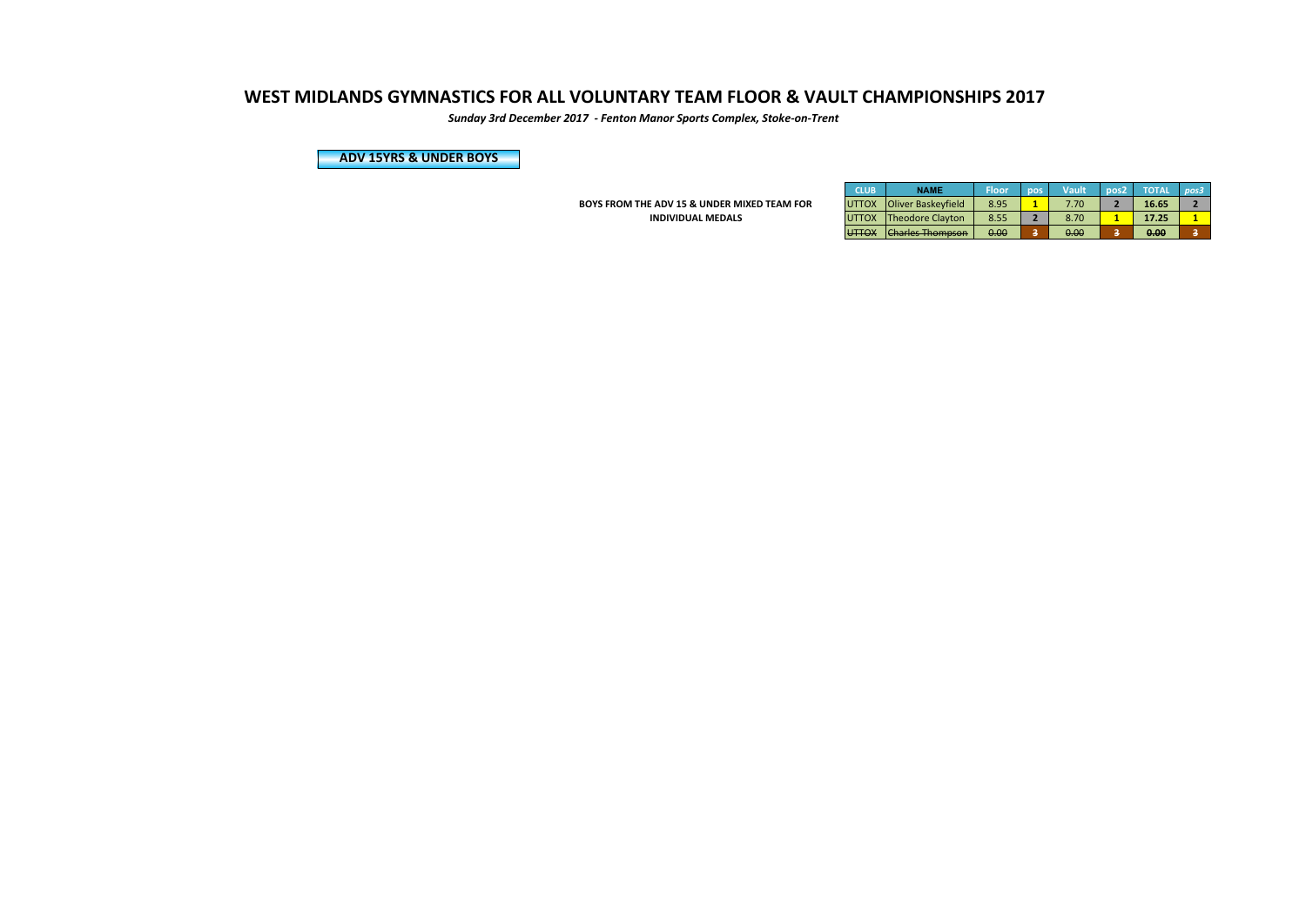*Sunday 3rd December 2017 - Fenton Manor Sports Complex, Stoke-on-Trent*

**ADV 15YRS & UNDER BOYS**

**BOYS FROM THE ADV 15 & UNDER MIXED TEAM FOR INDIVIDUAL MEDALS** 

| <b>CLUB</b>   | <b>NAME</b>               | Floor | pos | Vault | pos <sub>2</sub> | <b>TOTAL</b> | nos3 |
|---------------|---------------------------|-------|-----|-------|------------------|--------------|------|
| <b>UTTOX</b>  | <b>Oliver Baskeyfield</b> | 8.95  |     | 7.70  |                  | 16.65        |      |
| <b>UTTOX</b>  | <b>Theodore Clayton</b>   | 8.55  |     | 8.70  |                  | 17.25        |      |
| <b>LITTOV</b> | Charlos Thompson          | 0.00  |     | 0.00  |                  | 0.00         |      |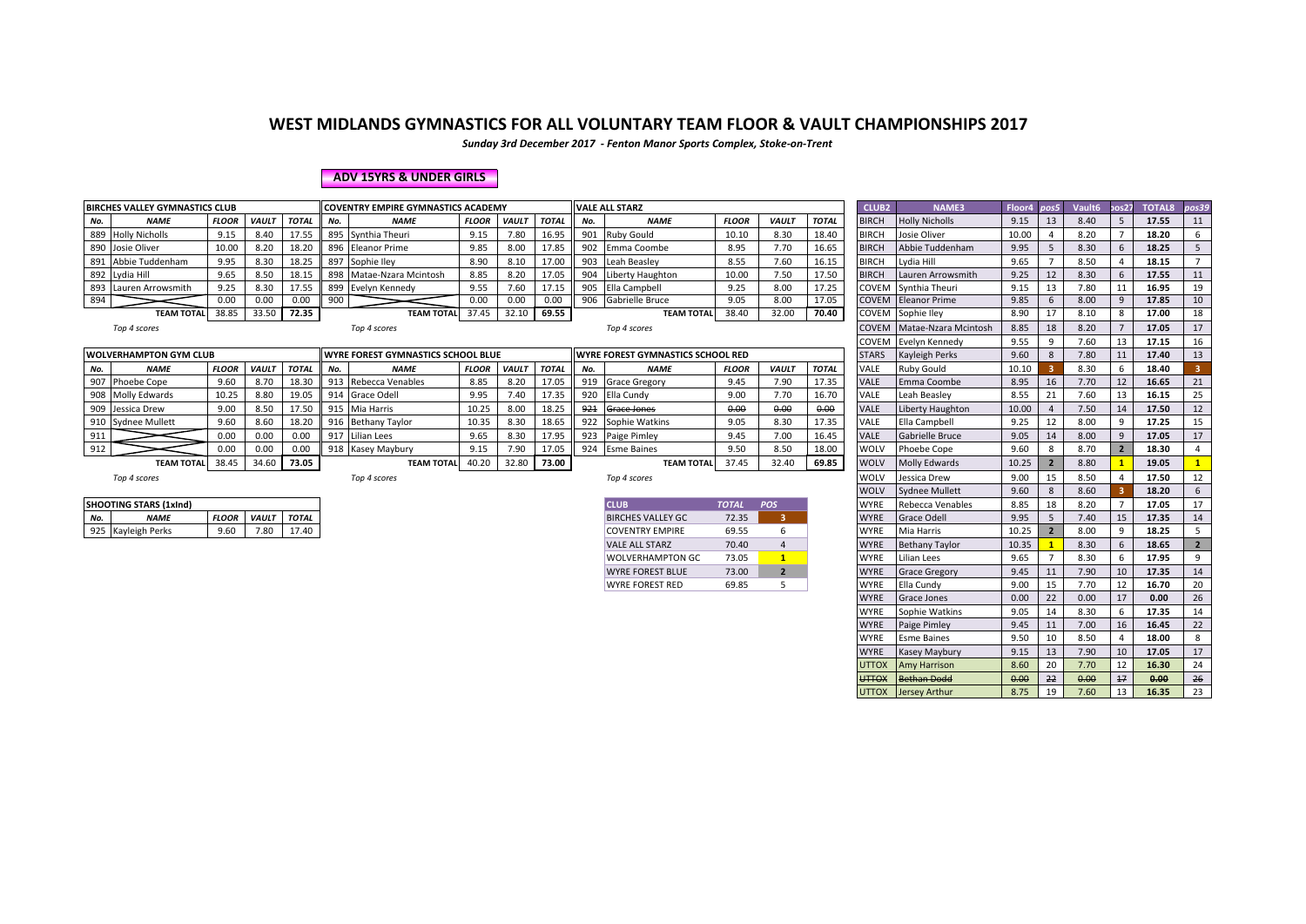*Sunday 3rd December 2017 - Fenton Manor Sports Complex, Stoke-on-Trent*

#### **ADV 15YRS & UNDER GIRLS**

|                                                                                                                                     | <b>BIRCHES VALLEY GYMNASTICS CLUB</b>                                                                  |              |              |              |     | <b>COVENTRY EMPIRE GYMNASTICS ACADEMY</b> |              |              |              |       | <b>VALE ALL STARZ</b>                    |                            |              |              | CLUB <sub>2</sub> | NAME3                      | Floor4 | pos5 | Vault6 | 50s27 | <b>TOTAL8</b> | pos39 |
|-------------------------------------------------------------------------------------------------------------------------------------|--------------------------------------------------------------------------------------------------------|--------------|--------------|--------------|-----|-------------------------------------------|--------------|--------------|--------------|-------|------------------------------------------|----------------------------|--------------|--------------|-------------------|----------------------------|--------|------|--------|-------|---------------|-------|
| No.                                                                                                                                 | <b>NAME</b>                                                                                            | <b>FLOOR</b> | <b>VAULT</b> | TOTAL        | No. | <b>NAME</b>                               | <b>FLOOR</b> | VAULT        | TOTAL        | No.   | <b>NAME</b>                              | <b>FLOOR</b>               | <b>VAULT</b> | <b>TOTAL</b> | <b>BIRCH</b>      | <b>Holly Nicholls</b>      | 9.15   | 13   | 8.40   |       | 17.55         | 11    |
|                                                                                                                                     | 889 Holly Nicholls                                                                                     | 9.15         | 8.40         | 17.5         |     | 895 Synthia Theuri                        | 9.15         | 7.80         | 16.95        | 901   | <b>Ruby Gould</b>                        | 10.10                      | 8.30         | 18.40        | <b>BIRCH</b>      | Josie Oliver               | 10.00  |      | 8.20   |       | 18.20         |       |
|                                                                                                                                     | 890 Josie Oliver                                                                                       | 10.00        | 8.20         | 18.20        |     | 896 Eleanor Prime                         | 9.85         | 8.00         | 17.85        | 902   | Emma Coombe                              | 8.95                       | 7.70         | 16.65        | <b>BIRCH</b>      | Abbie Tuddenham            | 9.95   |      | 8.30   |       | 18.25         |       |
|                                                                                                                                     | 891 Abbie Tuddenham                                                                                    | 9.95         | 8.30         | 18.25        |     | 897 Sophie Iley                           | 8.90         | 8.10         | 17.00        |       | 903 Leah Beasley                         | 8.55                       | 7.60         | 16.15        | <b>BIRCH</b>      | Lydia Hill                 | 9.65   |      | 8.50   |       | 18.15         |       |
|                                                                                                                                     | 892 Lydia Hill                                                                                         | 9.65         | 8.50         | 18.15        |     | 898 Matae-Nzara Mcintosh                  | 8.85         | 8.20         | 17.05        | 904   | Liberty Haughton                         | 10.00                      | 7.50         | 17.50        | <b>BIRCH</b>      | Lauren Arrowsmith          | 9.25   | 12   | 8.30   |       | 17.55         |       |
|                                                                                                                                     | 893 Lauren Arrowsmith                                                                                  | 9.25         | 8.30         | 17.55        |     | 899 Evelyn Kennedy                        | 9.55         | 7.60         | 17.15        |       | 905 Ella Campbell                        | 9.25                       | 8.00         | 17.25        |                   | COVEM Synthia Theuri       | 9.15   | 13   | 7.80   |       | 16.95         | 19    |
| 894                                                                                                                                 | 17.05<br>0.00<br>0.00<br>0.00<br>900<br>0.00<br>0.00<br>0.00<br>906<br>Gabrielle Bruce<br>9.05<br>8.00 |              |              |              |     |                                           |              |              |              |       |                                          | <b>COVEM</b> Eleanor Prime | 9.85         |              | 8.00              |                            | 17.85  | 10   |        |       |               |       |
| 72.35<br>69.55<br>32.00<br>38.85<br>37.45<br>32.10<br>38.40<br>33.50<br><b>TEAM TOTAL</b><br><b>TEAM TOTAL</b><br><b>TEAM TOTAL</b> |                                                                                                        |              |              |              |     |                                           |              |              |              | 70.40 |                                          | COVEM Sophie Iley          | 8.90         | 17           | 8.10              |                            | 17.00  | 18   |        |       |               |       |
|                                                                                                                                     | Top 4 scores<br>Top 4 scores<br>Top 4 scores                                                           |              |              |              |     |                                           |              |              |              |       |                                          |                            |              |              |                   | COVEM Matae-Nzara Mcintosh | 8.85   | 18   | 8.20   |       | 17.05         | 17    |
|                                                                                                                                     |                                                                                                        |              |              |              |     |                                           |              |              |              |       |                                          |                            |              |              |                   | COVEM Evelyn Kennedy       | 9.55   |      | 7.60   |       | 17.15         | 16    |
|                                                                                                                                     | <b>WOLVERHAMPTON GYM CLUB</b>                                                                          |              |              |              |     | <b>WYRE FOREST GYMNASTICS SCHOOL BLUE</b> |              |              |              |       | <b>WYRE FOREST GYMNASTICS SCHOOL RED</b> |                            |              |              | <b>STARS</b>      | Kayleigh Perks             | 9.60   |      | 7.80   |       | 17.40         | 13    |
| No.                                                                                                                                 | <b>NAME</b>                                                                                            | <b>FLOOR</b> | <b>VAULT</b> | <b>TOTAL</b> | No. | <b>NAME</b>                               | <b>FLOOR</b> | <b>VAULT</b> | <b>TOTAL</b> | No.   | <b>NAME</b>                              | <b>FLOOR</b>               | <b>VAULT</b> | <b>TOTAL</b> | VALE              | <b>Ruby Gould</b>          | 10.10  |      | 8.30   |       | 18.40         |       |
| 907                                                                                                                                 | Phoebe Cope                                                                                            | 9.60         | 8.70         | 18.30        |     | 913 Rebecca Venables                      | 8.85         | 8.20         | 17.05        |       | 919 Grace Gregory                        | 9.45                       | 7.90         | 17.35        | VALE              | Emma Coombe                | 8.95   | 16   | 7.70   |       | 16.65         | 21    |
|                                                                                                                                     | 908 Molly Edwards                                                                                      | 10.25        | 8.80         | 19.05        |     | 914 Grace Odell                           | 9.95         | 7.40         | 17.35        | 920   | Ella Cundy                               | 9.00                       | 7.70         | 16.70        | VALE              | Leah Beasley               | 8.55   | 21   | 7.60   |       | 16.15         | 25    |
|                                                                                                                                     | 909 Jessica Drew                                                                                       | 9.00         | 8.50         | 17.50        |     | 915 Mia Harris                            | 10.25        | 8.00         | 18.25        | 921   | Grace Jones                              | 0.00                       | 0.00         | 0.00         | <b>VALE</b>       | Liberty Haughton           | 10.00  |      | 7.50   |       | 17.50         | 12    |
|                                                                                                                                     | 910 Sydnee Mullett                                                                                     | 9.60         | 8.60         | 18.20        |     | 10.35<br>8.30<br>916 Bethany Taylor       |              |              | 18.65        | 922   | Sophie Watkins                           | 9.05                       | 8.30         | 17.35        | VALE              | Ella Campbell              | 9.25   | 12   | 8.00   |       | 17.25         | 15    |
| 911                                                                                                                                 |                                                                                                        | 0.00         | 0.00         | 0.00         |     | 917 Lilian Lees                           | 9.65         | 8.30         | 17.95        |       | 923 Paige Pimley                         | 9.45                       | 7.00         | 16.45        | <b>VALE</b>       | <b>Gabrielle Bruce</b>     | 9.05   | 14   | 8.00   |       | 17.05         | 17    |
|                                                                                                                                     |                                                                                                        | 0.00         | 0.00         | 0.00         |     | 918 Kasey Maybury                         | 9.15         | 7.90         | 17.05        |       | 924 Esme Baines                          | 9.50                       | 8.50         | 18.00        | <b>WOLV</b>       | Phoebe Cope                | 9.60   |      | 8.70   |       | 18.30         |       |
|                                                                                                                                     | <b>TEAM TOTAL</b>                                                                                      | 38.45        | 34.60        | 73.05        |     | <b>TEAM TOTAL</b>                         | 40.20        | 32.80        | 73.00        |       | <b>TEAM TOTAL</b>                        | 37.45                      | 32.40        | 69.85        | <b>WOLV</b>       | <b>Molly Edwards</b>       | 10.25  |      | 8.80   |       | 19.05         |       |

| CLUB                     | <b>TOTAL</b> | <b>POS</b>               |
|--------------------------|--------------|--------------------------|
| <b>BIRCHES VALLEY GC</b> | 72.35        | ٩                        |
| <b>COVENTRY EMPIRE</b>   | 69.55        | հ                        |
| <b>VALE ALL STARZ</b>    | 70.40        |                          |
| <b>WOLVERHAMPTON GC</b>  | 73.05        |                          |
| <b>WYRE FOREST BLUE</b>  | 73.00        | $\overline{\phantom{a}}$ |
| <b>WYRE FOREST RED</b>   | 69.85        |                          |

|     | <b>BIRCHES VALLEY GYMNASTICS CLUB</b> |              |                    |              |     | <b>COVENTRY EMPIRE GYMNASTICS ACADEMY</b> |              |              |              |     | <b>VALE ALL STARZ</b>                    |              |                |              | CLUB <sub>2</sub> | NAME3                 | Floor4 pos5 |                         | Vault6 | pos27          | <b>TOTAL8</b> | pos39          |
|-----|---------------------------------------|--------------|--------------------|--------------|-----|-------------------------------------------|--------------|--------------|--------------|-----|------------------------------------------|--------------|----------------|--------------|-------------------|-----------------------|-------------|-------------------------|--------|----------------|---------------|----------------|
| No. | <b>NAME</b>                           | <b>FLOOR</b> | <b>VAULT</b>       | <b>TOTAL</b> | No. | <b>NAME</b>                               | <b>FLOOR</b> | <b>VAULT</b> | <b>TOTAL</b> | No. | <b>NAME</b>                              | <b>FLOOR</b> | <b>VAULT</b>   | <b>TOTAL</b> | <b>BIRCH</b>      | <b>Holly Nicholls</b> | 9.15        | 13                      | 8.40   |                | 17.55         | 11             |
|     | 889 Holly Nicholls                    | 9.15         | 8.40               | 17.55        |     | 895 Synthia Theuri                        | 9.15         | 7.80         | 16.95        | 901 | <b>Ruby Gould</b>                        | 10.10        | 8.30           | 18.40        | <b>BIRCH</b>      | Josie Oliver          | 10.00       | $\overline{4}$          | 8.20   |                | 18.20         | 6              |
|     | 890 Josie Oliver                      | 10.00        | 8.20               | 18.20        |     | 896 Eleanor Prime                         | 9.85         | 8.00         | 17.85        | 902 | Emma Coombe                              | 8.95         | 7.70           | 16.65        | <b>BIRCH</b>      | Abbie Tuddenham       | 9.95        | 5                       | 8.30   | 6              | 18.25         | 5 <sup>7</sup> |
|     | 891 Abbie Tuddenham                   | 9.95         | 8.30               | 18.25        |     | 897 Sophie Iley                           | 8.90         | 8.10         | 17.00        | 903 | Leah Beasley                             | 8.55         | 7.60           | 16.15        | <b>BIRCH</b>      | Lydia Hill            | 9.65        | $\overline{7}$          | 8.50   |                | 18.15         | $\overline{7}$ |
|     | 892 Lydia Hill                        | 9.65         | 8.50               | 18.15        |     | 898 Matae-Nzara Mcintosh                  | 8.85         | 8.20         | 17.05        | 904 | Liberty Haughton                         | 10.00        | 7.50           | 17.50        | <b>BIRCH</b>      | Lauren Arrowsmith     | 9.25        | 12                      | 8.30   | 6              | 17.55         | 11             |
|     | 893 Lauren Arrowsmith                 | 9.25         | 8.30               | 17.55        |     | 899 Evelyn Kennedy                        | 9.55         | 7.60         | 17.15        | 905 | Ella Campbell                            | 9.25         | 8.00           | 17.25        | COVEN             | Synthia Theuri        | 9.15        | 13                      | 7.80   | 11             | 16.95         | 19             |
| 894 |                                       | 0.00         | 0.00               | 0.00         | 900 |                                           | 0.00         | 0.00         | 0.00         | 906 | Gabrielle Bruce                          | 9.05         | 8.00           | 17.05        | COVEM             | <b>Eleanor Prime</b>  | 9.85        | 6                       | 8.00   | 9              | 17.85         | 10             |
|     | <b>TEAM TOTAL</b>                     | 38.85        | 33.50              | 72.35        |     | TEAM TOTAL 37.45                          |              | 32.10 69.55  |              |     | <b>TEAM TOTAL</b>                        | 38.40        | 32.00          | 70.40        | COVEM             | Sophie Iley           | 8.90        | 17                      | 8.10   | 8              | 17.00         | 18             |
|     | Top 4 scores                          |              |                    |              |     | Top 4 scores                              |              |              |              |     | Top 4 scores                             |              |                |              | <b>COVEM</b>      | Matae-Nzara Mcintosh  | 8.85        | 18                      | 8.20   |                | 17.05         | 17             |
|     |                                       |              |                    |              |     |                                           |              |              |              |     |                                          |              |                |              | COVEM             | Evelyn Kennedy        | 9.55        | 9                       | 7.60   | 13             | 17.15         | 16             |
|     | <b>WOLVERHAMPTON GYM CLUB</b>         |              |                    |              |     | <b>WYRE FOREST GYMNASTICS SCHOOL BLUE</b> |              |              |              |     | <b>WYRE FOREST GYMNASTICS SCHOOL RED</b> |              |                |              | <b>STARS</b>      | Kayleigh Perks        | 9.60        | 8                       | 7.80   | 11             | 17.40         | 13             |
| No. | <b>NAME</b>                           | <b>FLOOR</b> | <b>VAULT</b>       | <b>TOTAL</b> | No. | <b>NAME</b>                               | <b>FLOOR</b> | VAULT        | <b>TOTAL</b> | No. | <b>NAME</b>                              | <b>FLOOR</b> | <b>VAULT</b>   | <b>TOTAL</b> | VALE              | Ruby Gould            | 10.10       | $\overline{\mathbf{3}}$ | 8.30   | 6              | 18.40         | 3 <sup>2</sup> |
|     | 907 Phoebe Cope                       | 9.60         | 8.70               | 18.30        |     | 913 Rebecca Venables                      | 8.85         | 8.20         | 17.05        | 919 | <b>Grace Gregory</b>                     | 9.45         | 7.90           | 17.35        | <b>VALE</b>       | Emma Coombe           | 8.95        | 16                      | 7.70   | 12             | 16.65         | 21             |
|     | 908 Molly Edwards                     | 10.25        | 8.80               | 19.05        |     | 914 Grace Odell                           | 9.95         | 7.40         | 17.35        | 920 | Ella Cundy                               | 9.00         | 7.70           | 16.70        | VALE              | Leah Beasley          | 8.55        | 21                      | 7.60   | 13             | 16.15         | 25             |
|     | 909 Jessica Drew                      | 9.00         | 8.50               | 17.50        |     | 915 Mia Harris                            | 10.25        | 8.00         | 18.25        | 921 | Grace Jones                              | 0.00         | 0.00           | 0.00         | <b>VALE</b>       | Liberty Haughton      | 10.00       | $\overline{4}$          | 7.50   | 14             | 17.50         | 12             |
|     | 910 Sydnee Mullett                    | 9.60         | 8.60               | 18.20        |     | 916 Bethany Taylor                        | 10.35        | 8.30         | 18.65        | 922 | Sophie Watkins                           | 9.05         | 8.30           | 17.35        | VALE              | Ella Campbell         | 9.25        | 12                      | 8.00   | q              | 17.25         | 15             |
| 911 |                                       | 0.00         | 0.00               | 0.00         |     | 917 Lilian Lees                           | 9.65         | 8.30         | 17.95        | 923 | Paige Pimley                             | 9.45         | 7.00           | 16.45        | VALE              | Gabrielle Bruce       | 9.05        | 14                      | 8.00   | 9              | 17.05         | 17             |
| 912 |                                       | 0.00         | 0.00               | 0.00         |     | 918 Kasey Maybury                         | 9.15         | 7.90         | 17.05        | 924 | <b>Esme Baines</b>                       | 9.50         | 8.50           | 18.00        | WOLV              | Phoebe Cope           | 9.60        | 8                       | 8.70   | $\overline{2}$ | 18.30         | $\overline{4}$ |
|     | <b>TEAM TOTAL</b>                     | 38.45        | 34.60              | 73.05        |     | <b>TEAM TOTAL</b>                         | 40.20        | 32.80        | 73.00        |     | <b>TEAM TOTAL</b>                        | 37.45        | 32.40          | 69.85        | <b>WOLV</b>       | <b>Molly Edwards</b>  | 10.25       | $\overline{2}$          | 8.80   |                | 19.05         | 1              |
|     | Top 4 scores                          |              |                    |              |     | Top 4 scores                              |              |              |              |     | Top 4 scores                             |              |                |              | WOLV              | Jessica Drew          | 9.00        | 15                      | 8.50   |                | 17.50         | 12             |
|     |                                       |              |                    |              |     |                                           |              |              |              |     |                                          |              |                |              | <b>WOLV</b>       | <b>Sydnee Mullett</b> | 9.60        | 8                       | 8.60   |                | 18.20         | 6              |
|     | <b>SHOOTING STARS (1xInd)</b>         |              |                    |              |     |                                           |              |              |              |     | <b>CLUB</b>                              | <b>TOTAL</b> | POS            |              | <b>WYRE</b>       | Rebecca Venables      | 8.85        | 18                      | 8.20   |                | 17.05         | 17             |
| No. | <b>NAME</b>                           | FLOOR        | <b>VAULT TOTAL</b> |              |     |                                           |              |              |              |     | <b>BIRCHES VALLEY GC</b>                 | 72.35        | 3 <sup>2</sup> |              | <b>WYRE</b>       | <b>Grace Odell</b>    | 9.95        | 5                       | 7.40   | 15             | 17.35         | 14             |
|     | 925 Kayleigh Perks                    | 9.60         | 7.80               | 17.40        |     |                                           |              |              |              |     | <b>COVENTRY EMPIRE</b>                   | 69.55        | 6              |              | <b>WYRE</b>       | <b>Mia Harris</b>     | 10.25       | $\overline{2}$          | 8.00   | -9             | 18.25         | 5              |
|     |                                       |              |                    |              |     |                                           |              |              |              |     | <b>VALE ALL STARZ</b>                    | 70.40        | 4              |              | <b>WYRE</b>       | <b>Bethany Taylor</b> | 10.35       | $\mathbf{1}$            | 8.30   | 6              | 18.65         | $\overline{2}$ |
|     |                                       |              |                    |              |     |                                           |              |              |              |     | <b>WOLVERHAMPTON GC</b>                  | 73.05        | $\mathbf{1}$   |              | <b>WYRE</b>       | <b>Lilian Lees</b>    | 9.65        | $\overline{7}$          | 8.30   | 6              | 17.95         | 9              |
|     |                                       |              |                    |              |     |                                           |              |              |              |     | <b>WYRE FOREST BLUE</b>                  | 73.00        | $2^{\circ}$    |              | <b>WYRE</b>       | <b>Grace Gregory</b>  | 9.45        | 11                      | 7.90   | 10             | 17.35         | 14             |
|     |                                       |              |                    |              |     |                                           |              |              |              |     | <b>WYRE FOREST RED</b>                   | 69.85        | 5              |              | <b>WYRE</b>       | Ella Cundy            | 9.00        | 15                      | 7.70   | 12             | 16.70         | 20             |
|     |                                       |              |                    |              |     |                                           |              |              |              |     |                                          |              |                |              | <b>WYRE</b>       | Grace Jones           | 0.00        | 22                      | 0.00   | 17             | 0.00          | 26             |
|     |                                       |              |                    |              |     |                                           |              |              |              |     |                                          |              |                |              | <b>WYRE</b>       | Sophie Watkins        | 9.05        | 14                      | 8.30   | 6              | 17.35         | 14             |
|     |                                       |              |                    |              |     |                                           |              |              |              |     |                                          |              |                |              | <b>WYRE</b>       | Paige Pimley          | 9.45        | 11                      | 7.00   | 16             | 16.45         | 22             |
|     |                                       |              |                    |              |     |                                           |              |              |              |     |                                          |              |                |              | <b>WYRE</b>       | <b>Esme Baines</b>    | 9.50        | 10                      | 8.50   |                | 18.00         | 8              |
|     |                                       |              |                    |              |     |                                           |              |              |              |     |                                          |              |                |              | <b>WYRE</b>       | <b>Kasey Maybury</b>  | 9.15        | 13                      | 7.90   | 10             | 17.05         | 17             |
|     |                                       |              |                    |              |     |                                           |              |              |              |     |                                          |              |                |              | <b>UTTOX</b>      | <b>Amy Harrison</b>   | 8.60        | 20                      | 7.70   | 12             | 16.30         | 24             |
|     |                                       |              |                    |              |     |                                           |              |              |              |     |                                          |              |                |              | <b>UTTOX</b>      | <b>Bethan Dodd</b>    | 0.00        | 22                      | 0.00   | 17             | 0.00          | 26             |
|     |                                       |              |                    |              |     |                                           |              |              |              |     |                                          |              |                |              |                   | UTTOX Jersey Arthur   | 8.75        | 19                      | 7.60   | 13             | 16.35         | 23             |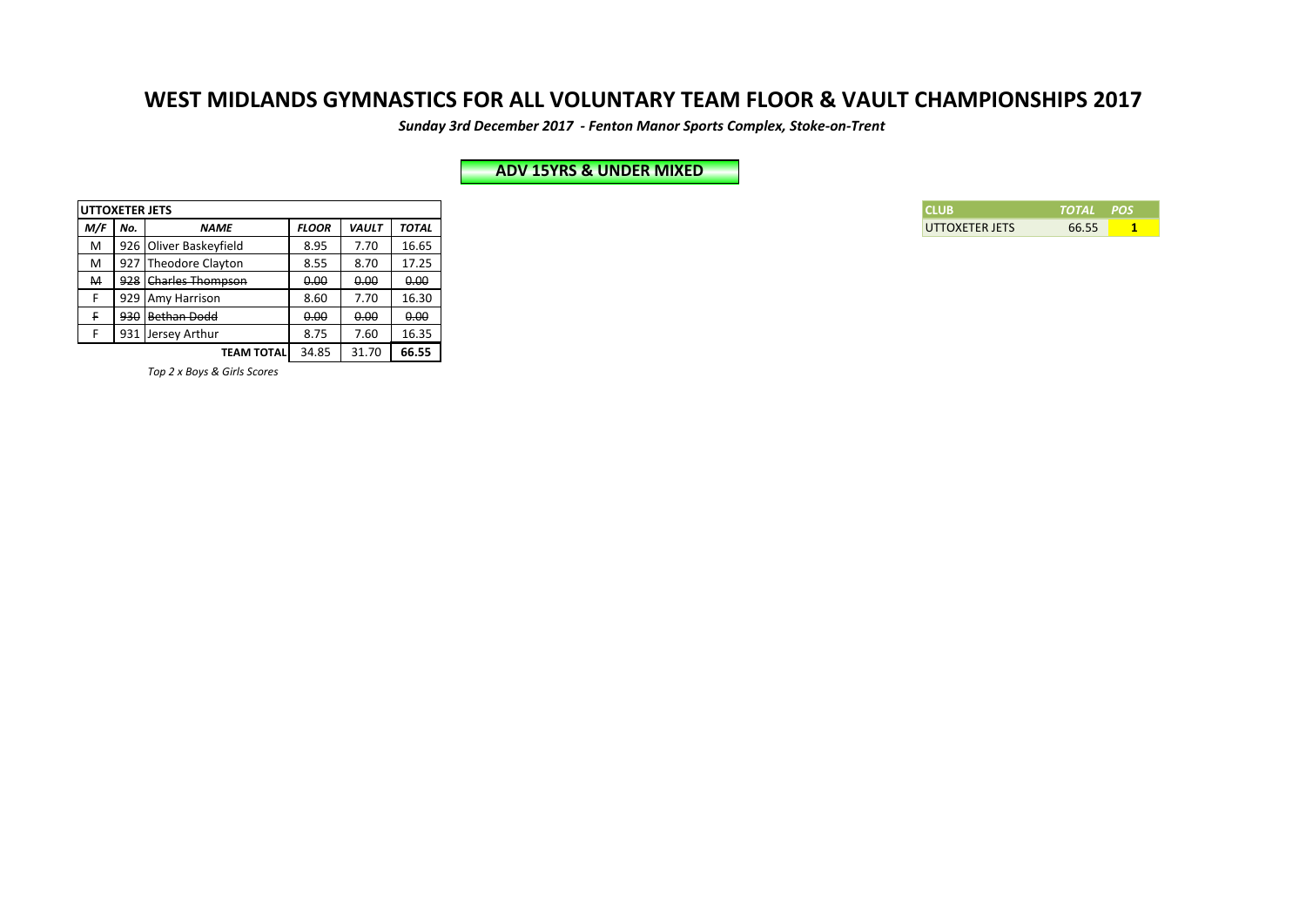*Sunday 3rd December 2017 - Fenton Manor Sports Complex, Stoke-on-Trent*

## **ADV 15YRS & UNDER MIXED**

| TCLUB          | TOTAL POS. |  |
|----------------|------------|--|
| UTTOXETER JETS | 66.55      |  |

| <b>UTTOXETER JETS</b> |                      |                        |              |              |              |
|-----------------------|----------------------|------------------------|--------------|--------------|--------------|
| M/F                   | No.                  | NAME                   | <b>FLOOR</b> | <b>VAULT</b> | <b>TOTAL</b> |
| M                     |                      | 926 Oliver Baskeyfield | 8.95         | 7.70         | 16.65        |
| M                     |                      | 927 Theodore Clayton   | 8.55         | 8.70         | 17.25        |
| M                     | 928 Charles Thompson |                        |              | 0.00         | 0.00         |
|                       | 929 Amy Harrison     |                        | 8.60         | 7.70         | 16.30        |
|                       |                      | 930 Bethan Dodd        | 0.00         | 0.00         | 0.00         |
|                       |                      | 931 Jersey Arthur      | 8.75         | 7.60         | 16.35        |
|                       |                      | <b>TEAM TOTAL</b>      | 34.85        | 31.70        | 66.55        |

*Top 2 x Boys & Girls Scores*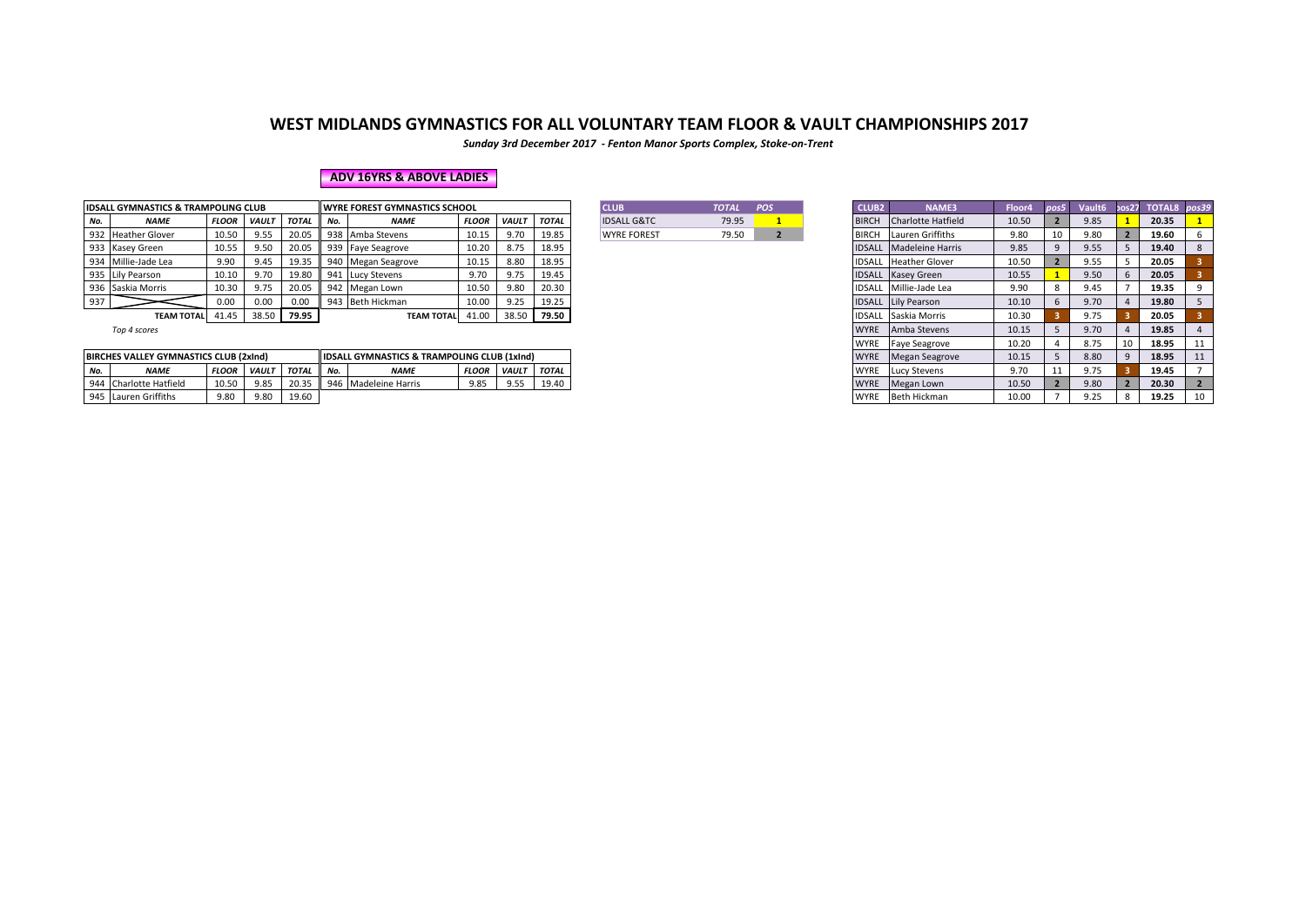*Sunday 3rd December 2017 - Fenton Manor Sports Complex, Stoke-on-Trent*

### **ADV 16YRS & ABOVE LADIES**

|     | <b>IDSALL GYMNASTICS &amp; TRAMPOLING CLUB</b>                                      |              |              |       |       | <b>II WYRE FOREST GYMNASTICS SCHOOL</b> |              |              |              | <b>CLUB</b>            | <b>TOTAL</b> | POS                         | <b>CLUB2</b> | <b>NAME3</b>                   | Floor4 | pos5  | Vault <sub>6</sub> | pos27 TOTAL8 pos39 |  |
|-----|-------------------------------------------------------------------------------------|--------------|--------------|-------|-------|-----------------------------------------|--------------|--------------|--------------|------------------------|--------------|-----------------------------|--------------|--------------------------------|--------|-------|--------------------|--------------------|--|
| No. | <b>NAME</b>                                                                         | <b>FLOOR</b> | <b>VAULT</b> | TOTAL | I No. | <b>NAME</b>                             | <b>FLOOR</b> | <b>VAULT</b> | <b>TOTAL</b> | <b>IDSALL G&amp;TC</b> | 79.95        |                             | <b>BIRCH</b> | Charlotte Hatfield             | 10.50  |       | 9.85               | 20.35              |  |
|     | 932 Heather Glover                                                                  | 10.50        | 9.55         | 20.05 |       | 938 Amba Stevens                        | 10.15        | 9.70         | 19.85        | <b>WYRE FOREST</b>     | 79.50        |                             |              | <b>BIRCH</b> Lauren Griffiths  | 9.80   | 10    | 9.80               | 19.60              |  |
|     | 933 Kasey Green                                                                     | 10.55        | 9.50         | 20.05 |       | 939 Faye Seagrove                       | 10.20        | 8.75         | 18.95        |                        |              |                             |              | <b>IDSALL Madeleine Harris</b> | 9.85   |       | 9.55               | 19.40              |  |
|     | 934 Millie-Jade Lea                                                                 | 9.90         | 9.45         |       |       | 19.35 940 Megan Seagrove                | 10.15        | 8.80         | 18.95        |                        |              |                             |              | <b>IDSALL Heather Glover</b>   | 10.50  |       | 9.55               | 20.05              |  |
|     | 935 Lily Pearson                                                                    | 10.10        | 9.70         | 19.80 |       | 941 Lucy Stevens                        | 9.70         | 9.75         | 19.45        |                        |              |                             |              | <b>IDSALL</b> Kasey Green      | 10.55  |       | 9.50               | 20.05              |  |
|     | 936 Saskia Morris                                                                   | 10.30        | 9.75         | 20.05 |       | 942 Megan Lown                          | 10.50        | 9.80         | 20.30        |                        |              |                             |              | <b>IDSALL Millie-Jade Lea</b>  | 9.90   |       | 9.45               | 19.35              |  |
| 937 |                                                                                     | 0.00         | 0.00         | 0.00  |       | 943 Beth Hickman                        | 10.00        | 9.25         | 19.25        |                        |              |                             |              | <b>IDSALL</b> Lily Pearson     | 10.10  |       | 9.70               | 19.80              |  |
|     | 79.95<br>38.50<br>38.50<br>41.45<br>41.00<br><b>TEAM TOTAL</b><br><b>TEAM TOTAL</b> |              |              |       |       |                                         | 79.50        |              |              |                        |              | <b>IDSALL Saskia Morris</b> | 10.30        |                                | 9.75   | 20.05 |                    |                    |  |

|                        | TOTAL | 208 |
|------------------------|-------|-----|
| <b>IDSALL G&amp;TC</b> | 79.95 |     |
| <b>WYRE FOREST</b>     | 79 5N |     |
|                        |       |     |

| . GYMNASTICS & TRAMPOLING CLUB            |              |              |              |                           | <b>WYRE FOREST GYMNASTICS SCHOOL</b>                   |              |              |              | <b>TOTAL</b> | <b>CLUB</b>            | POS | <b>CLUB2</b> | <b>NAME3</b>                   | Floor4 | pos5 | Vault <sub>6</sub> | pos27 |  |
|-------------------------------------------|--------------|--------------|--------------|---------------------------|--------------------------------------------------------|--------------|--------------|--------------|--------------|------------------------|-----|--------------|--------------------------------|--------|------|--------------------|-------|--|
| <b>NAME</b>                               | FLOOR        | <b>VAULT</b> | <b>TOTAL</b> | No.                       | <b>NAME</b>                                            | <b>FLOOR</b> | <b>VAULT</b> | TOTAL        | 79.95        | <b>IDSALL G&amp;TC</b> |     | <b>BIRCH</b> | Charlotte Hatfield             | 10.50  |      | 9.85               |       |  |
| Heather Glover                            | 10.50        | 9.55         | 20.05        |                           | 938 Amba Stevens                                       | 10.15        | 9.70         | 19.85        | 79.50        | <b>WYRE FOREST</b>     |     | <b>BIRCH</b> | Lauren Griffiths               | 9.80   | 10   | 9.80               |       |  |
| Kasey Green                               | 10.55        | 9.50         | 20.05        |                           | 939 Faye Seagrove                                      | 10.20        | 8.75         | 18.95        |              |                        |     |              | <b>IDSALL</b> Madeleine Harris | 9.85   |      | 9.55               |       |  |
| Millie-Jade Lea                           | 9.90         | 9.45         | 19.35        |                           | 940 Megan Seagrove                                     | 10.15        | 8.80         | 18.95        |              |                        |     |              | <b>IDSALL</b> Heather Glover   | 10.50  |      | 9.55               |       |  |
| Lily Pearson                              | 10.10        | 9.70         | 19.80        |                           | 941 Lucy Stevens                                       | 9.70         | 9.75         | 19.45        |              |                        |     |              | <b>IDSALL</b> Kasey Green      | 10.55  |      | 9.50               |       |  |
| Saskia Morris                             | 10.30        | 9.75         | 20.05        |                           | 942 Megan Lown                                         | 10.50        | 9.80         | 20.30        |              |                        |     |              | IDSALL Millie-Jade Lea         | 9.90   |      | 9.45               |       |  |
|                                           | 0.00         | 0.00         | 0.00         |                           | 943 Beth Hickman                                       | 10.00        | 9.25         | 19.25        |              |                        |     |              | <b>IDSALL Lily Pearson</b>     | 10.10  |      | 9.70               |       |  |
| TEAM TOTAL 41.45                          |              |              | 38.50 79.95  | 38.50<br>TEAM TOTAL 41.00 |                                                        |              |              |              |              |                        |     |              | <b>IDSALL Saskia Morris</b>    | 10.30  |      | 9.75               |       |  |
| Top 4 scores                              |              |              |              |                           |                                                        |              |              |              |              |                        |     | <b>WYRE</b>  | Amba Stevens                   | 10.15  |      | 9.70               |       |  |
|                                           |              |              |              |                           |                                                        |              |              |              |              |                        |     | WYRE         | <b>Faye Seagrove</b>           | 10.20  |      | 8.75               | 10    |  |
| ES VALLEY GYMNASTICS CLUB (2xInd)         |              |              |              |                           | <b>IDSALL GYMNASTICS &amp; TRAMPOLING CLUB (1xInd)</b> |              |              |              |              |                        |     | <b>WYRE</b>  | Megan Seagrove                 | 10.15  |      | 8.80               |       |  |
| <b>NAME</b>                               | <b>FLOOR</b> | <b>VAULT</b> | <b>TOTAL</b> | No.                       | <b>NAME</b>                                            | <b>FLOOR</b> | <b>VAULT</b> | <b>TOTAL</b> |              |                        |     | <b>WYRE</b>  | <b>Lucy Stevens</b>            | 9.70   | 11   | 9.75               |       |  |
| Charlotte Hatfield                        | 10.50        | 9.85         | 20.35        |                           | 946 Madeleine Harris                                   | 9.85         | 9.55         | 19.40        |              |                        |     | <b>WYRE</b>  | Megan Lown                     | 10.50  |      | 9.80               |       |  |
| 9.80<br>9.80<br>19.60<br>Lauren Griffiths |              |              |              |                           |                                                        |              |              |              |              |                        |     | <b>WYRE</b>  | Beth Hickman                   | 10.00  |      | 9.25               |       |  |

|     | BIRCHES VALLEY GYMNASTICS CLUB (2xInd) |              |              |             |     | <b>IIDSALL GYMNASTICS &amp; TRAMPOLING CLUB (1xInd)</b> |              |              |              |
|-----|----------------------------------------|--------------|--------------|-------------|-----|---------------------------------------------------------|--------------|--------------|--------------|
| No. | <b>NAME</b>                            | <b>FLOOR</b> | <b>VAULT</b> | <b>TOTA</b> | No. | <b>NAME</b>                                             | <b>FLOOR</b> | <b>VAULT</b> | <b>TOTAL</b> |
|     | 944 Charlotte Hatfield                 | 10.50        | 9.85         | 20.35       | 946 | Madeleine Harris                                        | 9.85         | 9.55         | 19.40        |
|     | 945 Lauren Griffiths                   | 9.80         | 9.80         | 19.60       |     |                                                         |              |              |              |